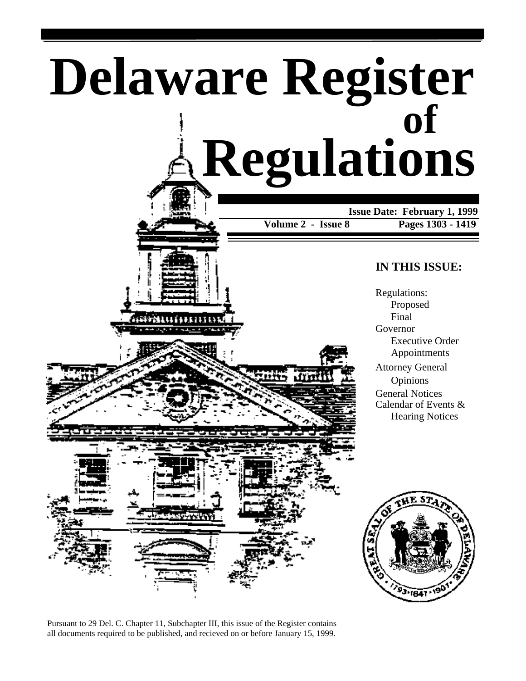# **Delaware Register Regulations of**

 **Issue Date: February 1, 1999**

**Volume 2 - Issue 8 Pages 1303 - 1419**

### **IN THIS ISSUE:**

Regulations: Proposed Final Governor Executive Order Appointments Attorney General Opinions General Notices Calendar of Events &

Hearing Notices

33-1841

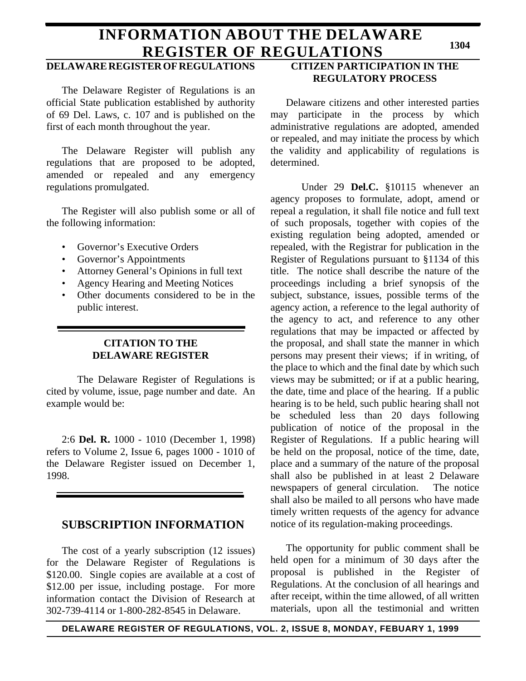### **INFORMATION ABOUT THE DELAWARE REGISTER OF REGULATIONS**

### **DELAWARE REGISTER OF REGULATIONS**

The Delaware Register of Regulations is an official State publication established by authority of 69 Del. Laws, c. 107 and is published on the first of each month throughout the year.

The Delaware Register will publish any regulations that are proposed to be adopted, amended or repealed and any emergency regulations promulgated.

The Register will also publish some or all of the following information:

- Governor's Executive Orders
- Governor's Appointments
- Attorney General's Opinions in full text
- Agency Hearing and Meeting Notices
- Other documents considered to be in the public interest.

### **CITATION TO THE DELAWARE REGISTER**

The Delaware Register of Regulations is cited by volume, issue, page number and date. An example would be:

2:6 **Del. R.** 1000 - 1010 (December 1, 1998) refers to Volume 2, Issue 6, pages 1000 - 1010 of the Delaware Register issued on December 1, 1998.

### **SUBSCRIPTION INFORMATION**

The cost of a yearly subscription (12 issues) for the Delaware Register of Regulations is \$120.00. Single copies are available at a cost of \$12.00 per issue, including postage. For more information contact the Division of Research at 302-739-4114 or 1-800-282-8545 in Delaware.

### **CITIZEN PARTICIPATION IN THE REGULATORY PROCESS**

Delaware citizens and other interested parties may participate in the process by which administrative regulations are adopted, amended or repealed, and may initiate the process by which the validity and applicability of regulations is determined.

Under 29 **Del.C.** §10115 whenever an agency proposes to formulate, adopt, amend or repeal a regulation, it shall file notice and full text of such proposals, together with copies of the existing regulation being adopted, amended or repealed, with the Registrar for publication in the Register of Regulations pursuant to §1134 of this title. The notice shall describe the nature of the proceedings including a brief synopsis of the subject, substance, issues, possible terms of the agency action, a reference to the legal authority of the agency to act, and reference to any other regulations that may be impacted or affected by the proposal, and shall state the manner in which persons may present their views; if in writing, of the place to which and the final date by which such views may be submitted; or if at a public hearing, the date, time and place of the hearing. If a public hearing is to be held, such public hearing shall not be scheduled less than 20 days following publication of notice of the proposal in the Register of Regulations. If a public hearing will be held on the proposal, notice of the time, date, place and a summary of the nature of the proposal shall also be published in at least 2 Delaware newspapers of general circulation. The notice shall also be mailed to all persons who have made timely written requests of the agency for advance notice of its regulation-making proceedings.

The opportunity for public comment shall be held open for a minimum of 30 days after the proposal is published in the Register of Regulations. At the conclusion of all hearings and after receipt, within the time allowed, of all written materials, upon all the testimonial and written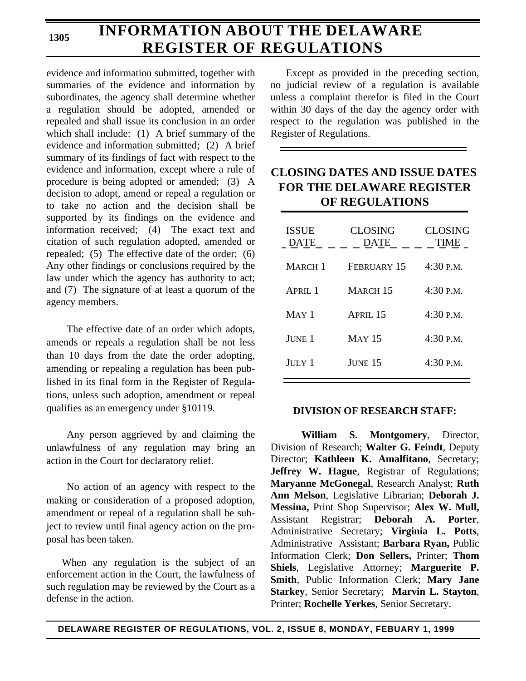### **INFORMATION ABOUT THE DELAWARE REGISTER OF REGULATIONS**

evidence and information submitted, together with summaries of the evidence and information by subordinates, the agency shall determine whether a regulation should be adopted, amended or repealed and shall issue its conclusion in an order which shall include: (1) A brief summary of the evidence and information submitted; (2) A brief summary of its findings of fact with respect to the evidence and information, except where a rule of procedure is being adopted or amended; (3) A decision to adopt, amend or repeal a regulation or to take no action and the decision shall be supported by its findings on the evidence and information received; (4) The exact text and citation of such regulation adopted, amended or repealed; (5) The effective date of the order; (6) Any other findings or conclusions required by the law under which the agency has authority to act; and (7) The signature of at least a quorum of the agency members.

The effective date of an order which adopts, amends or repeals a regulation shall be not less than 10 days from the date the order adopting, amending or repealing a regulation has been published in its final form in the Register of Regulations, unless such adoption, amendment or repeal qualifies as an emergency under §10119.

Any person aggrieved by and claiming the unlawfulness of any regulation may bring an action in the Court for declaratory relief.

No action of an agency with respect to the making or consideration of a proposed adoption, amendment or repeal of a regulation shall be subject to review until final agency action on the proposal has been taken.

When any regulation is the subject of an enforcement action in the Court, the lawfulness of such regulation may be reviewed by the Court as a defense in the action.

Except as provided in the preceding section, no judicial review of a regulation is available unless a complaint therefor is filed in the Court within 30 days of the day the agency order with respect to the regulation was published in the Register of Regulations.

### **CLOSING DATES AND ISSUE DATES FOR THE DELAWARE REGISTER OF REGULATIONS**

| <b>ISSUE</b><br><b>DATE</b> | <b>CLOSING</b><br><b>DATE</b> | <b>CLOSING</b><br><b>TIME</b> |
|-----------------------------|-------------------------------|-------------------------------|
| MARCH <sub>1</sub>          | FEBRUARY 15                   | $4:30$ P.M.                   |
| APRII.1                     | <b>MARCH 15</b>               | $4:30$ P.M.                   |
| $MAY$ 1                     | APRII.15                      | $4:30$ P.M.                   |
| June 1                      | <b>MAY 15</b>                 | $4:30$ P.M.                   |
| JULY 1                      | JUNE 15                       | $4:30$ P.M.                   |

### **DIVISION OF RESEARCH STAFF:**

**William S. Montgomery**, Director, Division of Research; **Walter G. Feindt**, Deputy Director; **Kathleen K. Amalfitano**, Secretary; **Jeffrey W. Hague**, Registrar of Regulations; **Maryanne McGonegal**, Research Analyst; **Ruth Ann Melson**, Legislative Librarian; **Deborah J. Messina,** Print Shop Supervisor; **Alex W. Mull,** Assistant Registrar; **Deborah A. Porter**, Administrative Secretary; **Virginia L. Potts**, Administrative Assistant; **Barbara Ryan,** Public Information Clerk; **Don Sellers,** Printer; **Thom Shiels**, Legislative Attorney; **Marguerite P. Smith**, Public Information Clerk; **Mary Jane Starkey**, Senior Secretary; **Marvin L. Stayton**, Printer; **Rochelle Yerkes**, Senior Secretary.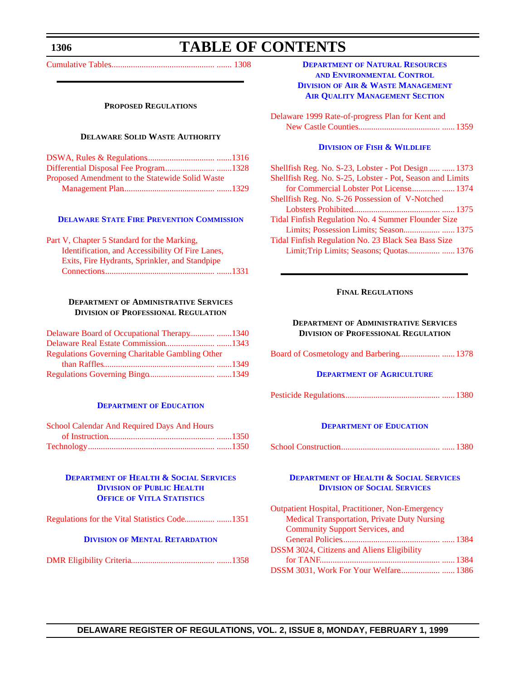### **TABLE OF CONTENTS**

<span id="page-3-1"></span><span id="page-3-0"></span>[Cumulative Tables.................................................](#page-5-0) ....... 1308

#### **PROPOSED REGULATIONS**

### **DELAWARE SOLID WASTE AUTHORITY**

| Proposed Amendment to the Statewide Solid Waste |  |
|-------------------------------------------------|--|
|                                                 |  |

#### **DELAWARE [STATE FIRE PREVENTION COMMISSION](http://www.state.de.us/dvfa/html/commission.html)**

| Part V, Chapter 5 Standard for the Marking,      |  |
|--------------------------------------------------|--|
| Identification, and Accessibility Of Fire Lanes, |  |
| Exits, Fire Hydrants, Sprinkler, and Standpipe   |  |
|                                                  |  |
|                                                  |  |

### **DEPARTMENT OF ADMINISTRATIVE SERVICES DIVISION OF PROFESSIONAL REGULATION**

| Delaware Board of Occupational Therapy1340             |  |
|--------------------------------------------------------|--|
|                                                        |  |
| <b>Regulations Governing Charitable Gambling Other</b> |  |
|                                                        |  |
|                                                        |  |

#### **[DEPARTMENT](http://www.doe.state.de.us/index_js.htm) OF EDUCATION**

| School Calendar And Required Days And Hours |  |
|---------------------------------------------|--|
|                                             |  |
|                                             |  |

### **DEPARTMENT [OF HEALTH & SOCIAL SERVICES](http://www.state.de.us/govern/agencies/dhss/irm/dph/dphhome.htm) DIVISION OF PUBLIC HEALTH OFFICE OF VITLA STATISTICS**

[Regulations for the Vital Statistics Code..............](#page-48-0) .......1351

#### **DIVISION [OF MENTAL RETARDATION](http://www.state.de.us/govern/agencies/dhss/irm/dmr/dmrhome.htm)**

|--|--|--|

### **DEPARTMENT OF NATURAL RESOURCES AND ENVIRONMENTAL CONTROL DIVISION OF AIR & WASTE MANAGEMENT [AIR QUALITY MANAGEMENT SECTION](http://www.dnrec.state.de.us/aandw.htm)**

[Delaware 1999 Rate-of-progress Plan for Kent and](#page-56-0) New Castle Counties...................................... ...... 1359

### **DIVISION [OF FISH & WILDLIFE](http://www.dnrec.state.de.us/fandw.htm)**

| Shellfish Reg. No. S-23, Lobster - Pot Design  1373       |  |
|-----------------------------------------------------------|--|
| Shellfish Reg. No. S-25, Lobster - Pot, Season and Limits |  |
|                                                           |  |
| Shellfish Reg. No. S-26 Possession of V-Notched           |  |
|                                                           |  |
| Tidal Finfish Regulation No. 4 Summer Flounder Size       |  |
| Limits; Possession Limits; Season 1375                    |  |
| Tidal Finfish Regulation No. 23 Black Sea Bass Size       |  |
| Limit; Trip Limits; Seasons; Quotas 1376                  |  |
|                                                           |  |

### **FINAL REGULATIONS**

### **DEPARTMENT OF ADMINISTRATIVE SERVICES DIVISION OF PROFESSIONAL REGULATION**

[Board of Cosmetology and Barbering...................](#page-75-0) ...... 1378

#### **DEPARTMENT [OF AGRICULTURE](http://www.state.de.us/deptagri/index.htm)**

[Pesticide Regulations.............................................](#page-77-0) ...... 1380

### **[DEPARTMENT](http://www.doe.state.de.us/index_js.htm) OF EDUCATION**

|--|--|--|--|

### **DEPARTMENT [OF HEALTH & SOCIAL SERVICES](http://www.state.de.us/govern/agencies/dhss/irm/dss/dsshome.htm) DIVISION OF SOCIAL SERVICES**

| <b>Outpatient Hospital, Practitioner, Non-Emergency</b> |  |
|---------------------------------------------------------|--|
| <b>Medical Transportation, Private Duty Nursing</b>     |  |
| <b>Community Support Services, and</b>                  |  |
|                                                         |  |
| <b>DSSM 3024, Citizens and Aliens Eligibility</b>       |  |
|                                                         |  |
| DSSM 3031, Work For Your Welfare 1386                   |  |
|                                                         |  |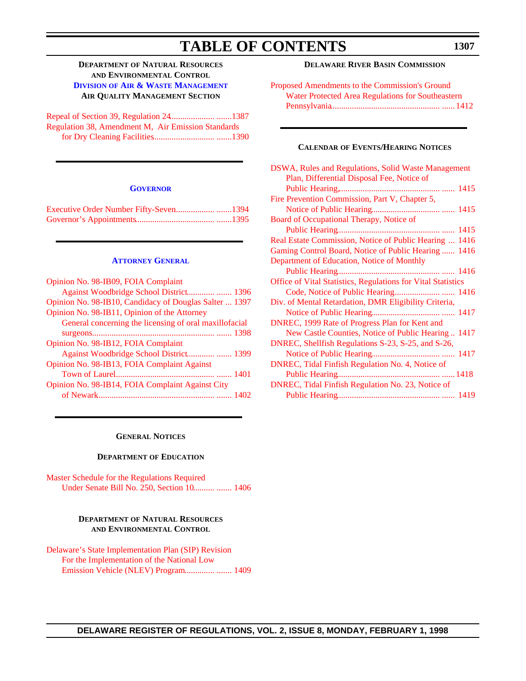### **TABLE OF CONTENTS**

### **DEPARTMENT OF NATURAL RESOURCES AND ENVIRONMENTAL CONTROL DIVISION [OF AIR & WASTE MANAGEMENT](http://www.dnrec.state.de.us/aandw.htm) AIR QUALITY MANAGEMENT SECTION**

| Regulation 38, Amendment M, Air Emission Standards |  |
|----------------------------------------------------|--|
|                                                    |  |

#### **[GOVERNOR](http://www.state.de.us/governor/index.htm)**

| Executive Order Number Fifty-Seven1394 |  |
|----------------------------------------|--|
|                                        |  |

#### **[ATTORNEY](http://www.state.de.us/attgen/index.htm) GENERAL**

| Opinion No. 98-IB09, FOIA Complaint                    |
|--------------------------------------------------------|
|                                                        |
| Opinion No. 98-IB10, Candidacy of Douglas Salter  1397 |
| Opinion No. 98-IB11, Opinion of the Attorney           |
| General concerning the licensing of oral maxillofacial |
|                                                        |
| Opinion No. 98-IB12, FOIA Complaint                    |
|                                                        |
| Opinion No. 98-IB13, FOIA Complaint Against            |
|                                                        |
| Opinion No. 98-IB14, FOIA Complaint Against City       |
|                                                        |
|                                                        |

### **DELAWARE RIVER BASIN COMMISSION**

[Proposed Amendments to the Commission's Ground](#page-109-0)  Water Protected Area Regulations for Southeastern Pennsylvania................................................... ...... 1412

#### **CALENDAR OF EVENTS/HEARING NOTICES**

| DSWA, Rules and Regulations, Solid Waste Management          |  |
|--------------------------------------------------------------|--|
| Plan, Differential Disposal Fee, Notice of                   |  |
|                                                              |  |
| Fire Prevention Commission, Part V, Chapter 5,               |  |
|                                                              |  |
| Board of Occupational Therapy, Notice of                     |  |
|                                                              |  |
| Real Estate Commission, Notice of Public Hearing  1416       |  |
| Gaming Control Board, Notice of Public Hearing  1416         |  |
| Department of Education, Notice of Monthly                   |  |
|                                                              |  |
| Office of Vital Statistics, Regulations for Vital Statistics |  |
|                                                              |  |
| Div. of Mental Retardation, DMR Eligibility Criteria,        |  |
|                                                              |  |
| DNREC, 1999 Rate of Progress Plan for Kent and               |  |
| New Castle Counties, Notice of Public Hearing  1417          |  |
| DNREC, Shellfish Regulations S-23, S-25, and S-26,           |  |
|                                                              |  |
| DNREC, Tidal Finfish Regulation No. 4, Notice of             |  |
|                                                              |  |
| DNREC, Tidal Finfish Regulation No. 23, Notice of            |  |
|                                                              |  |
|                                                              |  |

### **GENERAL NOTICES**

### **DEPARTMENT OF EDUCATION**

[Master Schedule for the Regulations Required](#page-103-0) Under Senate Bill No. 250, Section 10.......... ....... 1406

#### **DEPARTMENT OF NATURAL RESOURCES AND ENVIRONMENTAL CONTROL**

[Delaware's State Implementation Plan \(SIP\) Revision](#page-106-0) For the Implementation of the National Low Emission Vehicle (NLEV) Program.............. ....... 1409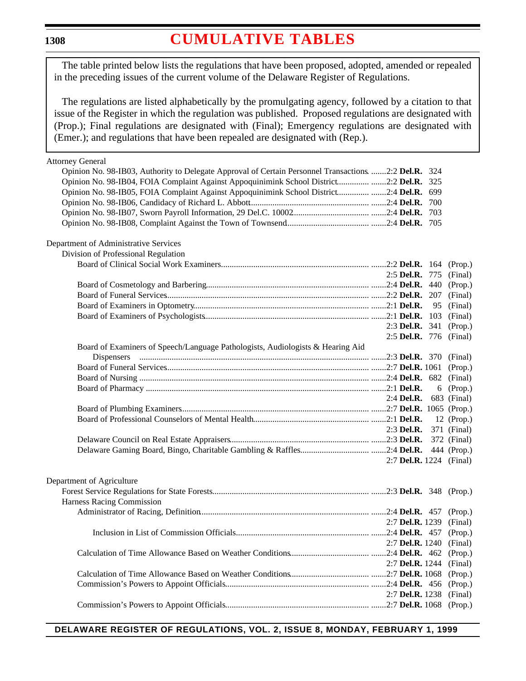### **[CUMULATIVE TABLES](#page-3-0)**

<span id="page-5-0"></span>The table printed below lists the regulations that have been proposed, adopted, amended or repealed in the preceding issues of the current volume of the Delaware Register of Regulations.

The regulations are listed alphabetically by the promulgating agency, followed by a citation to that issue of the Register in which the regulation was published. Proposed regulations are designated with (Prop.); Final regulations are designated with (Final); Emergency regulations are designated with (Emer.); and regulations that have been repealed are designated with (Rep.).

| <b>Attorney General</b>                                                                               |                               |    |             |
|-------------------------------------------------------------------------------------------------------|-------------------------------|----|-------------|
| Opinion No. 98-IB03, Authority to Delegate Approval of Certain Personnel Transactions. 2:2 Del.R. 324 |                               |    |             |
| Opinion No. 98-IB04, FOIA Complaint Against Appoquinimink School District 2:2 Del.R. 325              |                               |    |             |
| Opinion No. 98-IB05, FOIA Complaint Against Appoquinimink School District 2:4 Del.R. 699              |                               |    |             |
|                                                                                                       |                               |    |             |
|                                                                                                       |                               |    |             |
|                                                                                                       |                               |    |             |
|                                                                                                       |                               |    |             |
| Department of Administrative Services                                                                 |                               |    |             |
| Division of Professional Regulation                                                                   |                               |    |             |
|                                                                                                       |                               |    |             |
|                                                                                                       | 2:5 Del.R. 775 (Final)        |    |             |
|                                                                                                       |                               |    |             |
|                                                                                                       |                               |    | (Final)     |
|                                                                                                       |                               | 95 | (Final)     |
|                                                                                                       |                               |    | (Final)     |
|                                                                                                       | 2:3 Del.R. 341 (Prop.)        |    |             |
|                                                                                                       | 2:5 Del.R. 776 (Final)        |    |             |
| Board of Examiners of Speech/Language Pathologists, Audiologists & Hearing Aid                        |                               |    |             |
|                                                                                                       |                               |    |             |
|                                                                                                       |                               |    |             |
|                                                                                                       |                               |    |             |
|                                                                                                       |                               |    | 6 (Prop.)   |
|                                                                                                       | 2:4 <b>Del.R.</b> 683 (Final) |    |             |
|                                                                                                       |                               |    |             |
|                                                                                                       |                               |    | 12 (Prop.)  |
|                                                                                                       | 2:3 Del.R. 371 (Final)        |    |             |
|                                                                                                       |                               |    | 372 (Final) |
|                                                                                                       |                               |    |             |
|                                                                                                       | 2:7 Del.R. 1224 (Final)       |    |             |
|                                                                                                       |                               |    |             |
| Department of Agriculture                                                                             |                               |    |             |
|                                                                                                       |                               |    |             |
| Harness Racing Commission                                                                             |                               |    |             |
|                                                                                                       |                               |    |             |
|                                                                                                       | 2:7 Del.R. 1239 (Final)       |    |             |
|                                                                                                       |                               |    |             |
| 2:7 <b>Del.R.</b> 1240 (Final)                                                                        |                               |    |             |
|                                                                                                       |                               |    | (Prop.)     |
|                                                                                                       | 2:7 Del.R. 1244               |    | (Final)     |
|                                                                                                       |                               |    | (Prop.)     |
|                                                                                                       |                               |    | (Prop.)     |
|                                                                                                       | 2:7 Del.R. 1238               |    | (Final)     |
|                                                                                                       |                               |    | (Prop.)     |
|                                                                                                       |                               |    |             |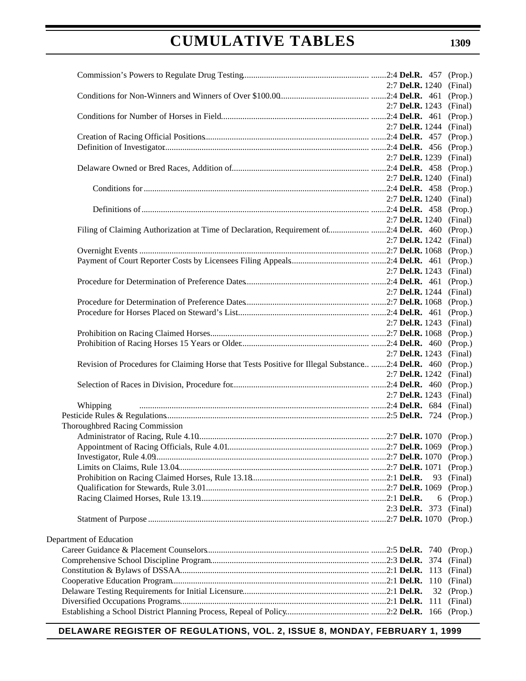|                                                                                                   | 2:7 Del.R. 1240 |     | (Final) |
|---------------------------------------------------------------------------------------------------|-----------------|-----|---------|
|                                                                                                   |                 |     | (Prop.) |
|                                                                                                   | 2:7 Del.R. 1243 |     | (Final) |
|                                                                                                   |                 |     | (Prop.) |
|                                                                                                   | 2:7 Del.R. 1244 |     | (Final) |
|                                                                                                   |                 |     | (Prop.) |
|                                                                                                   |                 |     | (Prop.) |
|                                                                                                   | 2:7 Del.R. 1239 |     | (Final) |
|                                                                                                   |                 |     | (Prop.) |
|                                                                                                   | 2:7 Del.R. 1240 |     | (Final) |
|                                                                                                   |                 |     | (Prop.) |
|                                                                                                   | 2:7 Del.R. 1240 |     | (Final) |
|                                                                                                   |                 |     | (Prop.) |
|                                                                                                   | 2:7 Del.R. 1240 |     | (Final) |
| Filing of Claiming Authorization at Time of Declaration, Requirement of2:4 Del.R. 460             |                 |     | (Prop.) |
|                                                                                                   | 2:7 Del.R. 1242 |     | (Final) |
|                                                                                                   |                 |     | (Prop.) |
|                                                                                                   |                 |     | (Prop.) |
|                                                                                                   | 2:7 Del.R. 1243 |     | (Final) |
|                                                                                                   |                 |     | (Prop.) |
|                                                                                                   | 2:7 Del.R. 1244 |     | (Final) |
|                                                                                                   |                 |     | (Prop.) |
|                                                                                                   |                 |     | (Prop.) |
|                                                                                                   | 2:7 Del.R. 1243 |     | (Final) |
|                                                                                                   |                 |     | (Prop.) |
|                                                                                                   |                 |     | (Prop.) |
|                                                                                                   | 2:7 Del.R. 1243 |     | (Final) |
| Revision of Procedures for Claiming Horse that Tests Positive for Illegal Substance2:4 Del.R. 460 |                 |     | (Prop.) |
|                                                                                                   | 2:7 Del.R. 1242 |     | (Final) |
|                                                                                                   |                 |     | (Prop.) |
|                                                                                                   | 2:7 Del.R. 1243 |     | (Final) |
| Whipping                                                                                          |                 |     | (Final) |
|                                                                                                   |                 |     |         |
| Thoroughbred Racing Commission                                                                    |                 |     |         |
|                                                                                                   |                 |     |         |
|                                                                                                   |                 |     |         |
|                                                                                                   |                 |     |         |
|                                                                                                   |                 |     | (Prop.) |
|                                                                                                   |                 | 93  | (Final) |
|                                                                                                   |                 |     | (Prop.) |
|                                                                                                   |                 | 6   | (Prop.) |
|                                                                                                   | 2:3 Del.R. 373  |     | (Final) |
|                                                                                                   |                 |     | (Prop.) |
|                                                                                                   |                 |     |         |
| Department of Education                                                                           |                 |     |         |
|                                                                                                   |                 |     | (Prop.) |
|                                                                                                   |                 |     | (Final) |
|                                                                                                   |                 | 113 | (Final) |
|                                                                                                   |                 | 110 | (Final) |
|                                                                                                   |                 | 32  | (Prop.) |
|                                                                                                   |                 | 111 | (Final) |
|                                                                                                   |                 |     | (Prop.) |
|                                                                                                   |                 |     |         |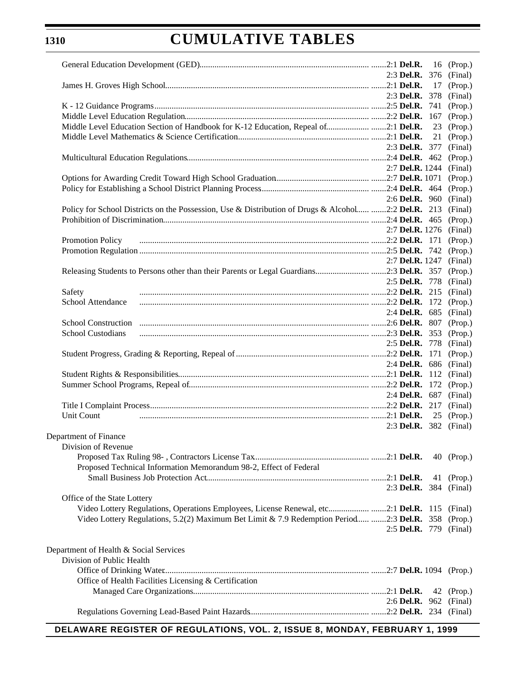# **CUMULATIVE TABLES**

|                                                                                                     |                               |    | 16 (Prop.)         |
|-----------------------------------------------------------------------------------------------------|-------------------------------|----|--------------------|
|                                                                                                     | 2:3 Del.R. $376$              |    | (Final)            |
|                                                                                                     |                               | 17 | (Prop.)            |
|                                                                                                     | $2:3$ Del.R. 378              |    | (Final)            |
|                                                                                                     |                               |    | (Prop.)            |
|                                                                                                     |                               |    | (Prop.)            |
| Middle Level Education Section of Handbook for K-12 Education, Repeal of2:1 Del.R.                  |                               | 23 | (Prop.)            |
|                                                                                                     |                               | 21 | (Prop.)            |
|                                                                                                     | 2:3 Del.R. 377                |    | (Final)            |
|                                                                                                     |                               |    | (Prop.)            |
|                                                                                                     | 2:7 <b>Del.R.</b> 1244        |    | (Final)            |
|                                                                                                     |                               |    | (Prop.)            |
|                                                                                                     |                               |    | (Prop.)            |
| Policy for School Districts on the Possession, Use & Distribution of Drugs & Alcohol 2:2 Del.R. 213 | 2:6 Del.R. $960$              |    | (Final)<br>(Final) |
|                                                                                                     |                               |    | (Prop.)            |
|                                                                                                     | 2:7 Del.R. 1276               |    | (Final)            |
| Promotion Policy                                                                                    |                               |    | (Prop.)            |
|                                                                                                     |                               |    | (Prop.)            |
|                                                                                                     | 2:7 Del.R. 1247               |    | (Final)            |
|                                                                                                     |                               |    | (Prop.)            |
|                                                                                                     | 2:5 Del.R. 778                |    | (Final)            |
| Safety                                                                                              |                               |    | (Final)            |
| School Attendance                                                                                   |                               |    | (Prop.)            |
|                                                                                                     | 2:4 Del.R. $685$              |    | (Final)            |
| <b>School Construction</b>                                                                          |                               |    | (Prop.)            |
| <b>School Custodians</b>                                                                            |                               |    | (Prop.)            |
|                                                                                                     | 2:5 Del.R. 778                |    | (Final)            |
|                                                                                                     |                               |    | (Prop.)            |
|                                                                                                     | 2:4 <b>Del.R.</b> $686$       |    | (Final)            |
|                                                                                                     |                               |    | (Final)            |
|                                                                                                     |                               |    | (Prop.)            |
|                                                                                                     | 2:4 <b>Del.R.</b> 687         |    | (Final)            |
|                                                                                                     |                               |    | (Final)            |
| Unit Count                                                                                          |                               | 25 | (Prop.)            |
|                                                                                                     | 2:3 <b>Del.R.</b> 382 (Final) |    |                    |
| Department of Finance                                                                               |                               |    |                    |
| Division of Revenue                                                                                 |                               |    |                    |
| Proposed Technical Information Memorandum 98-2, Effect of Federal                                   |                               |    | 40 (Prop.)         |
|                                                                                                     |                               |    | 41 (Prop.)         |
|                                                                                                     | 2:3 <b>Del.R.</b> 384 (Final) |    |                    |
| Office of the State Lottery                                                                         |                               |    |                    |
| Video Lottery Regulations, Operations Employees, License Renewal, etc2:1 Del.R. 115 (Final)         |                               |    |                    |
| Video Lottery Regulations, 5.2(2) Maximum Bet Limit & 7.9 Redemption Period 2:3 Del.R. 358 (Prop.)  |                               |    |                    |
|                                                                                                     | 2:5 Del.R. 779 (Final)        |    |                    |
|                                                                                                     |                               |    |                    |
| Department of Health & Social Services                                                              |                               |    |                    |
| Division of Public Health                                                                           |                               |    |                    |
|                                                                                                     |                               |    |                    |
| Office of Health Facilities Licensing & Certification                                               |                               |    |                    |
|                                                                                                     |                               |    | 42 (Prop.)         |
|                                                                                                     | 2:6 Del.R. 962 (Final)        |    |                    |
|                                                                                                     |                               |    |                    |
|                                                                                                     |                               |    |                    |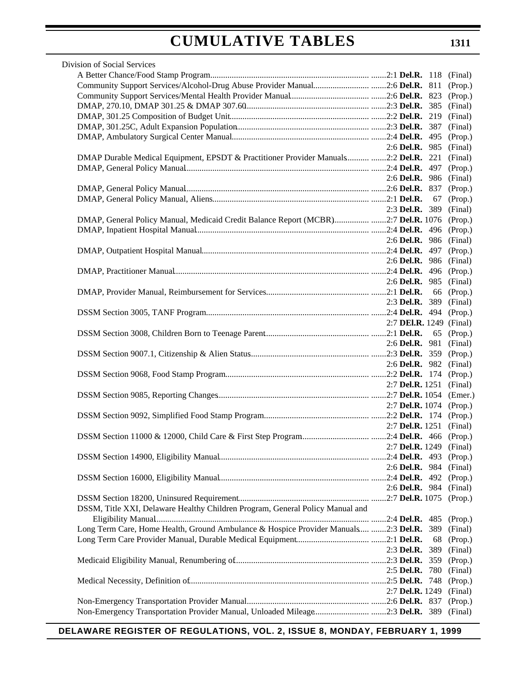| Division of Social Services                                                                  |                                |    |            |
|----------------------------------------------------------------------------------------------|--------------------------------|----|------------|
|                                                                                              |                                |    |            |
|                                                                                              |                                |    | (Prop.)    |
|                                                                                              |                                |    |            |
|                                                                                              |                                |    | (Final)    |
|                                                                                              |                                |    |            |
|                                                                                              |                                |    | (Final)    |
|                                                                                              |                                |    |            |
|                                                                                              | 2:6 Del.R. 985 (Final)         |    |            |
| DMAP Durable Medical Equipment, EPSDT & Practitioner Provider Manuals 2:2 Del.R. 221 (Final) |                                |    |            |
|                                                                                              |                                |    |            |
|                                                                                              | 2:6 Del.R. 986 (Final)         |    |            |
|                                                                                              |                                |    |            |
|                                                                                              |                                |    | 67 (Prop.) |
|                                                                                              | 2:3 Del.R. 389 (Final)         |    |            |
| DMAP, General Policy Manual, Medicaid Credit Balance Report (MCBR)2:7 Del.R. 1076 (Prop.)    |                                |    |            |
|                                                                                              |                                |    |            |
|                                                                                              | 2:6 Del.R. 986 (Final)         |    |            |
|                                                                                              |                                |    |            |
|                                                                                              | 2:6 <b>Del.R.</b> 986 (Final)  |    |            |
|                                                                                              |                                |    |            |
|                                                                                              | 2:6 Del.R. 985 (Final)         |    |            |
|                                                                                              |                                |    | 66 (Prop.) |
|                                                                                              | 2:3 Del.R. 389 (Final)         |    |            |
|                                                                                              |                                |    |            |
|                                                                                              | 2:7 <b>DEI.R.</b> 1249 (Final) |    |            |
|                                                                                              | 2:6 Del.R. 981 (Final)         |    | 65 (Prop.) |
|                                                                                              |                                |    |            |
|                                                                                              | 2:6 Del.R. 982 (Final)         |    |            |
|                                                                                              |                                |    |            |
|                                                                                              | 2:7 Del.R. 1251 (Final)        |    |            |
|                                                                                              |                                |    |            |
|                                                                                              | 2:7 Del.R. 1074 (Prop.)        |    |            |
|                                                                                              |                                |    |            |
|                                                                                              | 2:7 Del.R. 1251 (Final)        |    |            |
|                                                                                              |                                |    |            |
| 2:7 <b>Del.R.</b> 1249 (Final)                                                               |                                |    |            |
|                                                                                              |                                |    |            |
|                                                                                              | 2:6 Del.R. 984                 |    | (Final)    |
|                                                                                              |                                |    | (Prop.)    |
|                                                                                              | 2:6 Del.R. 984 (Final)         |    |            |
|                                                                                              |                                |    |            |
| DSSM, Title XXI, Delaware Healthy Children Program, General Policy Manual and                |                                |    |            |
|                                                                                              |                                |    |            |
| Long Term Care, Home Health, Ground Ambulance & Hospice Provider Manuals 2:3 Del.R. 389      |                                |    | (Final)    |
|                                                                                              |                                | 68 | (Prop.)    |
|                                                                                              | 2:3 Del.R. 389                 |    | (Final)    |
|                                                                                              |                                |    | (Prop.)    |
|                                                                                              | 2:5 Del.R. $780$               |    | (Final)    |
|                                                                                              |                                |    | (Prop.)    |
|                                                                                              | 2:7 <b>Del.R.</b> 1249         |    | (Final)    |
|                                                                                              |                                |    | (Prop.)    |
| Non-Emergency Transportation Provider Manual, Unloaded Mileage2:3 Del.R. 389                 |                                |    | (Final)    |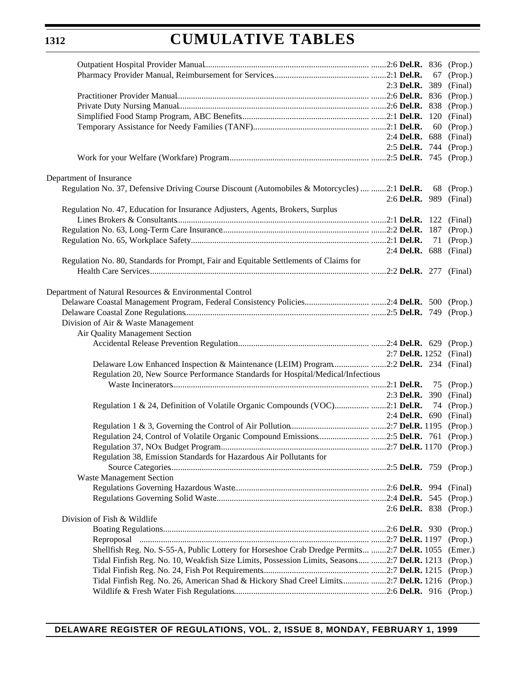# **CUMULATIVE TABLES**

|                                                                                              |                        | 67  | (Prop.)                           |
|----------------------------------------------------------------------------------------------|------------------------|-----|-----------------------------------|
|                                                                                              | 2:3 <b>Del.R.</b> 389  |     | (Final)                           |
|                                                                                              |                        |     |                                   |
|                                                                                              |                        |     |                                   |
|                                                                                              |                        | 120 | (Final)                           |
|                                                                                              |                        | 60  | (Prop.)                           |
|                                                                                              | 2:4 <b>Del.R.</b> 688  |     | (Final)                           |
|                                                                                              |                        |     | 2:5 Del.R. 744 (Prop.)            |
|                                                                                              |                        |     |                                   |
| Department of Insurance                                                                      |                        |     |                                   |
| Regulation No. 37, Defensive Driving Course Discount (Automobiles & Motorcycles)  2:1 Del.R. |                        |     | 68 (Prop.)                        |
|                                                                                              | 2:6 Del.R. 989         |     | (Final)                           |
| Regulation No. 47, Education for Insurance Adjusters, Agents, Brokers, Surplus               |                        |     |                                   |
|                                                                                              |                        |     |                                   |
|                                                                                              |                        |     | (Prop.)                           |
|                                                                                              |                        | 71  | (Prop.)                           |
|                                                                                              |                        |     | 2:4 Del.R. 688 (Final)            |
| Regulation No. 80, Standards for Prompt, Fair and Equitable Settlements of Claims for        |                        |     |                                   |
|                                                                                              |                        |     |                                   |
|                                                                                              |                        |     |                                   |
| Department of Natural Resources & Environmental Control                                      |                        |     |                                   |
|                                                                                              |                        |     |                                   |
|                                                                                              |                        |     |                                   |
| Division of Air & Waste Management                                                           |                        |     |                                   |
| Air Quality Management Section                                                               |                        |     |                                   |
|                                                                                              |                        |     |                                   |
|                                                                                              | 2:7 <b>Del.R.</b> 1252 |     | (Final)                           |
| Delaware Low Enhanced Inspection & Maintenance (LEIM) Program2:2 Del.R. 234 (Final)          |                        |     |                                   |
| Regulation 20, New Source Performance Standards for Hospital/Medical/Infectious              |                        |     |                                   |
|                                                                                              |                        |     | 75 (Prop.)                        |
|                                                                                              |                        |     | 2:3 <b>Del.R.</b> 390 (Final)     |
| Regulation 1 & 24, Definition of Volatile Organic Compounds (VOC)2:1 Del.R.                  |                        |     | 74 (Prop.)                        |
|                                                                                              |                        |     | 2:4 <b>Del.R.</b> 690 (Final)     |
|                                                                                              |                        |     |                                   |
|                                                                                              |                        |     |                                   |
|                                                                                              |                        |     |                                   |
| Regulation 38, Emission Standards for Hazardous Air Pollutants for                           |                        |     |                                   |
|                                                                                              |                        |     |                                   |
| <b>Waste Management Section</b>                                                              |                        |     |                                   |
|                                                                                              |                        |     |                                   |
|                                                                                              |                        |     | (Prop.)<br>2:6 Del.R. 838 (Prop.) |
| Division of Fish & Wildlife                                                                  |                        |     |                                   |
|                                                                                              |                        |     | (Prop.)                           |
|                                                                                              |                        |     | (Prop.)                           |
| Shellfish Reg. No. S-55-A, Public Lottery for Horseshoe Crab Dredge Permits 2:7 Del.R. 1055  |                        |     | (Emer.)                           |
| Tidal Finfish Reg. No. 10, Weakfish Size Limits, Possession Limits, Seasons 2:7 Del.R. 1213  |                        |     | (Prop.)                           |
|                                                                                              |                        |     | (Prop.)                           |
| Tidal Finfish Reg. No. 26, American Shad & Hickory Shad Creel Limits 2:7 Del.R. 1216         |                        |     | (Prop.)                           |
|                                                                                              |                        |     | (Prop.)                           |
|                                                                                              |                        |     |                                   |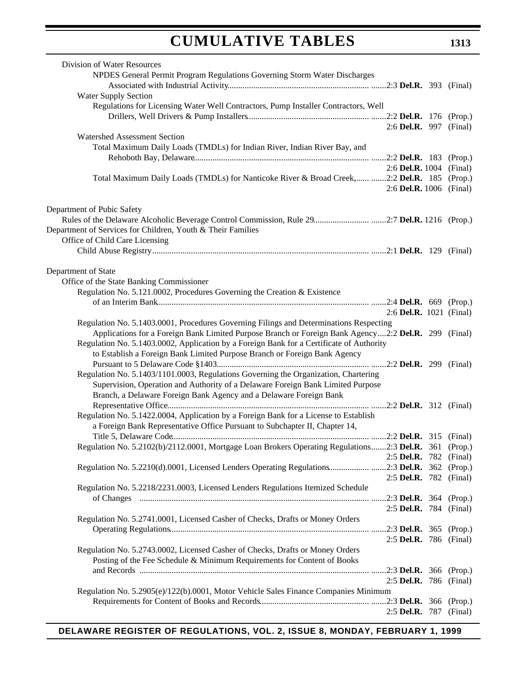| Division of Water Resources                                                                           |                               |         |
|-------------------------------------------------------------------------------------------------------|-------------------------------|---------|
| NPDES General Permit Program Regulations Governing Storm Water Discharges                             |                               |         |
|                                                                                                       |                               |         |
| <b>Water Supply Section</b>                                                                           |                               |         |
| Regulations for Licensing Water Well Contractors, Pump Installer Contractors, Well                    |                               |         |
|                                                                                                       |                               |         |
|                                                                                                       | 2:6 Del.R. 997 (Final)        |         |
|                                                                                                       |                               |         |
| Watershed Assessment Section                                                                          |                               |         |
| Total Maximum Daily Loads (TMDLs) for Indian River, Indian River Bay, and                             |                               |         |
|                                                                                                       |                               |         |
|                                                                                                       | 2:6 Del.R. 1004 (Final)       |         |
| Total Maximum Daily Loads (TMDLs) for Nanticoke River & Broad Creek, 2:2 Del.R. 185 (Prop.)           |                               |         |
|                                                                                                       | 2:6 Del.R. 1006 (Final)       |         |
|                                                                                                       |                               |         |
| Department of Pubic Safety                                                                            |                               |         |
|                                                                                                       |                               |         |
| Department of Services for Children, Youth & Their Families                                           |                               |         |
| Office of Child Care Licensing                                                                        |                               |         |
|                                                                                                       |                               |         |
|                                                                                                       |                               |         |
| Department of State                                                                                   |                               |         |
| Office of the State Banking Commissioner                                                              |                               |         |
| Regulation No. 5.121.0002, Procedures Governing the Creation & Existence                              |                               |         |
|                                                                                                       |                               |         |
|                                                                                                       |                               |         |
|                                                                                                       | 2:6 Del.R. 1021 (Final)       |         |
| Regulation No. 5.1403.0001, Procedures Governing Filings and Determinations Respecting                |                               |         |
| Applications for a Foreign Bank Limited Purpose Branch or Foreign Bank Agency 2:2 Del.R. 299 (Final)  |                               |         |
| Regulation No. 5.1403.0002, Application by a Foreign Bank for a Certificate of Authority              |                               |         |
| to Establish a Foreign Bank Limited Purpose Branch or Foreign Bank Agency                             |                               |         |
|                                                                                                       |                               |         |
| Regulation No. 5.1403/1101.0003, Regulations Governing the Organization, Chartering                   |                               |         |
| Supervision, Operation and Authority of a Delaware Foreign Bank Limited Purpose                       |                               |         |
| Branch, a Delaware Foreign Bank Agency and a Delaware Foreign Bank                                    |                               |         |
|                                                                                                       |                               |         |
| Regulation No. 5.1422.0004, Application by a Foreign Bank for a License to Establish                  |                               |         |
| a Foreign Bank Representative Office Pursuant to Subchapter II, Chapter 14,                           |                               |         |
|                                                                                                       |                               |         |
| Regulation No. 5.2102(b)/2112.0001, Mortgage Loan Brokers Operating Regulations2:3 Del.R. 361 (Prop.) |                               |         |
|                                                                                                       | 2:5 Del.R. 782 (Final)        |         |
|                                                                                                       |                               |         |
| Regulation No. 5.2210(d).0001, Licensed Lenders Operating Regulations2:3 Del.R. 362 (Prop.)           |                               |         |
|                                                                                                       | 2:5 Del.R. 782 (Final)        |         |
| Regulation No. 5.2218/2231.0003, Licensed Lenders Regulations Itemized Schedule                       |                               |         |
|                                                                                                       |                               |         |
|                                                                                                       | 2:5 <b>Del.R.</b> 784 (Final) |         |
| Regulation No. 5.2741.0001, Licensed Casher of Checks, Drafts or Money Orders                         |                               |         |
|                                                                                                       |                               |         |
|                                                                                                       | 2:5 Del.R. 786 (Final)        |         |
| Regulation No. 5.2743.0002, Licensed Casher of Checks, Drafts or Money Orders                         |                               |         |
| Posting of the Fee Schedule & Minimum Requirements for Content of Books                               |                               |         |
|                                                                                                       |                               |         |
|                                                                                                       | 2:5 Del.R. 786 (Final)        |         |
| Regulation No. 5.2905(e)/122(b).0001, Motor Vehicle Sales Finance Companies Minimum                   |                               |         |
|                                                                                                       |                               |         |
|                                                                                                       | 2:5 Del.R. 787                | (Final) |
|                                                                                                       |                               |         |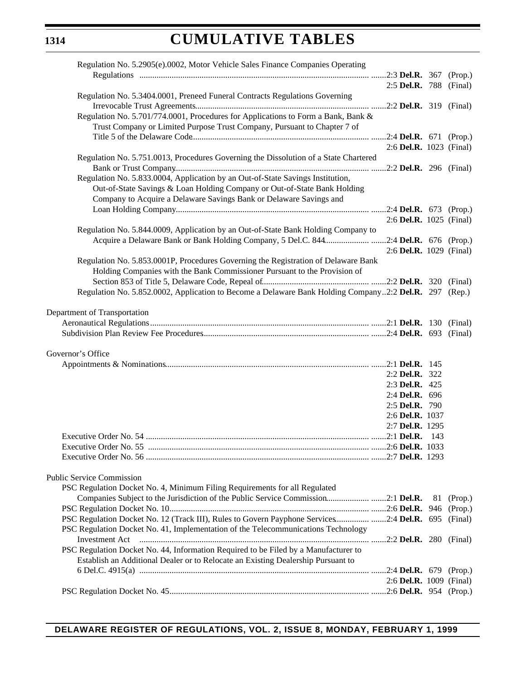| Regulation No. 5.2905(e).0002, Motor Vehicle Sales Finance Companies Operating                        |                         |            |
|-------------------------------------------------------------------------------------------------------|-------------------------|------------|
|                                                                                                       |                         |            |
|                                                                                                       | 2:5 Del.R. 788 (Final)  |            |
| Regulation No. 5.3404.0001, Preneed Funeral Contracts Regulations Governing                           |                         |            |
|                                                                                                       |                         |            |
| Regulation No. 5.701/774.0001, Procedures for Applications to Form a Bank, Bank &                     |                         |            |
| Trust Company or Limited Purpose Trust Company, Pursuant to Chapter 7 of                              |                         |            |
|                                                                                                       |                         |            |
|                                                                                                       | 2:6 Del.R. 1023 (Final) |            |
| Regulation No. 5.751.0013, Procedures Governing the Dissolution of a State Chartered                  |                         |            |
|                                                                                                       |                         |            |
| Regulation No. 5.833.0004, Application by an Out-of-State Savings Institution,                        |                         |            |
| Out-of-State Savings & Loan Holding Company or Out-of-State Bank Holding                              |                         |            |
| Company to Acquire a Delaware Savings Bank or Delaware Savings and                                    |                         |            |
|                                                                                                       |                         |            |
|                                                                                                       | 2:6 Del.R. 1025 (Final) |            |
| Regulation No. 5.844.0009, Application by an Out-of-State Bank Holding Company to                     |                         |            |
| Acquire a Delaware Bank or Bank Holding Company, 5 Del.C. 8442:4 Del.R. 676 (Prop.)                   |                         |            |
|                                                                                                       | 2:6 Del.R. 1029 (Final) |            |
| Regulation No. 5.853.0001P, Procedures Governing the Registration of Delaware Bank                    |                         |            |
| Holding Companies with the Bank Commissioner Pursuant to the Provision of                             |                         |            |
|                                                                                                       |                         |            |
| Regulation No. 5.852.0002, Application to Become a Delaware Bank Holding Company2:2 Del.R. 297 (Rep.) |                         |            |
|                                                                                                       |                         |            |
| Department of Transportation                                                                          |                         |            |
|                                                                                                       |                         |            |
|                                                                                                       |                         |            |
|                                                                                                       |                         |            |
| Governor's Office                                                                                     |                         |            |
|                                                                                                       |                         |            |
|                                                                                                       | 2:2 Del.R. 322          |            |
|                                                                                                       | 2:3 Del.R. 425          |            |
|                                                                                                       | 2:4 Del.R. 696          |            |
|                                                                                                       | 2:5 Del.R. 790          |            |
|                                                                                                       | 2:6 Del.R. 1037         |            |
|                                                                                                       | 2:7 Del.R. 1295         |            |
|                                                                                                       |                         |            |
|                                                                                                       |                         |            |
|                                                                                                       |                         |            |
|                                                                                                       |                         |            |
| <b>Public Service Commission</b>                                                                      |                         |            |
| PSC Regulation Docket No. 4, Minimum Filing Requirements for all Regulated                            |                         |            |
| Companies Subject to the Jurisdiction of the Public Service Commission2:1 Del.R.                      |                         | 81 (Prop.) |
|                                                                                                       |                         |            |
| PSC Regulation Docket No. 12 (Track III), Rules to Govern Payphone Services 2:4 Del.R. 695 (Final)    |                         |            |
| PSC Regulation Docket No. 41, Implementation of the Telecommunications Technology                     |                         |            |
|                                                                                                       |                         |            |
| PSC Regulation Docket No. 44, Information Required to be Filed by a Manufacturer to                   |                         |            |
| Establish an Additional Dealer or to Relocate an Existing Dealership Pursuant to                      |                         |            |
|                                                                                                       |                         |            |
|                                                                                                       | 2:6 Del.R. 1009 (Final) |            |
|                                                                                                       |                         |            |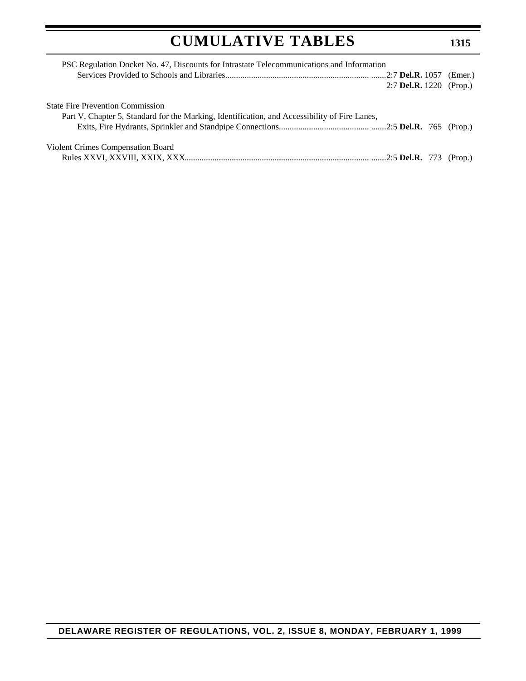| PSC Regulation Docket No. 47, Discounts for Intrastate Telecommunications and Information     |                                |  |  |
|-----------------------------------------------------------------------------------------------|--------------------------------|--|--|
|                                                                                               |                                |  |  |
|                                                                                               | 2:7 <b>Del.R.</b> 1220 (Prop.) |  |  |
| <b>State Fire Prevention Commission</b>                                                       |                                |  |  |
| Part V, Chapter 5, Standard for the Marking, Identification, and Accessibility of Fire Lanes, |                                |  |  |
|                                                                                               |                                |  |  |
| Violent Crimes Compensation Board                                                             |                                |  |  |
|                                                                                               |                                |  |  |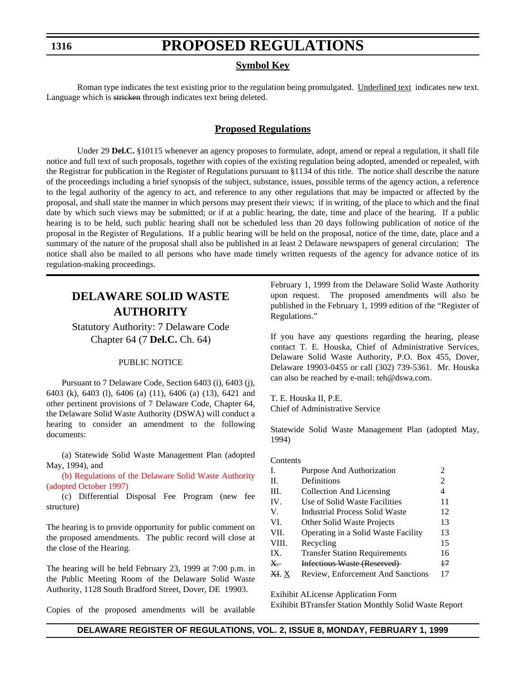### **PROPOSED REGULATIONS**

### **Symbol Key**

Roman type indicates the text existing prior to the regulation being promulgated. Underlined text indicates new text. Language which is stricken through indicates text being deleted.

### **Proposed Regulations**

<span id="page-13-0"></span>Under 29 **Del.C.** §10115 whenever an agency proposes to formulate, adopt, amend or repeal a regulation, it shall file notice and full text of such proposals, together with copies of the existing regulation being adopted, amended or repealed, with the Registrar for publication in the Register of Regulations pursuant to §1134 of this title. The notice shall describe the nature of the proceedings including a brief synopsis of the subject, substance, issues, possible terms of the agency action, a reference to the legal authority of the agency to act, and reference to any other regulations that may be impacted or affected by the proposal, and shall state the manner in which persons may present their views; if in writing, of the place to which and the final date by which such views may be submitted; or if at a public hearing, the date, time and place of the hearing. If a public hearing is to be held, such public hearing shall not be scheduled less than 20 days following publication of notice of the proposal in the Register of Regulations. If a public hearing will be held on the proposal, notice of the time, date, place and a summary of the nature of the proposal shall also be published in at least 2 Delaware newspapers of general circulation; The notice shall also be mailed to all persons who have made timely written requests of the agency for advance notice of its regulation-making proceedings.

### **DELAWARE SOLID WASTE AUTHORITY**

Statutory Authority: 7 Delaware Code Chapter 64 (7 **Del.C.** Ch. 64)

### PUBLIC NOTICE

Pursuant to 7 Delaware Code, Section 6403 (i), 6403 (j), 6403 (k), 6403 (l), 6406 (a) (11), 6406 (a) (13), 6421 and other pertinent provisions of 7 Delaware Code, Chapter 64, the Delaware Solid Waste Authority (DSWA) will conduct a hearing to consider an amendment to the following documents:

(a) Statewide Solid Waste Management Plan (adopted May, 1994), and

[\(b\) Regulations of the Delaware Solid Waste Authority](#page-3-0) (adopted October 1997)

(c) Differential Disposal Fee Program (new fee structure)

The hearing is to provide opportunity for public comment on the proposed amendments. The public record will close at the close of the Hearing.

The hearing will be held February 23, 1999 at 7:00 p.m. in the Public Meeting Room of the Delaware Solid Waste Authority, 1128 South Bradford Street, Dover, DE 19903.

Copies of the proposed amendments will be available

February 1, 1999 from the Delaware Solid Waste Authority upon request. The proposed amendments will also be published in the February 1, 1999 edition of the "Register of Regulations."

If you have any questions regarding the hearing, please contact T. E. Houska, Chief of Administrative Services, Delaware Solid Waste Authority, P.O. Box 455, Dover, Delaware 19903-0455 or call (302) 739-5361. Mr. Houska can also be reached by e-mail: teh@dswa.com.

T. E. Houska II, P.E. Chief of Administrative Service

Statewide Solid Waste Management Plan (adopted May, 1994)

### **Contents**

| I.    | Purpose And Authorization             |    |
|-------|---------------------------------------|----|
| H.    | Definitions                           | 2  |
| HI.   | Collection And Licensing              | 4  |
| IV.   | Use of Solid Waste Facilities         | 11 |
| V.    | <b>Industrial Process Solid Waste</b> | 12 |
| VI.   | Other Solid Waste Projects            | 13 |
| VII.  | Operating in a Solid Waste Facility   | 13 |
| VIII. | Recycling                             | 15 |
| IX.   | <b>Transfer Station Requirements</b>  | 16 |
| X.    | Infectious Waste (Reserved)           | 47 |
| XI. X | Review, Enforcement And Sanctions     | 17 |
|       |                                       |    |

Exihibit ALicense Application Form Exihibit BTransfer Station Monthly Solid Waste Report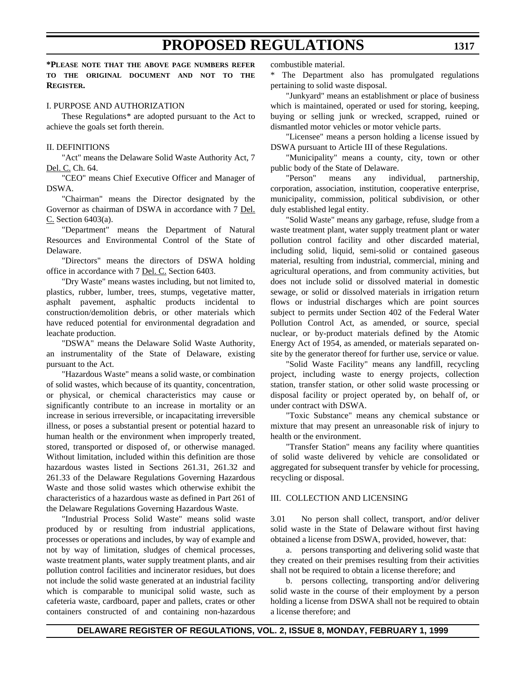**\*PLEASE NOTE THAT THE ABOVE PAGE NUMBERS REFER TO THE ORIGINAL DOCUMENT AND NOT TO THE REGISTER.**

### I. PURPOSE AND AUTHORIZATION

These Regulations*\** are adopted pursuant to the Act to achieve the goals set forth therein.

#### II. DEFINITIONS

"Act" means the Delaware Solid Waste Authority Act, 7 Del. C. Ch. 64.

"CEO" means Chief Executive Officer and Manager of DSWA.

"Chairman" means the Director designated by the Governor as chairman of DSWA in accordance with 7 Del. C. Section 6403(a).

"Department" means the Department of Natural Resources and Environmental Control of the State of Delaware.

"Directors" means the directors of DSWA holding office in accordance with 7 Del. C. Section 6403.

"Dry Waste" means wastes including, but not limited to, plastics, rubber, lumber, trees, stumps, vegetative matter, asphalt pavement, asphaltic products incidental to construction/demolition debris, or other materials which have reduced potential for environmental degradation and leachate production.

"DSWA" means the Delaware Solid Waste Authority, an instrumentality of the State of Delaware, existing pursuant to the Act.

"Hazardous Waste" means a solid waste, or combination of solid wastes, which because of its quantity, concentration, or physical, or chemical characteristics may cause or significantly contribute to an increase in mortality or an increase in serious irreversible, or incapacitating irreversible illness, or poses a substantial present or potential hazard to human health or the environment when improperly treated, stored, transported or disposed of, or otherwise managed. Without limitation, included within this definition are those hazardous wastes listed in Sections 261.31, 261.32 and 261.33 of the Delaware Regulations Governing Hazardous Waste and those solid wastes which otherwise exhibit the characteristics of a hazardous waste as defined in Part 261 of the Delaware Regulations Governing Hazardous Waste.

"Industrial Process Solid Waste" means solid waste produced by or resulting from industrial applications, processes or operations and includes, by way of example and not by way of limitation, sludges of chemical processes, waste treatment plants, water supply treatment plants, and air pollution control facilities and incinerator residues, but does not include the solid waste generated at an industrial facility which is comparable to municipal solid waste, such as cafeteria waste, cardboard, paper and pallets, crates or other containers constructed of and containing non-hazardous

combustible material.

\* The Department also has promulgated regulations pertaining to solid waste disposal.

"Junkyard" means an establishment or place of business which is maintained, operated or used for storing, keeping, buying or selling junk or wrecked, scrapped, ruined or dismantled motor vehicles or motor vehicle parts.

"Licensee" means a person holding a license issued by DSWA pursuant to Article III of these Regulations.

"Municipality" means a county, city, town or other public body of the State of Delaware.

"Person" means any individual, partnership, corporation, association, institution, cooperative enterprise, municipality, commission, political subdivision, or other duly established legal entity.

"Solid Waste" means any garbage, refuse, sludge from a waste treatment plant, water supply treatment plant or water pollution control facility and other discarded material, including solid, liquid, semi-solid or contained gaseous material, resulting from industrial, commercial, mining and agricultural operations, and from community activities, but does not include solid or dissolved material in domestic sewage, or solid or dissolved materials in irrigation return flows or industrial discharges which are point sources subject to permits under Section 402 of the Federal Water Pollution Control Act, as amended, or source, special nuclear, or by-product materials defined by the Atomic Energy Act of 1954, as amended, or materials separated onsite by the generator thereof for further use, service or value.

"Solid Waste Facility" means any landfill, recycling project, including waste to energy projects, collection station, transfer station, or other solid waste processing or disposal facility or project operated by, on behalf of, or under contract with DSWA.

"Toxic Substance" means any chemical substance or mixture that may present an unreasonable risk of injury to health or the environment.

"Transfer Station" means any facility where quantities of solid waste delivered by vehicle are consolidated or aggregated for subsequent transfer by vehicle for processing, recycling or disposal.

#### III. COLLECTION AND LICENSING

3.01 No person shall collect, transport, and/or deliver solid waste in the State of Delaware without first having obtained a license from DSWA, provided, however, that:

a. persons transporting and delivering solid waste that they created on their premises resulting from their activities shall not be required to obtain a license therefore; and

b. persons collecting, transporting and/or delivering solid waste in the course of their employment by a person holding a license from DSWA shall not be required to obtain a license therefore; and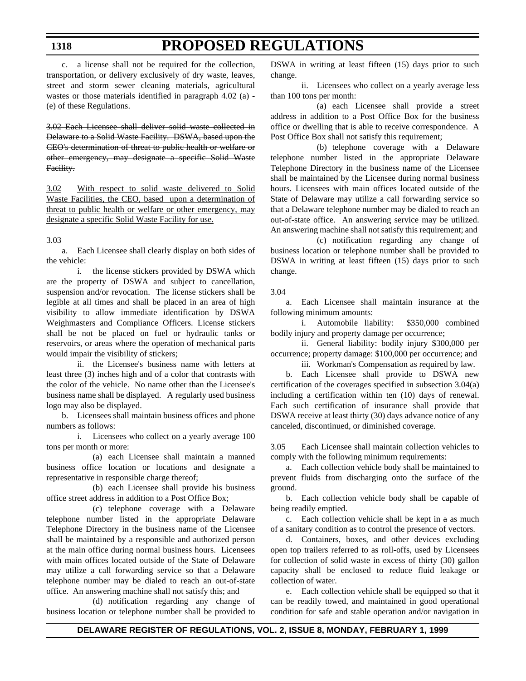c. a license shall not be required for the collection, transportation, or delivery exclusively of dry waste, leaves, street and storm sewer cleaning materials, agricultural wastes or those materials identified in paragraph 4.02 (a) - (e) of these Regulations.

3.02 Each Licensee shall deliver solid waste collected in Delaware to a Solid Waste Facility. DSWA, based upon the CEO's determination of threat to public health or welfare or other emergency, may designate a specific Solid Waste Facility.

3.02 With respect to solid waste delivered to Solid Waste Facilities, the CEO, based upon a determination of threat to public health or welfare or other emergency, may designate a specific Solid Waste Facility for use.

#### 3.03

a. Each Licensee shall clearly display on both sides of the vehicle:

i. the license stickers provided by DSWA which are the property of DSWA and subject to cancellation, suspension and/or revocation. The license stickers shall be legible at all times and shall be placed in an area of high visibility to allow immediate identification by DSWA Weighmasters and Compliance Officers. License stickers shall be not be placed on fuel or hydraulic tanks or reservoirs, or areas where the operation of mechanical parts would impair the visibility of stickers;

ii. the Licensee's business name with letters at least three (3) inches high and of a color that contrasts with the color of the vehicle. No name other than the Licensee's business name shall be displayed. A regularly used business logo may also be displayed.

b. Licensees shall maintain business offices and phone numbers as follows:

i. Licensees who collect on a yearly average 100 tons per month or more:

(a) each Licensee shall maintain a manned business office location or locations and designate a representative in responsible charge thereof;

(b) each Licensee shall provide his business office street address in addition to a Post Office Box;

(c) telephone coverage with a Delaware telephone number listed in the appropriate Delaware Telephone Directory in the business name of the Licensee shall be maintained by a responsible and authorized person at the main office during normal business hours. Licensees with main offices located outside of the State of Delaware may utilize a call forwarding service so that a Delaware telephone number may be dialed to reach an out-of-state office. An answering machine shall not satisfy this; and

(d) notification regarding any change of business location or telephone number shall be provided to

DSWA in writing at least fifteen (15) days prior to such change.

ii. Licensees who collect on a yearly average less than 100 tons per month:

(a) each Licensee shall provide a street address in addition to a Post Office Box for the business office or dwelling that is able to receive correspondence. A Post Office Box shall not satisfy this requirement;

(b) telephone coverage with a Delaware telephone number listed in the appropriate Delaware Telephone Directory in the business name of the Licensee shall be maintained by the Licensee during normal business hours. Licensees with main offices located outside of the State of Delaware may utilize a call forwarding service so that a Delaware telephone number may be dialed to reach an out-of-state office. An answering service may be utilized. An answering machine shall not satisfy this requirement; and

(c) notification regarding any change of business location or telephone number shall be provided to DSWA in writing at least fifteen (15) days prior to such change.

#### 3.04

a. Each Licensee shall maintain insurance at the following minimum amounts:

i. Automobile liability: \$350,000 combined bodily injury and property damage per occurrence;

ii. General liability: bodily injury \$300,000 per occurrence; property damage: \$100,000 per occurrence; and

iii. Workman's Compensation as required by law.

b. Each Licensee shall provide to DSWA new certification of the coverages specified in subsection 3.04(a) including a certification within ten (10) days of renewal. Each such certification of insurance shall provide that DSWA receive at least thirty (30) days advance notice of any canceled, discontinued, or diminished coverage.

3.05 Each Licensee shall maintain collection vehicles to comply with the following minimum requirements:

a. Each collection vehicle body shall be maintained to prevent fluids from discharging onto the surface of the ground.

b. Each collection vehicle body shall be capable of being readily emptied.

c. Each collection vehicle shall be kept in a as much of a sanitary condition as to control the presence of vectors.

d. Containers, boxes, and other devices excluding open top trailers referred to as roll-offs, used by Licensees for collection of solid waste in excess of thirty (30) gallon capacity shall be enclosed to reduce fluid leakage or collection of water.

e. Each collection vehicle shall be equipped so that it can be readily towed, and maintained in good operational condition for safe and stable operation and/or navigation in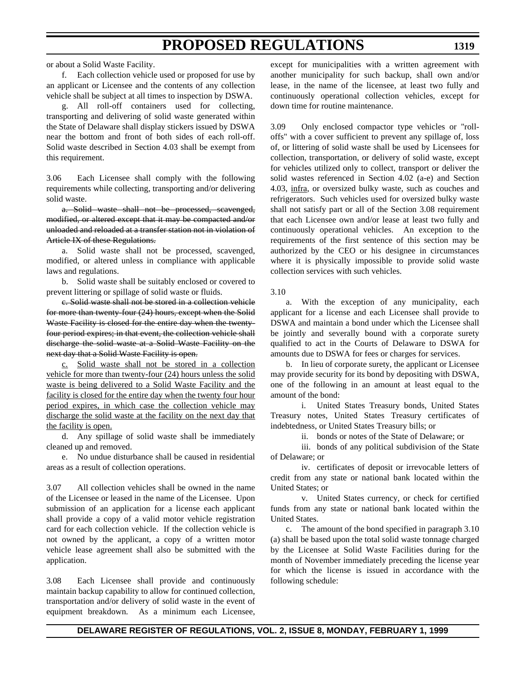f. Each collection vehicle used or proposed for use by an applicant or Licensee and the contents of any collection vehicle shall be subject at all times to inspection by DSWA.

g. All roll-off containers used for collecting, transporting and delivering of solid waste generated within the State of Delaware shall display stickers issued by DSWA near the bottom and front of both sides of each roll-off. Solid waste described in Section 4.03 shall be exempt from this requirement.

3.06 Each Licensee shall comply with the following requirements while collecting, transporting and/or delivering solid waste.

a. Solid waste shall not be processed, scavenged, modified, or altered except that it may be compacted and/or unloaded and reloaded at a transfer station not in violation of Article IX of these Regulations.

a. Solid waste shall not be processed, scavenged, modified, or altered unless in compliance with applicable laws and regulations.

b. Solid waste shall be suitably enclosed or covered to prevent littering or spillage of solid waste or fluids.

c. Solid waste shall not be stored in a collection vehicle for more than twenty-four (24) hours, except when the Solid Waste Facility is closed for the entire day when the twentyfour period expires; in that event, the collection vehicle shall discharge the solid waste at a Solid Waste Facility on the next day that a Solid Waste Facility is open.

c. Solid waste shall not be stored in a collection vehicle for more than twenty-four (24) hours unless the solid waste is being delivered to a Solid Waste Facility and the facility is closed for the entire day when the twenty four hour period expires, in which case the collection vehicle may discharge the solid waste at the facility on the next day that the facility is open.

d. Any spillage of solid waste shall be immediately cleaned up and removed.

e. No undue disturbance shall be caused in residential areas as a result of collection operations.

3.07 All collection vehicles shall be owned in the name of the Licensee or leased in the name of the Licensee. Upon submission of an application for a license each applicant shall provide a copy of a valid motor vehicle registration card for each collection vehicle. If the collection vehicle is not owned by the applicant, a copy of a written motor vehicle lease agreement shall also be submitted with the application.

3.08 Each Licensee shall provide and continuously maintain backup capability to allow for continued collection, transportation and/or delivery of solid waste in the event of equipment breakdown. As a minimum each Licensee, except for municipalities with a written agreement with another municipality for such backup, shall own and/or lease, in the name of the licensee, at least two fully and continuously operational collection vehicles, except for down time for routine maintenance.

3.09 Only enclosed compactor type vehicles or "rolloffs" with a cover sufficient to prevent any spillage of, loss of, or littering of solid waste shall be used by Licensees for collection, transportation, or delivery of solid waste, except for vehicles utilized only to collect, transport or deliver the solid wastes referenced in Section 4.02 (a-e) and Section 4.03, infra, or oversized bulky waste, such as couches and refrigerators. Such vehicles used for oversized bulky waste shall not satisfy part or all of the Section 3.08 requirement that each Licensee own and/or lease at least two fully and continuously operational vehicles. An exception to the requirements of the first sentence of this section may be authorized by the CEO or his designee in circumstances where it is physically impossible to provide solid waste collection services with such vehicles.

3.10

a. With the exception of any municipality, each applicant for a license and each Licensee shall provide to DSWA and maintain a bond under which the Licensee shall be jointly and severally bound with a corporate surety qualified to act in the Courts of Delaware to DSWA for amounts due to DSWA for fees or charges for services.

b. In lieu of corporate surety, the applicant or Licensee may provide security for its bond by depositing with DSWA, one of the following in an amount at least equal to the amount of the bond:

i. United States Treasury bonds, United States Treasury notes, United States Treasury certificates of indebtedness, or United States Treasury bills; or

ii. bonds or notes of the State of Delaware; or

iii. bonds of any political subdivision of the State of Delaware; or

iv. certificates of deposit or irrevocable letters of credit from any state or national bank located within the United States; or

v. United States currency, or check for certified funds from any state or national bank located within the United States.

c. The amount of the bond specified in paragraph 3.10 (a) shall be based upon the total solid waste tonnage charged by the Licensee at Solid Waste Facilities during for the month of November immediately preceding the license year for which the license is issued in accordance with the following schedule: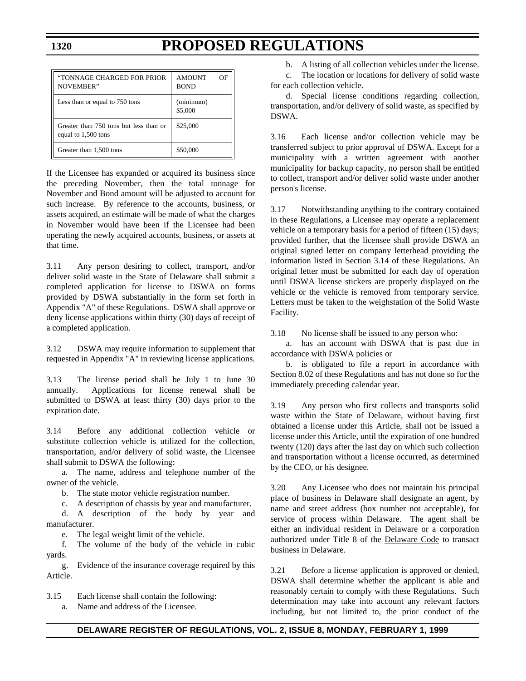| "TONNAGE CHARGED FOR PRIOR<br>NOVEMBER"                       | <b>AMOUNT</b><br><b>BOND</b> | ΟF |
|---------------------------------------------------------------|------------------------------|----|
| Less than or equal to 750 tons                                | (minimum)<br>\$5,000         |    |
| Greater than 750 tons but less than or<br>equal to 1,500 tons | \$25,000                     |    |
| Greater than 1,500 tons                                       | \$50,000                     |    |

If the Licensee has expanded or acquired its business since the preceding November, then the total tonnage for November and Bond amount will be adjusted to account for such increase. By reference to the accounts, business, or assets acquired, an estimate will be made of what the charges in November would have been if the Licensee had been operating the newly acquired accounts, business, or assets at that time.

3.11 Any person desiring to collect, transport, and/or deliver solid waste in the State of Delaware shall submit a completed application for license to DSWA on forms provided by DSWA substantially in the form set forth in Appendix "A" of these Regulations. DSWA shall approve or deny license applications within thirty (30) days of receipt of a completed application.

3.12 DSWA may require information to supplement that requested in Appendix "A" in reviewing license applications.

3.13 The license period shall be July 1 to June 30 annually. Applications for license renewal shall be submitted to DSWA at least thirty (30) days prior to the expiration date.

3.14 Before any additional collection vehicle or substitute collection vehicle is utilized for the collection, transportation, and/or delivery of solid waste, the Licensee shall submit to DSWA the following:

a. The name, address and telephone number of the owner of the vehicle.

b. The state motor vehicle registration number.

c. A description of chassis by year and manufacturer.

d. A description of the body by year and manufacturer.

e. The legal weight limit of the vehicle.

f. The volume of the body of the vehicle in cubic yards.

g. Evidence of the insurance coverage required by this Article.

3.15 Each license shall contain the following: a. Name and address of the Licensee.

b. A listing of all collection vehicles under the license.

c. The location or locations for delivery of solid waste for each collection vehicle.

d. Special license conditions regarding collection, transportation, and/or delivery of solid waste, as specified by DSWA.

3.16 Each license and/or collection vehicle may be transferred subject to prior approval of DSWA. Except for a municipality with a written agreement with another municipality for backup capacity, no person shall be entitled to collect, transport and/or deliver solid waste under another person's license.

3.17 Notwithstanding anything to the contrary contained in these Regulations, a Licensee may operate a replacement vehicle on a temporary basis for a period of fifteen (15) days; provided further, that the licensee shall provide DSWA an original signed letter on company letterhead providing the information listed in Section 3.14 of these Regulations. An original letter must be submitted for each day of operation until DSWA license stickers are properly displayed on the vehicle or the vehicle is removed from temporary service. Letters must be taken to the weighstation of the Solid Waste Facility.

3.18 No license shall be issued to any person who:

a. has an account with DSWA that is past due in accordance with DSWA policies or

b. is obligated to file a report in accordance with Section 8.02 of these Regulations and has not done so for the immediately preceding calendar year.

3.19 Any person who first collects and transports solid waste within the State of Delaware, without having first obtained a license under this Article, shall not be issued a license under this Article, until the expiration of one hundred twenty (120) days after the last day on which such collection and transportation without a license occurred, as determined by the CEO, or his designee.

3.20 Any Licensee who does not maintain his principal place of business in Delaware shall designate an agent, by name and street address (box number not acceptable), for service of process within Delaware. The agent shall be either an individual resident in Delaware or a corporation authorized under Title 8 of the Delaware Code to transact business in Delaware.

3.21 Before a license application is approved or denied, DSWA shall determine whether the applicant is able and reasonably certain to comply with these Regulations. Such determination may take into account any relevant factors including, but not limited to, the prior conduct of the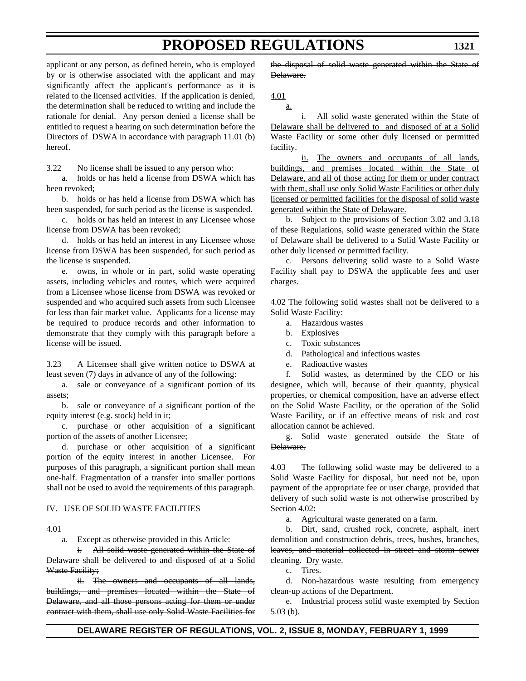applicant or any person, as defined herein, who is employed by or is otherwise associated with the applicant and may significantly affect the applicant's performance as it is related to the licensed activities. If the application is denied, the determination shall be reduced to writing and include the rationale for denial. Any person denied a license shall be entitled to request a hearing on such determination before the Directors of DSWA in accordance with paragraph 11.01 (b) hereof.

3.22 No license shall be issued to any person who:

a. holds or has held a license from DSWA which has been revoked;

b. holds or has held a license from DSWA which has been suspended, for such period as the license is suspended.

c. holds or has held an interest in any Licensee whose license from DSWA has been revoked;

d. holds or has held an interest in any Licensee whose license from DSWA has been suspended, for such period as the license is suspended.

e. owns, in whole or in part, solid waste operating assets, including vehicles and routes, which were acquired from a Licensee whose license from DSWA was revoked or suspended and who acquired such assets from such Licensee for less than fair market value. Applicants for a license may be required to produce records and other information to demonstrate that they comply with this paragraph before a license will be issued.

3.23 A Licensee shall give written notice to DSWA at least seven (7) days in advance of any of the following:

a. sale or conveyance of a significant portion of its assets;

b. sale or conveyance of a significant portion of the equity interest (e.g. stock) held in it;

c. purchase or other acquisition of a significant portion of the assets of another Licensee;

d. purchase or other acquisition of a significant portion of the equity interest in another Licensee. For purposes of this paragraph, a significant portion shall mean one-half. Fragmentation of a transfer into smaller portions shall not be used to avoid the requirements of this paragraph.

#### IV. USE OF SOLID WASTE FACILITIES

#### 4.01

a. Except as otherwise provided in this Article:

i. All solid waste generated within the State of Delaware shall be delivered to and disposed of at a Solid Waste Facility;

ii. The owners and occupants of all lands, buildings, and premises located within the State of Delaware, and all those persons acting for them or under contract with them, shall use only Solid Waste Facilities for the disposal of solid waste generated within the State of Delaware.

4.01

a.

i. All solid waste generated within the State of Delaware shall be delivered to and disposed of at a Solid Waste Facility or some other duly licensed or permitted facility.

ii. The owners and occupants of all lands, buildings, and premises located within the State of Delaware, and all of those acting for them or under contract with them, shall use only Solid Waste Facilities or other duly licensed or permitted facilities for the disposal of solid waste generated within the State of Delaware.

b. Subject to the provisions of Section 3.02 and 3.18 of these Regulations, solid waste generated within the State of Delaware shall be delivered to a Solid Waste Facility or other duly licensed or permitted facility.

c. Persons delivering solid waste to a Solid Waste Facility shall pay to DSWA the applicable fees and user charges.

4.02 The following solid wastes shall not be delivered to a Solid Waste Facility:

- a. Hazardous wastes
- b. Explosives
- c. Toxic substances
- d. Pathological and infectious wastes
- e. Radioactive wastes

f. Solid wastes, as determined by the CEO or his designee, which will, because of their quantity, physical properties, or chemical composition, have an adverse effect on the Solid Waste Facility, or the operation of the Solid Waste Facility, or if an effective means of risk and cost allocation cannot be achieved.

g. Solid waste generated outside the State of Delaware.

4.03 The following solid waste may be delivered to a Solid Waste Facility for disposal, but need not be, upon payment of the appropriate fee or user charge, provided that delivery of such solid waste is not otherwise proscribed by Section 4.02:

a. Agricultural waste generated on a farm.

b. Dirt, sand, crushed rock, concrete, asphalt, inert demolition and construction debris, trees, bushes, branches, leaves, and material collected in street and storm sewer eleaning. Dry waste.

c. Tires.

d. Non-hazardous waste resulting from emergency clean-up actions of the Department.

e. Industrial process solid waste exempted by Section 5.03 (b).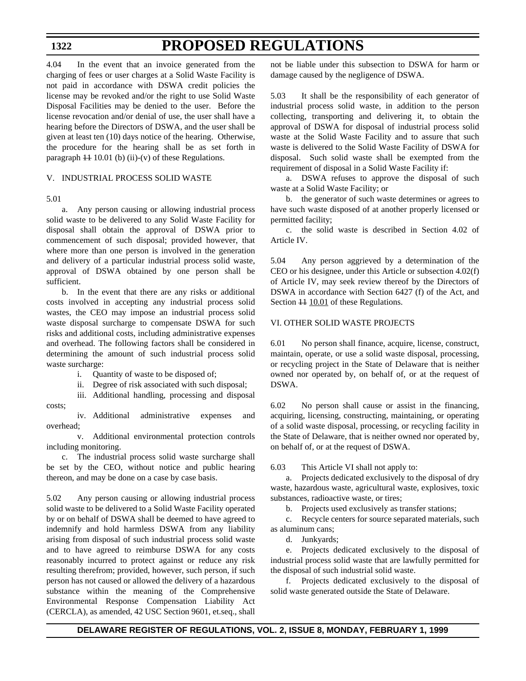4.04 In the event that an invoice generated from the charging of fees or user charges at a Solid Waste Facility is not paid in accordance with DSWA credit policies the license may be revoked and/or the right to use Solid Waste Disposal Facilities may be denied to the user. Before the license revocation and/or denial of use, the user shall have a hearing before the Directors of DSWA, and the user shall be given at least ten (10) days notice of the hearing. Otherwise, the procedure for the hearing shall be as set forth in paragraph  $\ddagger$  10.01 (b) (ii)-(v) of these Regulations.

### V. INDUSTRIAL PROCESS SOLID WASTE

### 5.01

a. Any person causing or allowing industrial process solid waste to be delivered to any Solid Waste Facility for disposal shall obtain the approval of DSWA prior to commencement of such disposal; provided however, that where more than one person is involved in the generation and delivery of a particular industrial process solid waste, approval of DSWA obtained by one person shall be sufficient.

b. In the event that there are any risks or additional costs involved in accepting any industrial process solid wastes, the CEO may impose an industrial process solid waste disposal surcharge to compensate DSWA for such risks and additional costs, including administrative expenses and overhead. The following factors shall be considered in determining the amount of such industrial process solid waste surcharge:

i. Quantity of waste to be disposed of;

ii. Degree of risk associated with such disposal;

iii. Additional handling, processing and disposal costs;

iv. Additional administrative expenses and overhead;

v. Additional environmental protection controls including monitoring.

c. The industrial process solid waste surcharge shall be set by the CEO, without notice and public hearing thereon, and may be done on a case by case basis.

5.02 Any person causing or allowing industrial process solid waste to be delivered to a Solid Waste Facility operated by or on behalf of DSWA shall be deemed to have agreed to indemnify and hold harmless DSWA from any liability arising from disposal of such industrial process solid waste and to have agreed to reimburse DSWA for any costs reasonably incurred to protect against or reduce any risk resulting therefrom; provided, however, such person, if such person has not caused or allowed the delivery of a hazardous substance within the meaning of the Comprehensive Environmental Response Compensation Liability Act (CERCLA), as amended, 42 USC Section 9601, et.seq., shall

not be liable under this subsection to DSWA for harm or damage caused by the negligence of DSWA.

5.03 It shall be the responsibility of each generator of industrial process solid waste, in addition to the person collecting, transporting and delivering it, to obtain the approval of DSWA for disposal of industrial process solid waste at the Solid Waste Facility and to assure that such waste is delivered to the Solid Waste Facility of DSWA for disposal. Such solid waste shall be exempted from the requirement of disposal in a Solid Waste Facility if:

a. DSWA refuses to approve the disposal of such waste at a Solid Waste Facility; or

b. the generator of such waste determines or agrees to have such waste disposed of at another properly licensed or permitted facility;

c. the solid waste is described in Section 4.02 of Article IV.

5.04 Any person aggrieved by a determination of the CEO or his designee, under this Article or subsection 4.02(f) of Article IV, may seek review thereof by the Directors of DSWA in accordance with Section 6427 (f) of the Act, and Section  $\overline{11}$  10.01 of these Regulations.

### VI. OTHER SOLID WASTE PROJECTS

6.01 No person shall finance, acquire, license, construct, maintain, operate, or use a solid waste disposal, processing, or recycling project in the State of Delaware that is neither owned nor operated by, on behalf of, or at the request of DSWA.

6.02 No person shall cause or assist in the financing, acquiring, licensing, constructing, maintaining, or operating of a solid waste disposal, processing, or recycling facility in the State of Delaware, that is neither owned nor operated by, on behalf of, or at the request of DSWA.

6.03 This Article VI shall not apply to:

a. Projects dedicated exclusively to the disposal of dry waste, hazardous waste, agricultural waste, explosives, toxic substances, radioactive waste, or tires;

b. Projects used exclusively as transfer stations;

c. Recycle centers for source separated materials, such as aluminum cans;

d. Junkyards;

e. Projects dedicated exclusively to the disposal of industrial process solid waste that are lawfully permitted for the disposal of such industrial solid waste.

f. Projects dedicated exclusively to the disposal of solid waste generated outside the State of Delaware.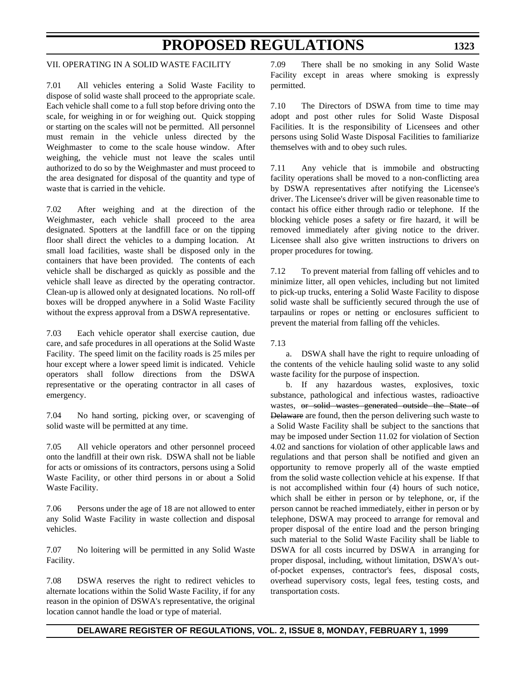### VII. OPERATING IN A SOLID WASTE FACILITY

7.01 All vehicles entering a Solid Waste Facility to dispose of solid waste shall proceed to the appropriate scale. Each vehicle shall come to a full stop before driving onto the scale, for weighing in or for weighing out. Quick stopping or starting on the scales will not be permitted. All personnel must remain in the vehicle unless directed by the Weighmaster to come to the scale house window. After weighing, the vehicle must not leave the scales until authorized to do so by the Weighmaster and must proceed to the area designated for disposal of the quantity and type of waste that is carried in the vehicle.

7.02 After weighing and at the direction of the Weighmaster, each vehicle shall proceed to the area designated. Spotters at the landfill face or on the tipping floor shall direct the vehicles to a dumping location. At small load facilities, waste shall be disposed only in the containers that have been provided. The contents of each vehicle shall be discharged as quickly as possible and the vehicle shall leave as directed by the operating contractor. Clean-up is allowed only at designated locations. No roll-off boxes will be dropped anywhere in a Solid Waste Facility without the express approval from a DSWA representative.

7.03 Each vehicle operator shall exercise caution, due care, and safe procedures in all operations at the Solid Waste Facility. The speed limit on the facility roads is 25 miles per hour except where a lower speed limit is indicated. Vehicle operators shall follow directions from the DSWA representative or the operating contractor in all cases of emergency.

7.04 No hand sorting, picking over, or scavenging of solid waste will be permitted at any time.

7.05 All vehicle operators and other personnel proceed onto the landfill at their own risk. DSWA shall not be liable for acts or omissions of its contractors, persons using a Solid Waste Facility, or other third persons in or about a Solid Waste Facility.

7.06 Persons under the age of 18 are not allowed to enter any Solid Waste Facility in waste collection and disposal vehicles.

7.07 No loitering will be permitted in any Solid Waste Facility.

7.08 DSWA reserves the right to redirect vehicles to alternate locations within the Solid Waste Facility, if for any reason in the opinion of DSWA's representative, the original location cannot handle the load or type of material.

7.09 There shall be no smoking in any Solid Waste Facility except in areas where smoking is expressly permitted.

7.10 The Directors of DSWA from time to time may adopt and post other rules for Solid Waste Disposal Facilities. It is the responsibility of Licensees and other persons using Solid Waste Disposal Facilities to familiarize themselves with and to obey such rules.

7.11 Any vehicle that is immobile and obstructing facility operations shall be moved to a non-conflicting area by DSWA representatives after notifying the Licensee's driver. The Licensee's driver will be given reasonable time to contact his office either through radio or telephone. If the blocking vehicle poses a safety or fire hazard, it will be removed immediately after giving notice to the driver. Licensee shall also give written instructions to drivers on proper procedures for towing.

7.12 To prevent material from falling off vehicles and to minimize litter, all open vehicles, including but not limited to pick-up trucks, entering a Solid Waste Facility to dispose solid waste shall be sufficiently secured through the use of tarpaulins or ropes or netting or enclosures sufficient to prevent the material from falling off the vehicles.

7.13

a. DSWA shall have the right to require unloading of the contents of the vehicle hauling solid waste to any solid waste facility for the purpose of inspection.

b. If any hazardous wastes, explosives, toxic substance, pathological and infectious wastes, radioactive wastes, or solid wastes generated outside the State of Delaware are found, then the person delivering such waste to a Solid Waste Facility shall be subject to the sanctions that may be imposed under Section 11.02 for violation of Section 4.02 and sanctions for violation of other applicable laws and regulations and that person shall be notified and given an opportunity to remove properly all of the waste emptied from the solid waste collection vehicle at his expense. If that is not accomplished within four (4) hours of such notice, which shall be either in person or by telephone, or, if the person cannot be reached immediately, either in person or by telephone, DSWA may proceed to arrange for removal and proper disposal of the entire load and the person bringing such material to the Solid Waste Facility shall be liable to DSWA for all costs incurred by DSWA in arranging for proper disposal, including, without limitation, DSWA's outof-pocket expenses, contractor's fees, disposal costs, overhead supervisory costs, legal fees, testing costs, and transportation costs.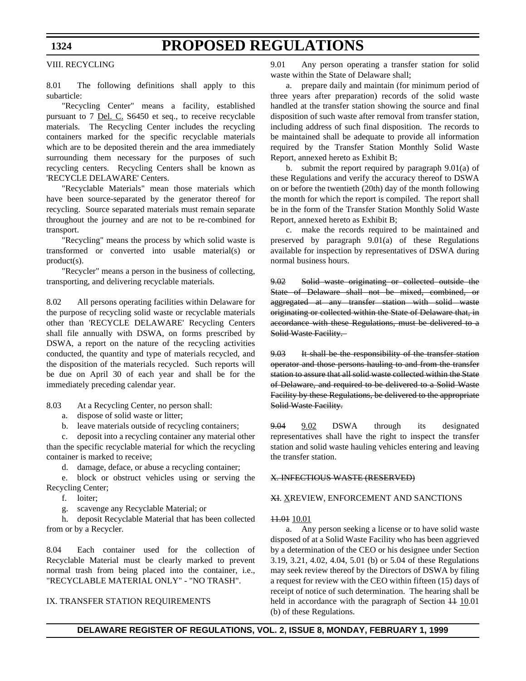#### VIII. RECYCLING

8.01 The following definitions shall apply to this subarticle:

"Recycling Center" means a facility, established pursuant to 7 <u>Del. C.</u> S6450 et seq., to receive recyclable materials. The Recycling Center includes the recycling containers marked for the specific recyclable materials which are to be deposited therein and the area immediately surrounding them necessary for the purposes of such recycling centers. Recycling Centers shall be known as 'RECYCLE DELAWARE' Centers.

"Recyclable Materials" mean those materials which have been source-separated by the generator thereof for recycling. Source separated materials must remain separate throughout the journey and are not to be re-combined for transport.

"Recycling" means the process by which solid waste is transformed or converted into usable material(s) or product(s).

"Recycler" means a person in the business of collecting, transporting, and delivering recyclable materials.

8.02 All persons operating facilities within Delaware for the purpose of recycling solid waste or recyclable materials other than 'RECYCLE DELAWARE' Recycling Centers shall file annually with DSWA, on forms prescribed by DSWA, a report on the nature of the recycling activities conducted, the quantity and type of materials recycled, and the disposition of the materials recycled. Such reports will be due on April 30 of each year and shall be for the immediately preceding calendar year.

8.03 At a Recycling Center, no person shall:

- a. dispose of solid waste or litter;
- b. leave materials outside of recycling containers;

c. deposit into a recycling container any material other than the specific recyclable material for which the recycling container is marked to receive;

d. damage, deface, or abuse a recycling container;

e. block or obstruct vehicles using or serving the Recycling Center;

f. loiter;

g. scavenge any Recyclable Material; or

h. deposit Recyclable Material that has been collected from or by a Recycler.

8.04 Each container used for the collection of Recyclable Material must be clearly marked to prevent normal trash from being placed into the container, i.e., "RECYCLABLE MATERIAL ONLY" - "NO TRASH".

### IX. TRANSFER STATION REQUIREMENTS

9.01 Any person operating a transfer station for solid waste within the State of Delaware shall;

a. prepare daily and maintain (for minimum period of three years after preparation) records of the solid waste handled at the transfer station showing the source and final disposition of such waste after removal from transfer station, including address of such final disposition. The records to be maintained shall be adequate to provide all information required by the Transfer Station Monthly Solid Waste Report, annexed hereto as Exhibit B;

b. submit the report required by paragraph  $9.01(a)$  of these Regulations and verify the accuracy thereof to DSWA on or before the twentieth (20th) day of the month following the month for which the report is compiled. The report shall be in the form of the Transfer Station Monthly Solid Waste Report, annexed hereto as Exhibit B;

c. make the records required to be maintained and preserved by paragraph 9.01(a) of these Regulations available for inspection by representatives of DSWA during normal business hours.

9.02 Solid waste originating or collected outside the State of Delaware shall not be mixed, combined, or aggregated at any transfer station with solid waste originating or collected within the State of Delaware that, in accordance with these Regulations, must be delivered to a Solid Waste Facility.

9.03 It shall be the responsibility of the transfer station operator and those persons hauling to and from the transfer station to assure that all solid waste collected within the State of Delaware, and required to be delivered to a Solid Waste Facility by these Regulations, be delivered to the appropriate Solid Waste Facility.

9.04 9.02 DSWA through its designated representatives shall have the right to inspect the transfer station and solid waste hauling vehicles entering and leaving the transfer station.

#### X. INFECTIOUS WASTE (RESERVED)

#### XI. XREVIEW, ENFORCEMENT AND SANCTIONS

#### 11.01 10.01

a. Any person seeking a license or to have solid waste disposed of at a Solid Waste Facility who has been aggrieved by a determination of the CEO or his designee under Section 3.19, 3.21, 4.02, 4.04, 5.01 (b) or 5.04 of these Regulations may seek review thereof by the Directors of DSWA by filing a request for review with the CEO within fifteen (15) days of receipt of notice of such determination. The hearing shall be held in accordance with the paragraph of Section  $\ddagger$  10.01 (b) of these Regulations.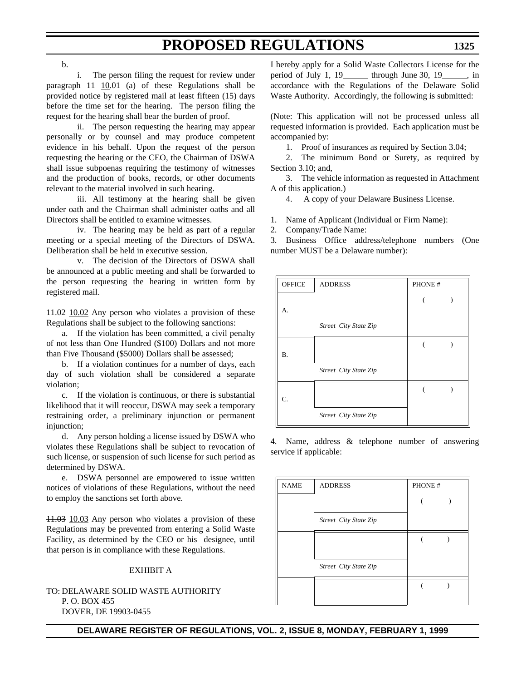b.

i. The person filing the request for review under paragraph  $11 \t10.01$  (a) of these Regulations shall be provided notice by registered mail at least fifteen (15) days before the time set for the hearing. The person filing the request for the hearing shall bear the burden of proof.

ii. The person requesting the hearing may appear personally or by counsel and may produce competent evidence in his behalf. Upon the request of the person requesting the hearing or the CEO, the Chairman of DSWA shall issue subpoenas requiring the testimony of witnesses and the production of books, records, or other documents relevant to the material involved in such hearing.

iii. All testimony at the hearing shall be given under oath and the Chairman shall administer oaths and all Directors shall be entitled to examine witnesses.

iv. The hearing may be held as part of a regular meeting or a special meeting of the Directors of DSWA. Deliberation shall be held in executive session.

v. The decision of the Directors of DSWA shall be announced at a public meeting and shall be forwarded to the person requesting the hearing in written form by registered mail.

11.02 10.02 Any person who violates a provision of these Regulations shall be subject to the following sanctions:

a. If the violation has been committed, a civil penalty of not less than One Hundred (\$100) Dollars and not more than Five Thousand (\$5000) Dollars shall be assessed;

b. If a violation continues for a number of days, each day of such violation shall be considered a separate violation;

c. If the violation is continuous, or there is substantial likelihood that it will reoccur, DSWA may seek a temporary restraining order, a preliminary injunction or permanent injunction;

d. Any person holding a license issued by DSWA who violates these Regulations shall be subject to revocation of such license, or suspension of such license for such period as determined by DSWA.

e. DSWA personnel are empowered to issue written notices of violations of these Regulations, without the need to employ the sanctions set forth above.

11.03 10.03 Any person who violates a provision of these Regulations may be prevented from entering a Solid Waste Facility, as determined by the CEO or his designee, until that person is in compliance with these Regulations.

### EXHIBIT A

TO: DELAWARE SOLID WASTE AUTHORITY P. O. BOX 455 DOVER, DE 19903-0455

I hereby apply for a Solid Waste Collectors License for the period of July 1,  $19$  through June 30,  $19$ , in accordance with the Regulations of the Delaware Solid Waste Authority. Accordingly, the following is submitted:

(Note: This application will not be processed unless all requested information is provided. Each application must be accompanied by:

1. Proof of insurances as required by Section 3.04;

2. The minimum Bond or Surety, as required by Section 3.10; and,

3. The vehicle information as requested in Attachment A of this application.)

4. A copy of your Delaware Business License.

1. Name of Applicant (Individual or Firm Name):

2. Company/Trade Name:

3. Business Office address/telephone numbers (One number MUST be a Delaware number):



4. Name, address & telephone number of answering service if applicable:

| <b>NAME</b> | <b>ADDRESS</b>        | PHONE # |  |
|-------------|-----------------------|---------|--|
|             |                       |         |  |
|             | Street City State Zip |         |  |
|             |                       |         |  |
|             |                       |         |  |
|             | Street City State Zip |         |  |
|             |                       |         |  |
|             |                       |         |  |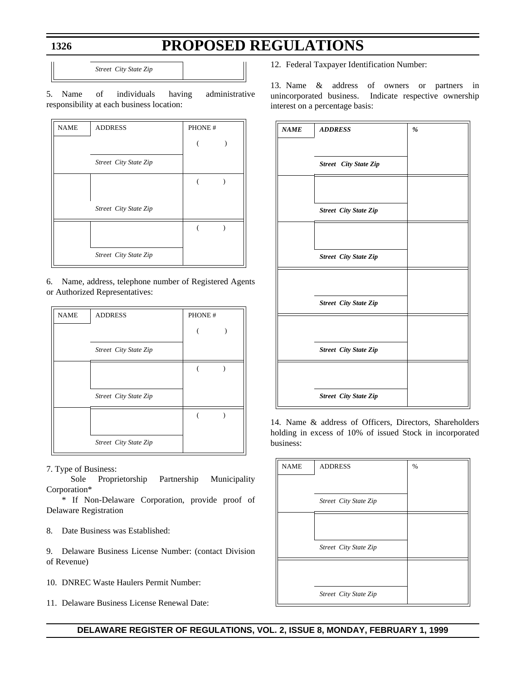*Street City State Zip*

5. Name of individuals having administrative responsibility at each business location:

| <b>NAME</b> | <b>ADDRESS</b>        | PHONE # |  |
|-------------|-----------------------|---------|--|
|             |                       |         |  |
|             | Street City State Zip |         |  |
|             |                       |         |  |
|             | Street City State Zip |         |  |
|             |                       |         |  |
|             | Street City State Zip |         |  |

6. Name, address, telephone number of Registered Agents or Authorized Representatives:

| <b>NAME</b> | <b>ADDRESS</b>        | PHONE # |  |
|-------------|-----------------------|---------|--|
|             |                       |         |  |
|             | Street City State Zip |         |  |
|             |                       |         |  |
|             | Street City State Zip |         |  |
|             |                       |         |  |
|             | Street City State Zip |         |  |

7. Type of Business:

 Sole Proprietorship Partnership Municipality Corporation\*

\* If Non-Delaware Corporation, provide proof of Delaware Registration

8. Date Business was Established:

9. Delaware Business License Number: (contact Division of Revenue)

10. DNREC Waste Haulers Permit Number:

11. Delaware Business License Renewal Date:

12. Federal Taxpayer Identification Number:

13. Name & address of owners or partners in unincorporated business. Indicate respective ownership interest on a percentage basis:

| <b>NAME</b> | <b>ADDRESS</b>               | $\%$ |
|-------------|------------------------------|------|
|             |                              |      |
|             | <b>Street</b> City State Zip |      |
|             |                              |      |
|             | <b>Street City State Zip</b> |      |
|             |                              |      |
|             | <b>Street City State Zip</b> |      |
|             |                              |      |
|             | <b>Street City State Zip</b> |      |
|             |                              |      |
|             | <b>Street City State Zip</b> |      |
|             |                              |      |
|             | <b>Street City State Zip</b> |      |

14. Name & address of Officers, Directors, Shareholders holding in excess of 10% of issued Stock in incorporated business:

| <b>NAME</b> | <b>ADDRESS</b>        | % |
|-------------|-----------------------|---|
|             |                       |   |
|             | Street City State Zip |   |
|             |                       |   |
|             | Street City State Zip |   |
|             |                       |   |
|             |                       |   |
|             | Street City State Zip |   |

### **DELAWARE REGISTER OF REGULATIONS, VOL. 2, ISSUE 8, MONDAY, FEBRUARY 1, 1999**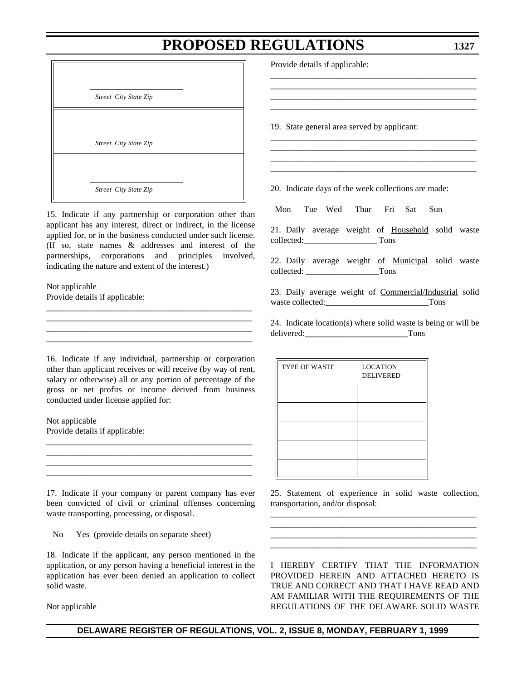*Street City State Zip Street City State Zip Street City State Zip*

15. Indicate if any partnership or corporation other than applicant has any interest, direct or indirect, in the license applied for, or in the business conducted under such license. (If so, state names & addresses and interest of the partnerships, corporations and principles involved, indicating the nature and extent of the interest.)

\_\_\_\_\_\_\_\_\_\_\_\_\_\_\_\_\_\_\_\_\_\_\_\_\_\_\_\_\_\_\_\_\_\_\_\_\_\_\_\_\_\_\_\_\_\_\_\_ \_\_\_\_\_\_\_\_\_\_\_\_\_\_\_\_\_\_\_\_\_\_\_\_\_\_\_\_\_\_\_\_\_\_\_\_\_\_\_\_\_\_\_\_\_\_\_\_ \_\_\_\_\_\_\_\_\_\_\_\_\_\_\_\_\_\_\_\_\_\_\_\_\_\_\_\_\_\_\_\_\_\_\_\_\_\_\_\_\_\_\_\_\_\_\_\_ \_\_\_\_\_\_\_\_\_\_\_\_\_\_\_\_\_\_\_\_\_\_\_\_\_\_\_\_\_\_\_\_\_\_\_\_\_\_\_\_\_\_\_\_\_\_\_\_

Not applicable Provide details if applicable:

16. Indicate if any individual, partnership or corporation other than applicant receives or will receive (by way of rent, salary or otherwise) all or any portion of percentage of the gross or net profits or income derived from business conducted under license applied for:

Not applicable Provide details if applicable:

17. Indicate if your company or parent company has ever been convicted of civil or criminal offenses concerning waste transporting, processing, or disposal.

\_\_\_\_\_\_\_\_\_\_\_\_\_\_\_\_\_\_\_\_\_\_\_\_\_\_\_\_\_\_\_\_\_\_\_\_\_\_\_\_\_\_\_\_\_\_\_\_

\_\_\_\_\_\_\_\_\_\_\_\_\_\_\_\_\_\_\_\_\_\_\_\_\_\_\_\_\_\_\_\_\_\_\_\_\_\_\_\_\_\_\_\_\_\_\_\_

No Yes (provide details on separate sheet)

18. Indicate if the applicant, any person mentioned in the application, or any person having a beneficial interest in the application has ever been denied an application to collect solid waste.

Not applicable

Provide details if applicable:

19. State general area served by applicant:

20. Indicate days of the week collections are made:

Mon Tue Wed Thur Fri Sat Sun

21. Daily average weight of Household solid waste collected:\_\_\_\_\_\_\_\_\_\_\_\_\_\_\_\_\_ Tons

\_\_\_\_\_\_\_\_\_\_\_\_\_\_\_\_\_\_\_\_\_\_\_\_\_\_\_\_\_\_\_\_\_\_\_\_\_\_\_\_\_\_\_\_\_\_\_\_ \_\_\_\_\_\_\_\_\_\_\_\_\_\_\_\_\_\_\_\_\_\_\_\_\_\_\_\_\_\_\_\_\_\_\_\_\_\_\_\_\_\_\_\_\_\_\_\_ \_\_\_\_\_\_\_\_\_\_\_\_\_\_\_\_\_\_\_\_\_\_\_\_\_\_\_\_\_\_\_\_\_\_\_\_\_\_\_\_\_\_\_\_\_\_\_\_ \_\_\_\_\_\_\_\_\_\_\_\_\_\_\_\_\_\_\_\_\_\_\_\_\_\_\_\_\_\_\_\_\_\_\_\_\_\_\_\_\_\_\_\_\_\_\_\_

\_\_\_\_\_\_\_\_\_\_\_\_\_\_\_\_\_\_\_\_\_\_\_\_\_\_\_\_\_\_\_\_\_\_\_\_\_\_\_\_\_\_\_\_\_\_\_\_ \_\_\_\_\_\_\_\_\_\_\_\_\_\_\_\_\_\_\_\_\_\_\_\_\_\_\_\_\_\_\_\_\_\_\_\_\_\_\_\_\_\_\_\_\_\_\_\_ \_\_\_\_\_\_\_\_\_\_\_\_\_\_\_\_\_\_\_\_\_\_\_\_\_\_\_\_\_\_\_\_\_\_\_\_\_\_\_\_\_\_\_\_\_\_\_\_ \_\_\_\_\_\_\_\_\_\_\_\_\_\_\_\_\_\_\_\_\_\_\_\_\_\_\_\_\_\_\_\_\_\_\_\_\_\_\_\_\_\_\_\_\_\_\_\_

22. Daily average weight of Municipal solid waste collected: Tons

23. Daily average weight of Commercial/Industrial solid waste collected: Tons

24. Indicate location(s) where solid waste is being or will be delivered:\_\_\_\_\_\_\_\_\_\_\_\_\_\_\_\_\_\_\_\_\_\_\_\_Tons

| TYPE OF WASTE | <b>LOCATION</b><br><b>DELIVERED</b> |
|---------------|-------------------------------------|
|               |                                     |
|               |                                     |
|               |                                     |
|               |                                     |
|               |                                     |

25. Statement of experience in solid waste collection, transportation, and/or disposal: \_\_\_\_\_\_\_\_\_\_\_\_\_\_\_\_\_\_\_\_\_\_\_\_\_\_\_\_\_\_\_\_\_\_\_\_\_\_\_\_\_\_\_\_\_\_\_\_

\_\_\_\_\_\_\_\_\_\_\_\_\_\_\_\_\_\_\_\_\_\_\_\_\_\_\_\_\_\_\_\_\_\_\_\_\_\_\_\_\_\_\_\_\_\_\_\_

\_\_\_\_\_\_\_\_\_\_\_\_\_\_\_\_\_\_\_\_\_\_\_\_\_\_\_\_\_\_\_\_\_\_\_\_\_\_\_\_\_\_\_\_\_\_\_\_

I HEREBY CERTIFY THAT THE INFORMATION PROVIDED HEREIN AND ATTACHED HERETO IS TRUE AND CORRECT AND THAT I HAVE READ AND AM FAMILIAR WITH THE REQUIREMENTS OF THE REGULATIONS OF THE DELAWARE SOLID WASTE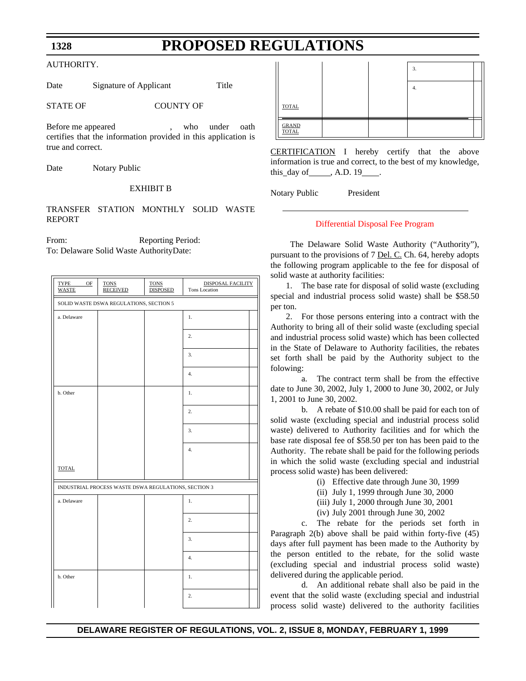### **PROPOSED REGULATIONS**

#### <span id="page-25-0"></span>AUTHORITY.

Date Signature of Applicant Title

STATE OF COUNTY OF

Before me appeared , who under oath certifies that the information provided in this application is true and correct.

Date Notary Public

#### EXHIBIT B

### TRANSFER STATION MONTHLY SOLID WASTE REPORT

From: Reporting Period: To: Delaware Solid Waste AuthorityDate:

| TYPE<br>OF<br><b>WASTE</b>              | <b>TONS</b><br><b>RECEIVED</b>                       | <b>TONS</b><br><b>DISPOSED</b> | DISPOSAL FACILITY<br>Tons Location |  |
|-----------------------------------------|------------------------------------------------------|--------------------------------|------------------------------------|--|
| SOLID WASTE DSWA REGULATIONS, SECTION 5 |                                                      |                                |                                    |  |
| a. Delaware                             |                                                      |                                | 1.                                 |  |
|                                         |                                                      |                                | $\overline{2}$ .                   |  |
|                                         |                                                      |                                | 3.                                 |  |
|                                         |                                                      |                                | 4.                                 |  |
| b. Other                                |                                                      |                                | 1.                                 |  |
|                                         |                                                      |                                | 2.                                 |  |
|                                         |                                                      |                                | 3.                                 |  |
|                                         |                                                      |                                | 4.                                 |  |
| <b>TOTAL</b>                            |                                                      |                                |                                    |  |
|                                         | INDUSTRIAL PROCESS WASTE DSWA REGULATIONS, SECTION 3 |                                |                                    |  |
| a. Delaware                             |                                                      |                                | 1.                                 |  |
|                                         |                                                      |                                | $\overline{2}$ .                   |  |
|                                         |                                                      |                                | 3.                                 |  |
|                                         |                                                      |                                | 4.                                 |  |
| b. Other                                |                                                      |                                | 1.                                 |  |
|                                         |                                                      |                                | 2.                                 |  |

|                       |  | 3. |  |
|-----------------------|--|----|--|
|                       |  | 4. |  |
| <b>TOTAL</b>          |  |    |  |
| <b>GRAND</b><br>TOTAL |  |    |  |

CERTIFICATION I hereby certify that the above information is true and correct, to the best of my knowledge, this day of  $\_\_\_\$ , A.D. 19

Notary Public President

#### [Differential Disposal Fee Program](#page-3-1)

 The Delaware Solid Waste Authority ("Authority"), pursuant to the provisions of 7 Del. C. Ch. 64, hereby adopts the following program applicable to the fee for disposal of solid waste at authority facilities:

1. The base rate for disposal of solid waste (excluding special and industrial process solid waste) shall be \$58.50 per ton.

2. For those persons entering into a contract with the Authority to bring all of their solid waste (excluding special and industrial process solid waste) which has been collected in the State of Delaware to Authority facilities, the rebates set forth shall be paid by the Authority subject to the folowing:

a. The contract term shall be from the effective date to June 30, 2002, July 1, 2000 to June 30, 2002, or July 1, 2001 to June 30, 2002.

b. A rebate of \$10.00 shall be paid for each ton of solid waste (excluding special and industrial process solid waste) delivered to Authority facilities and for which the base rate disposal fee of \$58.50 per ton has been paid to the Authority. The rebate shall be paid for the following periods in which the solid waste (excluding special and industrial process solid waste) has been delivered:

- (i) Effective date through June 30, 1999
- (ii) July 1, 1999 through June 30, 2000
- (iii) July 1, 2000 through June 30, 2001
- (iv) July 2001 through June 30, 2002

c. The rebate for the periods set forth in Paragraph 2(b) above shall be paid within forty-five (45) days after full payment has been made to the Authority by the person entitled to the rebate, for the solid waste (excluding special and industrial process solid waste) delivered during the applicable period.

d. An additional rebate shall also be paid in the event that the solid waste (excluding special and industrial process solid waste) delivered to the authority facilities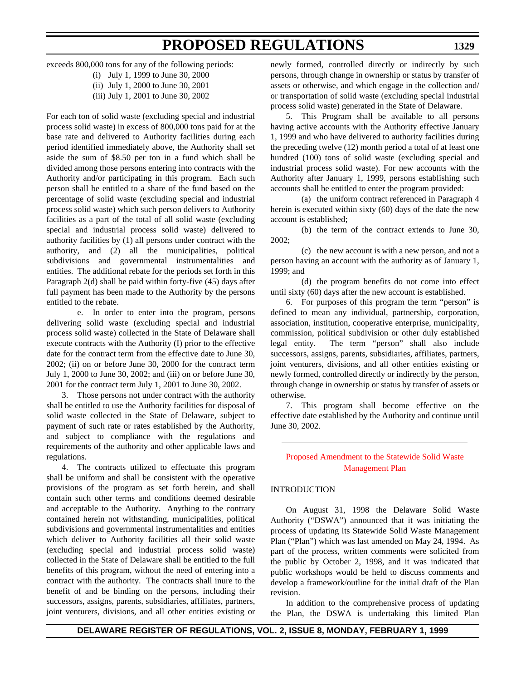exceeds 800,000 tons for any of the following periods:

(i) July 1, 1999 to June 30, 2000 (ii) July 1, 2000 to June 30, 2001

(iii) July 1, 2001 to June 30, 2002

For each ton of solid waste (excluding special and industrial process solid waste) in excess of 800,000 tons paid for at the base rate and delivered to Authority facilities during each period identified immediately above, the Authority shall set aside the sum of \$8.50 per ton in a fund which shall be divided among those persons entering into contracts with the Authority and/or participating in this program. Each such person shall be entitled to a share of the fund based on the percentage of solid waste (excluding special and industrial process solid waste) which such person delivers to Authority facilities as a part of the total of all solid waste (excluding special and industrial process solid waste) delivered to authority facilities by (1) all persons under contract with the authority, and (2) all the municipalities, political subdivisions and governmental instrumentalities and entities. The additional rebate for the periods set forth in this Paragraph 2(d) shall be paid within forty-five (45) days after full payment has been made to the Authority by the persons entitled to the rebate.

<span id="page-26-0"></span>e. In order to enter into the program, persons delivering solid waste (excluding special and industrial process solid waste) collected in the State of Delaware shall execute contracts with the Authority (I) prior to the effective date for the contract term from the effective date to June 30, 2002; (ii) on or before June 30, 2000 for the contract term July 1, 2000 to June 30, 2002; and (iii) on or before June 30, 2001 for the contract term July 1, 2001 to June 30, 2002.

3. Those persons not under contract with the authority shall be entitled to use the Authority facilities for disposal of solid waste collected in the State of Delaware, subject to payment of such rate or rates established by the Authority, and subject to compliance with the regulations and requirements of the authority and other applicable laws and regulations.

4. The contracts utilized to effectuate this program shall be uniform and shall be consistent with the operative provisions of the program as set forth herein, and shall contain such other terms and conditions deemed desirable and acceptable to the Authority. Anything to the contrary contained herein not withstanding, municipalities, political subdivisions and governmental instrumentalities and entities which deliver to Authority facilities all their solid waste (excluding special and industrial process solid waste) collected in the State of Delaware shall be entitled to the full benefits of this program, without the need of entering into a contract with the authority. The contracts shall inure to the benefit of and be binding on the persons, including their successors, assigns, parents, subsidiaries, affiliates, partners, joint venturers, divisions, and all other entities existing or newly formed, controlled directly or indirectly by such persons, through change in ownership or status by transfer of assets or otherwise, and which engage in the collection and/ or transportation of solid waste (excluding special industrial process solid waste) generated in the State of Delaware.

5. This Program shall be available to all persons having active accounts with the Authority effective January 1, 1999 and who have delivered to authority facilities during the preceding twelve (12) month period a total of at least one hundred (100) tons of solid waste (excluding special and industrial process solid waste). For new accounts with the Authority after January 1, 1999, persons establishing such accounts shall be entitled to enter the program provided:

(a) the uniform contract referenced in Paragraph 4 herein is executed within sixty (60) days of the date the new account is established;

(b) the term of the contract extends to June 30, 2002;

(c) the new account is with a new person, and not a person having an account with the authority as of January 1, 1999; and

(d) the program benefits do not come into effect until sixty (60) days after the new account is established.

6. For purposes of this program the term "person" is defined to mean any individual, partnership, corporation, association, institution, cooperative enterprise, municipality, commission, political subdivision or other duly established legal entity. The term "person" shall also include successors, assigns, parents, subsidiaries, affiliates, partners, joint venturers, divisions, and all other entities existing or newly formed, controlled directly or indirectly by the person, through change in ownership or status by transfer of assets or otherwise.

7. This program shall become effective on the effective date established by the Authority and continue until June 30, 2002.

### [Proposed Amendment to the Statewide Solid Waste](#page-3-1) Management Plan

### INTRODUCTION

On August 31, 1998 the Delaware Solid Waste Authority ("DSWA") announced that it was initiating the process of updating its Statewide Solid Waste Management Plan ("Plan") which was last amended on May 24, 1994. As part of the process, written comments were solicited from the public by October 2, 1998, and it was indicated that public workshops would be held to discuss comments and develop a framework/outline for the initial draft of the Plan revision.

In addition to the comprehensive process of updating the Plan, the DSWA is undertaking this limited Plan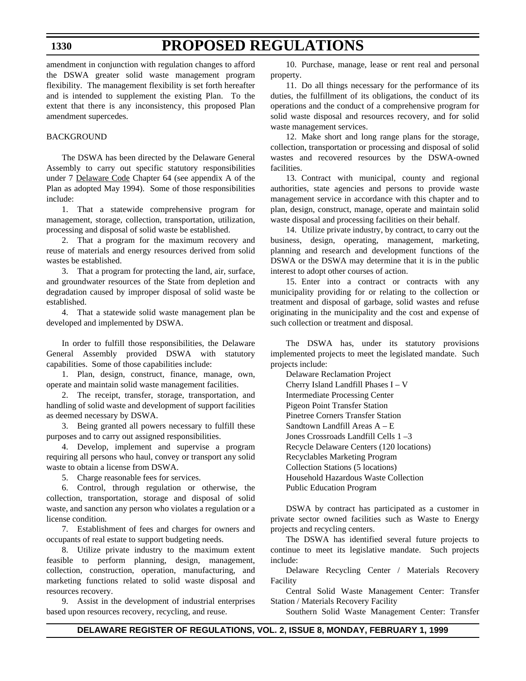# **PROPOSED REGULATIONS**

amendment in conjunction with regulation changes to afford the DSWA greater solid waste management program flexibility. The management flexibility is set forth hereafter and is intended to supplement the existing Plan. To the extent that there is any inconsistency, this proposed Plan amendment supercedes.

### BACKGROUND

The DSWA has been directed by the Delaware General Assembly to carry out specific statutory responsibilities under 7 Delaware Code Chapter 64 (see appendix A of the Plan as adopted May 1994). Some of those responsibilities include:

1. That a statewide comprehensive program for management, storage, collection, transportation, utilization, processing and disposal of solid waste be established.

2. That a program for the maximum recovery and reuse of materials and energy resources derived from solid wastes be established.

3. That a program for protecting the land, air, surface, and groundwater resources of the State from depletion and degradation caused by improper disposal of solid waste be established.

4. That a statewide solid waste management plan be developed and implemented by DSWA.

In order to fulfill those responsibilities, the Delaware General Assembly provided DSWA with statutory capabilities. Some of those capabilities include:

1. Plan, design, construct, finance, manage, own, operate and maintain solid waste management facilities.

2. The receipt, transfer, storage, transportation, and handling of solid waste and development of support facilities as deemed necessary by DSWA.

3. Being granted all powers necessary to fulfill these purposes and to carry out assigned responsibilities.

4. Develop, implement and supervise a program requiring all persons who haul, convey or transport any solid waste to obtain a license from DSWA.

5. Charge reasonable fees for services.

6. Control, through regulation or otherwise, the collection, transportation, storage and disposal of solid waste, and sanction any person who violates a regulation or a license condition.

7. Establishment of fees and charges for owners and occupants of real estate to support budgeting needs.

8. Utilize private industry to the maximum extent feasible to perform planning, design, management, collection, construction, operation, manufacturing, and marketing functions related to solid waste disposal and resources recovery.

9. Assist in the development of industrial enterprises based upon resources recovery, recycling, and reuse.

10. Purchase, manage, lease or rent real and personal property.

11. Do all things necessary for the performance of its duties, the fulfillment of its obligations, the conduct of its operations and the conduct of a comprehensive program for solid waste disposal and resources recovery, and for solid waste management services.

12. Make short and long range plans for the storage, collection, transportation or processing and disposal of solid wastes and recovered resources by the DSWA-owned facilities.

13. Contract with municipal, county and regional authorities, state agencies and persons to provide waste management service in accordance with this chapter and to plan, design, construct, manage, operate and maintain solid waste disposal and processing facilities on their behalf.

14. Utilize private industry, by contract, to carry out the business, design, operating, management, marketing, planning and research and development functions of the DSWA or the DSWA may determine that it is in the public interest to adopt other courses of action.

15. Enter into a contract or contracts with any municipality providing for or relating to the collection or treatment and disposal of garbage, solid wastes and refuse originating in the municipality and the cost and expense of such collection or treatment and disposal.

The DSWA has, under its statutory provisions implemented projects to meet the legislated mandate. Such projects include:

Delaware Reclamation Project Cherry Island Landfill Phases I – V Intermediate Processing Center Pigeon Point Transfer Station Pinetree Corners Transfer Station Sandtown Landfill Areas A – E Jones Crossroads Landfill Cells 1 –3 Recycle Delaware Centers (120 locations) Recyclables Marketing Program Collection Stations (5 locations) Household Hazardous Waste Collection Public Education Program

DSWA by contract has participated as a customer in private sector owned facilities such as Waste to Energy projects and recycling centers.

The DSWA has identified several future projects to continue to meet its legislative mandate. Such projects include:

Delaware Recycling Center / Materials Recovery Facility

Central Solid Waste Management Center: Transfer Station / Materials Recovery Facility

Southern Solid Waste Management Center: Transfer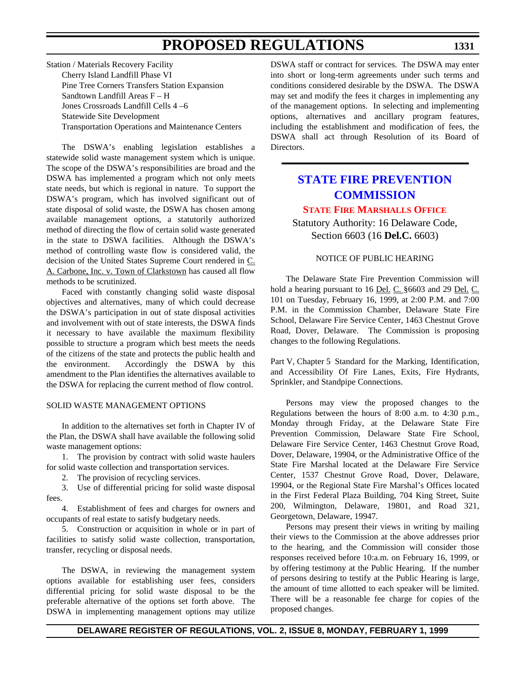<span id="page-28-0"></span>Station / Materials Recovery Facility Cherry Island Landfill Phase VI Pine Tree Corners Transfers Station Expansion Sandtown Landfill Areas F – H Jones Crossroads Landfill Cells 4 –6 Statewide Site Development Transportation Operations and Maintenance Centers

The DSWA's enabling legislation establishes a statewide solid waste management system which is unique. The scope of the DSWA's responsibilities are broad and the DSWA has implemented a program which not only meets state needs, but which is regional in nature. To support the DSWA's program, which has involved significant out of state disposal of solid waste, the DSWA has chosen among available management options, a statutorily authorized method of directing the flow of certain solid waste generated in the state to DSWA facilities. Although the DSWA's method of controlling waste flow is considered valid, the decision of the United States Supreme Court rendered in C. A. Carbone, Inc. v. Town of Clarkstown has caused all flow methods to be scrutinized.

Faced with constantly changing solid waste disposal objectives and alternatives, many of which could decrease the DSWA's participation in out of state disposal activities and involvement with out of state interests, the DSWA finds it necessary to have available the maximum flexibility possible to structure a program which best meets the needs of the citizens of the state and protects the public health and the environment. Accordingly the DSWA by this amendment to the Plan identifies the alternatives available to the DSWA for replacing the current method of flow control.

#### SOLID WASTE MANAGEMENT OPTIONS

In addition to the alternatives set forth in Chapter IV of the Plan, the DSWA shall have available the following solid waste management options:

1. The provision by contract with solid waste haulers for solid waste collection and transportation services.

2. The provision of recycling services.

3. Use of differential pricing for solid waste disposal fees.

4. Establishment of fees and charges for owners and occupants of real estate to satisfy budgetary needs.

5. Construction or acquisition in whole or in part of facilities to satisfy solid waste collection, transportation, transfer, recycling or disposal needs.

The DSWA, in reviewing the management system options available for establishing user fees, considers differential pricing for solid waste disposal to be the preferable alternative of the options set forth above. The DSWA in implementing management options may utilize DSWA staff or contract for services. The DSWA may enter into short or long-term agreements under such terms and conditions considered desirable by the DSWA. The DSWA may set and modify the fees it charges in implementing any of the management options. In selecting and implementing options, alternatives and ancillary program features, including the establishment and modification of fees, the DSWA shall act through Resolution of its Board of Directors.

### **[STATE FIRE PREVENTION](http://www.state.de.us/dvfa/html/commission.html) COMMISSION**

### **[STATE FIRE MARSHALLS OFFICE](#page-3-1)**

Statutory Authority: 16 Delaware Code, Section 6603 (16 **Del.C.** 6603)

#### NOTICE OF PUBLIC HEARING

The Delaware State Fire Prevention Commission will hold a hearing pursuant to 16 Del. C. §6603 and 29 Del. C. 101 on Tuesday, February 16, 1999, at 2:00 P.M. and 7:00 P.M. in the Commission Chamber, Delaware State Fire School, Delaware Fire Service Center, 1463 Chestnut Grove Road, Dover, Delaware. The Commission is proposing changes to the following Regulations.

Part V, Chapter 5 Standard for the Marking, Identification, and Accessibility Of Fire Lanes, Exits, Fire Hydrants, Sprinkler, and Standpipe Connections.

Persons may view the proposed changes to the Regulations between the hours of 8:00 a.m. to 4:30 p.m., Monday through Friday, at the Delaware State Fire Prevention Commission, Delaware State Fire School, Delaware Fire Service Center, 1463 Chestnut Grove Road, Dover, Delaware, 19904, or the Administrative Office of the State Fire Marshal located at the Delaware Fire Service Center, 1537 Chestnut Grove Road, Dover, Delaware, 19904, or the Regional State Fire Marshal's Offices located in the First Federal Plaza Building, 704 King Street, Suite 200, Wilmington, Delaware, 19801, and Road 321, Georgetown, Delaware, 19947.

Persons may present their views in writing by mailing their views to the Commission at the above addresses prior to the hearing, and the Commission will consider those responses received before 10:a.m. on February 16, 1999, or by offering testimony at the Public Hearing. If the number of persons desiring to testify at the Public Hearing is large, the amount of time allotted to each speaker will be limited. There will be a reasonable fee charge for copies of the proposed changes.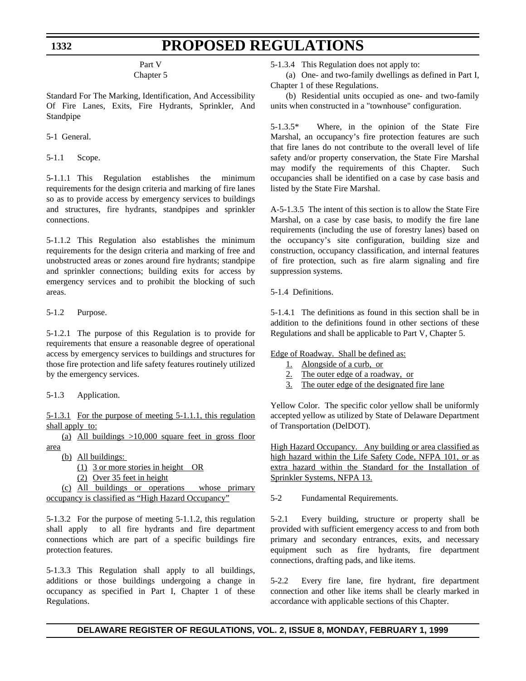### **PROPOSED REGULATIONS**

Part V

### Chapter 5

Standard For The Marking, Identification, And Accessibility Of Fire Lanes, Exits, Fire Hydrants, Sprinkler, And Standpipe

5-1 General.

5-1.1 Scope.

5-1.1.1 This Regulation establishes the minimum requirements for the design criteria and marking of fire lanes so as to provide access by emergency services to buildings and structures, fire hydrants, standpipes and sprinkler connections.

5-1.1.2 This Regulation also establishes the minimum requirements for the design criteria and marking of free and unobstructed areas or zones around fire hydrants; standpipe and sprinkler connections; building exits for access by emergency services and to prohibit the blocking of such areas.

5-1.2 Purpose.

5-1.2.1 The purpose of this Regulation is to provide for requirements that ensure a reasonable degree of operational access by emergency services to buildings and structures for those fire protection and life safety features routinely utilized by the emergency services.

5-1.3 Application.

5-1.3.1 For the purpose of meeting 5-1.1.1, this regulation shall apply to:

(a) All buildings  $>10,000$  square feet in gross floor area

- (b) All buildings:
	- (1) 3 or more stories in height OR
	- (2) Over 35 feet in height

(c) All buildings or operations whose primary occupancy is classified as "High Hazard Occupancy"

5-1.3.2 For the purpose of meeting 5-1.1.2, this regulation shall apply to all fire hydrants and fire department connections which are part of a specific buildings fire protection features.

5-1.3.3 This Regulation shall apply to all buildings, additions or those buildings undergoing a change in occupancy as specified in Part I, Chapter 1 of these Regulations.

5-1.3.4 This Regulation does not apply to:

(a) One- and two-family dwellings as defined in Part I, Chapter 1 of these Regulations.

(b) Residential units occupied as one- and two-family units when constructed in a "townhouse" configuration.

5-1.3.5\* Where, in the opinion of the State Fire Marshal, an occupancy's fire protection features are such that fire lanes do not contribute to the overall level of life safety and/or property conservation, the State Fire Marshal may modify the requirements of this Chapter. Such occupancies shall be identified on a case by case basis and listed by the State Fire Marshal.

A-5-1.3.5 The intent of this section is to allow the State Fire Marshal, on a case by case basis, to modify the fire lane requirements (including the use of forestry lanes) based on the occupancy's site configuration, building size and construction, occupancy classification, and internal features of fire protection, such as fire alarm signaling and fire suppression systems.

5-1.4 Definitions.

5-1.4.1 The definitions as found in this section shall be in addition to the definitions found in other sections of these Regulations and shall be applicable to Part V, Chapter 5.

Edge of Roadway. Shall be defined as:

- 1. Alongside of a curb, or
- 2. The outer edge of a roadway, or
- 3. The outer edge of the designated fire lane

Yellow Color. The specific color yellow shall be uniformly accepted yellow as utilized by State of Delaware Department of Transportation (DelDOT).

High Hazard Occupancy. Any building or area classified as high hazard within the Life Safety Code, NFPA 101, or as extra hazard within the Standard for the Installation of Sprinkler Systems, NFPA 13.

5-2 Fundamental Requirements.

5-2.1 Every building, structure or property shall be provided with sufficient emergency access to and from both primary and secondary entrances, exits, and necessary equipment such as fire hydrants, fire department connections, drafting pads, and like items.

5-2.2 Every fire lane, fire hydrant, fire department connection and other like items shall be clearly marked in accordance with applicable sections of this Chapter.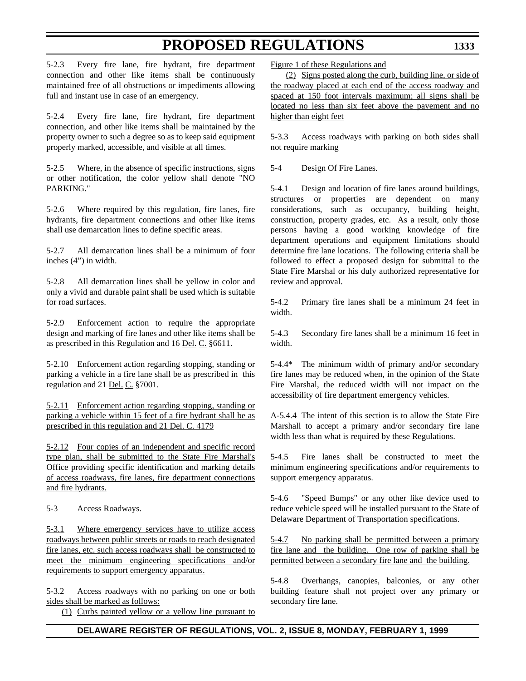**1333**

5-2.3 Every fire lane, fire hydrant, fire department connection and other like items shall be continuously maintained free of all obstructions or impediments allowing full and instant use in case of an emergency.

5-2.4 Every fire lane, fire hydrant, fire department connection, and other like items shall be maintained by the property owner to such a degree so as to keep said equipment properly marked, accessible, and visible at all times.

5-2.5 Where, in the absence of specific instructions, signs or other notification, the color yellow shall denote "NO PARKING."

5-2.6 Where required by this regulation, fire lanes, fire hydrants, fire department connections and other like items shall use demarcation lines to define specific areas.

5-2.7 All demarcation lines shall be a minimum of four inches (4") in width.

5-2.8 All demarcation lines shall be yellow in color and only a vivid and durable paint shall be used which is suitable for road surfaces.

5-2.9 Enforcement action to require the appropriate design and marking of fire lanes and other like items shall be as prescribed in this Regulation and 16 Del. C. §6611.

5-2.10 Enforcement action regarding stopping, standing or parking a vehicle in a fire lane shall be as prescribed in this regulation and 21 Del. C. §7001.

5-2.11 Enforcement action regarding stopping, standing or parking a vehicle within 15 feet of a fire hydrant shall be as prescribed in this regulation and 21 Del. C. 4179

5-2.12 Four copies of an independent and specific record type plan, shall be submitted to the State Fire Marshal's Office providing specific identification and marking details of access roadways, fire lanes, fire department connections and fire hydrants.

5-3 Access Roadways.

5-3.1 Where emergency services have to utilize access roadways between public streets or roads to reach designated fire lanes, etc. such access roadways shall be constructed to meet the minimum engineering specifications and/or requirements to support emergency apparatus.

5-3.2 Access roadways with no parking on one or both sides shall be marked as follows:

(1) Curbs painted yellow or a yellow line pursuant to

Figure 1 of these Regulations and

(2) Signs posted along the curb, building line, or side of the roadway placed at each end of the access roadway and spaced at 150 foot intervals maximum; all signs shall be located no less than six feet above the pavement and no higher than eight feet

5-3.3 Access roadways with parking on both sides shall not require marking

5-4 Design Of Fire Lanes.

5-4.1 Design and location of fire lanes around buildings, structures or properties are dependent on many considerations, such as occupancy, building height, construction, property grades, etc. As a result, only those persons having a good working knowledge of fire department operations and equipment limitations should determine fire lane locations. The following criteria shall be followed to effect a proposed design for submittal to the State Fire Marshal or his duly authorized representative for review and approval.

5-4.2 Primary fire lanes shall be a minimum 24 feet in width.

5-4.3 Secondary fire lanes shall be a minimum 16 feet in width.

5-4.4\* The minimum width of primary and/or secondary fire lanes may be reduced when, in the opinion of the State Fire Marshal, the reduced width will not impact on the accessibility of fire department emergency vehicles.

A-5.4.4 The intent of this section is to allow the State Fire Marshall to accept a primary and/or secondary fire lane width less than what is required by these Regulations.

5-4.5 Fire lanes shall be constructed to meet the minimum engineering specifications and/or requirements to support emergency apparatus.

5-4.6 "Speed Bumps" or any other like device used to reduce vehicle speed will be installed pursuant to the State of Delaware Department of Transportation specifications.

5-4.7 No parking shall be permitted between a primary fire lane and the building. One row of parking shall be permitted between a secondary fire lane and the building.

5-4.8 Overhangs, canopies, balconies, or any other building feature shall not project over any primary or secondary fire lane.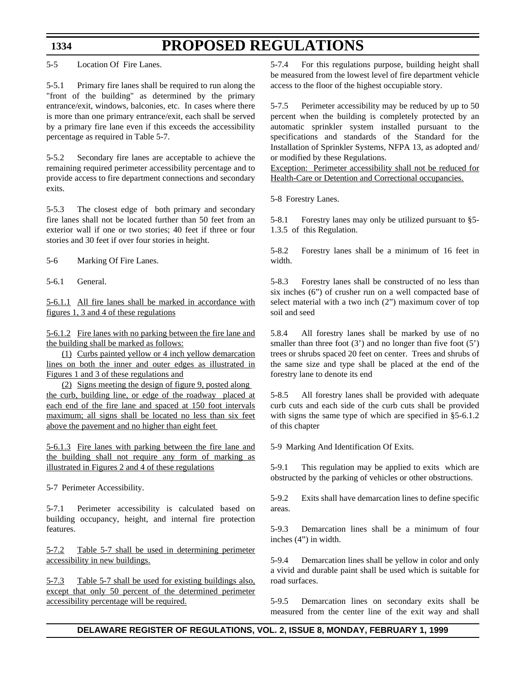5-5 Location Of Fire Lanes.

5-5.1 Primary fire lanes shall be required to run along the "front of the building" as determined by the primary entrance/exit, windows, balconies, etc. In cases where there is more than one primary entrance/exit, each shall be served by a primary fire lane even if this exceeds the accessibility percentage as required in Table 5-7.

5-5.2 Secondary fire lanes are acceptable to achieve the remaining required perimeter accessibility percentage and to provide access to fire department connections and secondary exits.

5-5.3 The closest edge of both primary and secondary fire lanes shall not be located further than 50 feet from an exterior wall if one or two stories; 40 feet if three or four stories and 30 feet if over four stories in height.

5-6 Marking Of Fire Lanes.

5-6.1 General.

5-6.1.1 All fire lanes shall be marked in accordance with figures 1, 3 and 4 of these regulations

5-6.1.2 Fire lanes with no parking between the fire lane and the building shall be marked as follows:

(1) Curbs painted yellow or 4 inch yellow demarcation lines on both the inner and outer edges as illustrated in Figures 1 and 3 of these regulations and

(2) Signs meeting the design of figure 9, posted along the curb, building line, or edge of the roadway placed at each end of the fire lane and spaced at 150 foot intervals maximum; all signs shall be located no less than six feet above the pavement and no higher than eight feet

5-6.1.3 Fire lanes with parking between the fire lane and the building shall not require any form of marking as illustrated in Figures 2 and 4 of these regulations

5-7 Perimeter Accessibility.

5-7.1 Perimeter accessibility is calculated based on building occupancy, height, and internal fire protection features.

5-7.2 Table 5-7 shall be used in determining perimeter accessibility in new buildings.

5-7.3 Table 5-7 shall be used for existing buildings also, except that only 50 percent of the determined perimeter accessibility percentage will be required.

5-7.4 For this regulations purpose, building height shall be measured from the lowest level of fire department vehicle access to the floor of the highest occupiable story.

5-7.5 Perimeter accessibility may be reduced by up to 50 percent when the building is completely protected by an automatic sprinkler system installed pursuant to the specifications and standards of the Standard for the Installation of Sprinkler Systems, NFPA 13, as adopted and/ or modified by these Regulations.

Exception: Perimeter accessibility shall not be reduced for Health-Care or Detention and Correctional occupancies.

5-8 Forestry Lanes.

5-8.1 Forestry lanes may only be utilized pursuant to §5- 1.3.5 of this Regulation.

5-8.2 Forestry lanes shall be a minimum of 16 feet in width.

5-8.3 Forestry lanes shall be constructed of no less than six inches (6") of crusher run on a well compacted base of select material with a two inch (2") maximum cover of top soil and seed

5.8.4 All forestry lanes shall be marked by use of no smaller than three foot  $(3')$  and no longer than five foot  $(5')$ trees or shrubs spaced 20 feet on center. Trees and shrubs of the same size and type shall be placed at the end of the forestry lane to denote its end

5-8.5 All forestry lanes shall be provided with adequate curb cuts and each side of the curb cuts shall be provided with signs the same type of which are specified in §5-6.1.2 of this chapter

5-9 Marking And Identification Of Exits.

5-9.1 This regulation may be applied to exits which are obstructed by the parking of vehicles or other obstructions.

5-9.2 Exits shall have demarcation lines to define specific areas.

5-9.3 Demarcation lines shall be a minimum of four inches (4") in width.

5-9.4 Demarcation lines shall be yellow in color and only a vivid and durable paint shall be used which is suitable for road surfaces.

5-9.5 Demarcation lines on secondary exits shall be measured from the center line of the exit way and shall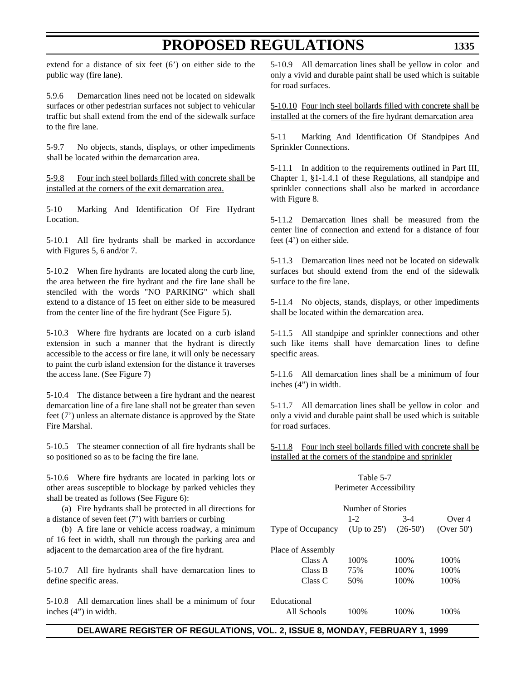extend for a distance of six feet (6') on either side to the public way (fire lane).

5.9.6 Demarcation lines need not be located on sidewalk surfaces or other pedestrian surfaces not subject to vehicular traffic but shall extend from the end of the sidewalk surface to the fire lane.

5-9.7 No objects, stands, displays, or other impediments shall be located within the demarcation area.

5-9.8 Four inch steel bollards filled with concrete shall be installed at the corners of the exit demarcation area.

5-10 Marking And Identification Of Fire Hydrant Location.

5-10.1 All fire hydrants shall be marked in accordance with Figures 5, 6 and/or 7.

5-10.2 When fire hydrants are located along the curb line, the area between the fire hydrant and the fire lane shall be stenciled with the words "NO PARKING" which shall extend to a distance of 15 feet on either side to be measured from the center line of the fire hydrant (See Figure 5).

5-10.3 Where fire hydrants are located on a curb island extension in such a manner that the hydrant is directly accessible to the access or fire lane, it will only be necessary to paint the curb island extension for the distance it traverses the access lane. (See Figure 7)

5-10.4 The distance between a fire hydrant and the nearest demarcation line of a fire lane shall not be greater than seven feet (7') unless an alternate distance is approved by the State Fire Marshal.

5-10.5 The steamer connection of all fire hydrants shall be so positioned so as to be facing the fire lane.

5-10.6 Where fire hydrants are located in parking lots or other areas susceptible to blockage by parked vehicles they shall be treated as follows (See Figure 6):

(a) Fire hydrants shall be protected in all directions for a distance of seven feet (7') with barriers or curbing

(b) A fire lane or vehicle access roadway, a minimum of 16 feet in width, shall run through the parking area and adjacent to the demarcation area of the fire hydrant.

5-10.7 All fire hydrants shall have demarcation lines to define specific areas.

5-10.8 All demarcation lines shall be a minimum of four inches (4") in width.

5-10.9 All demarcation lines shall be yellow in color and only a vivid and durable paint shall be used which is suitable for road surfaces.

5-10.10 Four inch steel bollards filled with concrete shall be installed at the corners of the fire hydrant demarcation area

5-11 Marking And Identification Of Standpipes And Sprinkler Connections.

5-11.1 In addition to the requirements outlined in Part III, Chapter 1, §1-1.4.1 of these Regulations, all standpipe and sprinkler connections shall also be marked in accordance with Figure 8.

5-11.2 Demarcation lines shall be measured from the center line of connection and extend for a distance of four feet (4') on either side.

5-11.3 Demarcation lines need not be located on sidewalk surfaces but should extend from the end of the sidewalk surface to the fire lane.

5-11.4 No objects, stands, displays, or other impediments shall be located within the demarcation area.

5-11.5 All standpipe and sprinkler connections and other such like items shall have demarcation lines to define specific areas.

5-11.6 All demarcation lines shall be a minimum of four inches (4") in width.

5-11.7 All demarcation lines shall be yellow in color and only a vivid and durable paint shall be used which is suitable for road surfaces.

5-11.8 Four inch steel bollards filled with concrete shall be installed at the corners of the standpipe and sprinkler

### Table 5-7 Perimeter Accessibility

| Number of Stories |                |           |               |  |
|-------------------|----------------|-----------|---------------|--|
|                   | $1 - 2$        | $3-4$     | Over 4        |  |
| Type of Occupancy | (Up to $25'$ ) | $(26-50)$ | (Over $50'$ ) |  |
|                   |                |           |               |  |
| Place of Assembly |                |           |               |  |
| Class A           | 100%           | 100%      | 100\%         |  |
| Class B           | 75%            | 100%      | 100\%         |  |
| Class C           | 50%            | 100%      | 100%          |  |
| Educational       |                |           |               |  |
| All Schools       | 100%           | 100%      | 100\%         |  |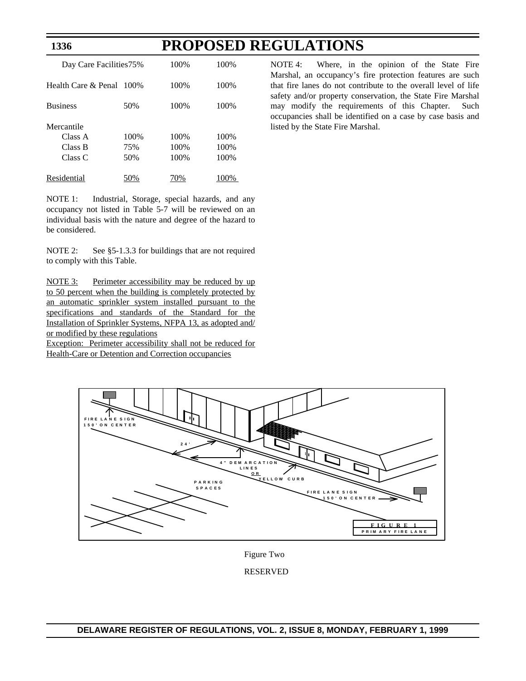| Day Care Facilities 75%                     |                    | 100\%                 | 100\%                |
|---------------------------------------------|--------------------|-----------------------|----------------------|
| Health Care $\&$ Penal $-100\%$             |                    | 100\%                 | 100\%                |
| <b>Business</b>                             | 50%                | 100\%                 | 100\%                |
| Mercantile<br>Class A<br>Class B<br>Class C | 100%<br>75%<br>50% | 100%<br>100\%<br>100% | 100%<br>100%<br>100% |
| Residential                                 |                    |                       |                      |

**1336**

NOTE 1: Industrial, Storage, special hazards, and any occupancy not listed in Table 5-7 will be reviewed on an individual basis with the nature and degree of the hazard to be considered.

NOTE 2: See §5-1.3.3 for buildings that are not required to comply with this Table.

NOTE 3: Perimeter accessibility may be reduced by up to 50 percent when the building is completely protected by an automatic sprinkler system installed pursuant to the specifications and standards of the Standard for the Installation of Sprinkler Systems, NFPA 13, as adopted and/ or modified by these regulations Exception: Perimeter accessibility shall not be reduced for

Health-Care or Detention and Correction occupancies

NOTE 4: Where, in the opinion of the State Fire Marshal, an occupancy's fire protection features are such that fire lanes do not contribute to the overall level of life safety and/or property conservation, the State Fire Marshal may modify the requirements of this Chapter. Such occupancies shall be identified on a case by case basis and listed by the State Fire Marshal.



Figure Two

### RESERVED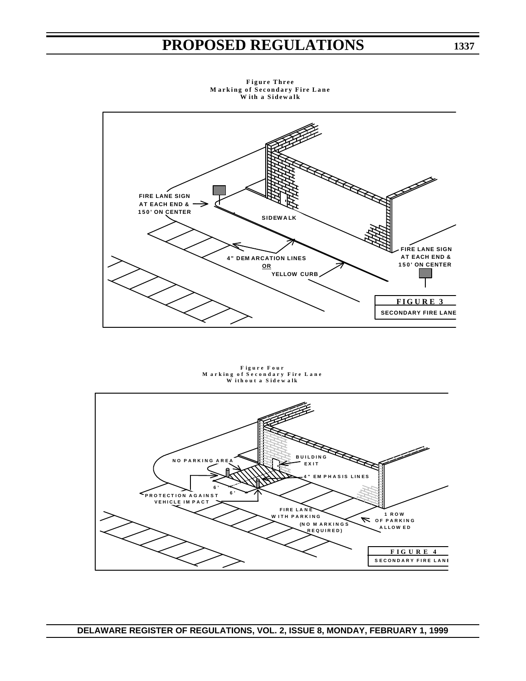

**F igure Three M ark ing of Secondary F ire Lane W ith a S idew a l k**

**F i gure Four M ark i ng o f Secondary F i re Lane W i t hou t a S i d e w a l k**

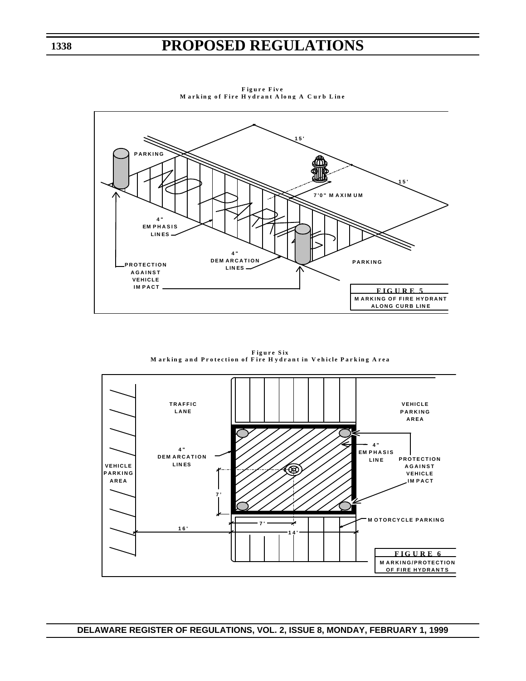

**F igure F iv e M ark ing o f Fire H ydran t A long A C urb L in e**

**F igure S ix M ark ing and Pro tection of F ire H ydran t in V e h icle Park ing A rea**

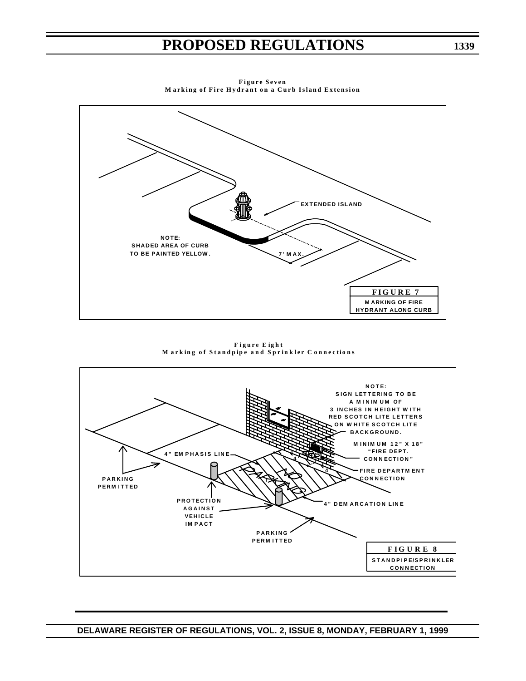

**F igure Seven M ark ing of Fire Hydrant on a Curb Island Extension**

**F igure E ig h t M ark ing o f Standp ipe and Spr in k ler C onnec t i o n s**

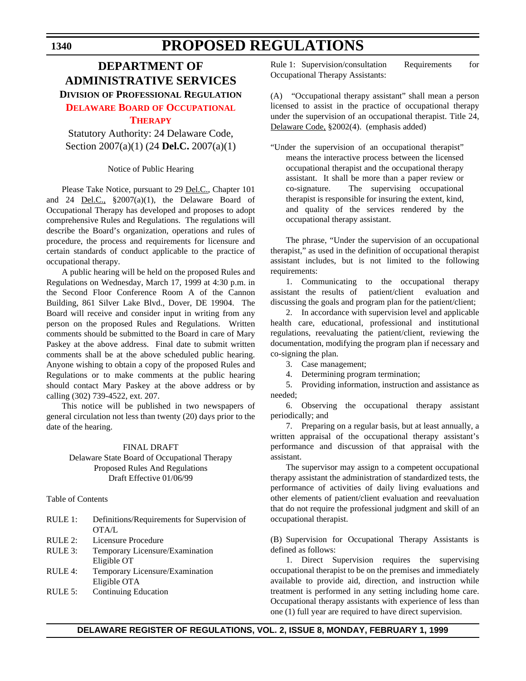### **DEPARTMENT OF ADMINISTRATIVE SERVICES DIVISION OF PROFESSIONAL REGULATION [DELAWARE BOARD](#page-3-0) OF OCCUPATIONAL**

### **THERAPY**

Statutory Authority: 24 Delaware Code, Section 2007(a)(1) (24 **Del.C.** 2007(a)(1)

Notice of Public Hearing

Please Take Notice, pursuant to 29 Del.C., Chapter 101 and 24 Del.C., §2007(a)(1), the Delaware Board of Occupational Therapy has developed and proposes to adopt comprehensive Rules and Regulations. The regulations will describe the Board's organization, operations and rules of procedure, the process and requirements for licensure and certain standards of conduct applicable to the practice of occupational therapy.

A public hearing will be held on the proposed Rules and Regulations on Wednesday, March 17, 1999 at 4:30 p.m. in the Second Floor Conference Room A of the Cannon Building, 861 Silver Lake Blvd., Dover, DE 19904. The Board will receive and consider input in writing from any person on the proposed Rules and Regulations. Written comments should be submitted to the Board in care of Mary Paskey at the above address. Final date to submit written comments shall be at the above scheduled public hearing. Anyone wishing to obtain a copy of the proposed Rules and Regulations or to make comments at the public hearing should contact Mary Paskey at the above address or by calling (302) 739-4522, ext. 207.

This notice will be published in two newspapers of general circulation not less than twenty (20) days prior to the date of the hearing.

### FINAL DRAFT

### Delaware State Board of Occupational Therapy Proposed Rules And Regulations Draft Effective 01/06/99

Table of Contents

| RULE 1: | Definitions/Requirements for Supervision of |
|---------|---------------------------------------------|
|         | OTA/L                                       |
| RULE 2: | Licensure Procedure                         |
| RULE 3: | Temporary Licensure/Examination             |
|         | Eligible OT                                 |
| RULE 4: | Temporary Licensure/Examination             |
|         | Eligible OTA                                |
| RULE 5: | <b>Continuing Education</b>                 |
|         |                                             |

Rule 1: Supervision/consultation Requirements for Occupational Therapy Assistants:

(A) "Occupational therapy assistant" shall mean a person licensed to assist in the practice of occupational therapy under the supervision of an occupational therapist. Title 24, Delaware Code, §2002(4). (emphasis added)

"Under the supervision of an occupational therapist" means the interactive process between the licensed occupational therapist and the occupational therapy assistant. It shall be more than a paper review or co-signature. The supervising occupational therapist is responsible for insuring the extent, kind, and quality of the services rendered by the occupational therapy assistant.

The phrase, "Under the supervision of an occupational therapist," as used in the definition of occupational therapist assistant includes, but is not limited to the following requirements:

1. Communicating to the occupational therapy assistant the results of patient/client evaluation and discussing the goals and program plan for the patient/client;

2. In accordance with supervision level and applicable health care, educational, professional and institutional regulations, reevaluating the patient/client, reviewing the documentation, modifying the program plan if necessary and co-signing the plan.

3. Case management;

4. Determining program termination;

5. Providing information, instruction and assistance as needed;

6. Observing the occupational therapy assistant periodically; and

7. Preparing on a regular basis, but at least annually, a written appraisal of the occupational therapy assistant's performance and discussion of that appraisal with the assistant.

The supervisor may assign to a competent occupational therapy assistant the administration of standardized tests, the performance of activities of daily living evaluations and other elements of patient/client evaluation and reevaluation that do not require the professional judgment and skill of an occupational therapist.

(B) Supervision for Occupational Therapy Assistants is defined as follows:

1. Direct Supervision requires the supervising occupational therapist to be on the premises and immediately available to provide aid, direction, and instruction while treatment is performed in any setting including home care. Occupational therapy assistants with experience of less than one (1) full year are required to have direct supervision.

### **DELAWARE REGISTER OF REGULATIONS, VOL. 2, ISSUE 8, MONDAY, FEBRUARY 1, 1999**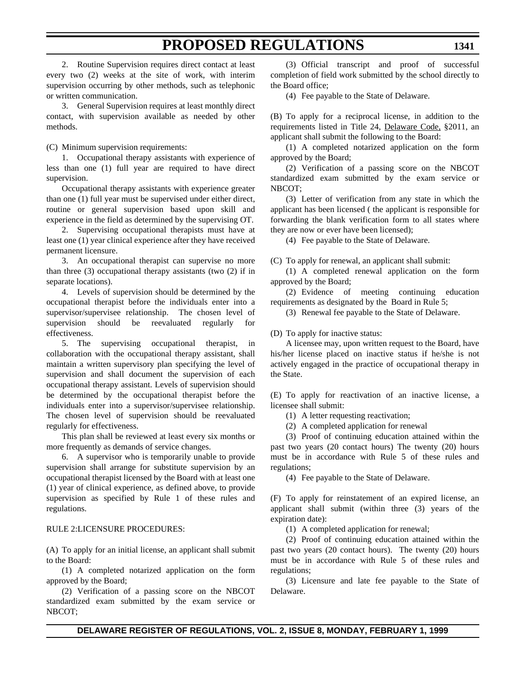2. Routine Supervision requires direct contact at least every two (2) weeks at the site of work, with interim supervision occurring by other methods, such as telephonic or written communication.

3. General Supervision requires at least monthly direct contact, with supervision available as needed by other methods.

(C) Minimum supervision requirements:

1. Occupational therapy assistants with experience of less than one (1) full year are required to have direct supervision.

Occupational therapy assistants with experience greater than one (1) full year must be supervised under either direct, routine or general supervision based upon skill and experience in the field as determined by the supervising OT.

2. Supervising occupational therapists must have at least one (1) year clinical experience after they have received permanent licensure.

3. An occupational therapist can supervise no more than three  $(3)$  occupational therapy assistants (two  $(2)$ ) if in separate locations).

4. Levels of supervision should be determined by the occupational therapist before the individuals enter into a supervisor/supervisee relationship. The chosen level of supervision should be reevaluated regularly for effectiveness.

5. The supervising occupational therapist, in collaboration with the occupational therapy assistant, shall maintain a written supervisory plan specifying the level of supervision and shall document the supervision of each occupational therapy assistant. Levels of supervision should be determined by the occupational therapist before the individuals enter into a supervisor/supervisee relationship. The chosen level of supervision should be reevaluated regularly for effectiveness.

This plan shall be reviewed at least every six months or more frequently as demands of service changes.

6. A supervisor who is temporarily unable to provide supervision shall arrange for substitute supervision by an occupational therapist licensed by the Board with at least one (1) year of clinical experience, as defined above, to provide supervision as specified by Rule 1 of these rules and regulations.

### RULE 2:LICENSURE PROCEDURES:

(A) To apply for an initial license, an applicant shall submit to the Board:

(1) A completed notarized application on the form approved by the Board;

(2) Verification of a passing score on the NBCOT standardized exam submitted by the exam service or NBCOT;

(3) Official transcript and proof of successful completion of field work submitted by the school directly to the Board office;

(4) Fee payable to the State of Delaware.

(B) To apply for a reciprocal license, in addition to the requirements listed in Title 24, Delaware Code, §2011, an applicant shall submit the following to the Board:

(1) A completed notarized application on the form approved by the Board;

(2) Verification of a passing score on the NBCOT standardized exam submitted by the exam service or NBCOT;

(3) Letter of verification from any state in which the applicant has been licensed ( the applicant is responsible for forwarding the blank verification form to all states where they are now or ever have been licensed);

(4) Fee payable to the State of Delaware.

(C) To apply for renewal, an applicant shall submit:

(1) A completed renewal application on the form approved by the Board;

(2) Evidence of meeting continuing education requirements as designated by the Board in Rule 5;

(3) Renewal fee payable to the State of Delaware.

(D) To apply for inactive status:

A licensee may, upon written request to the Board, have his/her license placed on inactive status if he/she is not actively engaged in the practice of occupational therapy in the State.

(E) To apply for reactivation of an inactive license, a licensee shall submit:

(1) A letter requesting reactivation;

(2) A completed application for renewal

(3) Proof of continuing education attained within the past two years (20 contact hours) The twenty (20) hours must be in accordance with Rule 5 of these rules and regulations;

(4) Fee payable to the State of Delaware.

(F) To apply for reinstatement of an expired license, an applicant shall submit (within three (3) years of the expiration date):

(1) A completed application for renewal;

(2) Proof of continuing education attained within the past two years (20 contact hours). The twenty (20) hours must be in accordance with Rule 5 of these rules and regulations;

(3) Licensure and late fee payable to the State of Delaware.

### **DELAWARE REGISTER OF REGULATIONS, VOL. 2, ISSUE 8, MONDAY, FEBRUARY 1, 1999**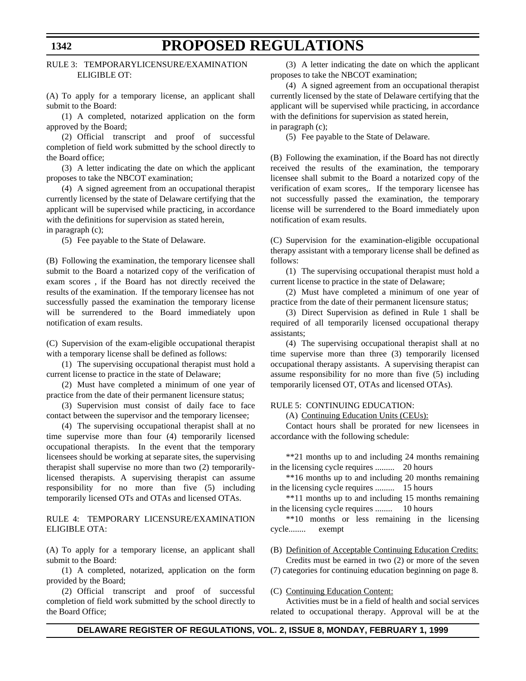### RULE 3: TEMPORARYLICENSURE/EXAMINATION ELIGIBLE OT:

(A) To apply for a temporary license, an applicant shall submit to the Board:

(1) A completed, notarized application on the form approved by the Board;

(2) Official transcript and proof of successful completion of field work submitted by the school directly to the Board office;

(3) A letter indicating the date on which the applicant proposes to take the NBCOT examination;

(4) A signed agreement from an occupational therapist currently licensed by the state of Delaware certifying that the applicant will be supervised while practicing, in accordance with the definitions for supervision as stated herein,

in paragraph (c);

(5) Fee payable to the State of Delaware.

(B) Following the examination, the temporary licensee shall submit to the Board a notarized copy of the verification of exam scores , if the Board has not directly received the results of the examination. If the temporary licensee has not successfully passed the examination the temporary license will be surrendered to the Board immediately upon notification of exam results.

(C) Supervision of the exam-eligible occupational therapist with a temporary license shall be defined as follows:

(1) The supervising occupational therapist must hold a current license to practice in the state of Delaware;

(2) Must have completed a minimum of one year of practice from the date of their permanent licensure status;

(3) Supervision must consist of daily face to face contact between the supervisor and the temporary licensee;

(4) The supervising occupational therapist shall at no time supervise more than four (4) temporarily licensed occupational therapists. In the event that the temporary licensees should be working at separate sites, the supervising therapist shall supervise no more than two (2) temporarilylicensed therapists. A supervising therapist can assume responsibility for no more than five (5) including temporarily licensed OTs and OTAs and licensed OTAs.

### RULE 4: TEMPORARY LICENSURE/EXAMINATION ELIGIBLE OTA:

(A) To apply for a temporary license, an applicant shall submit to the Board:

(1) A completed, notarized, application on the form provided by the Board;

(2) Official transcript and proof of successful completion of field work submitted by the school directly to the Board Office;

(3) A letter indicating the date on which the applicant proposes to take the NBCOT examination;

(4) A signed agreement from an occupational therapist currently licensed by the state of Delaware certifying that the applicant will be supervised while practicing, in accordance with the definitions for supervision as stated herein, in paragraph (c);

(5) Fee payable to the State of Delaware.

(B) Following the examination, if the Board has not directly received the results of the examination, the temporary licensee shall submit to the Board a notarized copy of the verification of exam scores,. If the temporary licensee has not successfully passed the examination, the temporary license will be surrendered to the Board immediately upon notification of exam results.

(C) Supervision for the examination-eligible occupational therapy assistant with a temporary license shall be defined as follows:

(1) The supervising occupational therapist must hold a current license to practice in the state of Delaware;

(2) Must have completed a minimum of one year of practice from the date of their permanent licensure status;

(3) Direct Supervision as defined in Rule 1 shall be required of all temporarily licensed occupational therapy assistants;

(4) The supervising occupational therapist shall at no time supervise more than three (3) temporarily licensed occupational therapy assistants. A supervising therapist can assume responsibility for no more than five (5) including temporarily licensed OT, OTAs and licensed OTAs).

#### RULE 5: CONTINUING EDUCATION:

(A) Continuing Education Units (CEUs):

Contact hours shall be prorated for new licensees in accordance with the following schedule:

\*\*21 months up to and including 24 months remaining in the licensing cycle requires ......... 20 hours

\*\*16 months up to and including 20 months remaining in the licensing cycle requires ......... 15 hours

\*\*11 months up to and including 15 months remaining in the licensing cycle requires ........ 10 hours

\*\*10 months or less remaining in the licensing cycle........ exempt

(B) Definition of Acceptable Continuing Education Credits:

Credits must be earned in two (2) or more of the seven (7) categories for continuing education beginning on page 8.

(C) Continuing Education Content:

Activities must be in a field of health and social services related to occupational therapy. Approval will be at the

### **1342**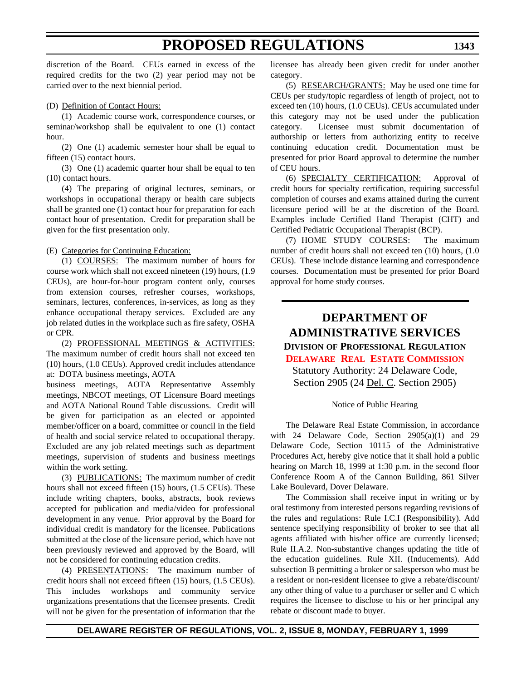discretion of the Board. CEUs earned in excess of the required credits for the two (2) year period may not be carried over to the next biennial period.

#### (D) Definition of Contact Hours:

(1) Academic course work, correspondence courses, or seminar/workshop shall be equivalent to one (1) contact hour.

(2) One (1) academic semester hour shall be equal to fifteen (15) contact hours.

(3) One (1) academic quarter hour shall be equal to ten (10) contact hours.

(4) The preparing of original lectures, seminars, or workshops in occupational therapy or health care subjects shall be granted one (1) contact hour for preparation for each contact hour of presentation. Credit for preparation shall be given for the first presentation only.

(E) Categories for Continuing Education:

(1) COURSES: The maximum number of hours for course work which shall not exceed nineteen (19) hours, (1.9 CEUs), are hour-for-hour program content only, courses from extension courses, refresher courses, workshops, seminars, lectures, conferences, in-services, as long as they enhance occupational therapy services. Excluded are any job related duties in the workplace such as fire safety, OSHA or CPR.

(2) PROFESSIONAL MEETINGS & ACTIVITIES: The maximum number of credit hours shall not exceed ten (10) hours, (1.0 CEUs). Approved credit includes attendance at: DOTA business meetings, AOTA

business meetings, AOTA Representative Assembly meetings, NBCOT meetings, OT Licensure Board meetings and AOTA National Round Table discussions. Credit will be given for participation as an elected or appointed member/officer on a board, committee or council in the field of health and social service related to occupational therapy. Excluded are any job related meetings such as department meetings, supervision of students and business meetings within the work setting.

(3) PUBLICATIONS: The maximum number of credit hours shall not exceed fifteen (15) hours, (1.5 CEUs). These include writing chapters, books, abstracts, book reviews accepted for publication and media/video for professional development in any venue. Prior approval by the Board for individual credit is mandatory for the licensee. Publications submitted at the close of the licensure period, which have not been previously reviewed and approved by the Board, will not be considered for continuing education credits.

(4) PRESENTATIONS: The maximum number of credit hours shall not exceed fifteen (15) hours, (1.5 CEUs). This includes workshops and community service organizations presentations that the licensee presents. Credit will not be given for the presentation of information that the licensee has already been given credit for under another category.

(5) RESEARCH/GRANTS: May be used one time for CEUs per study/topic regardless of length of project, not to exceed ten (10) hours, (1.0 CEUs). CEUs accumulated under this category may not be used under the publication category. Licensee must submit documentation of authorship or letters from authorizing entity to receive continuing education credit. Documentation must be presented for prior Board approval to determine the number of CEU hours.

(6) SPECIALTY CERTIFICATION: Approval of credit hours for specialty certification, requiring successful completion of courses and exams attained during the current licensure period will be at the discretion of the Board. Examples include Certified Hand Therapist (CHT) and Certified Pediatric Occupational Therapist (BCP).

(7) HOME STUDY COURSES: The maximum number of credit hours shall not exceed ten (10) hours, (1.0 CEUs). These include distance learning and correspondence courses. Documentation must be presented for prior Board approval for home study courses.

### **DEPARTMENT OF ADMINISTRATIVE SERVICES**

**DIVISION OF PROFESSIONAL REGULATION [DELAWARE REAL ESTATE COMMISSION](#page-3-1)** Statutory Authority: 24 Delaware Code, Section 2905 (24 Del. C. Section 2905)

### Notice of Public Hearing

The Delaware Real Estate Commission, in accordance with 24 Delaware Code, Section 2905(a)(1) and 29 Delaware Code, Section 10115 of the Administrative Procedures Act, hereby give notice that it shall hold a public hearing on March 18, 1999 at 1:30 p.m. in the second floor Conference Room A of the Cannon Building, 861 Silver Lake Boulevard, Dover Delaware.

The Commission shall receive input in writing or by oral testimony from interested persons regarding revisions of the rules and regulations: Rule I.C.I (Responsibility). Add sentence specifying responsibility of broker to see that all agents affiliated with his/her office are currently licensed; Rule II.A.2. Non-substantive changes updating the title of the education guidelines. Rule XII. (Inducements). Add subsection B permitting a broker or salesperson who must be a resident or non-resident licensee to give a rebate/discount/ any other thing of value to a purchaser or seller and C which requires the licensee to disclose to his or her principal any rebate or discount made to buyer.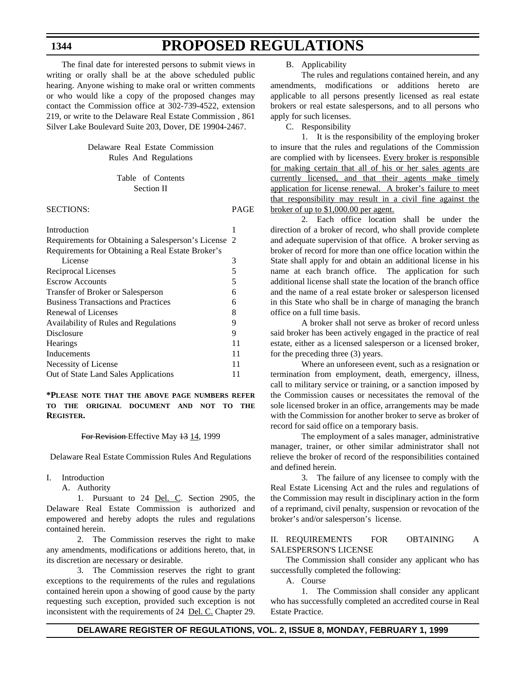The final date for interested persons to submit views in writing or orally shall be at the above scheduled public hearing. Anyone wishing to make oral or written comments or who would like a copy of the proposed changes may contact the Commission office at 302-739-4522, extension 219, or write to the Delaware Real Estate Commission , 861 Silver Lake Boulevard Suite 203, Dover, DE 19904-2467.

### Delaware Real Estate Commission Rules And Regulations

### Table of Contents Section II

SECTIONS: PAGE

| Introduction                                       |    |
|----------------------------------------------------|----|
| Requirements for Obtaining a Salesperson's License | 2  |
| Requirements for Obtaining a Real Estate Broker's  |    |
| License                                            | 3  |
| Reciprocal Licenses                                | 5  |
| <b>Escrow Accounts</b>                             | 5  |
| Transfer of Broker or Salesperson                  | 6  |
| <b>Business Transactions and Practices</b>         | 6  |
| Renewal of Licenses                                | 8  |
| Availability of Rules and Regulations              | 9  |
| Disclosure                                         | 9  |
| <b>Hearings</b>                                    | 11 |
| Inducements                                        | 11 |
| Necessity of License                               | 11 |
| Out of State Land Sales Applications               | 11 |
|                                                    |    |

**\*PLEASE NOTE THAT THE ABOVE PAGE NUMBERS REFER TO THE ORIGINAL DOCUMENT AND NOT TO THE REGISTER.**

#### For Revision-Effective May  $13$  14, 1999

Delaware Real Estate Commission Rules And Regulations

- I. Introduction
	- A. Authority

1. Pursuant to 24 Del. C. Section 2905, the Delaware Real Estate Commission is authorized and empowered and hereby adopts the rules and regulations contained herein.

2. The Commission reserves the right to make any amendments, modifications or additions hereto, that, in its discretion are necessary or desirable.

3. The Commission reserves the right to grant exceptions to the requirements of the rules and regulations contained herein upon a showing of good cause by the party requesting such exception, provided such exception is not inconsistent with the requirements of 24 Del. C. Chapter 29.

B. Applicability

The rules and regulations contained herein, and any amendments, modifications or additions hereto are applicable to all persons presently licensed as real estate brokers or real estate salespersons, and to all persons who apply for such licenses.

C. Responsibility

1. It is the responsibility of the employing broker to insure that the rules and regulations of the Commission are complied with by licensees. Every broker is responsible for making certain that all of his or her sales agents are currently licensed, and that their agents make timely application for license renewal. A broker's failure to meet that responsibility may result in a civil fine against the broker of up to \$1,000.00 per agent.

2. Each office location shall be under the direction of a broker of record, who shall provide complete and adequate supervision of that office. A broker serving as broker of record for more than one office location within the State shall apply for and obtain an additional license in his name at each branch office. The application for such additional license shall state the location of the branch office and the name of a real estate broker or salesperson licensed in this State who shall be in charge of managing the branch office on a full time basis.

A broker shall not serve as broker of record unless said broker has been actively engaged in the practice of real estate, either as a licensed salesperson or a licensed broker, for the preceding three (3) years.

Where an unforeseen event, such as a resignation or termination from employment, death, emergency, illness, call to military service or training, or a sanction imposed by the Commission causes or necessitates the removal of the sole licensed broker in an office, arrangements may be made with the Commission for another broker to serve as broker of record for said office on a temporary basis.

The employment of a sales manager, administrative manager, trainer, or other similar administrator shall not relieve the broker of record of the responsibilities contained and defined herein.

3. The failure of any licensee to comply with the Real Estate Licensing Act and the rules and regulations of the Commission may result in disciplinary action in the form of a reprimand, civil penalty, suspension or revocation of the broker's and/or salesperson's license.

### II. REQUIREMENTS FOR OBTAINING A SALESPERSON'S LICENSE

The Commission shall consider any applicant who has successfully completed the following:

A. Course

1. The Commission shall consider any applicant who has successfully completed an accredited course in Real Estate Practice.

### **1344**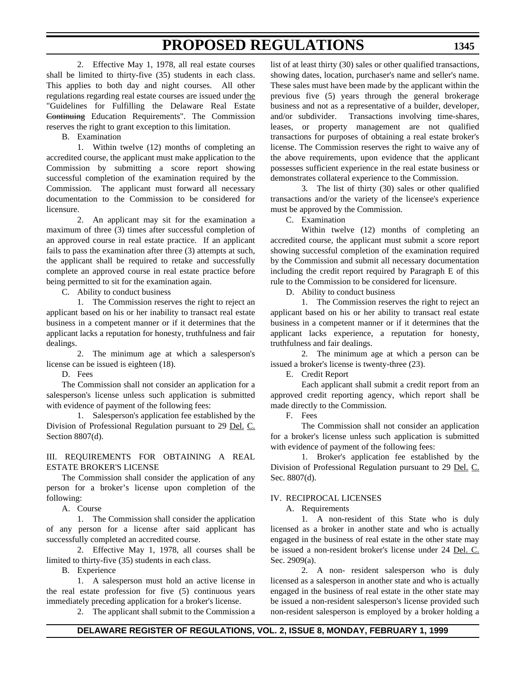2. Effective May 1, 1978, all real estate courses shall be limited to thirty-five (35) students in each class. This applies to both day and night courses. All other regulations regarding real estate courses are issued under the "Guidelines for Fulfilling the Delaware Real Estate Continuing Education Requirements". The Commission reserves the right to grant exception to this limitation.

B. Examination

1. Within twelve (12) months of completing an accredited course, the applicant must make application to the Commission by submitting a score report showing successful completion of the examination required by the Commission. The applicant must forward all necessary documentation to the Commission to be considered for licensure.

2. An applicant may sit for the examination a maximum of three (3) times after successful completion of an approved course in real estate practice. If an applicant fails to pass the examination after three (3) attempts at such, the applicant shall be required to retake and successfully complete an approved course in real estate practice before being permitted to sit for the examination again.

C. Ability to conduct business

1. The Commission reserves the right to reject an applicant based on his or her inability to transact real estate business in a competent manner or if it determines that the applicant lacks a reputation for honesty, truthfulness and fair dealings.

2. The minimum age at which a salesperson's license can be issued is eighteen (18).

D. Fees

The Commission shall not consider an application for a salesperson's license unless such application is submitted with evidence of payment of the following fees:

1. Salesperson's application fee established by the Division of Professional Regulation pursuant to 29 Del. C. Section 8807(d).

III. REQUIREMENTS FOR OBTAINING A REAL ESTATE BROKER'S LICENSE

The Commission shall consider the application of any person for a broker's license upon completion of the following:

A. Course

1. The Commission shall consider the application of any person for a license after said applicant has successfully completed an accredited course.

2. Effective May 1, 1978, all courses shall be limited to thirty-five (35) students in each class.

B. Experience

1. A salesperson must hold an active license in the real estate profession for five (5) continuous years immediately preceding application for a broker's license.

2. The applicant shall submit to the Commission a

list of at least thirty (30) sales or other qualified transactions, showing dates, location, purchaser's name and seller's name. These sales must have been made by the applicant within the previous five (5) years through the general brokerage business and not as a representative of a builder, developer, and/or subdivider. Transactions involving time-shares, leases, or property management are not qualified transactions for purposes of obtaining a real estate broker's license. The Commission reserves the right to waive any of the above requirements, upon evidence that the applicant possesses sufficient experience in the real estate business or demonstrates collateral experience to the Commission.

3. The list of thirty (30) sales or other qualified transactions and/or the variety of the licensee's experience must be approved by the Commission.

C. Examination

Within twelve (12) months of completing an accredited course, the applicant must submit a score report showing successful completion of the examination required by the Commission and submit all necessary documentation including the credit report required by Paragraph E of this rule to the Commission to be considered for licensure.

D. Ability to conduct business

1. The Commission reserves the right to reject an applicant based on his or her ability to transact real estate business in a competent manner or if it determines that the applicant lacks experience, a reputation for honesty, truthfulness and fair dealings.

2. The minimum age at which a person can be issued a broker's license is twenty-three (23).

E. Credit Report

Each applicant shall submit a credit report from an approved credit reporting agency, which report shall be made directly to the Commission.

F. Fees

The Commission shall not consider an application for a broker's license unless such application is submitted with evidence of payment of the following fees:

1. Broker's application fee established by the Division of Professional Regulation pursuant to 29 Del. C. Sec. 8807(d).

### IV. RECIPROCAL LICENSES

A. Requirements

1. A non-resident of this State who is duly licensed as a broker in another state and who is actually engaged in the business of real estate in the other state may be issued a non-resident broker's license under 24 Del. C. Sec. 2909(a).

2. A non- resident salesperson who is duly licensed as a salesperson in another state and who is actually engaged in the business of real estate in the other state may be issued a non-resident salesperson's license provided such non-resident salesperson is employed by a broker holding a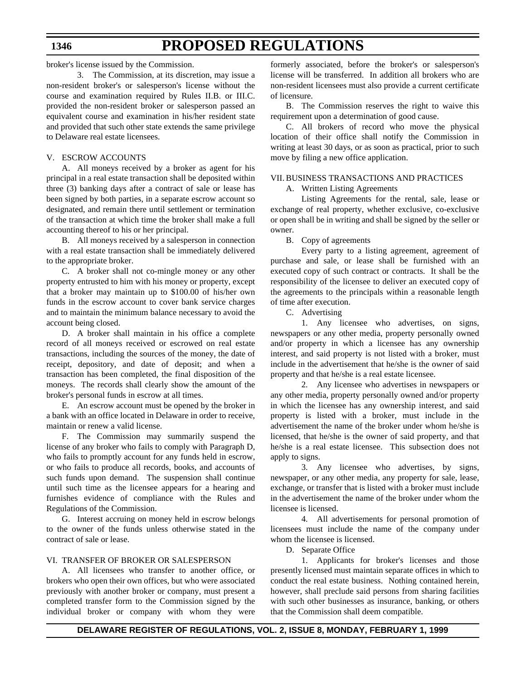broker's license issued by the Commission.

3. The Commission, at its discretion, may issue a non-resident broker's or salesperson's license without the course and examination required by Rules II.B. or III.C. provided the non-resident broker or salesperson passed an equivalent course and examination in his/her resident state and provided that such other state extends the same privilege to Delaware real estate licensees.

### V. ESCROW ACCOUNTS

A. All moneys received by a broker as agent for his principal in a real estate transaction shall be deposited within three (3) banking days after a contract of sale or lease has been signed by both parties, in a separate escrow account so designated, and remain there until settlement or termination of the transaction at which time the broker shall make a full accounting thereof to his or her principal.

B. All moneys received by a salesperson in connection with a real estate transaction shall be immediately delivered to the appropriate broker.

C. A broker shall not co-mingle money or any other property entrusted to him with his money or property, except that a broker may maintain up to \$100.00 of his/her own funds in the escrow account to cover bank service charges and to maintain the minimum balance necessary to avoid the account being closed.

D. A broker shall maintain in his office a complete record of all moneys received or escrowed on real estate transactions, including the sources of the money, the date of receipt, depository, and date of deposit; and when a transaction has been completed, the final disposition of the moneys. The records shall clearly show the amount of the broker's personal funds in escrow at all times.

E. An escrow account must be opened by the broker in a bank with an office located in Delaware in order to receive, maintain or renew a valid license.

F. The Commission may summarily suspend the license of any broker who fails to comply with Paragraph D, who fails to promptly account for any funds held in escrow, or who fails to produce all records, books, and accounts of such funds upon demand. The suspension shall continue until such time as the licensee appears for a hearing and furnishes evidence of compliance with the Rules and Regulations of the Commission.

G. Interest accruing on money held in escrow belongs to the owner of the funds unless otherwise stated in the contract of sale or lease.

### VI. TRANSFER OF BROKER OR SALESPERSON

A. All licensees who transfer to another office, or brokers who open their own offices, but who were associated previously with another broker or company, must present a completed transfer form to the Commission signed by the individual broker or company with whom they were formerly associated, before the broker's or salesperson's license will be transferred. In addition all brokers who are non-resident licensees must also provide a current certificate of licensure.

B. The Commission reserves the right to waive this requirement upon a determination of good cause.

C. All brokers of record who move the physical location of their office shall notify the Commission in writing at least 30 days, or as soon as practical, prior to such move by filing a new office application.

### VII. BUSINESS TRANSACTIONS AND PRACTICES

A. Written Listing Agreements

Listing Agreements for the rental, sale, lease or exchange of real property, whether exclusive, co-exclusive or open shall be in writing and shall be signed by the seller or owner.

B. Copy of agreements

Every party to a listing agreement, agreement of purchase and sale, or lease shall be furnished with an executed copy of such contract or contracts. It shall be the responsibility of the licensee to deliver an executed copy of the agreements to the principals within a reasonable length of time after execution.

C. Advertising

1. Any licensee who advertises, on signs, newspapers or any other media, property personally owned and/or property in which a licensee has any ownership interest, and said property is not listed with a broker, must include in the advertisement that he/she is the owner of said property and that he/she is a real estate licensee.

2. Any licensee who advertises in newspapers or any other media, property personally owned and/or property in which the licensee has any ownership interest, and said property is listed with a broker, must include in the advertisement the name of the broker under whom he/she is licensed, that he/she is the owner of said property, and that he/she is a real estate licensee. This subsection does not apply to signs.

3. Any licensee who advertises, by signs, newspaper, or any other media, any property for sale, lease, exchange, or transfer that is listed with a broker must include in the advertisement the name of the broker under whom the licensee is licensed.

4. All advertisements for personal promotion of licensees must include the name of the company under whom the licensee is licensed.

D. Separate Office

1. Applicants for broker's licenses and those presently licensed must maintain separate offices in which to conduct the real estate business. Nothing contained herein, however, shall preclude said persons from sharing facilities with such other businesses as insurance, banking, or others that the Commission shall deem compatible.

### **1346**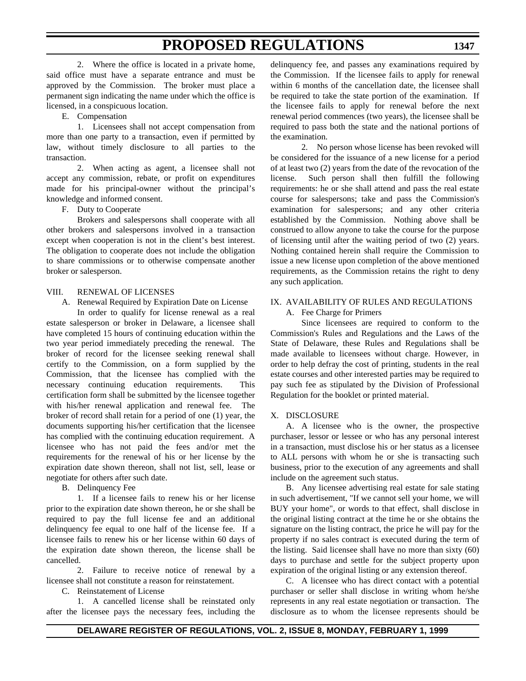2. Where the office is located in a private home, said office must have a separate entrance and must be approved by the Commission. The broker must place a permanent sign indicating the name under which the office is licensed, in a conspicuous location.

E. Compensation

1. Licensees shall not accept compensation from more than one party to a transaction, even if permitted by law, without timely disclosure to all parties to the transaction.

2. When acting as agent, a licensee shall not accept any commission, rebate, or profit on expenditures made for his principal-owner without the principal's knowledge and informed consent.

F. Duty to Cooperate

Brokers and salespersons shall cooperate with all other brokers and salespersons involved in a transaction except when cooperation is not in the client's best interest. The obligation to cooperate does not include the obligation to share commissions or to otherwise compensate another broker or salesperson.

### VIII. RENEWAL OF LICENSES

A. Renewal Required by Expiration Date on License

In order to qualify for license renewal as a real estate salesperson or broker in Delaware, a licensee shall have completed 15 hours of continuing education within the two year period immediately preceding the renewal. The broker of record for the licensee seeking renewal shall certify to the Commission, on a form supplied by the Commission, that the licensee has complied with the necessary continuing education requirements. This certification form shall be submitted by the licensee together with his/her renewal application and renewal fee. The broker of record shall retain for a period of one (1) year, the documents supporting his/her certification that the licensee has complied with the continuing education requirement. A licensee who has not paid the fees and/or met the requirements for the renewal of his or her license by the expiration date shown thereon, shall not list, sell, lease or negotiate for others after such date.

B. Delinquency Fee

1. If a licensee fails to renew his or her license prior to the expiration date shown thereon, he or she shall be required to pay the full license fee and an additional delinquency fee equal to one half of the license fee. If a licensee fails to renew his or her license within 60 days of the expiration date shown thereon, the license shall be cancelled.

2. Failure to receive notice of renewal by a licensee shall not constitute a reason for reinstatement.

C. Reinstatement of License

1. A cancelled license shall be reinstated only after the licensee pays the necessary fees, including the delinquency fee, and passes any examinations required by the Commission. If the licensee fails to apply for renewal within 6 months of the cancellation date, the licensee shall be required to take the state portion of the examination. If the licensee fails to apply for renewal before the next renewal period commences (two years), the licensee shall be required to pass both the state and the national portions of the examination.

2. No person whose license has been revoked will be considered for the issuance of a new license for a period of at least two (2) years from the date of the revocation of the license. Such person shall then fulfill the following requirements: he or she shall attend and pass the real estate course for salespersons; take and pass the Commission's examination for salespersons; and any other criteria established by the Commission. Nothing above shall be construed to allow anyone to take the course for the purpose of licensing until after the waiting period of two (2) years. Nothing contained herein shall require the Commission to issue a new license upon completion of the above mentioned requirements, as the Commission retains the right to deny any such application.

### IX. AVAILABILITY OF RULES AND REGULATIONS A. Fee Charge for Primers

Since licensees are required to conform to the Commission's Rules and Regulations and the Laws of the State of Delaware, these Rules and Regulations shall be made available to licensees without charge. However, in order to help defray the cost of printing, students in the real estate courses and other interested parties may be required to pay such fee as stipulated by the Division of Professional Regulation for the booklet or printed material.

### X. DISCLOSURE

A. A licensee who is the owner, the prospective purchaser, lessor or lessee or who has any personal interest in a transaction, must disclose his or her status as a licensee to ALL persons with whom he or she is transacting such business, prior to the execution of any agreements and shall include on the agreement such status.

B. Any licensee advertising real estate for sale stating in such advertisement, "If we cannot sell your home, we will BUY your home", or words to that effect, shall disclose in the original listing contract at the time he or she obtains the signature on the listing contract, the price he will pay for the property if no sales contract is executed during the term of the listing. Said licensee shall have no more than sixty (60) days to purchase and settle for the subject property upon expiration of the original listing or any extension thereof.

C. A licensee who has direct contact with a potential purchaser or seller shall disclose in writing whom he/she represents in any real estate negotiation or transaction. The disclosure as to whom the licensee represents should be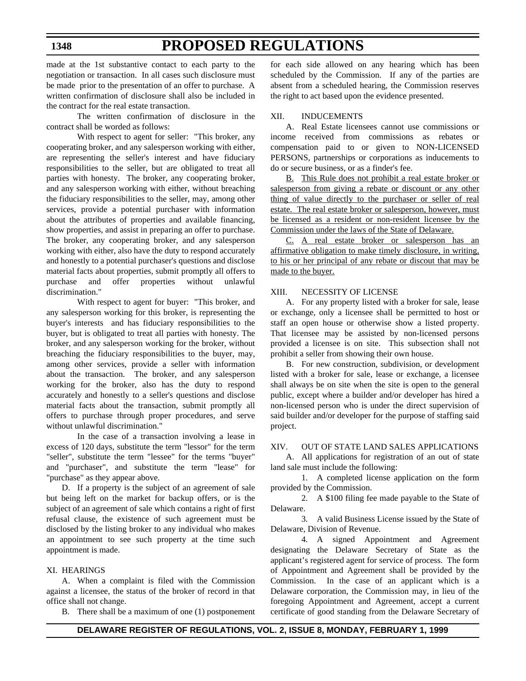### made at the 1st substantive contact to each party to the negotiation or transaction. In all cases such disclosure must be made prior to the presentation of an offer to purchase. A written confirmation of disclosure shall also be included in the contract for the real estate transaction.

The written confirmation of disclosure in the contract shall be worded as follows:

With respect to agent for seller: "This broker, any cooperating broker, and any salesperson working with either, are representing the seller's interest and have fiduciary responsibilities to the seller, but are obligated to treat all parties with honesty. The broker, any cooperating broker, and any salesperson working with either, without breaching the fiduciary responsibilities to the seller, may, among other services, provide a potential purchaser with information about the attributes of properties and available financing, show properties, and assist in preparing an offer to purchase. The broker, any cooperating broker, and any salesperson working with either, also have the duty to respond accurately and honestly to a potential purchaser's questions and disclose material facts about properties, submit promptly all offers to purchase and offer properties without unlawful discrimination."

With respect to agent for buyer: "This broker, and any salesperson working for this broker, is representing the buyer's interests and has fiduciary responsibilities to the buyer, but is obligated to treat all parties with honesty. The broker, and any salesperson working for the broker, without breaching the fiduciary responsibilities to the buyer, may, among other services, provide a seller with information about the transaction. The broker, and any salesperson working for the broker, also has the duty to respond accurately and honestly to a seller's questions and disclose material facts about the transaction, submit promptly all offers to purchase through proper procedures, and serve without unlawful discrimination."

In the case of a transaction involving a lease in excess of 120 days, substitute the term "lessor" for the term "seller", substitute the term "lessee" for the terms "buyer" and "purchaser", and substitute the term "lease" for "purchase" as they appear above.

D. If a property is the subject of an agreement of sale but being left on the market for backup offers, or is the subject of an agreement of sale which contains a right of first refusal clause, the existence of such agreement must be disclosed by the listing broker to any individual who makes an appointment to see such property at the time such appointment is made.

### XI. HEARINGS

A. When a complaint is filed with the Commission against a licensee, the status of the broker of record in that office shall not change.

B. There shall be a maximum of one (1) postponement

for each side allowed on any hearing which has been scheduled by the Commission. If any of the parties are absent from a scheduled hearing, the Commission reserves the right to act based upon the evidence presented.

### XII. INDUCEMENTS

A. Real Estate licensees cannot use commissions or income received from commissions as rebates or compensation paid to or given to NON-LICENSED PERSONS, partnerships or corporations as inducements to do or secure business, or as a finder's fee.

B. This Rule does not prohibit a real estate broker or salesperson from giving a rebate or discount or any other thing of value directly to the purchaser or seller of real estate. The real estate broker or salesperson, however, must be licensed as a resident or non-resident licensee by the Commission under the laws of the State of Delaware.

C. A real estate broker or salesperson has an affirmative obligation to make timely disclosure, in writing, to his or her principal of any rebate or discout that may be made to the buyer.

#### XIII. NECESSITY OF LICENSE

A. For any property listed with a broker for sale, lease or exchange, only a licensee shall be permitted to host or staff an open house or otherwise show a listed property. That licensee may be assisted by non-licensed persons provided a licensee is on site. This subsection shall not prohibit a seller from showing their own house.

B. For new construction, subdivision, or development listed with a broker for sale, lease or exchange, a licensee shall always be on site when the site is open to the general public, except where a builder and/or developer has hired a non-licensed person who is under the direct supervision of said builder and/or developer for the purpose of staffing said project.

### XIV. OUT OF STATE LAND SALES APPLICATIONS

A. All applications for registration of an out of state land sale must include the following:

1. A completed license application on the form provided by the Commission.

2. A \$100 filing fee made payable to the State of Delaware.

3. A valid Business License issued by the State of Delaware, Division of Revenue.

4. A signed Appointment and Agreement designating the Delaware Secretary of State as the applicant's registered agent for service of process. The form of Appointment and Agreement shall be provided by the Commission. In the case of an applicant which is a Delaware corporation, the Commission may, in lieu of the foregoing Appointment and Agreement, accept a current certificate of good standing from the Delaware Secretary of

### **1348**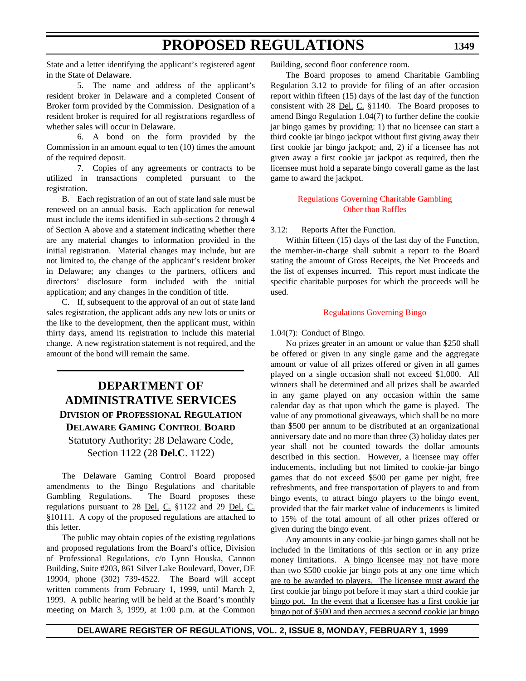**1349**

State and a letter identifying the applicant's registered agent in the State of Delaware.

5. The name and address of the applicant's resident broker in Delaware and a completed Consent of Broker form provided by the Commission. Designation of a resident broker is required for all registrations regardless of whether sales will occur in Delaware.

6. A bond on the form provided by the Commission in an amount equal to ten (10) times the amount of the required deposit.

7. Copies of any agreements or contracts to be utilized in transactions completed pursuant to the registration.

B. Each registration of an out of state land sale must be renewed on an annual basis. Each application for renewal must include the items identified in sub-sections 2 through 4 of Section A above and a statement indicating whether there are any material changes to information provided in the initial registration. Material changes may include, but are not limited to, the change of the applicant's resident broker in Delaware; any changes to the partners, officers and directors' disclosure form included with the initial application; and any changes in the condition of title.

C. If, subsequent to the approval of an out of state land sales registration, the applicant adds any new lots or units or the like to the development, then the applicant must, within thirty days, amend its registration to include this material change. A new registration statement is not required, and the amount of the bond will remain the same.

### **DEPARTMENT OF ADMINISTRATIVE SERVICES DIVISION OF PROFESSIONAL REGULATION DELAWARE GAMING CONTROL BOARD** Statutory Authority: 28 Delaware Code, Section 1122 (28 **Del.C**. 1122)

The Delaware Gaming Control Board proposed amendments to the Bingo Regulations and charitable Gambling Regulations. The Board proposes these regulations pursuant to 28 Del. C. §1122 and 29 Del. C. §10111. A copy of the proposed regulations are attached to this letter.

The public may obtain copies of the existing regulations and proposed regulations from the Board's office, Division of Professional Regulations, c/o Lynn Houska, Cannon Building, Suite #203, 861 Silver Lake Boulevard, Dover, DE 19904, phone (302) 739-4522. The Board will accept written comments from February 1, 1999, until March 2, 1999. A public hearing will be held at the Board's monthly meeting on March 3, 1999, at 1:00 p.m. at the Common Building, second floor conference room.

The Board proposes to amend Charitable Gambling Regulation 3.12 to provide for filing of an after occasion report within fifteen (15) days of the last day of the function consistent with 28 Del. C. §1140. The Board proposes to amend Bingo Regulation 1.04(7) to further define the cookie jar bingo games by providing: 1) that no licensee can start a third cookie jar bingo jackpot without first giving away their first cookie jar bingo jackpot; and, 2) if a licensee has not given away a first cookie jar jackpot as required, then the licensee must hold a separate bingo coverall game as the last game to award the jackpot.

### [Regulations Governing Charitable Gambling](#page-3-1) Other than Raffles

3.12: Reports After the Function.

Within fifteen (15) days of the last day of the Function, the member-in-charge shall submit a report to the Board stating the amount of Gross Receipts, the Net Proceeds and the list of expenses incurred. This report must indicate the specific charitable purposes for which the proceeds will be used.

### [Regulations Governing Bingo](#page-3-1)

### 1.04(7): Conduct of Bingo.

No prizes greater in an amount or value than \$250 shall be offered or given in any single game and the aggregate amount or value of all prizes offered or given in all games played on a single occasion shall not exceed \$1,000. All winners shall be determined and all prizes shall be awarded in any game played on any occasion within the same calendar day as that upon which the game is played. The value of any promotional giveaways, which shall be no more than \$500 per annum to be distributed at an organizational anniversary date and no more than three (3) holiday dates per year shall not be counted towards the dollar amounts described in this section. However, a licensee may offer inducements, including but not limited to cookie-jar bingo games that do not exceed \$500 per game per night, free refreshments, and free transportation of players to and from bingo events, to attract bingo players to the bingo event, provided that the fair market value of inducements is limited to 15% of the total amount of all other prizes offered or given during the bingo event.

Any amounts in any cookie-jar bingo games shall not be included in the limitations of this section or in any prize money limitations. A bingo licensee may not have more than two \$500 cookie jar bingo pots at any one time which are to be awarded to players. The licensee must award the first cookie jar bingo pot before it may start a third cookie jar bingo pot. In the event that a licensee has a first cookie jar bingo pot of \$500 and then accrues a second cookie jar bingo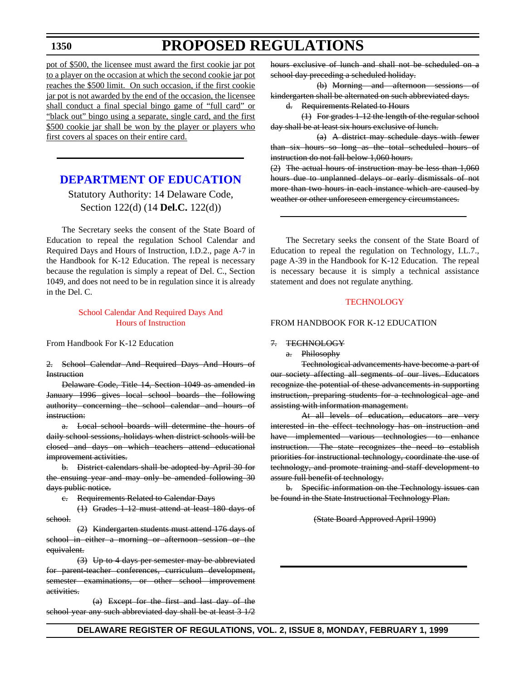### **PROPOSED REGULATIONS**

pot of \$500, the licensee must award the first cookie jar pot to a player on the occasion at which the second cookie jar pot reaches the \$500 limit. On such occasion, if the first cookie jar pot is not awarded by the end of the occasion, the licensee shall conduct a final special bingo game of "full card" or "black out" bingo using a separate, single card, and the first \$500 cookie jar shall be won by the player or players who first covers al spaces on their entire card.

### **[DEPARTMENT OF EDUCATION](http://www.doe.state.de.us/index_js.htm)**

Statutory Authority: 14 Delaware Code, Section 122(d) (14 **Del.C.** 122(d))

The Secretary seeks the consent of the State Board of Education to repeal the regulation School Calendar and Required Days and Hours of Instruction, I.D.2., page A-7 in the Handbook for K-12 Education. The repeal is necessary because the regulation is simply a repeat of Del. C., Section 1049, and does not need to be in regulation since it is already in the Del. C.

### [School Calendar And Required Days And](#page-3-2) Hours of Instruction

From Handbook For K-12 Education

2. School Calendar And Required Days And Hours of **Instruction** 

Delaware Code, Title 14, Section 1049 as amended in January 1996 gives local school boards the following authority concerning the school calendar and hours of instruction:

a. Local school boards will determine the hours of daily school sessions, holidays when district schools will be closed and days on which teachers attend educational improvement activities.

b. District calendars shall be adopted by April 30 for the ensuing year and may only be amended following 30 days public notice.

c. Requirements Related to Calendar Days

(1) Grades 1-12 must attend at least 180 days of school.

(2) Kindergarten students must attend 176 days of school in either a morning or afternoon session or the equivalent.

(3) Up to 4 days per semester may be abbreviated for parent-teacher conferences, curriculum development, semester examinations, or other school improvement activities.

(a) Except for the first and last day of the school year any such abbreviated day shall be at least  $3\frac{1}{2}$  hours exclusive of lunch and shall not be scheduled on a school day preceding a scheduled holiday.

(b) Morning and afternoon sessions of kindergarten shall be alternated on such abbreviated days.

d. Requirements Related to Hours

(1) For grades 1-12 the length of the regular school day shall be at least six hours exclusive of lunch.

(a) A district may schedule days with fewer than six hours so long as the total scheduled hours of instruction do not fall below 1,060 hours.

(2) The actual hours of instruction may be less than 1,060 hours due to unplanned delays or early dismissals of not more than two hours in each instance which are caused by weather or other unforeseen emergency circumstances.

The Secretary seeks the consent of the State Board of Education to repeal the regulation on Technology, I.L.7., page A-39 in the Handbook for K-12 Education. The repeal is necessary because it is simply a technical assistance statement and does not regulate anything.

### **[TECHNOLOGY](#page-3-2)**

#### FROM HANDBOOK FOR K-12 EDUCATION

### 7. TECHNOLOGY

a. Philosophy

Technological advancements have become a part of our society affecting all segments of our lives. Educators recognize the potential of these advancements in supporting instruction, preparing students for a technological age and assisting with information management.

At all levels of education, educators are very interested in the effect technology has on instruction and have implemented various technologies to enhance instruction. The state recognizes the need to establish priorities for instructional technology, coordinate the use of technology, and promote training and staff development to assure full benefit of technology.

b. Specific information on the Technology issues can be found in the State Instructional Technology Plan.

#### (State Board Approved April 1990)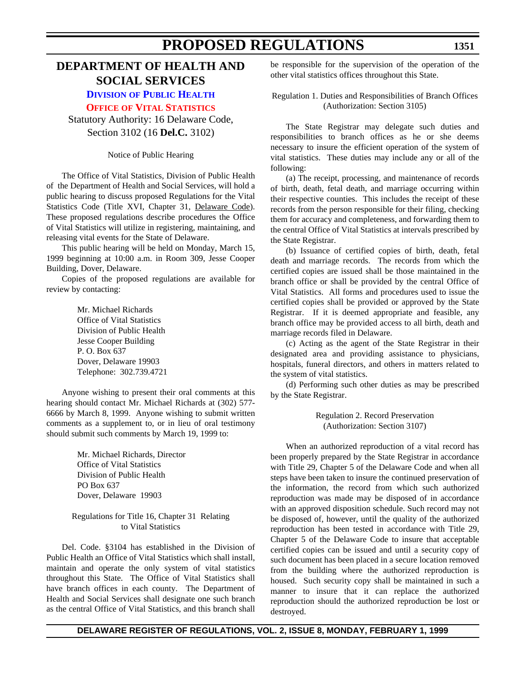### **DIVISION [OF PUBLIC HEALTH](http://www.state.de.us/govern/agencies/dhss/irm/dph/dphhome.htm)**

**OFFICE OF [VITAL STATISTICS](#page-3-2)**

Statutory Authority: 16 Delaware Code, Section 3102 (16 **Del.C.** 3102)

Notice of Public Hearing

The Office of Vital Statistics, Division of Public Health of the Department of Health and Social Services, will hold a public hearing to discuss proposed Regulations for the Vital Statistics Code (Title XVI, Chapter 31, Delaware Code). These proposed regulations describe procedures the Office of Vital Statistics will utilize in registering, maintaining, and releasing vital events for the State of Delaware.

This public hearing will be held on Monday, March 15, 1999 beginning at 10:00 a.m. in Room 309, Jesse Cooper Building, Dover, Delaware.

Copies of the proposed regulations are available for review by contacting:

> Mr. Michael Richards Office of Vital Statistics Division of Public Health Jesse Cooper Building P. O. Box 637 Dover, Delaware 19903 Telephone: 302.739.4721

Anyone wishing to present their oral comments at this hearing should contact Mr. Michael Richards at (302) 577- 6666 by March 8, 1999. Anyone wishing to submit written comments as a supplement to, or in lieu of oral testimony should submit such comments by March 19, 1999 to:

> Mr. Michael Richards, Director Office of Vital Statistics Division of Public Health PO Box 637 Dover, Delaware 19903

### Regulations for Title 16, Chapter 31 Relating to Vital Statistics

Del. Code. §3104 has established in the Division of Public Health an Office of Vital Statistics which shall install, maintain and operate the only system of vital statistics throughout this State. The Office of Vital Statistics shall have branch offices in each county. The Department of Health and Social Services shall designate one such branch as the central Office of Vital Statistics, and this branch shall

be responsible for the supervision of the operation of the other vital statistics offices throughout this State.

Regulation 1. Duties and Responsibilities of Branch Offices (Authorization: Section 3105)

The State Registrar may delegate such duties and responsibilities to branch offices as he or she deems necessary to insure the efficient operation of the system of vital statistics. These duties may include any or all of the following:

(a) The receipt, processing, and maintenance of records of birth, death, fetal death, and marriage occurring within their respective counties. This includes the receipt of these records from the person responsible for their filing, checking them for accuracy and completeness, and forwarding them to the central Office of Vital Statistics at intervals prescribed by the State Registrar.

(b) Issuance of certified copies of birth, death, fetal death and marriage records. The records from which the certified copies are issued shall be those maintained in the branch office or shall be provided by the central Office of Vital Statistics. All forms and procedures used to issue the certified copies shall be provided or approved by the State Registrar. If it is deemed appropriate and feasible, any branch office may be provided access to all birth, death and marriage records filed in Delaware.

(c) Acting as the agent of the State Registrar in their designated area and providing assistance to physicians, hospitals, funeral directors, and others in matters related to the system of vital statistics.

(d) Performing such other duties as may be prescribed by the State Registrar.

> Regulation 2. Record Preservation (Authorization: Section 3107)

When an authorized reproduction of a vital record has been properly prepared by the State Registrar in accordance with Title 29, Chapter 5 of the Delaware Code and when all steps have been taken to insure the continued preservation of the information, the record from which such authorized reproduction was made may be disposed of in accordance with an approved disposition schedule. Such record may not be disposed of, however, until the quality of the authorized reproduction has been tested in accordance with Title 29, Chapter 5 of the Delaware Code to insure that acceptable certified copies can be issued and until a security copy of such document has been placed in a secure location removed from the building where the authorized reproduction is housed. Such security copy shall be maintained in such a manner to insure that it can replace the authorized reproduction should the authorized reproduction be lost or destroyed.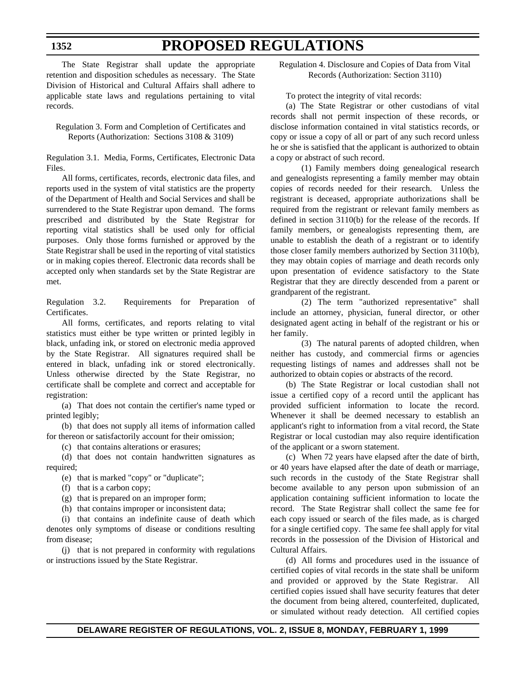The State Registrar shall update the appropriate retention and disposition schedules as necessary. The State Division of Historical and Cultural Affairs shall adhere to applicable state laws and regulations pertaining to vital records.

Regulation 3. Form and Completion of Certificates and Reports (Authorization: Sections 3108 & 3109)

Regulation 3.1. Media, Forms, Certificates, Electronic Data Files.

All forms, certificates, records, electronic data files, and reports used in the system of vital statistics are the property of the Department of Health and Social Services and shall be surrendered to the State Registrar upon demand. The forms prescribed and distributed by the State Registrar for reporting vital statistics shall be used only for official purposes. Only those forms furnished or approved by the State Registrar shall be used in the reporting of vital statistics or in making copies thereof. Electronic data records shall be accepted only when standards set by the State Registrar are met.

Regulation 3.2. Requirements for Preparation of Certificates.

All forms, certificates, and reports relating to vital statistics must either be type written or printed legibly in black, unfading ink, or stored on electronic media approved by the State Registrar. All signatures required shall be entered in black, unfading ink or stored electronically. Unless otherwise directed by the State Registrar, no certificate shall be complete and correct and acceptable for registration:

(a) That does not contain the certifier's name typed or printed legibly;

(b) that does not supply all items of information called for thereon or satisfactorily account for their omission;

(c) that contains alterations or erasures;

(d) that does not contain handwritten signatures as required;

- (e) that is marked "copy" or "duplicate";
- (f) that is a carbon copy;
- (g) that is prepared on an improper form;

(h) that contains improper or inconsistent data;

(i) that contains an indefinite cause of death which denotes only symptoms of disease or conditions resulting from disease;

(j) that is not prepared in conformity with regulations or instructions issued by the State Registrar.

Regulation 4. Disclosure and Copies of Data from Vital Records (Authorization: Section 3110)

To protect the integrity of vital records:

(a) The State Registrar or other custodians of vital records shall not permit inspection of these records, or disclose information contained in vital statistics records, or copy or issue a copy of all or part of any such record unless he or she is satisfied that the applicant is authorized to obtain a copy or abstract of such record.

(1) Family members doing genealogical research and genealogists representing a family member may obtain copies of records needed for their research. Unless the registrant is deceased, appropriate authorizations shall be required from the registrant or relevant family members as defined in section 3110(b) for the release of the records. If family members, or genealogists representing them, are unable to establish the death of a registrant or to identify those closer family members authorized by Section 3110(b), they may obtain copies of marriage and death records only upon presentation of evidence satisfactory to the State Registrar that they are directly descended from a parent or grandparent of the registrant.

(2) The term "authorized representative" shall include an attorney, physician, funeral director, or other designated agent acting in behalf of the registrant or his or her family.

(3) The natural parents of adopted children, when neither has custody, and commercial firms or agencies requesting listings of names and addresses shall not be authorized to obtain copies or abstracts of the record.

(b) The State Registrar or local custodian shall not issue a certified copy of a record until the applicant has provided sufficient information to locate the record. Whenever it shall be deemed necessary to establish an applicant's right to information from a vital record, the State Registrar or local custodian may also require identification of the applicant or a sworn statement.

(c) When 72 years have elapsed after the date of birth, or 40 years have elapsed after the date of death or marriage, such records in the custody of the State Registrar shall become available to any person upon submission of an application containing sufficient information to locate the record. The State Registrar shall collect the same fee for each copy issued or search of the files made, as is charged for a single certified copy. The same fee shall apply for vital records in the possession of the Division of Historical and Cultural Affairs.

(d) All forms and procedures used in the issuance of certified copies of vital records in the state shall be uniform and provided or approved by the State Registrar. All certified copies issued shall have security features that deter the document from being altered, counterfeited, duplicated, or simulated without ready detection. All certified copies

**1352**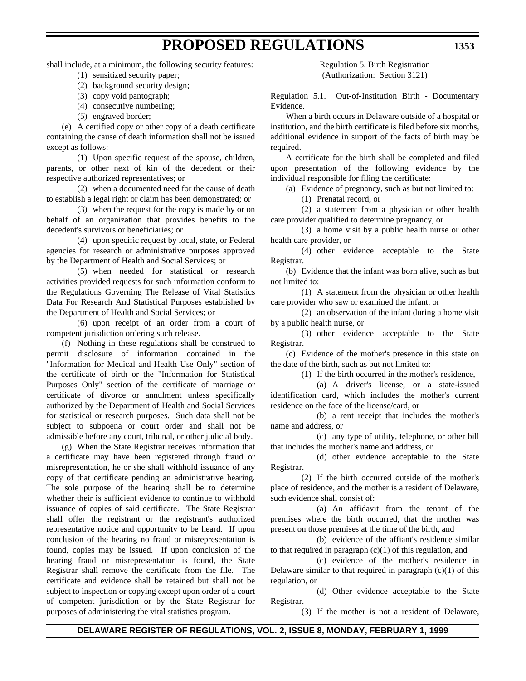shall include, at a minimum, the following security features:

- (1) sensitized security paper;
- (2) background security design;
- (3) copy void pantograph;
- (4) consecutive numbering;
- (5) engraved border;

(e) A certified copy or other copy of a death certificate containing the cause of death information shall not be issued except as follows:

(1) Upon specific request of the spouse, children, parents, or other next of kin of the decedent or their respective authorized representatives; or

(2) when a documented need for the cause of death to establish a legal right or claim has been demonstrated; or

(3) when the request for the copy is made by or on behalf of an organization that provides benefits to the decedent's survivors or beneficiaries; or

(4) upon specific request by local, state, or Federal agencies for research or administrative purposes approved by the Department of Health and Social Services; or

(5) when needed for statistical or research activities provided requests for such information conform to the Regulations Governing The Release of Vital Statistics Data For Research And Statistical Purposes established by the Department of Health and Social Services; or

(6) upon receipt of an order from a court of competent jurisdiction ordering such release.

(f) Nothing in these regulations shall be construed to permit disclosure of information contained in the "Information for Medical and Health Use Only" section of the certificate of birth or the "Information for Statistical Purposes Only" section of the certificate of marriage or certificate of divorce or annulment unless specifically authorized by the Department of Health and Social Services for statistical or research purposes. Such data shall not be subject to subpoena or court order and shall not be admissible before any court, tribunal, or other judicial body.

(g) When the State Registrar receives information that a certificate may have been registered through fraud or misrepresentation, he or she shall withhold issuance of any copy of that certificate pending an administrative hearing. The sole purpose of the hearing shall be to determine whether their is sufficient evidence to continue to withhold issuance of copies of said certificate. The State Registrar shall offer the registrant or the registrant's authorized representative notice and opportunity to be heard. If upon conclusion of the hearing no fraud or misrepresentation is found, copies may be issued. If upon conclusion of the hearing fraud or misrepresentation is found, the State Registrar shall remove the certificate from the file. The certificate and evidence shall be retained but shall not be subject to inspection or copying except upon order of a court of competent jurisdiction or by the State Registrar for purposes of administering the vital statistics program.

Regulation 5. Birth Registration (Authorization: Section 3121)

Regulation 5.1. Out-of-Institution Birth - Documentary Evidence.

When a birth occurs in Delaware outside of a hospital or institution, and the birth certificate is filed before six months, additional evidence in support of the facts of birth may be required.

A certificate for the birth shall be completed and filed upon presentation of the following evidence by the individual responsible for filing the certificate:

(a) Evidence of pregnancy, such as but not limited to:

(1) Prenatal record, or

(2) a statement from a physician or other health care provider qualified to determine pregnancy, or

(3) a home visit by a public health nurse or other health care provider, or

(4) other evidence acceptable to the State Registrar.

(b) Evidence that the infant was born alive, such as but not limited to:

(1) A statement from the physician or other health care provider who saw or examined the infant, or

(2) an observation of the infant during a home visit by a public health nurse, or

(3) other evidence acceptable to the State Registrar.

(c) Evidence of the mother's presence in this state on the date of the birth, such as but not limited to:

(1) If the birth occurred in the mother's residence,

(a) A driver's license, or a state-issued identification card, which includes the mother's current residence on the face of the license/card, or

(b) a rent receipt that includes the mother's name and address, or

(c) any type of utility, telephone, or other bill that includes the mother's name and address, or

(d) other evidence acceptable to the State Registrar.

(2) If the birth occurred outside of the mother's place of residence, and the mother is a resident of Delaware, such evidence shall consist of:

(a) An affidavit from the tenant of the premises where the birth occurred, that the mother was present on those premises at the time of the birth, and

(b) evidence of the affiant's residence similar to that required in paragraph  $(c)(1)$  of this regulation, and

(c) evidence of the mother's residence in Delaware similar to that required in paragraph  $(c)(1)$  of this regulation, or

(d) Other evidence acceptable to the State Registrar.

(3) If the mother is not a resident of Delaware,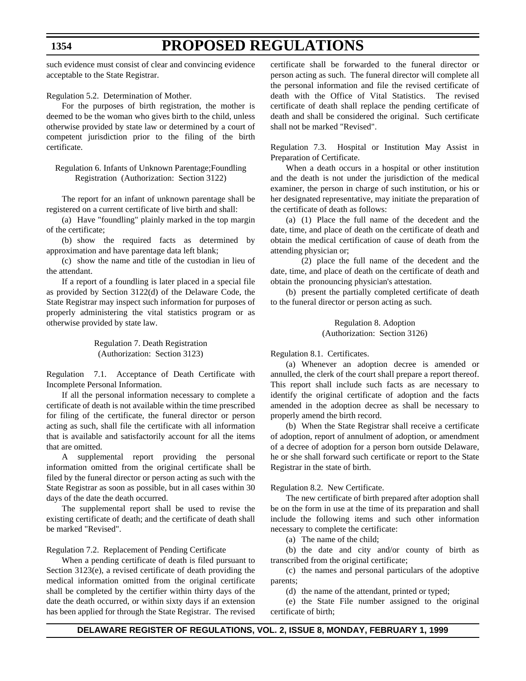# **PROPOSED REGULATIONS**

such evidence must consist of clear and convincing evidence acceptable to the State Registrar.

Regulation 5.2. Determination of Mother.

For the purposes of birth registration, the mother is deemed to be the woman who gives birth to the child, unless otherwise provided by state law or determined by a court of competent jurisdiction prior to the filing of the birth certificate.

Regulation 6. Infants of Unknown Parentage;Foundling Registration (Authorization: Section 3122)

The report for an infant of unknown parentage shall be registered on a current certificate of live birth and shall:

(a) Have "foundling" plainly marked in the top margin of the certificate;

(b) show the required facts as determined by approximation and have parentage data left blank;

(c) show the name and title of the custodian in lieu of the attendant.

If a report of a foundling is later placed in a special file as provided by Section 3122(d) of the Delaware Code, the State Registrar may inspect such information for purposes of properly administering the vital statistics program or as otherwise provided by state law.

> Regulation 7. Death Registration (Authorization: Section 3123)

Regulation 7.1. Acceptance of Death Certificate with Incomplete Personal Information.

If all the personal information necessary to complete a certificate of death is not available within the time prescribed for filing of the certificate, the funeral director or person acting as such, shall file the certificate with all information that is available and satisfactorily account for all the items that are omitted.

A supplemental report providing the personal information omitted from the original certificate shall be filed by the funeral director or person acting as such with the State Registrar as soon as possible, but in all cases within 30 days of the date the death occurred.

The supplemental report shall be used to revise the existing certificate of death; and the certificate of death shall be marked "Revised".

Regulation 7.2. Replacement of Pending Certificate

When a pending certificate of death is filed pursuant to Section 3123(e), a revised certificate of death providing the medical information omitted from the original certificate shall be completed by the certifier within thirty days of the date the death occurred, or within sixty days if an extension has been applied for through the State Registrar. The revised certificate shall be forwarded to the funeral director or person acting as such. The funeral director will complete all the personal information and file the revised certificate of death with the Office of Vital Statistics. The revised certificate of death shall replace the pending certificate of death and shall be considered the original. Such certificate shall not be marked "Revised".

Regulation 7.3. Hospital or Institution May Assist in Preparation of Certificate.

When a death occurs in a hospital or other institution and the death is not under the jurisdiction of the medical examiner, the person in charge of such institution, or his or her designated representative, may initiate the preparation of the certificate of death as follows:

(a) (1) Place the full name of the decedent and the date, time, and place of death on the certificate of death and obtain the medical certification of cause of death from the attending physician or;

(2) place the full name of the decedent and the date, time, and place of death on the certificate of death and obtain the pronouncing physician's attestation.

(b) present the partially completed certificate of death to the funeral director or person acting as such.

> Regulation 8. Adoption (Authorization: Section 3126)

Regulation 8.1. Certificates.

(a) Whenever an adoption decree is amended or annulled, the clerk of the court shall prepare a report thereof. This report shall include such facts as are necessary to identify the original certificate of adoption and the facts amended in the adoption decree as shall be necessary to properly amend the birth record.

(b) When the State Registrar shall receive a certificate of adoption, report of annulment of adoption, or amendment of a decree of adoption for a person born outside Delaware, he or she shall forward such certificate or report to the State Registrar in the state of birth.

Regulation 8.2. New Certificate.

The new certificate of birth prepared after adoption shall be on the form in use at the time of its preparation and shall include the following items and such other information necessary to complete the certificate:

(a) The name of the child;

(b) the date and city and/or county of birth as transcribed from the original certificate;

(c) the names and personal particulars of the adoptive parents;

(d) the name of the attendant, printed or typed;

(e) the State File number assigned to the original certificate of birth;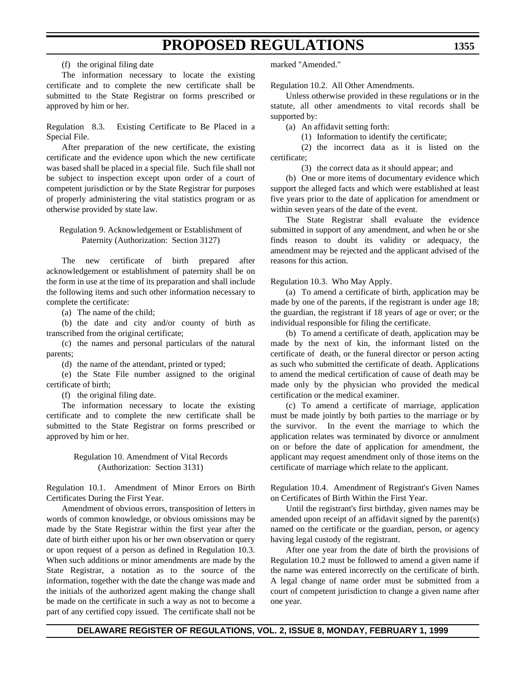(f) the original filing date

The information necessary to locate the existing certificate and to complete the new certificate shall be submitted to the State Registrar on forms prescribed or approved by him or her.

Regulation 8.3. Existing Certificate to Be Placed in a Special File.

After preparation of the new certificate, the existing certificate and the evidence upon which the new certificate was based shall be placed in a special file. Such file shall not be subject to inspection except upon order of a court of competent jurisdiction or by the State Registrar for purposes of properly administering the vital statistics program or as otherwise provided by state law.

### Regulation 9. Acknowledgement or Establishment of Paternity (Authorization: Section 3127)

The new certificate of birth prepared after acknowledgement or establishment of paternity shall be on the form in use at the time of its preparation and shall include the following items and such other information necessary to complete the certificate:

(a) The name of the child;

(b) the date and city and/or county of birth as transcribed from the original certificate;

(c) the names and personal particulars of the natural parents;

(d) the name of the attendant, printed or typed;

(e) the State File number assigned to the original certificate of birth;

(f) the original filing date.

The information necessary to locate the existing certificate and to complete the new certificate shall be submitted to the State Registrar on forms prescribed or approved by him or her.

### Regulation 10. Amendment of Vital Records (Authorization: Section 3131)

Regulation 10.1. Amendment of Minor Errors on Birth Certificates During the First Year.

Amendment of obvious errors, transposition of letters in words of common knowledge, or obvious omissions may be made by the State Registrar within the first year after the date of birth either upon his or her own observation or query or upon request of a person as defined in Regulation 10.3. When such additions or minor amendments are made by the State Registrar, a notation as to the source of the information, together with the date the change was made and the initials of the authorized agent making the change shall be made on the certificate in such a way as not to become a part of any certified copy issued. The certificate shall not be

marked "Amended."

Regulation 10.2. All Other Amendments.

Unless otherwise provided in these regulations or in the statute, all other amendments to vital records shall be supported by:

(a) An affidavit setting forth:

(1) Information to identify the certificate;

(2) the incorrect data as it is listed on the certificate;

(3) the correct data as it should appear; and

(b) One or more items of documentary evidence which support the alleged facts and which were established at least five years prior to the date of application for amendment or within seven years of the date of the event.

The State Registrar shall evaluate the evidence submitted in support of any amendment, and when he or she finds reason to doubt its validity or adequacy, the amendment may be rejected and the applicant advised of the reasons for this action.

Regulation 10.3. Who May Apply.

(a) To amend a certificate of birth, application may be made by one of the parents, if the registrant is under age 18; the guardian, the registrant if 18 years of age or over; or the individual responsible for filing the certificate.

(b) To amend a certificate of death, application may be made by the next of kin, the informant listed on the certificate of death, or the funeral director or person acting as such who submitted the certificate of death. Applications to amend the medical certification of cause of death may be made only by the physician who provided the medical certification or the medical examiner.

(c) To amend a certificate of marriage, application must be made jointly by both parties to the marriage or by the survivor. In the event the marriage to which the application relates was terminated by divorce or annulment on or before the date of application for amendment, the applicant may request amendment only of those items on the certificate of marriage which relate to the applicant.

Regulation 10.4. Amendment of Registrant's Given Names on Certificates of Birth Within the First Year.

Until the registrant's first birthday, given names may be amended upon receipt of an affidavit signed by the parent(s) named on the certificate or the guardian, person, or agency having legal custody of the registrant.

After one year from the date of birth the provisions of Regulation 10.2 must be followed to amend a given name if the name was entered incorrectly on the certificate of birth. A legal change of name order must be submitted from a court of competent jurisdiction to change a given name after one year.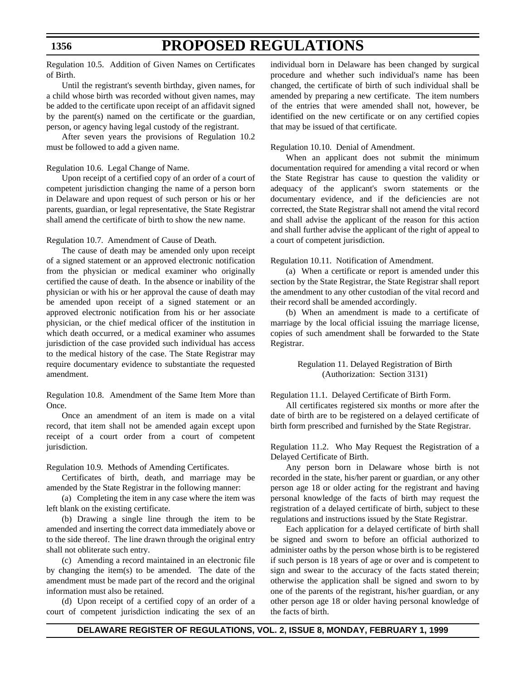Regulation 10.5. Addition of Given Names on Certificates of Birth.

Until the registrant's seventh birthday, given names, for a child whose birth was recorded without given names, may be added to the certificate upon receipt of an affidavit signed by the parent(s) named on the certificate or the guardian, person, or agency having legal custody of the registrant.

After seven years the provisions of Regulation 10.2 must be followed to add a given name.

#### Regulation 10.6. Legal Change of Name.

Upon receipt of a certified copy of an order of a court of competent jurisdiction changing the name of a person born in Delaware and upon request of such person or his or her parents, guardian, or legal representative, the State Registrar shall amend the certificate of birth to show the new name.

Regulation 10.7. Amendment of Cause of Death.

The cause of death may be amended only upon receipt of a signed statement or an approved electronic notification from the physician or medical examiner who originally certified the cause of death. In the absence or inability of the physician or with his or her approval the cause of death may be amended upon receipt of a signed statement or an approved electronic notification from his or her associate physician, or the chief medical officer of the institution in which death occurred, or a medical examiner who assumes jurisdiction of the case provided such individual has access to the medical history of the case. The State Registrar may require documentary evidence to substantiate the requested amendment.

Regulation 10.8. Amendment of the Same Item More than Once.

Once an amendment of an item is made on a vital record, that item shall not be amended again except upon receipt of a court order from a court of competent jurisdiction.

Regulation 10.9*.* Methods of Amending Certificates.

Certificates of birth, death, and marriage may be amended by the State Registrar in the following manner:

(a) Completing the item in any case where the item was left blank on the existing certificate.

(b) Drawing a single line through the item to be amended and inserting the correct data immediately above or to the side thereof. The line drawn through the original entry shall not obliterate such entry.

(c) Amending a record maintained in an electronic file by changing the item(s) to be amended. The date of the amendment must be made part of the record and the original information must also be retained.

(d) Upon receipt of a certified copy of an order of a court of competent jurisdiction indicating the sex of an individual born in Delaware has been changed by surgical procedure and whether such individual's name has been changed, the certificate of birth of such individual shall be amended by preparing a new certificate. The item numbers of the entries that were amended shall not, however, be identified on the new certificate or on any certified copies that may be issued of that certificate.

Regulation 10.10. Denial of Amendment.

When an applicant does not submit the minimum documentation required for amending a vital record or when the State Registrar has cause to question the validity or adequacy of the applicant's sworn statements or the documentary evidence, and if the deficiencies are not corrected, the State Registrar shall not amend the vital record and shall advise the applicant of the reason for this action and shall further advise the applicant of the right of appeal to a court of competent jurisdiction.

Regulation 10.11. Notification of Amendment.

(a) When a certificate or report is amended under this section by the State Registrar, the State Registrar shall report the amendment to any other custodian of the vital record and their record shall be amended accordingly.

(b) When an amendment is made to a certificate of marriage by the local official issuing the marriage license, copies of such amendment shall be forwarded to the State Registrar.

> Regulation 11. Delayed Registration of Birth (Authorization: Section 3131)

Regulation 11.1. Delayed Certificate of Birth Form.

All certificates registered six months or more after the date of birth are to be registered on a delayed certificate of birth form prescribed and furnished by the State Registrar.

Regulation 11.2. Who May Request the Registration of a Delayed Certificate of Birth.

Any person born in Delaware whose birth is not recorded in the state, his/her parent or guardian, or any other person age 18 or older acting for the registrant and having personal knowledge of the facts of birth may request the registration of a delayed certificate of birth, subject to these regulations and instructions issued by the State Registrar.

Each application for a delayed certificate of birth shall be signed and sworn to before an official authorized to administer oaths by the person whose birth is to be registered if such person is 18 years of age or over and is competent to sign and swear to the accuracy of the facts stated therein; otherwise the application shall be signed and sworn to by one of the parents of the registrant, his/her guardian, or any other person age 18 or older having personal knowledge of the facts of birth.

### **1356**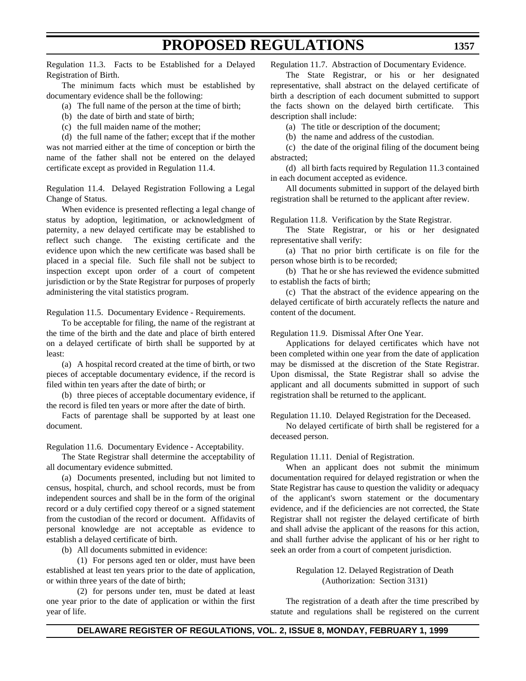Regulation 11.3. Facts to be Established for a Delayed Registration of Birth.

The minimum facts which must be established by documentary evidence shall be the following:

- (a) The full name of the person at the time of birth;
- (b) the date of birth and state of birth;
- (c) the full maiden name of the mother;

(d) the full name of the father; except that if the mother was not married either at the time of conception or birth the name of the father shall not be entered on the delayed certificate except as provided in Regulation 11.4.

Regulation 11.4. Delayed Registration Following a Legal Change of Status.

When evidence is presented reflecting a legal change of status by adoption, legitimation, or acknowledgment of paternity, a new delayed certificate may be established to reflect such change. The existing certificate and the evidence upon which the new certificate was based shall be placed in a special file. Such file shall not be subject to inspection except upon order of a court of competent jurisdiction or by the State Registrar for purposes of properly administering the vital statistics program.

Regulation 11.5. Documentary Evidence - Requirements.

To be acceptable for filing, the name of the registrant at the time of the birth and the date and place of birth entered on a delayed certificate of birth shall be supported by at least:

(a) A hospital record created at the time of birth, or two pieces of acceptable documentary evidence, if the record is filed within ten years after the date of birth; or

(b) three pieces of acceptable documentary evidence, if the record is filed ten years or more after the date of birth.

Facts of parentage shall be supported by at least one document.

Regulation 11.6. Documentary Evidence - Acceptability.

The State Registrar shall determine the acceptability of all documentary evidence submitted.

(a) Documents presented, including but not limited to census, hospital, church, and school records, must be from independent sources and shall be in the form of the original record or a duly certified copy thereof or a signed statement from the custodian of the record or document. Affidavits of personal knowledge are not acceptable as evidence to establish a delayed certificate of birth.

(b) All documents submitted in evidence:

(1) For persons aged ten or older, must have been established at least ten years prior to the date of application, or within three years of the date of birth;

(2) for persons under ten, must be dated at least one year prior to the date of application or within the first year of life.

Regulation 11.7. Abstraction of Documentary Evidence.

The State Registrar, or his or her designated representative, shall abstract on the delayed certificate of birth a description of each document submitted to support the facts shown on the delayed birth certificate. This description shall include:

(a) The title or description of the document;

(b) the name and address of the custodian.

(c) the date of the original filing of the document being abstracted;

(d) all birth facts required by Regulation 11.3 contained in each document accepted as evidence.

All documents submitted in support of the delayed birth registration shall be returned to the applicant after review.

Regulation 11.8. Verification by the State Registrar.

The State Registrar, or his or her designated representative shall verify:

(a) That no prior birth certificate is on file for the person whose birth is to be recorded;

(b) That he or she has reviewed the evidence submitted to establish the facts of birth;

(c) That the abstract of the evidence appearing on the delayed certificate of birth accurately reflects the nature and content of the document.

Regulation 11.9. Dismissal After One Year.

Applications for delayed certificates which have not been completed within one year from the date of application may be dismissed at the discretion of the State Registrar. Upon dismissal, the State Registrar shall so advise the applicant and all documents submitted in support of such registration shall be returned to the applicant.

Regulation 11.10. Delayed Registration for the Deceased.

No delayed certificate of birth shall be registered for a deceased person.

Regulation 11.11. Denial of Registration.

When an applicant does not submit the minimum documentation required for delayed registration or when the State Registrar has cause to question the validity or adequacy of the applicant's sworn statement or the documentary evidence, and if the deficiencies are not corrected, the State Registrar shall not register the delayed certificate of birth and shall advise the applicant of the reasons for this action, and shall further advise the applicant of his or her right to seek an order from a court of competent jurisdiction.

> Regulation 12. Delayed Registration of Death (Authorization: Section 3131)

The registration of a death after the time prescribed by statute and regulations shall be registered on the current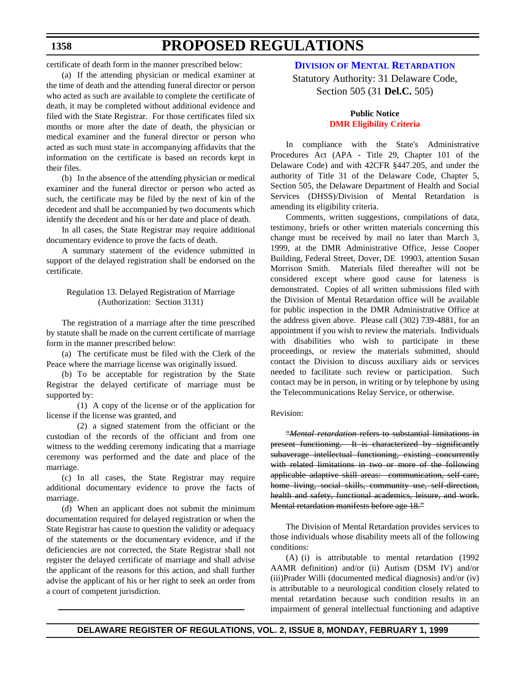## **PROPOSED REGULATIONS**

certificate of death form in the manner prescribed below:

(a) If the attending physician or medical examiner at the time of death and the attending funeral director or person who acted as such are available to complete the certificate of death, it may be completed without additional evidence and filed with the State Registrar. For those certificates filed six months or more after the date of death, the physician or medical examiner and the funeral director or person who acted as such must state in accompanying affidavits that the information on the certificate is based on records kept in their files.

(b) In the absence of the attending physician or medical examiner and the funeral director or person who acted as such, the certificate may be filed by the next of kin of the decedent and shall be accompanied by two documents which identify the decedent and his or her date and place of death.

In all cases, the State Registrar may require additional documentary evidence to prove the facts of death.

A summary statement of the evidence submitted in support of the delayed registration shall be endorsed on the certificate.

### Regulation 13. Delayed Registration of Marriage (Authorization: Section 3131)

The registration of a marriage after the time prescribed by statute shall be made on the current certificate of marriage form in the manner prescribed below:

(a) The certificate must be filed with the Clerk of the Peace where the marriage license was originally issued.

(b) To be acceptable for registration by the State Registrar the delayed certificate of marriage must be supported by:

(1) A copy of the license or of the application for license if the license was granted, and

(2) a signed statement from the officiant or the custodian of the records of the officiant and from one witness to the wedding ceremony indicating that a marriage ceremony was performed and the date and place of the marriage.

(c) In all cases, the State Registrar may require additional documentary evidence to prove the facts of marriage.

(d) When an applicant does not submit the minimum documentation required for delayed registration or when the State Registrar has cause to question the validity or adequacy of the statements or the documentary evidence, and if the deficiencies are not corrected, the State Registrar shall not register the delayed certificate of marriage and shall advise the applicant of the reasons for this action, and shall further advise the applicant of his or her right to seek an order from a court of competent jurisdiction.

### **DIVISION [OF MENTAL RETARDATION](http://www.state.de.us/govern/agencies/dhss/irm/dmr/dmrhome.htm)**

Statutory Authority: 31 Delaware Code, Section 505 (31 **Del.C.** 505)

### **Public Notice [DMR Eligibility Criteria](#page-3-3)**

In compliance with the State's Administrative Procedures Act (APA - Title 29, Chapter 101 of the Delaware Code) and with 42CFR §447.205, and under the authority of Title 31 of the Delaware Code, Chapter 5, Section 505, the Delaware Department of Health and Social Services (DHSS)/Division of Mental Retardation is amending its eligibility criteria.

Comments, written suggestions, compilations of data, testimony, briefs or other written materials concerning this change must be received by mail no later than March 3, 1999, at the DMR Administrative Office, Jesse Cooper Building, Federal Street, Dover, DE 19903, attention Susan Morrison Smith. Materials filed thereafter will not be considered except where good cause for lateness is demonstrated. Copies of all written submissions filed with the Division of Mental Retardation office will be available for public inspection in the DMR Administrative Office at the address given above. Please call (302) 739-4881, for an appointment if you wish to review the materials. Individuals with disabilities who wish to participate in these proceedings, or review the materials submitted, should contact the Division to discuss auxiliary aids or services needed to facilitate such review or participation. Such contact may be in person, in writing or by telephone by using the Telecommunications Relay Service, or otherwise.

#### Revision:

"*Mental retardation* refers to substantial limitations in present functioning. It is characterized by significantly subaverage intellectual functioning, existing concurrently with related limitations in two or more of the following applicable adaptive skill areas: communication, self-care, home living, social skills, community use, self-direction, health and safety, functional academics, leisure, and work. Mental retardation manifests before age 18."

The Division of Mental Retardation provides services to those individuals whose disability meets all of the following conditions:

(A) (i) is attributable to mental retardation (1992 AAMR definition) and/or (ii) Autism (DSM IV) and/or (iii)Prader Willi (documented medical diagnosis) and/or (iv) is attributable to a neurological condition closely related to mental retardation because such condition results in an impairment of general intellectual functioning and adaptive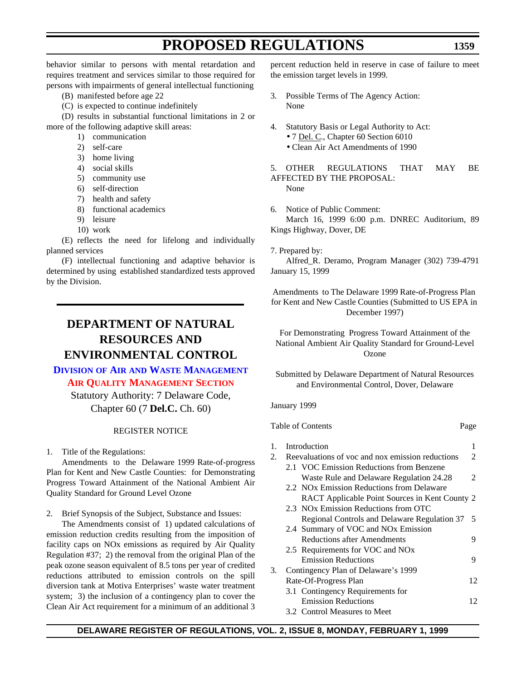**1359**

behavior similar to persons with mental retardation and requires treatment and services similar to those required for persons with impairments of general intellectual functioning

- (B) manifested before age 22
- (C) is expected to continue indefinitely

(D) results in substantial functional limitations in 2 or more of the following adaptive skill areas:

- 1) communication
- 2) self-care
- 3) home living
- 4) social skills
- 5) community use
- 6) self-direction
- 7) health and safety
- 8) functional academics
- 9) leisure
- 10) work

(E) reflects the need for lifelong and individually planned services

(F) intellectual functioning and adaptive behavior is determined by using established standardized tests approved by the Division.

### **DEPARTMENT OF NATURAL RESOURCES AND ENVIRONMENTAL CONTROL**

### **DIVISION OF AIR AND WASTE [MANAGEMENT](http://www.dnrec.state.de.us/aandw.htm) [AIR QUALITY MANAGEMENT SECTION](#page-3-4)**

Statutory Authority: 7 Delaware Code, Chapter 60 (7 **Del.C.** Ch. 60)

### REGISTER NOTICE

1. Title of the Regulations:

Amendments to the Delaware 1999 Rate-of-progress Plan for Kent and New Castle Counties: for Demonstrating Progress Toward Attainment of the National Ambient Air Quality Standard for Ground Level Ozone

2. Brief Synopsis of the Subject, Substance and Issues:

The Amendments consist of 1) updated calculations of emission reduction credits resulting from the imposition of facility caps on NOx emissions as required by Air Quality Regulation #37; 2) the removal from the original Plan of the peak ozone season equivalent of 8.5 tons per year of credited reductions attributed to emission controls on the spill diversion tank at Motiva Enterprises' waste water treatment system; 3) the inclusion of a contingency plan to cover the Clean Air Act requirement for a minimum of an additional 3 percent reduction held in reserve in case of failure to meet the emission target levels in 1999.

- 3. Possible Terms of The Agency Action: None
- 4. Statutory Basis or Legal Authority to Act:
	- 7 Del. C., Chapter 60 Section 6010
		- Clean Air Act Amendments of 1990

5. OTHER REGULATIONS THAT MAY BE AFFECTED BY THE PROPOSAL: None

6. Notice of Public Comment: March 16, 1999 6:00 p.m. DNREC Auditorium, 89 Kings Highway, Dover, DE

7. Prepared by:

Alfred\_R. Deramo, Program Manager (302) 739-4791 January 15, 1999

Amendments to The Delaware 1999 Rate-of-Progress Plan for Kent and New Castle Counties (Submitted to US EPA in December 1997)

For Demonstrating Progress Toward Attainment of the National Ambient Air Quality Standard for Ground-Level Ozone

Submitted by Delaware Department of Natural Resources and Environmental Control, Dover, Delaware

January 1999

Table of Contents Page

| 1. | Introduction                                     |                       |
|----|--------------------------------------------------|-----------------------|
| 2. | Reevaluations of voc and nox emission reductions | $\mathcal{D}_{\cdot}$ |
|    | 2.1 VOC Emission Reductions from Benzene         |                       |
|    | Waste Rule and Delaware Regulation 24.28         | $\mathcal{L}$         |
|    | 2.2 NOx Emission Reductions from Delaware        |                       |
|    | RACT Applicable Point Sources in Kent County 2   |                       |
|    | 2.3 NO <sub>x</sub> Emission Reductions from OTC |                       |
|    | Regional Controls and Delaware Regulation 37     | 5                     |
|    | 2.4 Summary of VOC and NO <sub>x</sub> Emission  |                       |
|    | <b>Reductions after Amendments</b>               | 9                     |
|    | 2.5 Requirements for VOC and NO <sub>x</sub>     |                       |
|    | <b>Emission Reductions</b>                       | 9                     |
| 3. | Contingency Plan of Delaware's 1999              |                       |
|    | Rate-Of-Progress Plan                            | 12                    |
|    | 3.1 Contingency Requirements for                 |                       |
|    | <b>Emission Reductions</b>                       | 12                    |
|    | 3.2 Control Measures to Meet                     |                       |

### **DELAWARE REGISTER OF REGULATIONS, VOL. 2, ISSUE 8, MONDAY, FEBRUARY 1, 1999**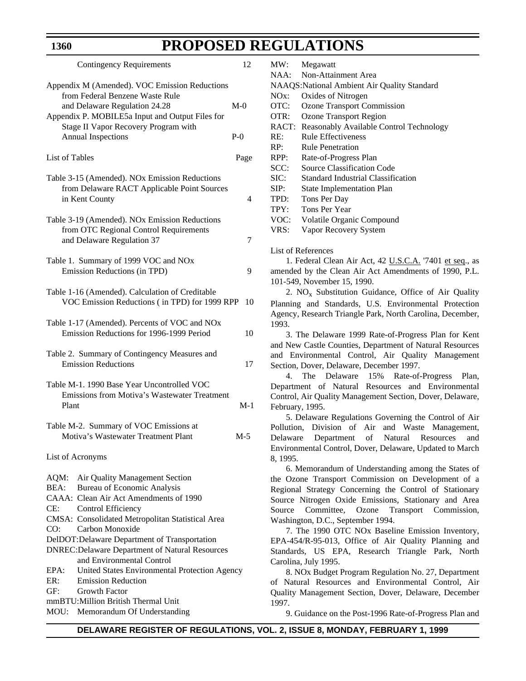| <b>Contingency Requirements</b>                                                                                                                                                                                                                                                                                                                                                                                                            | 12    |
|--------------------------------------------------------------------------------------------------------------------------------------------------------------------------------------------------------------------------------------------------------------------------------------------------------------------------------------------------------------------------------------------------------------------------------------------|-------|
| Appendix M (Amended). VOC Emission Reductions<br>from Federal Benzene Waste Rule<br>and Delaware Regulation 24.28<br>Appendix P. MOBILE5a Input and Output Files for<br>Stage II Vapor Recovery Program with                                                                                                                                                                                                                               | $M-0$ |
| <b>Annual Inspections</b>                                                                                                                                                                                                                                                                                                                                                                                                                  | $P-0$ |
| List of Tables                                                                                                                                                                                                                                                                                                                                                                                                                             | Page  |
| Table 3-15 (Amended). NOx Emission Reductions<br>from Delaware RACT Applicable Point Sources<br>in Kent County                                                                                                                                                                                                                                                                                                                             | 4     |
| Table 3-19 (Amended). NOx Emission Reductions<br>from OTC Regional Control Requirements<br>and Delaware Regulation 37                                                                                                                                                                                                                                                                                                                      | 7     |
| Table 1. Summary of 1999 VOC and NOx<br>Emission Reductions (in TPD)                                                                                                                                                                                                                                                                                                                                                                       | 9     |
| Table 1-16 (Amended). Calculation of Creditable<br>VOC Emission Reductions (in TPD) for 1999 RPP                                                                                                                                                                                                                                                                                                                                           | 10    |
| Table 1-17 (Amended). Percents of VOC and NOx<br>Emission Reductions for 1996-1999 Period                                                                                                                                                                                                                                                                                                                                                  | 10    |
| Table 2. Summary of Contingency Measures and<br><b>Emission Reductions</b>                                                                                                                                                                                                                                                                                                                                                                 | 17    |
| Table M-1. 1990 Base Year Uncontrolled VOC<br>Emissions from Motiva's Wastewater Treatment<br>Plant                                                                                                                                                                                                                                                                                                                                        | $M-1$ |
| Table M-2. Summary of VOC Emissions at<br>Motiva's Wastewater Treatment Plant                                                                                                                                                                                                                                                                                                                                                              | $M-5$ |
| List of Acronyms                                                                                                                                                                                                                                                                                                                                                                                                                           |       |
| AQM:<br>Air Quality Management Section<br>BEA:<br>Bureau of Economic Analysis<br>CAAA: Clean Air Act Amendments of 1990<br>CE:<br><b>Control Efficiency</b><br>CMSA: Consolidated Metropolitan Statistical Area<br>Carbon Monoxide<br>CO:<br>DelDOT: Delaware Department of Transportation<br><b>DNREC: Delaware Department of Natural Resources</b><br>and Environmental Control<br>United States Environmental Protection Agency<br>EPA: |       |
| ER:<br><b>Emission Reduction</b><br>GF:<br><b>Growth Factor</b>                                                                                                                                                                                                                                                                                                                                                                            |       |
| mmBTU:Million British Thermal Unit<br>MOU: Memorandum Of Understanding                                                                                                                                                                                                                                                                                                                                                                     |       |

**1360**

|                 | <b>ALLATION</b>                                                                                                                                                                                                                                                                                                                                                                                                                                                                                                                                                                    |
|-----------------|------------------------------------------------------------------------------------------------------------------------------------------------------------------------------------------------------------------------------------------------------------------------------------------------------------------------------------------------------------------------------------------------------------------------------------------------------------------------------------------------------------------------------------------------------------------------------------|
| MW:             | Megawatt                                                                                                                                                                                                                                                                                                                                                                                                                                                                                                                                                                           |
| NAA:            | Non-Attainment Area                                                                                                                                                                                                                                                                                                                                                                                                                                                                                                                                                                |
|                 | NAAQS:National Ambient Air Quality Standard                                                                                                                                                                                                                                                                                                                                                                                                                                                                                                                                        |
| $NOx$ :         | Oxides of Nitrogen                                                                                                                                                                                                                                                                                                                                                                                                                                                                                                                                                                 |
| OTC:            | <b>Ozone Transport Commission</b>                                                                                                                                                                                                                                                                                                                                                                                                                                                                                                                                                  |
| OTR:            | <b>Ozone Transport Region</b>                                                                                                                                                                                                                                                                                                                                                                                                                                                                                                                                                      |
| RACT:           | Reasonably Available Control Technology                                                                                                                                                                                                                                                                                                                                                                                                                                                                                                                                            |
| RE:             | <b>Rule Effectiveness</b>                                                                                                                                                                                                                                                                                                                                                                                                                                                                                                                                                          |
| RP:             | <b>Rule Penetration</b>                                                                                                                                                                                                                                                                                                                                                                                                                                                                                                                                                            |
| RPP:            | Rate-of-Progress Plan                                                                                                                                                                                                                                                                                                                                                                                                                                                                                                                                                              |
| SCC:            | Source Classification Code                                                                                                                                                                                                                                                                                                                                                                                                                                                                                                                                                         |
| SIC:            | <b>Standard Industrial Classification</b>                                                                                                                                                                                                                                                                                                                                                                                                                                                                                                                                          |
| SIP:            | <b>State Implementation Plan</b>                                                                                                                                                                                                                                                                                                                                                                                                                                                                                                                                                   |
| TPD:            | Tons Per Day                                                                                                                                                                                                                                                                                                                                                                                                                                                                                                                                                                       |
| TPY:            | <b>Tons Per Year</b>                                                                                                                                                                                                                                                                                                                                                                                                                                                                                                                                                               |
|                 |                                                                                                                                                                                                                                                                                                                                                                                                                                                                                                                                                                                    |
| VOC:            | Volatile Organic Compound                                                                                                                                                                                                                                                                                                                                                                                                                                                                                                                                                          |
| VRS:            | Vapor Recovery System                                                                                                                                                                                                                                                                                                                                                                                                                                                                                                                                                              |
| 1993.           | List of References<br>1. Federal Clean Air Act, 42 U.S.C.A. '7401 et seq., as<br>amended by the Clean Air Act Amendments of 1990, P.L.<br>101-549, November 15, 1990.<br>2. NO <sub>x</sub> Substitution Guidance, Office of Air Quality<br>Planning and Standards, U.S. Environmental Protection<br>Agency, Research Triangle Park, North Carolina, December,<br>3. The Delaware 1999 Rate-of-Progress Plan for Kent<br>and New Castle Counties, Department of Natural Resources<br>and Environmental Control, Air Quality Management<br>Section, Dover, Delaware, December 1997. |
| 4.              | The Delaware 15% Rate-of-Progress Plan,                                                                                                                                                                                                                                                                                                                                                                                                                                                                                                                                            |
|                 | Department of Natural Resources and Environmental                                                                                                                                                                                                                                                                                                                                                                                                                                                                                                                                  |
|                 | Control, Air Quality Management Section, Dover, Delaware,                                                                                                                                                                                                                                                                                                                                                                                                                                                                                                                          |
| February, 1995. |                                                                                                                                                                                                                                                                                                                                                                                                                                                                                                                                                                                    |
|                 | 5. Delaware Regulations Governing the Control of Air                                                                                                                                                                                                                                                                                                                                                                                                                                                                                                                               |
|                 | Pollution, Division of Air and Waste Management,                                                                                                                                                                                                                                                                                                                                                                                                                                                                                                                                   |
|                 | Delaware Department of Natural Resources and                                                                                                                                                                                                                                                                                                                                                                                                                                                                                                                                       |
|                 | Environmental Control, Dover, Delaware, Updated to March                                                                                                                                                                                                                                                                                                                                                                                                                                                                                                                           |
| 8.1995.         |                                                                                                                                                                                                                                                                                                                                                                                                                                                                                                                                                                                    |
|                 | 6. Memorandum of Understanding among the States of                                                                                                                                                                                                                                                                                                                                                                                                                                                                                                                                 |
|                 | the Ozone Transport Commission on Development of a                                                                                                                                                                                                                                                                                                                                                                                                                                                                                                                                 |
|                 | Regional Strategy Concerning the Control of Stationary                                                                                                                                                                                                                                                                                                                                                                                                                                                                                                                             |
|                 | Source Nitrogen Oxide Emissions, Stationary and Area                                                                                                                                                                                                                                                                                                                                                                                                                                                                                                                               |
|                 | Source Committee, Ozone Transport Commission,                                                                                                                                                                                                                                                                                                                                                                                                                                                                                                                                      |

Washington, D.C., September 1994.

Carolina, July 1995.

7. The 1990 OTC NOx Baseline Emission Inventory, EPA-454/R-95-013, Office of Air Quality Planning and Standards, US EPA, Research Triangle Park, North

8. NOx Budget Program Regulation No. 27, Department of Natural Resources and Environmental Control, Air Quality Management Section, Dover, Delaware, December

9. Guidance on the Post-1996 Rate-of-Progress Plan and

1997.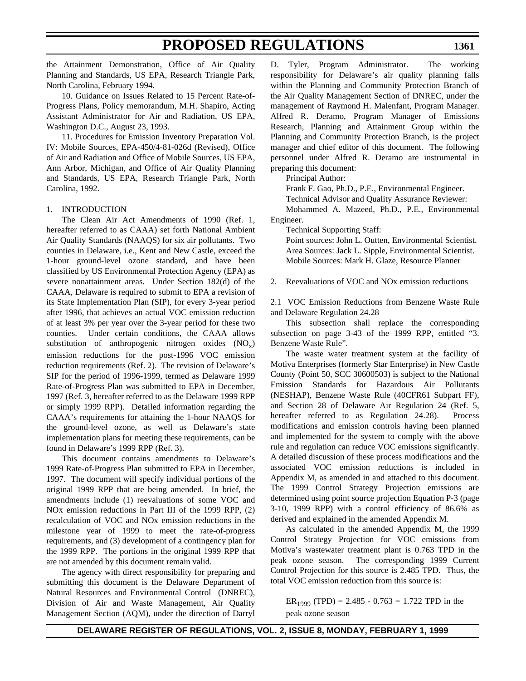the Attainment Demonstration, Office of Air Quality Planning and Standards, US EPA, Research Triangle Park, North Carolina, February 1994.

10. Guidance on Issues Related to 15 Percent Rate-of-Progress Plans, Policy memorandum, M.H. Shapiro, Acting Assistant Administrator for Air and Radiation, US EPA, Washington D.C., August 23, 1993.

11. Procedures for Emission Inventory Preparation Vol. IV: Mobile Sources, EPA-450/4-81-026d (Revised), Office of Air and Radiation and Office of Mobile Sources, US EPA, Ann Arbor, Michigan, and Office of Air Quality Planning and Standards, US EPA, Research Triangle Park, North Carolina, 1992.

### 1. INTRODUCTION

The Clean Air Act Amendments of 1990 (Ref. 1, hereafter referred to as CAAA) set forth National Ambient Air Quality Standards (NAAQS) for six air pollutants. Two counties in Delaware, i.e., Kent and New Castle, exceed the 1-hour ground-level ozone standard, and have been classified by US Environmental Protection Agency (EPA) as severe nonattainment areas. Under Section 182(d) of the CAAA, Delaware is required to submit to EPA a revision of its State Implementation Plan (SIP), for every 3-year period after 1996, that achieves an actual VOC emission reduction of at least 3% per year over the 3-year period for these two counties. Under certain conditions, the CAAA allows substitution of anthropogenic nitrogen oxides  $(NO_x)$ emission reductions for the post-1996 VOC emission reduction requirements (Ref. 2). The revision of Delaware's SIP for the period of 1996-1999, termed as Delaware 1999 Rate-of-Progress Plan was submitted to EPA in December, 1997 (Ref. 3, hereafter referred to as the Delaware 1999 RPP or simply 1999 RPP). Detailed information regarding the CAAA's requirements for attaining the 1-hour NAAQS for the ground-level ozone, as well as Delaware's state implementation plans for meeting these requirements, can be found in Delaware's 1999 RPP (Ref. 3).

This document contains amendments to Delaware's 1999 Rate-of-Progress Plan submitted to EPA in December, 1997. The document will specify individual portions of the original 1999 RPP that are being amended. In brief, the amendments include (1) reevaluations of some VOC and NOx emission reductions in Part III of the 1999 RPP, (2) recalculation of VOC and NOx emission reductions in the milestone year of 1999 to meet the rate-of-progress requirements, and (3) development of a contingency plan for the 1999 RPP. The portions in the original 1999 RPP that are not amended by this document remain valid.

The agency with direct responsibility for preparing and submitting this document is the Delaware Department of Natural Resources and Environmental Control (DNREC), Division of Air and Waste Management, Air Quality Management Section (AQM), under the direction of Darryl D. Tyler, Program Administrator. The working responsibility for Delaware's air quality planning falls within the Planning and Community Protection Branch of the Air Quality Management Section of DNREC, under the management of Raymond H. Malenfant, Program Manager. Alfred R. Deramo, Program Manager of Emissions Research, Planning and Attainment Group within the Planning and Community Protection Branch, is the project manager and chief editor of this document. The following personnel under Alfred R. Deramo are instrumental in preparing this document:

Principal Author:

Frank F. Gao, Ph.D., P.E., Environmental Engineer. Technical Advisor and Quality Assurance Reviewer: Mohammed A. Mazeed, Ph.D., P.E., Environmental Engineer.

Technical Supporting Staff:

Point sources: John L. Outten, Environmental Scientist. Area Sources: Jack L. Sipple, Environmental Scientist. Mobile Sources: Mark H. Glaze, Resource Planner

2. Reevaluations of VOC and NOx emission reductions

2.1 VOC Emission Reductions from Benzene Waste Rule and Delaware Regulation 24.28

This subsection shall replace the corresponding subsection on page 3-43 of the 1999 RPP, entitled "3. Benzene Waste Rule".

The waste water treatment system at the facility of Motiva Enterprises (formerly Star Enterprise) in New Castle County (Point 50, SCC 30600503) is subject to the National Emission Standards for Hazardous Air Pollutants (NESHAP), Benzene Waste Rule (40CFR61 Subpart FF), and Section 28 of Delaware Air Regulation 24 (Ref. 5, hereafter referred to as Regulation 24.28). Process modifications and emission controls having been planned and implemented for the system to comply with the above rule and regulation can reduce VOC emissions significantly. A detailed discussion of these process modifications and the associated VOC emission reductions is included in Appendix M, as amended in and attached to this document. The 1999 Control Strategy Projection emissions are determined using point source projection Equation P-3 (page 3-10, 1999 RPP) with a control efficiency of 86.6% as derived and explained in the amended Appendix M.

As calculated in the amended Appendix M, the 1999 Control Strategy Projection for VOC emissions from Motiva's wastewater treatment plant is 0.763 TPD in the peak ozone season. The corresponding 1999 Current Control Projection for this source is 2.485 TPD. Thus, the total VOC emission reduction from this source is:

ER<sub>1999</sub> (TPD) = 2.485 - 0.763 = 1.722 TPD in the peak ozone season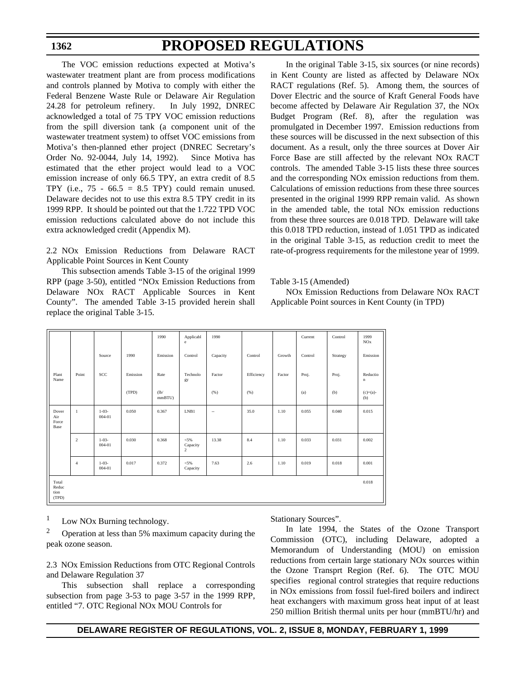## **PROPOSED REGULATIONS**

The VOC emission reductions expected at Motiva's wastewater treatment plant are from process modifications and controls planned by Motiva to comply with either the Federal Benzene Waste Rule or Delaware Air Regulation 24.28 for petroleum refinery. In July 1992, DNREC acknowledged a total of 75 TPY VOC emission reductions from the spill diversion tank (a component unit of the wastewater treatment system) to offset VOC emissions from Motiva's then-planned ether project (DNREC Secretary's Order No. 92-0044, July 14, 1992). Since Motiva has estimated that the ether project would lead to a VOC emission increase of only 66.5 TPY, an extra credit of 8.5 TPY (i.e.,  $75 - 66.5 = 8.5$  TPY) could remain unused. Delaware decides not to use this extra 8.5 TPY credit in its 1999 RPP. It should be pointed out that the 1.722 TPD VOC emission reductions calculated above do not include this extra acknowledged credit (Appendix M).

2.2 NOx Emission Reductions from Delaware RACT Applicable Point Sources in Kent County

This subsection amends Table 3-15 of the original 1999 RPP (page 3-50), entitled "NOx Emission Reductions from Delaware NOx RACT Applicable Sources in Kent County". The amended Table 3-15 provided herein shall replace the original Table 3-15.

In the original Table 3-15, six sources (or nine records) in Kent County are listed as affected by Delaware NOx RACT regulations (Ref. 5). Among them, the sources of Dover Electric and the source of Kraft General Foods have become affected by Delaware Air Regulation 37, the NOx Budget Program (Ref. 8), after the regulation was promulgated in December 1997. Emission reductions from these sources will be discussed in the next subsection of this document. As a result, only the three sources at Dover Air Force Base are still affected by the relevant NOx RACT controls. The amended Table 3-15 lists these three sources and the corresponding NOx emission reductions from them. Calculations of emission reductions from these three sources presented in the original 1999 RPP remain valid. As shown in the amended table, the total NOx emission reductions from these three sources are 0.018 TPD. Delaware will take this 0.018 TPD reduction, instead of 1.051 TPD as indicated in the original Table 3-15, as reduction credit to meet the rate-of-progress requirements for the milestone year of 1999.

### Table 3-15 (Amended)

NOx Emission Reductions from Delaware NOx RACT Applicable Point sources in Kent County (in TPD)

|                               |                |                      |          | 1990          | Applicabl<br>e                        | 1990     |            |        | Current | Control  | 1999<br>NOx             |
|-------------------------------|----------------|----------------------|----------|---------------|---------------------------------------|----------|------------|--------|---------|----------|-------------------------|
|                               |                | Source               | 1990     | Emission      | Control                               | Capacity | Control    | Growth | Control | Strategy | Emission                |
| Plant<br>Name                 | Point          | SCC                  | Emission | Rate          | Technolo<br>gy                        | Factor   | Efficiency | Factor | Proj.   | Proj.    | Reductio<br>$\mathbf n$ |
|                               |                |                      | (TPD)    | (lb)<br>mmBTU |                                       | (% )     | (96)       |        | (a)     | (b)      | $(c)=(a)-$<br>(b)       |
| Dover<br>Air<br>Force<br>Base | $\mathbf{1}$   | $1 - 03 -$<br>004-01 | 0.050    | 0.367         | LNB1                                  | $\sim$   | 35.0       | 1.10   | 0.055   | 0.040    | 0.015                   |
|                               | 2              | $1 - 03 -$<br>004-01 | 0.030    | 0.368         | $< 5\%$<br>Capacity<br>$\overline{2}$ | 13.38    | 8.4        | 1.10   | 0.033   | 0.031    | 0.002                   |
|                               | $\overline{4}$ | $1 - 03 -$<br>004-01 | 0.017    | 0.372         | $< 5\%$<br>Capacity                   | 7.63     | 2.6        | 1.10   | 0.019   | 0.018    | 0.001                   |
| Total<br>Reduc<br>tion        |                |                      |          |               |                                       |          |            |        |         |          | 0.018                   |
| (TPD)                         |                |                      |          |               |                                       |          |            |        |         |          |                         |

 $1$  Low NOx Burning technology.

Operation at less than 5% maximum capacity during the peak ozone season.

2.3 NOx Emission Reductions from OTC Regional Controls and Delaware Regulation 37

This subsection shall replace a corresponding subsection from page 3-53 to page 3-57 in the 1999 RPP, entitled "7. OTC Regional NOx MOU Controls for

Stationary Sources".

In late 1994, the States of the Ozone Transport Commission (OTC), including Delaware, adopted a Memorandum of Understanding (MOU) on emission reductions from certain large stationary NOx sources within the Ozone Transprt Region (Ref. 6). The OTC MOU specifies regional control strategies that require reductions in NOx emissions from fossil fuel-fired boilers and indirect heat exchangers with maximum gross heat input of at least 250 million British thermal units per hour (mmBTU/hr) and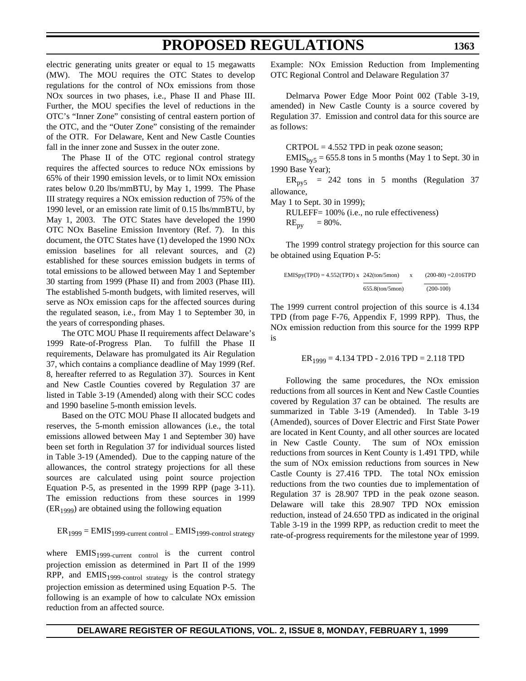electric generating units greater or equal to 15 megawatts (MW). The MOU requires the OTC States to develop regulations for the control of NOx emissions from those NOx sources in two phases, i.e., Phase II and Phase III. Further, the MOU specifies the level of reductions in the OTC's "Inner Zone" consisting of central eastern portion of the OTC, and the "Outer Zone" consisting of the remainder of the OTR. For Delaware, Kent and New Castle Counties fall in the inner zone and Sussex in the outer zone.

The Phase II of the OTC regional control strategy requires the affected sources to reduce NOx emissions by 65% of their 1990 emission levels, or to limit NOx emission rates below 0.20 lbs/mmBTU, by May 1, 1999. The Phase III strategy requires a NOx emission reduction of 75% of the 1990 level, or an emission rate limit of 0.15 lbs/mmBTU, by May 1, 2003. The OTC States have developed the 1990 OTC NOx Baseline Emission Inventory (Ref. 7). In this document, the OTC States have (1) developed the 1990 NOx emission baselines for all relevant sources, and (2) established for these sources emission budgets in terms of total emissions to be allowed between May 1 and September 30 starting from 1999 (Phase II) and from 2003 (Phase III). The established 5-month budgets, with limited reserves, will serve as NOx emission caps for the affected sources during the regulated season, i.e., from May 1 to September 30, in the years of corresponding phases.

The OTC MOU Phase II requirements affect Delaware's 1999 Rate-of-Progress Plan. To fulfill the Phase II requirements, Delaware has promulgated its Air Regulation 37, which contains a compliance deadline of May 1999 (Ref. 8, hereafter referred to as Regulation 37). Sources in Kent and New Castle Counties covered by Regulation 37 are listed in Table 3-19 (Amended) along with their SCC codes and 1990 baseline 5-month emission levels.

Based on the OTC MOU Phase II allocated budgets and reserves, the 5-month emission allowances (i.e., the total emissions allowed between May 1 and September 30) have been set forth in Regulation 37 for individual sources listed in Table 3-19 (Amended). Due to the capping nature of the allowances, the control strategy projections for all these sources are calculated using point source projection Equation P-5, as presented in the 1999 RPP (page 3-11). The emission reductions from these sources in 1999  $(ER<sub>1999</sub>)$  are obtained using the following equation

$$
ER_{1999} = E MIS_{1999-current control} - E MIS_{1999-control strategy}
$$

where EMIS<sub>1999-current control</sub> is the current control projection emission as determined in Part II of the 1999 RPP, and  $EMIS<sub>1999</sub>$ -control strategy is the control strategy projection emission as determined using Equation P-5. The following is an example of how to calculate NOx emission reduction from an affected source.

Example: NOx Emission Reduction from Implementing OTC Regional Control and Delaware Regulation 37

Delmarva Power Edge Moor Point 002 (Table 3-19, amended) in New Castle County is a source covered by Regulation 37. Emission and control data for this source are as follows:

 $CRTPOL = 4.552 TPD$  in peak ozone season;

 $EMIS<sub>by5</sub> = 655.8$  tons in 5 months (May 1 to Sept. 30 in 1990 Base Year);

 $ER<sub>py5</sub> = 242$  tons in 5 months (Regulation 37 allowance,

May 1 to Sept. 30 in 1999);

RULEFF= 100% (i.e., no rule effectiveness)  $RE_{\text{pv}} = 80\%$ .

The 1999 control strategy projection for this source can be obtained using Equation P-5:

$$
EMISpy(TPD) = 4.552(TPD) \times \frac{242(\text{ton/5mon})}{655.8(\text{ton/5mon})} \times \frac{(200-80) = 2.016TPD}{(200-100)}
$$

The 1999 current control projection of this source is 4.134 TPD (from page F-76, Appendix F, 1999 RPP). Thus, the NOx emission reduction from this source for the 1999 RPP is

$$
ER_{1999} = 4.134 \text{ TPD} - 2.016 \text{ TPD} = 2.118 \text{ TPD}
$$

Following the same procedures, the NOx emission reductions from all sources in Kent and New Castle Counties covered by Regulation 37 can be obtained. The results are summarized in Table 3-19 (Amended). In Table 3-19 (Amended), sources of Dover Electric and First State Power are located in Kent County, and all other sources are located in New Castle County. The sum of NOx emission reductions from sources in Kent County is 1.491 TPD, while the sum of NOx emission reductions from sources in New Castle County is 27.416 TPD. The total NOx emission reductions from the two counties due to implementation of Regulation 37 is 28.907 TPD in the peak ozone season. Delaware will take this 28.907 TPD NOx emission reduction, instead of 24.650 TPD as indicated in the original Table 3-19 in the 1999 RPP, as reduction credit to meet the rate-of-progress requirements for the milestone year of 1999.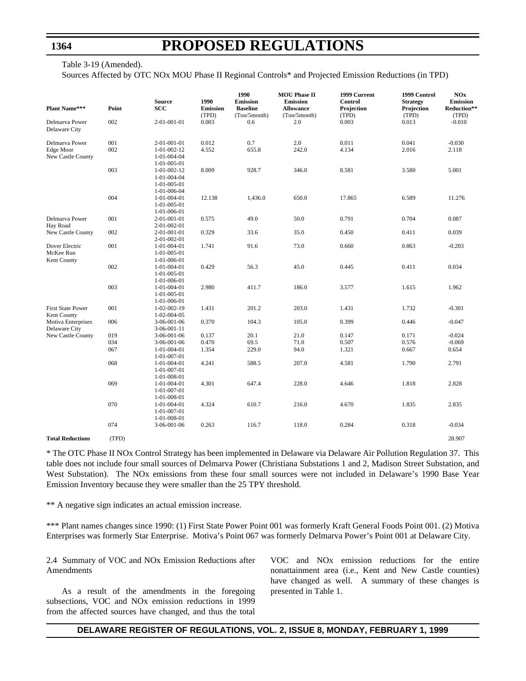### **PROPOSED REGULATIONS**

Table 3-19 (Amended). Sources Affected by OTC NOx MOU Phase II Regional Controls\* and Projected Emission Reductions (in TPD)

| <b>Plant Name***</b>                             | Point      | <b>Source</b><br>SCC                                                               | 1990<br><b>Emission</b><br>(TPD) | 1990<br><b>Emission</b><br><b>Baseline</b><br>(Ton/5month) | <b>MOU Phase II</b><br><b>Emission</b><br><b>Allowance</b><br>(Ton/5month) | 1999 Current<br><b>Control</b><br>Projection<br>(TPD) | 1999 Control<br><b>Strategy</b><br>Projection<br>(TPD) | <b>NOx</b><br><b>Emission</b><br>Reduction**<br>(TPD) |
|--------------------------------------------------|------------|------------------------------------------------------------------------------------|----------------------------------|------------------------------------------------------------|----------------------------------------------------------------------------|-------------------------------------------------------|--------------------------------------------------------|-------------------------------------------------------|
| Delmarva Power<br>Delaware City                  | 002        | 2-01-001-01                                                                        | 0.003                            | 0.6                                                        | 2.0                                                                        | 0.003                                                 | 0.013                                                  | $-0.010$                                              |
| Delmarva Power<br>Edge Moor<br>New Castle County | 001<br>002 | 2-01-001-01<br>$1 - 01 - 002 - 12$<br>$1 - 01 - 004 - 04$<br>$1-01-005-01$         | 0.012<br>4.552                   | 0.7<br>655.8                                               | 2.0<br>242.0                                                               | 0.011<br>4.134                                        | 0.041<br>2.016                                         | $-0.030$<br>2.118                                     |
|                                                  | 003        | $1 - 01 - 002 - 12$<br>$1 - 01 - 004 - 04$<br>$1-01-005-01$<br>$1 - 01 - 006 - 04$ | 8.009                            | 928.7                                                      | 346.0                                                                      | 8.581                                                 | 3.580                                                  | 5.001                                                 |
|                                                  | 004        | 1-01-004-01<br>1-01-005-01<br>$1 - 01 - 006 - 01$                                  | 12.138                           | 1,436.0                                                    | 650.0                                                                      | 17.865                                                | 6.589                                                  | 11.276                                                |
| Delmarva Power<br>Hay Road                       | 001        | 2-01-001-01<br>2-01-002-01                                                         | 0.575                            | 49.0                                                       | 50.0                                                                       | 0.791                                                 | 0.704                                                  | 0.087                                                 |
| New Castle County                                | 002        | 2-01-001-01<br>2-01-002-01                                                         | 0.329                            | 33.6                                                       | 35.0                                                                       | 0.450                                                 | 0.411                                                  | 0.039                                                 |
| Dover Electric<br>McKee Run<br>Kent County       | 001        | $1-01-004-01$<br>$1-01-005-01$<br>1-01-006-01                                      | 1.741                            | 91.6                                                       | 73.0                                                                       | 0.660                                                 | 0.863                                                  | $-0.203$                                              |
|                                                  | 002        | $1 - 01 - 004 - 01$<br>$1 - 01 - 005 - 01$<br>$1-01-006-01$                        | 0.429                            | 56.3                                                       | 45.0                                                                       | 0.445                                                 | 0.411                                                  | 0.034                                                 |
|                                                  | 003        | $1-01-004-01$<br>$1-01-005-01$<br>$1-01-006-01$                                    | 2.980                            | 411.7                                                      | 186.0                                                                      | 3.577                                                 | 1.615                                                  | 1.962                                                 |
| <b>First State Power</b><br>Kent County          | 001        | $1 - 02 - 002 - 19$<br>$1 - 02 - 004 - 05$                                         | 1.431                            | 201.2                                                      | 203.0                                                                      | 1.431                                                 | 1.732                                                  | $-0.301$                                              |
| <b>Motiva Enterprises</b><br>Delaware City       | 006        | 3-06-001-06<br>3-06-001-11                                                         | 0.370                            | 104.3                                                      | 105.0                                                                      | 0.399                                                 | 0.446                                                  | $-0.047$                                              |
| New Castle County                                | 019        | 3-06-001-06                                                                        | 0.137                            | 20.1                                                       | 21.0                                                                       | 0.147                                                 | 0.171                                                  | $-0.024$                                              |
|                                                  | 034        | 3-06-001-06                                                                        | 0.470                            | 69.5                                                       | 71.0                                                                       | 0.507                                                 | 0.576                                                  | $-0.069$                                              |
|                                                  | 067        | $1 - 01 - 004 - 01$<br>$1 - 01 - 007 - 01$                                         | 1.354                            | 229.0                                                      | 94.0                                                                       | 1.321                                                 | 0.667                                                  | 0.654                                                 |
|                                                  | 068        | $1 - 01 - 004 - 01$<br>$1-01-007-01$<br>1-01-008-01                                | 4.241                            | 588.5                                                      | 207.0                                                                      | 4.581                                                 | 1.790                                                  | 2.791                                                 |
|                                                  | 069        | 1-01-004-01<br>1-01-007-01<br>$1 - 01 - 008 - 01$                                  | 4.301                            | 647.4                                                      | 228.0                                                                      | 4.646                                                 | 1.818                                                  | 2.828                                                 |
|                                                  | 070        | $1 - 01 - 004 - 01$<br>1-01-007-01<br>$1 - 01 - 008 - 01$                          | 4.324                            | 610.7                                                      | 216.0                                                                      | 4.670                                                 | 1.835                                                  | 2.835                                                 |
|                                                  | 074        | 3-06-001-06                                                                        | 0.263                            | 116.7                                                      | 118.0                                                                      | 0.284                                                 | 0.318                                                  | $-0.034$                                              |
| <b>Total Reductions</b>                          | (TPD)      |                                                                                    |                                  |                                                            |                                                                            |                                                       |                                                        | 28.907                                                |

\* The OTC Phase II NOx Control Strategy has been implemented in Delaware via Delaware Air Pollution Regulation 37. This table does not include four small sources of Delmarva Power (Christiana Substations 1 and 2, Madison Street Substation, and West Substation). The NOx emissions from these four small sources were not included in Delaware's 1990 Base Year Emission Inventory because they were smaller than the 25 TPY threshold.

\*\* A negative sign indicates an actual emission increase.

\*\*\* Plant names changes since 1990: (1) First State Power Point 001 was formerly Kraft General Foods Point 001. (2) Motiva Enterprises was formerly Star Enterprise. Motiva's Point 067 was formerly Delmarva Power's Point 001 at Delaware City.

2.4 Summary of VOC and NOx Emission Reductions after Amendments

As a result of the amendments in the foregoing subsections, VOC and NOx emission reductions in 1999 from the affected sources have changed, and thus the total VOC and NOx emission reductions for the entire nonattainment area (i.e., Kent and New Castle counties) have changed as well. A summary of these changes is presented in Table 1.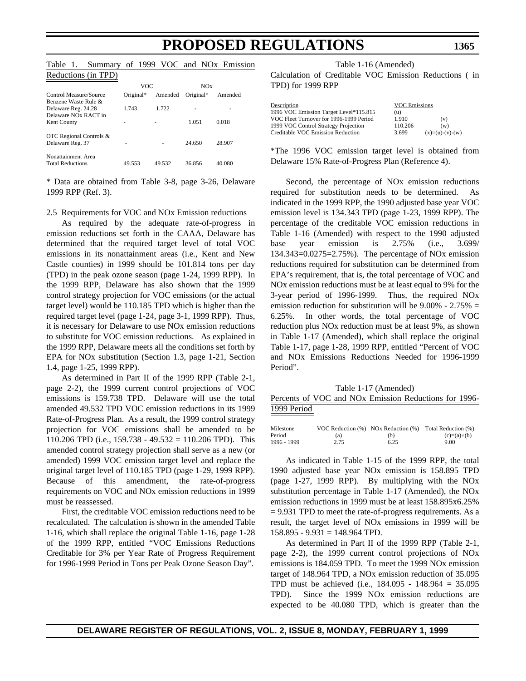Table 1. Summary of 1999 VOC and NOx Emission Reductions (in TPD)

| Requesions (iii) IFD)                                                           |           |         |           |         |
|---------------------------------------------------------------------------------|-----------|---------|-----------|---------|
|                                                                                 | VOC       |         | NOx       |         |
| Control Measure/Source                                                          | Original* | Amended | Original* | Amended |
| Benzene Waste Rule &<br>Delaware Reg. 24.28<br>Delaware NO <sub>x</sub> RACT in | 1.743     | 1.722   |           |         |
| Kent County                                                                     |           |         | 1.051     | 0.018   |
| OTC Regional Controls &<br>Delaware Reg. 37                                     |           |         | 24.650    | 28.907  |
| Nonattainment Area<br><b>Total Reductions</b>                                   | 49.553    | 49.532  | 36.856    | 40.080  |

\* Data are obtained from Table 3-8, page 3-26, Delaware 1999 RPP (Ref. 3).

2.5 Requirements for VOC and NOx Emission reductions

As required by the adequate rate-of-progress in emission reductions set forth in the CAAA, Delaware has determined that the required target level of total VOC emissions in its nonattainment areas (i.e., Kent and New Castle counties) in 1999 should be 101.814 tons per day (TPD) in the peak ozone season (page 1-24, 1999 RPP). In the 1999 RPP, Delaware has also shown that the 1999 control strategy projection for VOC emissions (or the actual target level) would be 110.185 TPD which is higher than the required target level (page 1-24, page 3-1, 1999 RPP). Thus, it is necessary for Delaware to use NOx emission reductions to substitute for VOC emission reductions. As explained in the 1999 RPP, Delaware meets all the conditions set forth by EPA for NOx substitution (Section 1.3, page 1-21, Section 1.4, page 1-25, 1999 RPP).

As determined in Part II of the 1999 RPP (Table 2-1, page 2-2), the 1999 current control projections of VOC emissions is 159.738 TPD. Delaware will use the total amended 49.532 TPD VOC emission reductions in its 1999 Rate-of-Progress Plan. As a result, the 1999 control strategy projection for VOC emissions shall be amended to be 110.206 TPD (i.e., 159.738 - 49.532 = 110.206 TPD). This amended control strategy projection shall serve as a new (or amended) 1999 VOC emission target level and replace the original target level of 110.185 TPD (page 1-29, 1999 RPP). Because of this amendment, the rate-of-progress requirements on VOC and NOx emission reductions in 1999 must be reassessed.

First, the creditable VOC emission reductions need to be recalculated. The calculation is shown in the amended Table 1-16, which shall replace the original Table 1-16, page 1-28 of the 1999 RPP, entitled "VOC Emissions Reductions Creditable for 3% per Year Rate of Progress Requirement for 1996-1999 Period in Tons per Peak Ozone Season Day".

**DELAWARE REGISTER OF REGULATIONS, VOL. 2, ISSUE 8, MONDAY, FEBRUARY 1, 1999**

Table 1-16 (Amended)

Calculation of Creditable VOC Emission Reductions ( in TPD) for 1999 RPP

| Description                             | <b>VOC Emissions</b> |                   |
|-----------------------------------------|----------------------|-------------------|
| 1996 VOC Emission Target Level*115.815  | (u)                  |                   |
| VOC Fleet Turnover for 1996-1999 Period | 1.910                | (v)               |
| 1999 VOC Control Strategy Projection    | 110.206              | (w)               |
| Creditable VOC Emission Reduction       | 3.699                | $(x)=(u)-(v)-(w)$ |

\*The 1996 VOC emission target level is obtained from Delaware 15% Rate-of-Progress Plan (Reference 4).

Second, the percentage of NOx emission reductions required for substitution needs to be determined. As indicated in the 1999 RPP, the 1990 adjusted base year VOC emission level is 134.343 TPD (page 1-23, 1999 RPP). The percentage of the creditable VOC emission reductions in Table 1-16 (Amended) with respect to the 1990 adjusted base year emission is 2.75% (i.e., 3.699/ 134.343=0.0275=2.75%). The percentage of NOx emission reductions required for substitution can be determined from EPA's requirement, that is, the total percentage of VOC and NOx emission reductions must be at least equal to 9% for the 3-year period of 1996-1999. Thus, the required NOx emission reduction for substitution will be  $9.00\%$  -  $2.75\%$  = 6.25%. In other words, the total percentage of VOC reduction plus NOx reduction must be at least 9%, as shown in Table 1-17 (Amended), which shall replace the original Table 1-17, page 1-28, 1999 RPP, entitled "Percent of VOC and NOx Emissions Reductions Needed for 1996-1999 Period".

Table 1-17 (Amended)

| Percents of VOC and NO <sub>x</sub> Emission Reductions for 1996- |  |  |                                                                                                                                                                                                                                                                                                                                                                                                                                                              |  |
|-------------------------------------------------------------------|--|--|--------------------------------------------------------------------------------------------------------------------------------------------------------------------------------------------------------------------------------------------------------------------------------------------------------------------------------------------------------------------------------------------------------------------------------------------------------------|--|
| 1999 Period                                                       |  |  |                                                                                                                                                                                                                                                                                                                                                                                                                                                              |  |
|                                                                   |  |  |                                                                                                                                                                                                                                                                                                                                                                                                                                                              |  |
| $   -$                                                            |  |  | $\mathbf{v} \cdot \mathbf{v} = \mathbf{v} \cdot \mathbf{v} = \mathbf{v} \cdot \mathbf{v} = \mathbf{v} \cdot \mathbf{v} = \mathbf{v} \cdot \mathbf{v} = \mathbf{v} \cdot \mathbf{v} = \mathbf{v} \cdot \mathbf{v} = \mathbf{v} \cdot \mathbf{v} = \mathbf{v} \cdot \mathbf{v} = \mathbf{v} \cdot \mathbf{v} = \mathbf{v} \cdot \mathbf{v} = \mathbf{v} \cdot \mathbf{v} = \mathbf{v} \cdot \mathbf{v} = \mathbf{v} \cdot \mathbf{v} = \mathbf{v} \cdot \math$ |  |

| Milestone   |      | VOC Reduction $(\%)$ NO <sub>x</sub> Reduction $(\%)$ | Total Reduction (%) |
|-------------|------|-------------------------------------------------------|---------------------|
| Period      | (a)  | (b)                                                   | $(c)=(a)+(b)$       |
| 1996 - 1999 | 2.75 | 6.25                                                  | 9.00                |

As indicated in Table 1-15 of the 1999 RPP, the total 1990 adjusted base year NOx emission is 158.895 TPD (page 1-27, 1999 RPP). By multiplying with the NOx substitution percentage in Table 1-17 (Amended), the NOx emission reductions in 1999 must be at least 158.895x6.25% = 9.931 TPD to meet the rate-of-progress requirements. As a result, the target level of NOx emissions in 1999 will be  $158.895 - 9.931 = 148.964$  TPD.

As determined in Part II of the 1999 RPP (Table 2-1, page 2-2), the 1999 current control projections of NOx emissions is 184.059 TPD. To meet the 1999 NOx emission target of 148.964 TPD, a NOx emission reduction of 35.095 TPD must be achieved (i.e., 184.095 - 148.964 = 35.095 TPD). Since the 1999 NOx emission reductions are expected to be 40.080 TPD, which is greater than the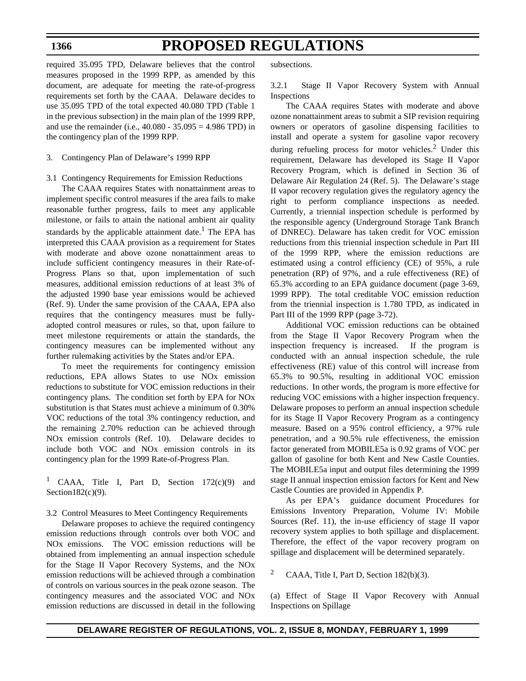## **PROPOSED REGULATIONS**

required 35.095 TPD, Delaware believes that the control measures proposed in the 1999 RPP, as amended by this document, are adequate for meeting the rate-of-progress requirements set forth by the CAAA. Delaware decides to use 35.095 TPD of the total expected 40.080 TPD (Table 1 in the previous subsection) in the main plan of the 1999 RPP, and use the remainder (i.e., 40.080 - 35.095 = 4.986 TPD) in the contingency plan of the 1999 RPP.

#### 3. Contingency Plan of Delaware's 1999 RPP

3.1 Contingency Requirements for Emission Reductions

The CAAA requires States with nonattainment areas to implement specific control measures if the area fails to make reasonable further progress, fails to meet any applicable milestone, or fails to attain the national ambient air quality standards by the applicable attainment date.<sup>1</sup> The EPA has interpreted this CAAA provision as a requirement for States with moderate and above ozone nonattainment areas to include sufficient contingency measures in their Rate-of-Progress Plans so that, upon implementation of such measures, additional emission reductions of at least 3% of the adjusted 1990 base year emissions would be achieved (Ref. 9). Under the same provision of the CAAA, EPA also requires that the contingency measures must be fullyadopted control measures or rules, so that, upon failure to meet milestone requirements or attain the standards, the contingency measures can be implemented without any further rulemaking activities by the States and/or EPA.

To meet the requirements for contingency emission reductions, EPA allows States to use NOx emission reductions to substitute for VOC emission reductions in their contingency plans. The condition set forth by EPA for NOx substitution is that States must achieve a minimum of 0.30% VOC reductions of the total 3% contingency reduction, and the remaining 2.70% reduction can be achieved through NOx emission controls (Ref. 10). Delaware decides to include both VOC and NOx emission controls in its contingency plan for the 1999 Rate-of-Progress Plan.

1 CAAA, Title I, Part D, Section 172(c)(9) and Section182 $(c)(9)$ .

3.2 Control Measures to Meet Contingency Requirements

Delaware proposes to achieve the required contingency emission reductions through controls over both VOC and NOx emissions. The VOC emission reductions will be obtained from implementing an annual inspection schedule for the Stage II Vapor Recovery Systems, and the NOx emission reductions will be achieved through a combination of controls on various sources in the peak ozone season. The contingency measures and the associated VOC and NOx emission reductions are discussed in detail in the following subsections.

3.2.1 Stage II Vapor Recovery System with Annual Inspections

The CAAA requires States with moderate and above ozone nonattainment areas to submit a SIP revision requiring owners or operators of gasoline dispensing facilities to install and operate a system for gasoline vapor recovery during refueling process for motor vehicles. $2$  Under this requirement, Delaware has developed its Stage II Vapor Recovery Program, which is defined in Section 36 of Delaware Air Regulation 24 (Ref. 5). The Delaware's stage II vapor recovery regulation gives the regulatory agency the right to perform compliance inspections as needed. Currently, a triennial inspection schedule is performed by the responsible agency (Underground Storage Tank Branch of DNREC). Delaware has taken credit for VOC emission reductions from this triennial inspection schedule in Part III of the 1999 RPP, where the emission reductions are estimated using a control efficiency (CE) of 95%, a rule penetration (RP) of 97%, and a rule effectiveness (RE) of 65.3% according to an EPA guidance document (page 3-69, 1999 RPP). The total creditable VOC emission reduction from the triennial inspection is 1.780 TPD, as indicated in Part III of the 1999 RPP (page 3-72).

Additional VOC emission reductions can be obtained from the Stage II Vapor Recovery Program when the inspection frequency is increased. If the program is conducted with an annual inspection schedule, the rule effectiveness (RE) value of this control will increase from 65.3% to 90.5%, resulting in additional VOC emission reductions. In other words, the program is more effective for reducing VOC emissions with a higher inspection frequency. Delaware proposes to perform an annual inspection schedule for its Stage II Vapor Recovery Program as a contingency measure. Based on a 95% control efficiency, a 97% rule penetration, and a 90.5% rule effectiveness, the emission factor generated from MOBILE5a is 0.92 grams of VOC per gallon of gasoline for both Kent and New Castle Counties. The MOBILE5a input and output files determining the 1999 stage II annual inspection emission factors for Kent and New Castle Counties are provided in Appendix P.

As per EPA's guidance document Procedures for Emissions Inventory Preparation, Volume IV: Mobile Sources (Ref. 11), the in-use efficiency of stage II vapor recovery system applies to both spillage and displacement. Therefore, the effect of the vapor recovery program on spillage and displacement will be determined separately.

<sup>2</sup> CAAA, Title I, Part D, Section  $182(b)(3)$ .

(a) Effect of Stage II Vapor Recovery with Annual Inspections on Spillage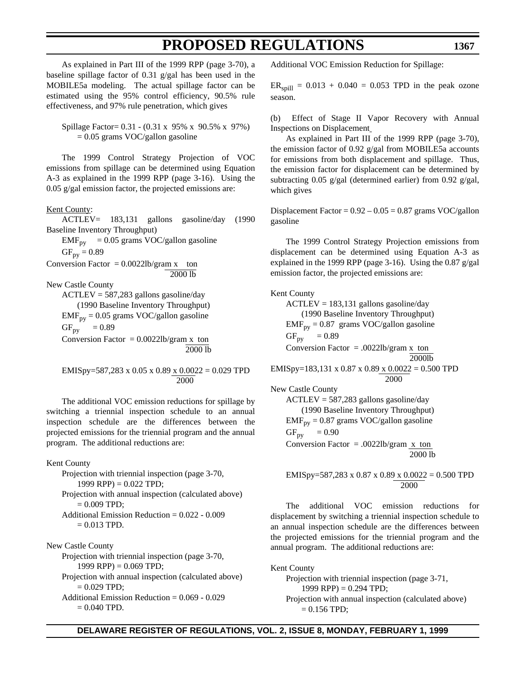As explained in Part III of the 1999 RPP (page 3-70), a baseline spillage factor of 0.31 g/gal has been used in the MOBILE5a modeling. The actual spillage factor can be estimated using the 95% control efficiency, 90.5% rule effectiveness, and 97% rule penetration, which gives

Spillage Factor= 0.31 - (0.31 x 95% x 90.5% x 97%)  $= 0.05$  grams VOC/gallon gasoline

The 1999 Control Strategy Projection of VOC emissions from spillage can be determined using Equation A-3 as explained in the 1999 RPP (page 3-16). Using the 0.05 g/gal emission factor, the projected emissions are:

Kent County:

ACTLEV= 183,131 gallons gasoline/day (1990 Baseline Inventory Throughput)  $EMF_{py}$  = 0.05 grams VOC/gallon gasoline

 $GF_{py} = 0.89$ 

Conversion Factor =  $0.0022$ lb/gram x ton 2000 lb

New Castle County

ACTLEV = 587,283 gallons gasoline/day (1990 Baseline Inventory Throughput)  $EMF_{py} = 0.05$  grams VOC/gallon gasoline  $GF_{py}$  = 0.89 Conversion Factor =  $0.0022$ lb/gram x ton 2000 lb

EMISpy=587,283 x 0.05 x 0.89 x 0.0022 = 0.029 TPD 2000

The additional VOC emission reductions for spillage by switching a triennial inspection schedule to an annual inspection schedule are the differences between the projected emissions for the triennial program and the annual program. The additional reductions are:

### Kent County

Projection with triennial inspection (page 3-70, 1999 RPP) =  $0.022$  TPD;

Projection with annual inspection (calculated above)  $= 0.009$  TPD;

Additional Emission Reduction = 0.022 - 0.009  $= 0.013$  TPD.

New Castle County Projection with triennial inspection (page 3-70, 1999 RPP) =  $0.069$  TPD; Projection with annual inspection (calculated above)  $= 0.029$  TPD; Additional Emission Reduction = 0.069 - 0.029  $= 0.040$  TPD.

Additional VOC Emission Reduction for Spillage:

 $ER_{\text{spill}} = 0.013 + 0.040 = 0.053 \text{ TPD}$  in the peak ozone season.

(b) Effect of Stage II Vapor Recovery with Annual Inspections on Displacement

As explained in Part III of the 1999 RPP (page 3-70), the emission factor of 0.92 g/gal from MOBILE5a accounts for emissions from both displacement and spillage. Thus, the emission factor for displacement can be determined by subtracting 0.05 g/gal (determined earlier) from 0.92 g/gal, which gives

Displacement Factor =  $0.92 - 0.05 = 0.87$  grams VOC/gallon gasoline

The 1999 Control Strategy Projection emissions from displacement can be determined using Equation A-3 as explained in the 1999 RPP (page 3-16). Using the 0.87 g/gal emission factor, the projected emissions are:

### Kent County

 $ACTLEY = 183,131$  gallons gasoline/day (1990 Baseline Inventory Throughput)  $EMF_{py} = 0.87$  grams VOC/gallon gasoline  $GF_{\text{pv}} = 0.89$ Conversion Factor =  $.0022$ lb/gram x ton 2000lb EMISpy=183,131 x 0.87 x 0.89 x 0.0022 = 0.500 TPD 2000 New Castle County

ACTLEV = 587,283 gallons gasoline/day (1990 Baseline Inventory Throughput)  $EMF_{py} = 0.87$  grams VOC/gallon gasoline  $GF_{py} = 0.90$ Conversion Factor = .0022lb/gram  $x \text{ ton}$ 2000 lb

EMISpy=587,283 x 0.87 x 0.89 x 0.0022 = 0.500 TPD 2000

The additional VOC emission reductions for displacement by switching a triennial inspection schedule to an annual inspection schedule are the differences between the projected emissions for the triennial program and the annual program. The additional reductions are:

Kent County Projection with triennial inspection (page 3-71, 1999 RPP) =  $0.294$  TPD; Projection with annual inspection (calculated above)  $= 0.156$  TPD;

### **DELAWARE REGISTER OF REGULATIONS, VOL. 2, ISSUE 8, MONDAY, FEBRUARY 1, 1999**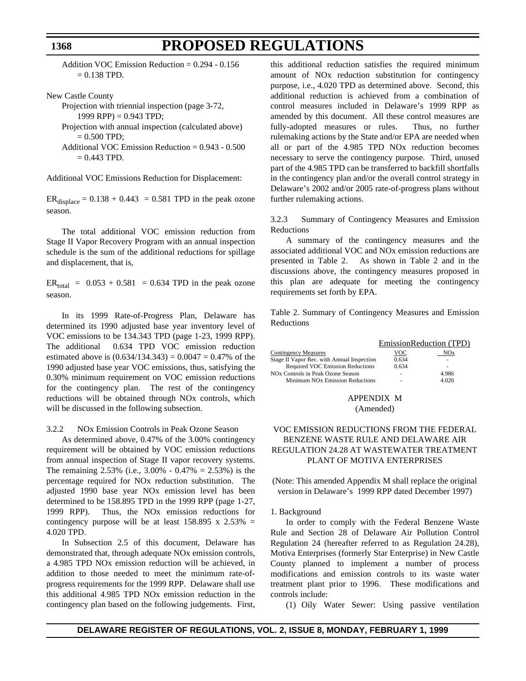Addition VOC Emission Reduction = 0.294 - 0.156  $= 0.138$  TPD.

New Castle County

Projection with triennial inspection (page 3-72, 1999 RPP) =  $0.943$  TPD;

Projection with annual inspection (calculated above)  $= 0.500$  TPD;

Additional VOC Emission Reduction = 0.943 - 0.500  $= 0.443$  TPD.

Additional VOC Emissions Reduction for Displacement:

 $ER_{displace} = 0.138 + 0.443 = 0.581$  TPD in the peak ozone season.

The total additional VOC emission reduction from Stage II Vapor Recovery Program with an annual inspection schedule is the sum of the additional reductions for spillage and displacement, that is,

 $ER_{total} = 0.053 + 0.581 = 0.634$  TPD in the peak ozone season.

In its 1999 Rate-of-Progress Plan, Delaware has determined its 1990 adjusted base year inventory level of VOC emissions to be 134.343 TPD (page 1-23, 1999 RPP). The additional 0.634 TPD VOC emission reduction estimated above is  $(0.634/134.343) = 0.0047 = 0.47\%$  of the 1990 adjusted base year VOC emissions, thus, satisfying the 0.30% minimum requirement on VOC emission reductions for the contingency plan. The rest of the contingency reductions will be obtained through NOx controls, which will be discussed in the following subsection.

3.2.2 NOx Emission Controls in Peak Ozone Season

As determined above, 0.47% of the 3.00% contingency requirement will be obtained by VOC emission reductions from annual inspection of Stage II vapor recovery systems. The remaining 2.53% (i.e., 3.00% - 0.47% = 2.53%) is the percentage required for NOx reduction substitution. The adjusted 1990 base year NOx emission level has been determined to be 158.895 TPD in the 1999 RPP (page 1-27, 1999 RPP). Thus, the NOx emission reductions for contingency purpose will be at least  $158.895 \times 2.53\% =$ 4.020 TPD.

In Subsection 2.5 of this document, Delaware has demonstrated that, through adequate NOx emission controls, a 4.985 TPD NOx emission reduction will be achieved, in addition to those needed to meet the minimum rate-ofprogress requirements for the 1999 RPP. Delaware shall use this additional 4.985 TPD NOx emission reduction in the contingency plan based on the following judgements. First, this additional reduction satisfies the required minimum amount of NOx reduction substitution for contingency purpose, i.e., 4.020 TPD as determined above. Second, this additional reduction is achieved from a combination of control measures included in Delaware's 1999 RPP as amended by this document. All these control measures are fully-adopted measures or rules. Thus, no further rulemaking actions by the State and/or EPA are needed when all or part of the 4.985 TPD NOx reduction becomes necessary to serve the contingency purpose. Third, unused part of the 4.985 TPD can be transferred to backfill shortfalls in the contingency plan and/or the overall control strategy in Delaware's 2002 and/or 2005 rate-of-progress plans without further rulemaking actions.

3.2.3 Summary of Contingency Measures and Emission Reductions

A summary of the contingency measures and the associated additional VOC and NOx emission reductions are presented in Table 2. As shown in Table 2 and in the discussions above, the contingency measures proposed in this plan are adequate for meeting the contingency requirements set forth by EPA.

Table 2. Summary of Contingency Measures and Emission Reductions

|                                               |       | EmissionReduction (TPD) |
|-----------------------------------------------|-------|-------------------------|
| <b>Contingency Measures</b>                   | VOC   | NOx                     |
| Stage II Vapor Rec. with Annual Inspection    | 0.634 | ۰                       |
| Required VOC Emission Reductions              | 0.634 | ۰                       |
| NO <sub>x</sub> Controls in Peak Ozone Season | -     | 4.986                   |
| Minimum NO <sub>x</sub> Emission Reductions   |       | 4.020                   |

### APPENDIX M (Amended)

### VOC EMISSION REDUCTIONS FROM THE FEDERAL BENZENE WASTE RULE AND DELAWARE AIR REGULATION 24.28 AT WASTEWATER TREATMENT PLANT OF MOTIVA ENTERPRISES

(Note: This amended Appendix M shall replace the original version in Delaware's 1999 RPP dated December 1997)

### 1. Background

In order to comply with the Federal Benzene Waste Rule and Section 28 of Delaware Air Pollution Control Regulation 24 (hereafter referred to as Regulation 24.28), Motiva Enterprises (formerly Star Enterprise) in New Castle County planned to implement a number of process modifications and emission controls to its waste water treatment plant prior to 1996. These modifications and controls include:

(1) Oily Water Sewer: Using passive ventilation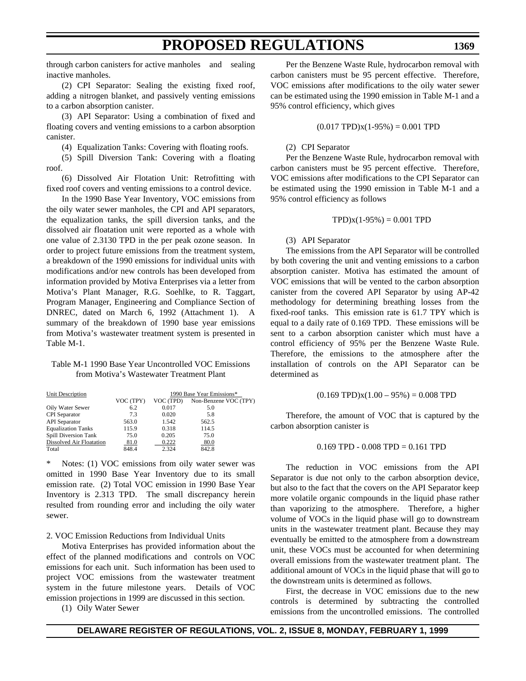**1369**

through carbon canisters for active manholes and sealing inactive manholes.

(2) CPI Separator: Sealing the existing fixed roof, adding a nitrogen blanket, and passively venting emissions to a carbon absorption canister.

(3) API Separator: Using a combination of fixed and floating covers and venting emissions to a carbon absorption canister.

(4) Equalization Tanks: Covering with floating roofs.

(5) Spill Diversion Tank: Covering with a floating roof.

(6) Dissolved Air Flotation Unit: Retrofitting with fixed roof covers and venting emissions to a control device.

In the 1990 Base Year Inventory, VOC emissions from the oily water sewer manholes, the CPI and API separators, the equalization tanks, the spill diversion tanks, and the dissolved air floatation unit were reported as a whole with one value of 2.3130 TPD in the per peak ozone season. In order to project future emissions from the treatment system, a breakdown of the 1990 emissions for individual units with modifications and/or new controls has been developed from information provided by Motiva Enterprises via a letter from Motiva's Plant Manager, R.G. Soehlke, to R. Taggart, Program Manager, Engineering and Compliance Section of DNREC, dated on March 6, 1992 (Attachment 1). A summary of the breakdown of 1990 base year emissions from Motiva's wastewater treatment system is presented in Table M-1.

### Table M-1 1990 Base Year Uncontrolled VOC Emissions from Motiva's Wastewater Treatment Plant

| Unit Description          | 1990 Base Year Emissions* |           |                       |
|---------------------------|---------------------------|-----------|-----------------------|
|                           | VOC (TPY)                 | VOC (TPD) | Non-Benzene VOC (TPY) |
| Oily Water Sewer          | 6.2                       | 0.017     | 5.0                   |
| <b>CPI</b> Separator      | 7.3                       | 0.020     | 5.8                   |
| <b>API</b> Separator      | 563.0                     | 1.542     | 562.5                 |
| <b>Equalization Tanks</b> | 115.9                     | 0.318     | 114.5                 |
| Spill Diversion Tank      | 75.0                      | 0.205     | 75.0                  |
| Dissolved Air Floatation  | 81.0                      | 0.222     | 80.0                  |
| Total                     | 848.4                     | 2.324     | 842.8                 |

Notes: (1) VOC emissions from oily water sewer was omitted in 1990 Base Year Inventory due to its small emission rate. (2) Total VOC emission in 1990 Base Year Inventory is 2.313 TPD. The small discrepancy herein resulted from rounding error and including the oily water sewer.

2. VOC Emission Reductions from Individual Units

Motiva Enterprises has provided information about the effect of the planned modifications and controls on VOC emissions for each unit. Such information has been used to project VOC emissions from the wastewater treatment system in the future milestone years. Details of VOC emission projections in 1999 are discussed in this section.

(1) Oily Water Sewer

Per the Benzene Waste Rule, hydrocarbon removal with carbon canisters must be 95 percent effective. Therefore, VOC emissions after modifications to the oily water sewer can be estimated using the 1990 emission in Table M-1 and a 95% control efficiency, which gives

$$
(0.017 \text{ TPD})x(1-95\%) = 0.001 \text{ TPD}
$$

### (2) CPI Separator

Per the Benzene Waste Rule, hydrocarbon removal with carbon canisters must be 95 percent effective. Therefore, VOC emissions after modifications to the CPI Separator can be estimated using the 1990 emission in Table M-1 and a 95% control efficiency as follows

$$
TPD(x(1-95\%) = 0.001 TPD
$$

### (3) API Separator

The emissions from the API Separator will be controlled by both covering the unit and venting emissions to a carbon absorption canister. Motiva has estimated the amount of VOC emissions that will be vented to the carbon absorption canister from the covered API Separator by using AP-42 methodology for determining breathing losses from the fixed-roof tanks. This emission rate is 61.7 TPY which is equal to a daily rate of 0.169 TPD. These emissions will be sent to a carbon absorption canister which must have a control efficiency of 95% per the Benzene Waste Rule. Therefore, the emissions to the atmosphere after the installation of controls on the API Separator can be determined as

$$
(0.169 \text{ TPD})x(1.00 - 95\%) = 0.008 \text{ TPD}
$$

Therefore, the amount of VOC that is captured by the carbon absorption canister is

#### $0.169$  TPD -  $0.008$  TPD =  $0.161$  TPD

The reduction in VOC emissions from the API Separator is due not only to the carbon absorption device, but also to the fact that the covers on the API Separator keep more volatile organic compounds in the liquid phase rather than vaporizing to the atmosphere. Therefore, a higher volume of VOCs in the liquid phase will go to downstream units in the wastewater treatment plant. Because they may eventually be emitted to the atmosphere from a downstream unit, these VOCs must be accounted for when determining overall emissions from the wastewater treatment plant. The additional amount of VOCs in the liquid phase that will go to the downstream units is determined as follows.

First, the decrease in VOC emissions due to the new controls is determined by subtracting the controlled emissions from the uncontrolled emissions. The controlled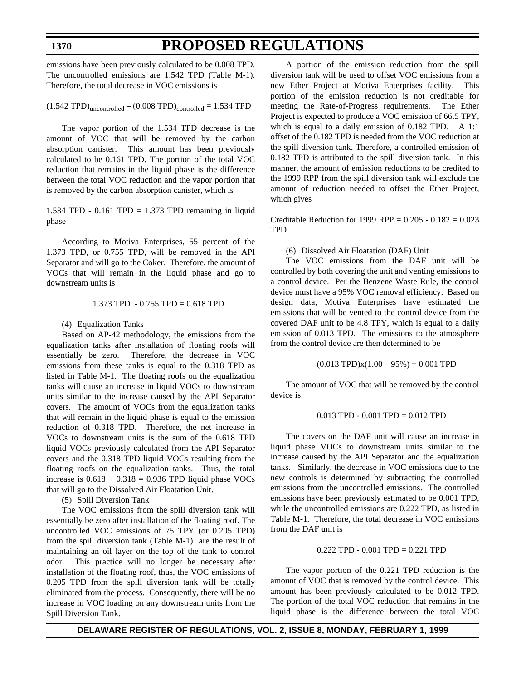### **PROPOSED REGULATIONS**

emissions have been previously calculated to be 0.008 TPD. The uncontrolled emissions are 1.542 TPD (Table M-1). Therefore, the total decrease in VOC emissions is

 $(1.542 \text{ TPD})_{\text{uncontrolled}} - (0.008 \text{ TPD})_{\text{controlled}} = 1.534 \text{ TPD}$ 

The vapor portion of the 1.534 TPD decrease is the amount of VOC that will be removed by the carbon absorption canister. This amount has been previously calculated to be 0.161 TPD. The portion of the total VOC reduction that remains in the liquid phase is the difference between the total VOC reduction and the vapor portion that is removed by the carbon absorption canister, which is

1.534 TPD -  $0.161$  TPD = 1.373 TPD remaining in liquid phase

According to Motiva Enterprises, 55 percent of the 1.373 TPD, or 0.755 TPD, will be removed in the API Separator and will go to the Coker. Therefore, the amount of VOCs that will remain in the liquid phase and go to downstream units is

#### 1.373 TPD - 0.755 TPD = 0.618 TPD

#### (4) Equalization Tanks

Based on AP-42 methodology, the emissions from the equalization tanks after installation of floating roofs will essentially be zero. Therefore, the decrease in VOC emissions from these tanks is equal to the 0.318 TPD as listed in Table M-1. The floating roofs on the equalization tanks will cause an increase in liquid VOCs to downstream units similar to the increase caused by the API Separator covers. The amount of VOCs from the equalization tanks that will remain in the liquid phase is equal to the emission reduction of 0.318 TPD. Therefore, the net increase in VOCs to downstream units is the sum of the 0.618 TPD liquid VOCs previously calculated from the API Separator covers and the 0.318 TPD liquid VOCs resulting from the floating roofs on the equalization tanks. Thus, the total increase is  $0.618 + 0.318 = 0.936$  TPD liquid phase VOCs that will go to the Dissolved Air Floatation Unit.

(5) Spill Diversion Tank

The VOC emissions from the spill diversion tank will essentially be zero after installation of the floating roof. The uncontrolled VOC emissions of 75 TPY (or 0.205 TPD) from the spill diversion tank (Table M-1) are the result of maintaining an oil layer on the top of the tank to control odor. This practice will no longer be necessary after installation of the floating roof, thus, the VOC emissions of 0.205 TPD from the spill diversion tank will be totally eliminated from the process. Consequently, there will be no increase in VOC loading on any downstream units from the Spill Diversion Tank.

A portion of the emission reduction from the spill diversion tank will be used to offset VOC emissions from a new Ether Project at Motiva Enterprises facility. This portion of the emission reduction is not creditable for meeting the Rate-of-Progress requirements. The Ether Project is expected to produce a VOC emission of 66.5 TPY, which is equal to a daily emission of 0.182 TPD. A 1:1 offset of the 0.182 TPD is needed from the VOC reduction at the spill diversion tank. Therefore, a controlled emission of 0.182 TPD is attributed to the spill diversion tank. In this manner, the amount of emission reductions to be credited to the 1999 RPP from the spill diversion tank will exclude the amount of reduction needed to offset the Ether Project, which gives

Creditable Reduction for 1999 RPP =  $0.205 - 0.182 = 0.023$ **TPD** 

#### (6) Dissolved Air Floatation (DAF) Unit

The VOC emissions from the DAF unit will be controlled by both covering the unit and venting emissions to a control device. Per the Benzene Waste Rule, the control device must have a 95% VOC removal efficiency. Based on design data, Motiva Enterprises have estimated the emissions that will be vented to the control device from the covered DAF unit to be 4.8 TPY, which is equal to a daily emission of 0.013 TPD. The emissions to the atmosphere from the control device are then determined to be

#### $(0.013 \text{ TPD})x(1.00 - 95%) = 0.001 \text{ TPD}$

The amount of VOC that will be removed by the control device is

#### 0.013 TPD - 0.001 TPD = 0.012 TPD

The covers on the DAF unit will cause an increase in liquid phase VOCs to downstream units similar to the increase caused by the API Separator and the equalization tanks. Similarly, the decrease in VOC emissions due to the new controls is determined by subtracting the controlled emissions from the uncontrolled emissions. The controlled emissions have been previously estimated to be 0.001 TPD, while the uncontrolled emissions are 0.222 TPD, as listed in Table M-1. Therefore, the total decrease in VOC emissions from the DAF unit is

### 0.222 TPD - 0.001 TPD = 0.221 TPD

The vapor portion of the 0.221 TPD reduction is the amount of VOC that is removed by the control device. This amount has been previously calculated to be 0.012 TPD. The portion of the total VOC reduction that remains in the liquid phase is the difference between the total VOC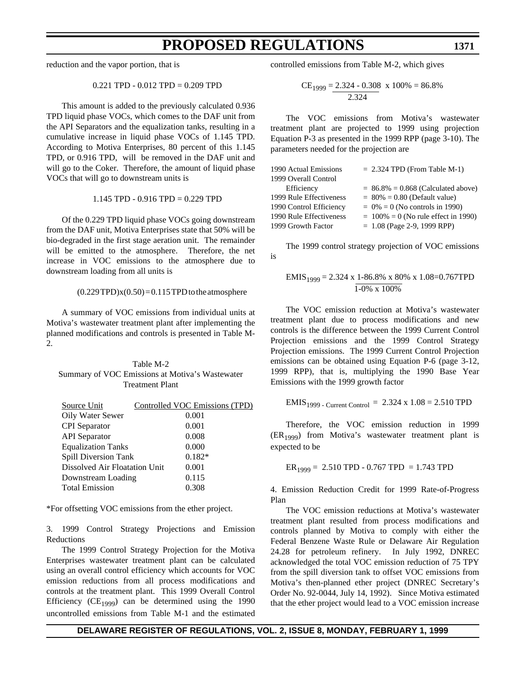reduction and the vapor portion, that is

$$
0.221 \text{ TPD} - 0.012 \text{ TPD} = 0.209 \text{ TPD}
$$

This amount is added to the previously calculated 0.936 TPD liquid phase VOCs, which comes to the DAF unit from the API Separators and the equalization tanks, resulting in a cumulative increase in liquid phase VOCs of 1.145 TPD. According to Motiva Enterprises, 80 percent of this 1.145 TPD, or 0.916 TPD, will be removed in the DAF unit and will go to the Coker. Therefore, the amount of liquid phase VOCs that will go to downstream units is

$$
1.145 \text{ TPD} - 0.916 \text{ TPD} = 0.229 \text{ TPD}
$$

Of the 0.229 TPD liquid phase VOCs going downstream from the DAF unit, Motiva Enterprises state that 50% will be bio-degraded in the first stage aeration unit. The remainder will be emitted to the atmosphere. Therefore, the net increase in VOC emissions to the atmosphere due to downstream loading from all units is

#### $(0.229 \text{ TPD})x(0.50) = 0.115 \text{ TPD}$  to the atmosphere

A summary of VOC emissions from individual units at Motiva's wastewater treatment plant after implementing the planned modifications and controls is presented in Table M-2.

| Table M-2                                       |
|-------------------------------------------------|
| Summary of VOC Emissions at Motiva's Wastewater |
| <b>Treatment Plant</b>                          |

| Source Unit                   | Controlled VOC Emissions (TPD) |
|-------------------------------|--------------------------------|
| Oily Water Sewer              | 0.001                          |
| <b>CPI</b> Separator          | 0.001                          |
| <b>API</b> Separator          | 0.008                          |
| <b>Equalization Tanks</b>     | 0.000                          |
| Spill Diversion Tank          | $0.182*$                       |
| Dissolved Air Floatation Unit | 0.001                          |
| Downstream Loading            | 0.115                          |
| <b>Total Emission</b>         | 0.308                          |

\*For offsetting VOC emissions from the ether project.

3. 1999 Control Strategy Projections and Emission Reductions

The 1999 Control Strategy Projection for the Motiva Enterprises wastewater treatment plant can be calculated using an overall control efficiency which accounts for VOC emission reductions from all process modifications and controls at the treatment plant. This 1999 Overall Control Efficiency ( $CE_{1999}$ ) can be determined using the 1990 uncontrolled emissions from Table M-1 and the estimated controlled emissions from Table M-2, which gives

CE<sub>1999</sub> = 
$$
\frac{2.324 - 0.308}{2.324}
$$
 x 100% = 86.8%

The VOC emissions from Motiva's wastewater treatment plant are projected to 1999 using projection Equation P-3 as presented in the 1999 RPP (page 3-10). The parameters needed for the projection are

| 1990 Actual Emissions   | $= 2.324$ TPD (From Table M-1)         |
|-------------------------|----------------------------------------|
| 1999 Overall Control    |                                        |
| Efficiency              | $= 86.8\% = 0.868$ (Calculated above)  |
| 1999 Rule Effectiveness | $= 80\% = 0.80$ (Default value)        |
| 1990 Control Efficiency | $= 0\% = 0$ (No controls in 1990)      |
| 1990 Rule Effectiveness | $= 100\% = 0$ (No rule effect in 1990) |
| 1999 Growth Factor      | $= 1.08$ (Page 2-9, 1999 RPP)          |

The 1999 control strategy projection of VOC emissions is

$$
EMIS1999 = 2.324 x 1-86.8% x 80% x 1.08=0.767 TPD
$$
  
1-0% x 100%

The VOC emission reduction at Motiva's wastewater treatment plant due to process modifications and new controls is the difference between the 1999 Current Control Projection emissions and the 1999 Control Strategy Projection emissions. The 1999 Current Control Projection emissions can be obtained using Equation P-6 (page 3-12, 1999 RPP), that is, multiplying the 1990 Base Year Emissions with the 1999 growth factor

$$
EMIS1999 - Current Control = 2.324 x 1.08 = 2.510 TPD
$$

Therefore, the VOC emission reduction in 1999  $(ER_{1999})$  from Motiva's wastewater treatment plant is expected to be

$$
ER_{1999} = 2.510 \text{ TPD} - 0.767 \text{ TPD} = 1.743 \text{ TPD}
$$

4. Emission Reduction Credit for 1999 Rate-of-Progress Plan

The VOC emission reductions at Motiva's wastewater treatment plant resulted from process modifications and controls planned by Motiva to comply with either the Federal Benzene Waste Rule or Delaware Air Regulation 24.28 for petroleum refinery. In July 1992, DNREC acknowledged the total VOC emission reduction of 75 TPY from the spill diversion tank to offset VOC emissions from Motiva's then-planned ether project (DNREC Secretary's Order No. 92-0044, July 14, 1992). Since Motiva estimated that the ether project would lead to a VOC emission increase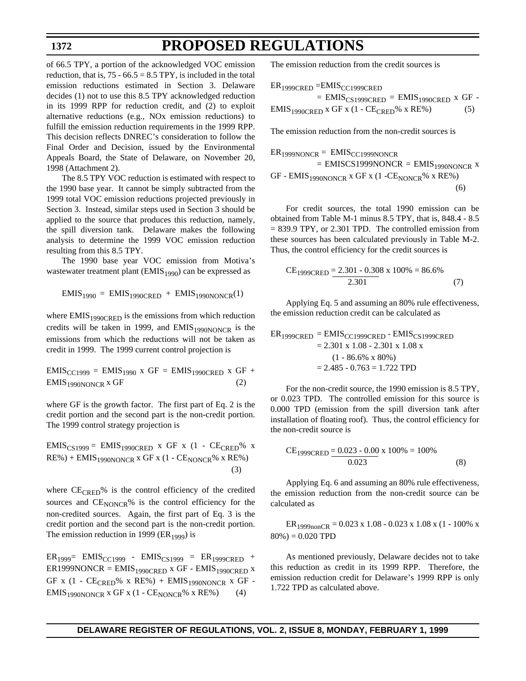of 66.5 TPY, a portion of the acknowledged VOC emission reduction, that is,  $75 - 66.5 = 8.5$  TPY, is included in the total emission reductions estimated in Section 3. Delaware decides (1) not to use this 8.5 TPY acknowledged reduction in its 1999 RPP for reduction credit, and (2) to exploit alternative reductions (e.g., NOx emission reductions) to fulfill the emission reduction requirements in the 1999 RPP. This decision reflects DNREC's consideration to follow the Final Order and Decision, issued by the Environmental Appeals Board, the State of Delaware, on November 20, 1998 (Attachment 2).

The 8.5 TPY VOC reduction is estimated with respect to the 1990 base year. It cannot be simply subtracted from the 1999 total VOC emission reductions projected previously in Section 3. Instead, similar steps used in Section 3 should be applied to the source that produces this reduction, namely, the spill diversion tank. Delaware makes the following analysis to determine the 1999 VOC emission reduction resulting from this 8.5 TPY.

The 1990 base year VOC emission from Motiva's wastewater treatment plant  $(EMIS<sub>1990</sub>)$  can be expressed as

$$
EMIS1990 = EMIS1990CRED + EMIS1990NONCR(1)
$$

where  $EMIS<sub>1990CRED</sub>$  is the emissions from which reduction credits will be taken in 1999, and  $EMIS<sub>1990NONCR</sub>$  is the emissions from which the reductions will not be taken as credit in 1999. The 1999 current control projection is

 $EMIS_{CC1999} = E MIS_{1990}$  x  $GF = E MIS_{1990CRED}$  x  $GF +$  $EMIS<sub>1990NONCR</sub>$  x GF (2)

where GF is the growth factor. The first part of Eq. 2 is the credit portion and the second part is the non-credit portion. The 1999 control strategy projection is

 $EMIS_{CS1999} = EMIS_{1990CRED}$  x GF x (1 -  $CE_{CRED}$ % x  $RE\%$ ) + EMIS<sub>1990NONCR</sub> x GF x (1 -  $CE<sub>NONCR</sub>$ % x RE%) (3)

where  $CE_{CRED}$ % is the control efficiency of the credited sources and CE<sub>NONCR</sub>% is the control efficiency for the non-credited sources. Again, the first part of Eq. 3 is the credit portion and the second part is the non-credit portion. The emission reduction in 1999 ( $ER<sub>1999</sub>$ ) is

 $ER_{1999} = EMIS_{CC1999} - EMIS_{CS1999} = ER_{1999CRED} +$  $ER1999NONCR = EMIS_{1990CRED}$  x GF -  $EMIS_{1990CRED}$  x GF x (1 -  $CE_{CRED}$ % x RE%) +  $EMIS_{1990NONCR}$  x GF - $EMIS<sub>1990NONCR</sub>$  x GF x (1 -  $CE<sub>NONCR</sub>$ % x RE%) (4)

The emission reduction from the credit sources is

$$
ER1999CRED = EMISCC1999CRED
$$
  
= EMIS<sub>CS1999CRED</sub> = EMIS<sub>1990CRED</sub> x GF -  
EMIS<sub>1990CRED</sub> x GF x (1 - CE<sub>CRED</sub>% x RE%) (5)

The emission reduction from the non-credit sources is

$$
ER1999NONCR = EMISCC1999NONCR
$$
  
= EMISCS1999NONCR = EMIS<sub>1990NONCR</sub> x  
GF - EMIS<sub>1990NONCR</sub> x GF x (1 -CE<sub>NONCR</sub>% x RE%) (6)

For credit sources, the total 1990 emission can be obtained from Table M-1 minus 8.5 TPY, that is, 848.4 - 8.5 = 839.9 TPY, or 2.301 TPD. The controlled emission from these sources has been calculated previously in Table M-2. Thus, the control efficiency for the credit sources is

$$
CE1999CRED = 2.301 - 0.308 \times 100\% = 86.6\% 2.301 \tag{7}
$$

Applying Eq. 5 and assuming an 80% rule effectiveness, the emission reduction credit can be calculated as

ER1999CRED = EMISCC1999CRED - EMISCS1999CRED = 2.301 x 1.08 - 2.301 x 1.08 x (1 - 86.6% x 80%) = 2.485 - 0.763 = 1.722 TPD

For the non-credit source, the 1990 emission is 8.5 TPY, or 0.023 TPD. The controlled emission for this source is 0.000 TPD (emission from the spill diversion tank after installation of floating roof). Thus, the control efficiency for the non-credit source is

CE<sub>1999CRED</sub> = 
$$
\frac{0.023 - 0.00}{0.023} \times 100\% = 100\%
$$
 (8)

Applying Eq. 6 and assuming an 80% rule effectiveness, the emission reduction from the non-credit source can be calculated as

 $ER_{1999nonCR} = 0.023 \times 1.08 - 0.023 \times 1.08 \times (1 - 100\% \times$  $80\% = 0.020$  TPD

As mentioned previously, Delaware decides not to take this reduction as credit in its 1999 RPP. Therefore, the emission reduction credit for Delaware's 1999 RPP is only 1.722 TPD as calculated above.

### **1372**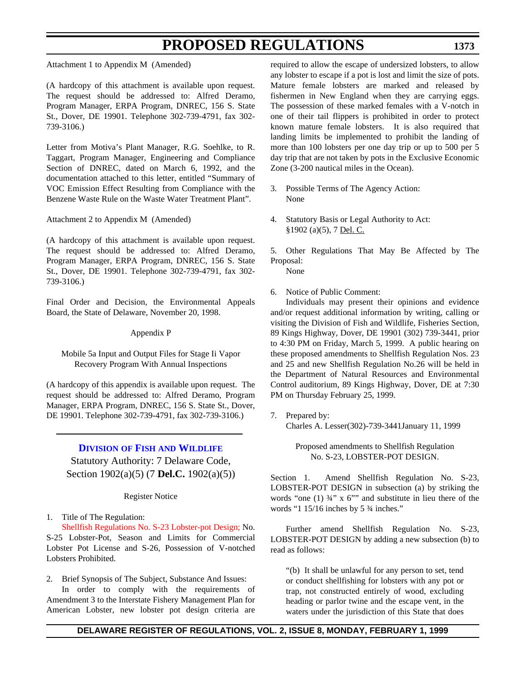**1373**

Attachment 1 to Appendix M (Amended)

(A hardcopy of this attachment is available upon request. The request should be addressed to: Alfred Deramo, Program Manager, ERPA Program, DNREC, 156 S. State St., Dover, DE 19901. Telephone 302-739-4791, fax 302- 739-3106.)

Letter from Motiva's Plant Manager, R.G. Soehlke, to R. Taggart, Program Manager, Engineering and Compliance Section of DNREC, dated on March 6, 1992, and the documentation attached to this letter, entitled "Summary of VOC Emission Effect Resulting from Compliance with the Benzene Waste Rule on the Waste Water Treatment Plant".

Attachment 2 to Appendix M (Amended)

(A hardcopy of this attachment is available upon request. The request should be addressed to: Alfred Deramo, Program Manager, ERPA Program, DNREC, 156 S. State St., Dover, DE 19901. Telephone 302-739-4791, fax 302- 739-3106.)

Final Order and Decision, the Environmental Appeals Board, the State of Delaware, November 20, 1998.

#### Appendix P

Mobile 5a Input and Output Files for Stage Ii Vapor Recovery Program With Annual Inspections

(A hardcopy of this appendix is available upon request. The request should be addressed to: Alfred Deramo, Program Manager, ERPA Program, DNREC, 156 S. State St., Dover, DE 19901. Telephone 302-739-4791, fax 302-739-3106.)

### **DIVISION OF FISH [AND WILDLIFE](http://www.dnrec.state.de.us/fandw.htm)**

Statutory Authority: 7 Delaware Code, Section 1902(a)(5) (7 **Del.C.** 1902(a)(5))

Register Notice

1. Title of The Regulation:

[Shellfish Regulations No. S-23 Lobster-pot Design;](#page-3-4) No. S-25 Lobster-Pot, Season and Limits for Commercial Lobster Pot License and S-26, Possession of V-notched Lobsters Prohibited.

2. Brief Synopsis of The Subject, Substance And Issues: In order to comply with the requirements of Amendment 3 to the Interstate Fishery Management Plan for American Lobster, new lobster pot design criteria are

required to allow the escape of undersized lobsters, to allow any lobster to escape if a pot is lost and limit the size of pots. Mature female lobsters are marked and released by fishermen in New England when they are carrying eggs. The possession of these marked females with a V-notch in one of their tail flippers is prohibited in order to protect known mature female lobsters. It is also required that landing limits be implemented to prohibit the landing of more than 100 lobsters per one day trip or up to 500 per 5 day trip that are not taken by pots in the Exclusive Economic Zone (3-200 nautical miles in the Ocean).

- 3. Possible Terms of The Agency Action: None
- 4. Statutory Basis or Legal Authority to Act: §1902 (a)(5), 7 Del. C.

5. Other Regulations That May Be Affected by The Proposal:

None

6. Notice of Public Comment:

Individuals may present their opinions and evidence and/or request additional information by writing, calling or visiting the Division of Fish and Wildlife, Fisheries Section, 89 Kings Highway, Dover, DE 19901 (302) 739-3441, prior to 4:30 PM on Friday, March 5, 1999. A public hearing on these proposed amendments to Shellfish Regulation Nos. 23 and 25 and new Shellfish Regulation No.26 will be held in the Department of Natural Resources and Environmental Control auditorium, 89 Kings Highway, Dover, DE at 7:30 PM on Thursday February 25, 1999.

7. Prepared by: Charles A. Lesser(302)-739-3441January 11, 1999

> Proposed amendments to Shellfish Regulation No. S-23, LOBSTER-POT DESIGN.

Section 1. Amend Shellfish Regulation No. S-23, LOBSTER-POT DESIGN in subsection (a) by striking the words "one  $(1)$   $\frac{3}{4}$ " x  $6$ "" and substitute in lieu there of the words "1 15/16 inches by 5  $\frac{3}{4}$  inches."

Further amend Shellfish Regulation No. S-23, LOBSTER-POT DESIGN by adding a new subsection (b) to read as follows:

"(b) It shall be unlawful for any person to set, tend or conduct shellfishing for lobsters with any pot or trap, not constructed entirely of wood, excluding heading or parlor twine and the escape vent, in the waters under the jurisdiction of this State that does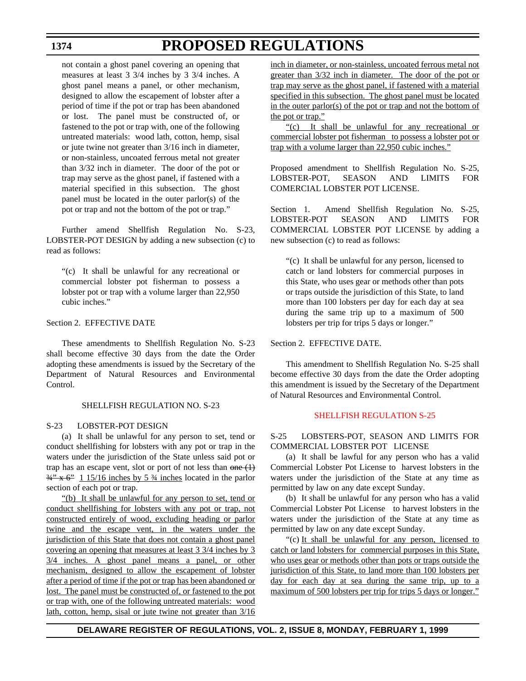# **PROPOSED REGULATIONS**

not contain a ghost panel covering an opening that measures at least 3 3/4 inches by 3 3/4 inches. A ghost panel means a panel, or other mechanism, designed to allow the escapement of lobster after a period of time if the pot or trap has been abandoned or lost. The panel must be constructed of, or fastened to the pot or trap with, one of the following untreated materials: wood lath, cotton, hemp, sisal or jute twine not greater than 3/16 inch in diameter, or non-stainless, uncoated ferrous metal not greater than 3/32 inch in diameter. The door of the pot or trap may serve as the ghost panel, if fastened with a material specified in this subsection. The ghost panel must be located in the outer parlor(s) of the pot or trap and not the bottom of the pot or trap."

Further amend Shellfish Regulation No. S-23, LOBSTER-POT DESIGN by adding a new subsection (c) to read as follows:

"(c) It shall be unlawful for any recreational or commercial lobster pot fisherman to possess a lobster pot or trap with a volume larger than 22,950 cubic inches."

### Section 2. EFFECTIVE DATE

These amendments to Shellfish Regulation No. S-23 shall become effective 30 days from the date the Order adopting these amendments is issued by the Secretary of the Department of Natural Resources and Environmental Control.

#### SHELLFISH REGULATION NO. S-23

### S-23 LOBSTER-POT DESIGN

(a) It shall be unlawful for any person to set, tend or conduct shellfishing for lobsters with any pot or trap in the waters under the jurisdiction of the State unless said pot or trap has an escape vent, slot or port of not less than  $\theta$ ne  $(1)$  $\frac{34}{4}$   $\times$  6<sup>2</sup> 1 15/16 inches by 5  $\frac{3}{4}$  inches located in the parlor section of each pot or trap.

"(b) It shall be unlawful for any person to set, tend or conduct shellfishing for lobsters with any pot or trap, not constructed entirely of wood, excluding heading or parlor twine and the escape vent, in the waters under the jurisdiction of this State that does not contain a ghost panel covering an opening that measures at least 3 3/4 inches by 3 3/4 inches. A ghost panel means a panel, or other mechanism, designed to allow the escapement of lobster after a period of time if the pot or trap has been abandoned or lost. The panel must be constructed of, or fastened to the pot or trap with, one of the following untreated materials: wood lath, cotton, hemp, sisal or jute twine not greater than  $3/16$ 

inch in diameter, or non-stainless, uncoated ferrous metal not greater than 3/32 inch in diameter. The door of the pot or trap may serve as the ghost panel, if fastened with a material specified in this subsection. The ghost panel must be located in the outer parlor(s) of the pot or trap and not the bottom of the pot or trap."

"(c) It shall be unlawful for any recreational or commercial lobster pot fisherman to possess a lobster pot or trap with a volume larger than 22,950 cubic inches."

Proposed amendment to Shellfish Regulation No. S-25, LOBSTER-POT, SEASON AND LIMITS FOR COMERCIAL LOBSTER POT LICENSE.

Section 1. Amend Shellfish Regulation No. S-25, LOBSTER-POT SEASON AND LIMITS FOR COMMERCIAL LOBSTER POT LICENSE by adding a new subsection (c) to read as follows:

"(c) It shall be unlawful for any person, licensed to catch or land lobsters for commercial purposes in this State, who uses gear or methods other than pots or traps outside the jurisdiction of this State, to land more than 100 lobsters per day for each day at sea during the same trip up to a maximum of 500 lobsters per trip for trips 5 days or longer."

### Section 2. EFFECTIVE DATE.

This amendment to Shellfish Regulation No. S-25 shall become effective 30 days from the date the Order adopting this amendment is issued by the Secretary of the Department of Natural Resources and Environmental Control.

#### [SHELLFISH REGULATION S-25](#page-3-4)

### S-25 LOBSTERS-POT, SEASON AND LIMITS FOR COMMERCIAL LOBSTER POT LICENSE

(a) It shall be lawful for any person who has a valid Commercial Lobster Pot License to harvest lobsters in the waters under the jurisdiction of the State at any time as permitted by law on any date except Sunday.

(b) It shall be unlawful for any person who has a valid Commercial Lobster Pot License to harvest lobsters in the waters under the jurisdiction of the State at any time as permitted by law on any date except Sunday.

"(c) It shall be unlawful for any person, licensed to catch or land lobsters for commercial purposes in this State, who uses gear or methods other than pots or traps outside the jurisdiction of this State, to land more than 100 lobsters per day for each day at sea during the same trip, up to a maximum of 500 lobsters per trip for trips 5 days or longer."

### **DELAWARE REGISTER OF REGULATIONS, VOL. 2, ISSUE 8, MONDAY, FEBRUARY 1, 1999**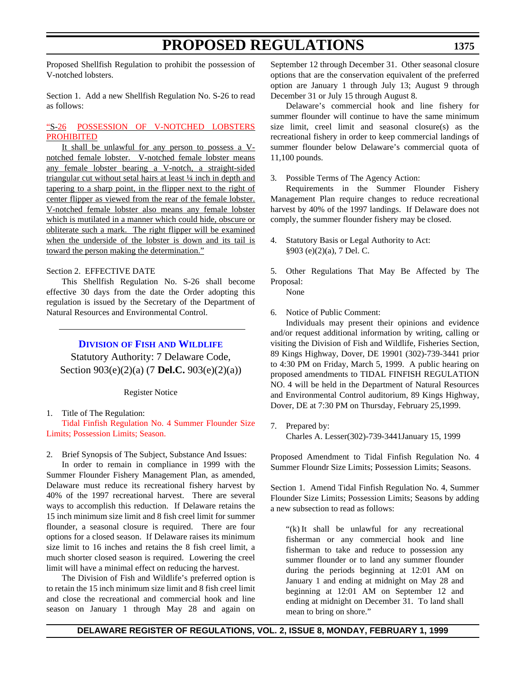## **PROPOSED REGULATIONS**

Proposed Shellfish Regulation to prohibit the possession of V-notched lobsters.

Section 1. Add a new Shellfish Regulation No. S-26 to read as follows:

#### "S-26 [POSSESSION OF V-NOTCHED LOBSTERS](#page-3-0) **PROHIBITED**

It shall be unlawful for any person to possess a Vnotched female lobster. V-notched female lobster means any female lobster bearing a V-notch, a straight-sided triangular cut without setal hairs at least ¼ inch in depth and tapering to a sharp point, in the flipper next to the right of center flipper as viewed from the rear of the female lobster. V-notched female lobster also means any female lobster which is mutilated in a manner which could hide, obscure or obliterate such a mark. The right flipper will be examined when the underside of the lobster is down and its tail is toward the person making the determination."

#### Section 2. EFFECTIVE DATE

This Shellfish Regulation No. S-26 shall become effective 30 days from the date the Order adopting this regulation is issued by the Secretary of the Department of Natural Resources and Environmental Control.

**DIVISION OF FISH [AND WILDLIFE](http://www.dnrec.state.de.us/fandw.htmhttp://www.dnrec.state.de.us/fandw.htm)**

Statutory Authority: 7 Delaware Code, Section 903(e)(2)(a) (7 **Del.C.** 903(e)(2)(a))

Register Notice

#### 1. Title of The Regulation: [Tidal Finfish Regulation No. 4 Summer Flounder Size](#page-3-0) Limits; Possession Limits; Season.

2. Brief Synopsis of The Subject, Substance And Issues:

In order to remain in compliance in 1999 with the Summer Flounder Fishery Management Plan, as amended, Delaware must reduce its recreational fishery harvest by 40% of the 1997 recreational harvest. There are several ways to accomplish this reduction. If Delaware retains the 15 inch minimum size limit and 8 fish creel limit for summer flounder, a seasonal closure is required. There are four options for a closed season. If Delaware raises its minimum size limit to 16 inches and retains the 8 fish creel limit, a much shorter closed season is required. Lowering the creel limit will have a minimal effect on reducing the harvest.

The Division of Fish and Wildlife's preferred option is to retain the 15 inch minimum size limit and 8 fish creel limit and close the recreational and commercial hook and line season on January 1 through May 28 and again on

September 12 through December 31. Other seasonal closure options that are the conservation equivalent of the preferred option are January 1 through July 13; August 9 through December 31 or July 15 through August 8.

Delaware's commercial hook and line fishery for summer flounder will continue to have the same minimum size limit, creel limit and seasonal closure(s) as the recreational fishery in order to keep commercial landings of summer flounder below Delaware's commercial quota of 11,100 pounds.

3. Possible Terms of The Agency Action:

Requirements in the Summer Flounder Fishery Management Plan require changes to reduce recreational harvest by 40% of the 1997 landings. If Delaware does not comply, the summer flounder fishery may be closed.

4. Statutory Basis or Legal Authority to Act: §903 (e)(2)(a), 7 Del. C.

5. Other Regulations That May Be Affected by The Proposal:

None

6. Notice of Public Comment:

Individuals may present their opinions and evidence and/or request additional information by writing, calling or visiting the Division of Fish and Wildlife, Fisheries Section, 89 Kings Highway, Dover, DE 19901 (302)-739-3441 prior to 4:30 PM on Friday, March 5, 1999. A public hearing on proposed amendments to TIDAL FINFISH REGULATION NO. 4 will be held in the Department of Natural Resources and Environmental Control auditorium, 89 Kings Highway, Dover, DE at 7:30 PM on Thursday, February 25,1999.

7. Prepared by: Charles A. Lesser(302)-739-3441January 15, 1999

Proposed Amendment to Tidal Finfish Regulation No. 4 Summer Floundr Size Limits; Possession Limits; Seasons.

Section 1. Amend Tidal Finfish Regulation No. 4, Summer Flounder Size Limits; Possession Limits; Seasons by adding a new subsection to read as follows:

"(k) It shall be unlawful for any recreational fisherman or any commercial hook and line fisherman to take and reduce to possession any summer flounder or to land any summer flounder during the periods beginning at 12:01 AM on January 1 and ending at midnight on May 28 and beginning at 12:01 AM on September 12 and ending at midnight on December 31. To land shall mean to bring on shore."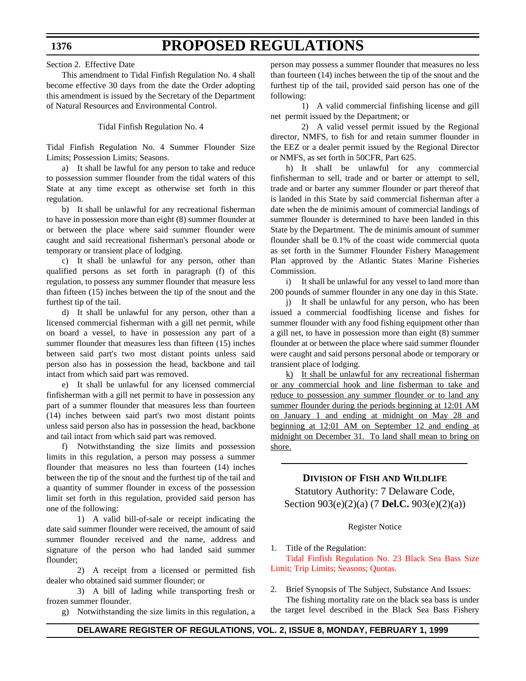## **PROPOSED REGULATIONS**

Section 2. Effective Date

This amendment to Tidal Finfish Regulation No. 4 shall become effective 30 days from the date the Order adopting this amendment is issued by the Secretary of the Department of Natural Resources and Environmental Control.

Tidal Finfish Regulation No. 4

Tidal Finfish Regulation No. 4 Summer Flounder Size Limits; Possession Limits; Seasons.

a) It shall be lawful for any person to take and reduce to possession summer flounder from the tidal waters of this State at any time except as otherwise set forth in this regulation.

b) It shall be unlawful for any recreational fisherman to have in possession more than eight (8) summer flounder at or between the place where said summer flounder were caught and said recreational fisherman's personal abode or temporary or transient place of lodging.

c) It shall be unlawful for any person, other than qualified persons as set forth in paragraph (f) of this regulation, to possess any summer flounder that measure less than fifteen (15) inches between the tip of the snout and the furthest tip of the tail.

d) It shall be unlawful for any person, other than a licensed commercial fisherman with a gill net permit, while on board a vessel, to have in possession any part of a summer flounder that measures less than fifteen (15) inches between said part's two most distant points unless said person also has in possession the head, backbone and tail intact from which said part was removed.

e) It shall be unlawful for any licensed commercial finfisherman with a gill net permit to have in possession any part of a summer flounder that measures less than fourteen (14) inches between said part's two most distant points unless said person also has in possession the head, backbone and tail intact from which said part was removed.

f) Notwithstanding the size limits and possession limits in this regulation, a person may possess a summer flounder that measures no less than fourteen (14) inches between the tip of the snout and the furthest tip of the tail and a quantity of summer flounder in excess of the possession limit set forth in this regulation, provided said person has one of the following:

1) A valid bill-of-sale or receipt indicating the date said summer flounder were received, the amount of said summer flounder received and the name, address and signature of the person who had landed said summer flounder;

2) A receipt from a licensed or permitted fish dealer who obtained said summer flounder; or

3) A bill of lading while transporting fresh or frozen summer flounder.

g) Notwithstanding the size limits in this regulation, a

person may possess a summer flounder that measures no less than fourteen (14) inches between the tip of the snout and the furthest tip of the tail, provided said person has one of the following:

1) A valid commercial finfishing license and gill net permit issued by the Department; or

2) A valid vessel permit issued by the Regional director, NMFS, to fish for and retain summer flounder in the EEZ or a dealer permit issued by the Regional Director or NMFS, as set forth in 50CFR, Part 625.

h) It shall be unlawful for any commercial finfisherman to sell, trade and or barter or attempt to sell, trade and or barter any summer flounder or part thereof that is landed in this State by said commercial fisherman after a date when the de minimis amount of commercial landings of summer flounder is determined to have been landed in this State by the Department. The de minimis amount of summer flounder shall be 0.1% of the coast wide commercial quota as set forth in the Summer Flounder Fishery Management Plan approved by the Atlantic States Marine Fisheries Commission.

i) It shall be unlawful for any vessel to land more than 200 pounds of summer flounder in any one day in this State.

j) It shall be unlawful for any person, who has been issued a commercial foodfishing license and fishes for summer flounder with any food fishing equipment other than a gill net, to have in possession more than eight (8) summer flounder at or between the place where said summer flounder were caught and said persons personal abode or temporary or transient place of lodging.

k) It shall be unlawful for any recreational fisherman or any commercial hook and line fisherman to take and reduce to possession any summer flounder or to land any summer flounder during the periods beginning at 12:01 AM on January 1 and ending at midnight on May 28 and beginning at 12:01 AM on September 12 and ending at midnight on December 31. To land shall mean to bring on shore.

#### **DIVISION OF FISH AND WILDLIFE**

Statutory Authority: 7 Delaware Code, Section 903(e)(2)(a) (7 **Del.C.** 903(e)(2)(a))

#### Register Notice

1. Title of the Regulation:

[Tidal Finfish Regulation No. 23 Black Sea Bass Size](#page-3-0) Limit; Trip Limits; Seasons; Quotas.

2. Brief Synopsis of The Subject, Substance And Issues:

The fishing mortality rate on the black sea bass is under the target level described in the Black Sea Bass Fishery

#### **1376**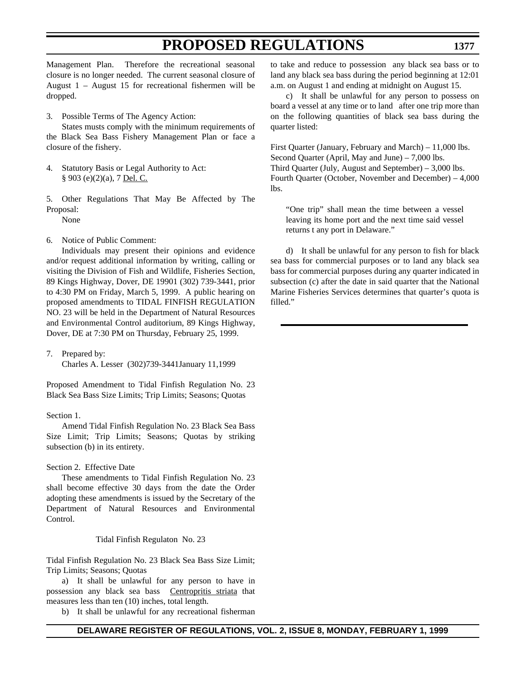## **PROPOSED REGULATIONS**

Management Plan. Therefore the recreational seasonal closure is no longer needed. The current seasonal closure of August 1 – August 15 for recreational fishermen will be dropped.

3. Possible Terms of The Agency Action:

States musts comply with the minimum requirements of the Black Sea Bass Fishery Management Plan or face a closure of the fishery.

- 4. Statutory Basis or Legal Authority to Act: § 903 (e)(2)(a), 7 Del. C.
- 5. Other Regulations That May Be Affected by The Proposal: None

6. Notice of Public Comment:

Individuals may present their opinions and evidence and/or request additional information by writing, calling or visiting the Division of Fish and Wildlife, Fisheries Section, 89 Kings Highway, Dover, DE 19901 (302) 739-3441, prior to 4:30 PM on Friday, March 5, 1999. A public hearing on proposed amendments to TIDAL FINFISH REGULATION NO. 23 will be held in the Department of Natural Resources and Environmental Control auditorium, 89 Kings Highway, Dover, DE at 7:30 PM on Thursday, February 25, 1999.

7. Prepared by:

Charles A. Lesser (302)739-3441January 11,1999

Proposed Amendment to Tidal Finfish Regulation No. 23 Black Sea Bass Size Limits; Trip Limits; Seasons; Quotas

#### Section 1.

Amend Tidal Finfish Regulation No. 23 Black Sea Bass Size Limit; Trip Limits; Seasons; Quotas by striking subsection (b) in its entirety.

#### Section 2. Effective Date

These amendments to Tidal Finfish Regulation No. 23 shall become effective 30 days from the date the Order adopting these amendments is issued by the Secretary of the Department of Natural Resources and Environmental Control.

#### Tidal Finfish Regulaton No. 23

Tidal Finfish Regulation No. 23 Black Sea Bass Size Limit; Trip Limits; Seasons; Quotas

a) It shall be unlawful for any person to have in possession any black sea bass Centropritis striata that measures less than ten (10) inches, total length.

b) It shall be unlawful for any recreational fisherman

to take and reduce to possession any black sea bass or to land any black sea bass during the period beginning at 12:01 a.m. on August 1 and ending at midnight on August 15.

c) It shall be unlawful for any person to possess on board a vessel at any time or to land after one trip more than on the following quantities of black sea bass during the quarter listed:

First Quarter (January, February and March) – 11,000 lbs. Second Quarter (April, May and June) – 7,000 lbs. Third Quarter (July, August and September) – 3,000 lbs. Fourth Quarter (October, November and December) – 4,000 lbs.

"One trip" shall mean the time between a vessel leaving its home port and the next time said vessel returns t any port in Delaware."

d) It shall be unlawful for any person to fish for black sea bass for commercial purposes or to land any black sea bass for commercial purposes during any quarter indicated in subsection (c) after the date in said quarter that the National Marine Fisheries Services determines that quarter's quota is filled."

#### **DELAWARE REGISTER OF REGULATIONS, VOL. 2, ISSUE 8, MONDAY, FEBRUARY 1, 1999**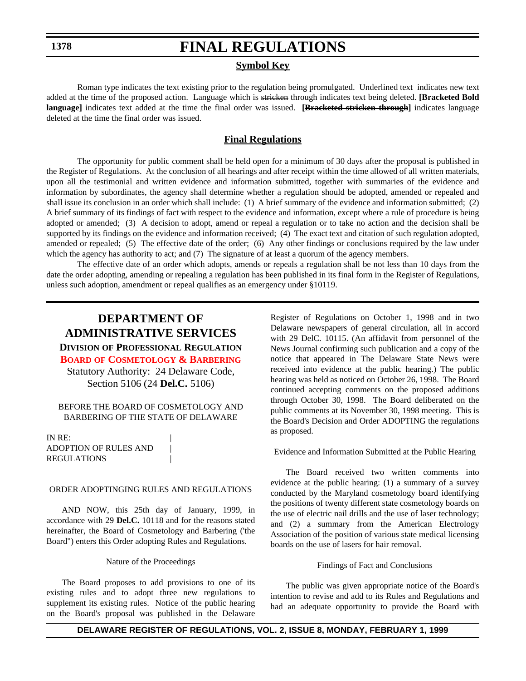## **FINAL REGULATIONS**

#### **Symbol Key**

Roman type indicates the text existing prior to the regulation being promulgated. Underlined text indicates new text added at the time of the proposed action. Language which is stricken through indicates text being deleted. **[Bracketed Bold language]** indicates text added at the time the final order was issued. **[Bracketed stricken through]** indicates language deleted at the time the final order was issued.

#### **Final Regulations**

The opportunity for public comment shall be held open for a minimum of 30 days after the proposal is published in the Register of Regulations. At the conclusion of all hearings and after receipt within the time allowed of all written materials, upon all the testimonial and written evidence and information submitted, together with summaries of the evidence and information by subordinates, the agency shall determine whether a regulation should be adopted, amended or repealed and shall issue its conclusion in an order which shall include: (1) A brief summary of the evidence and information submitted; (2) A brief summary of its findings of fact with respect to the evidence and information, except where a rule of procedure is being adopted or amended; (3) A decision to adopt, amend or repeal a regulation or to take no action and the decision shall be supported by its findings on the evidence and information received; (4) The exact text and citation of such regulation adopted, amended or repealed; (5) The effective date of the order; (6) Any other findings or conclusions required by the law under which the agency has authority to act; and (7) The signature of at least a quorum of the agency members.

The effective date of an order which adopts, amends or repeals a regulation shall be not less than 10 days from the date the order adopting, amending or repealing a regulation has been published in its final form in the Register of Regulations, unless such adoption, amendment or repeal qualifies as an emergency under §10119.

### **DEPARTMENT OF ADMINISTRATIVE SERVICES DIVISION OF PROFESSIONAL REGULATION**

**BOARD [OF COSMETOLOGY & BARBERING](#page-3-1)**

Statutory Authority: 24 Delaware Code, Section 5106 (24 **Del.C.** 5106)

#### BEFORE THE BOARD OF COSMETOLOGY AND BARBERING OF THE STATE OF DELAWARE

IN RE: ADOPTION OF RULES AND | **REGULATIONS** 

#### ORDER ADOPTINGING RULES AND REGULATIONS

AND NOW, this 25th day of January, 1999, in accordance with 29 **Del.C.** 10118 and for the reasons stated hereinafter, the Board of Cosmetology and Barbering ('the Board") enters this Order adopting Rules and Regulations.

#### Nature of the Proceedings

The Board proposes to add provisions to one of its existing rules and to adopt three new regulations to supplement its existing rules. Notice of the public hearing on the Board's proposal was published in the Delaware Register of Regulations on October 1, 1998 and in two Delaware newspapers of general circulation, all in accord with 29 DelC. 10115. (An affidavit from personnel of the News Journal confirming such publication and a copy of the notice that appeared in The Delaware State News were received into evidence at the public hearing.) The public hearing was held as noticed on October 26, 1998. The Board continued accepting comments on the proposed additions through October 30, 1998. The Board deliberated on the public comments at its November 30, 1998 meeting. This is the Board's Decision and Order ADOPTING the regulations as proposed.

Evidence and Information Submitted at the Public Hearing

The Board received two written comments into evidence at the public hearing: (1) a summary of a survey conducted by the Maryland cosmetology board identifying the positions of twenty different state cosmetology boards on the use of electric nail drills and the use of laser technology; and (2) a summary from the American Electrology Association of the position of various state medical licensing boards on the use of lasers for hair removal.

#### Findings of Fact and Conclusions

The public was given appropriate notice of the Board's intention to revise and add to its Rules and Regulations and had an adequate opportunity to provide the Board with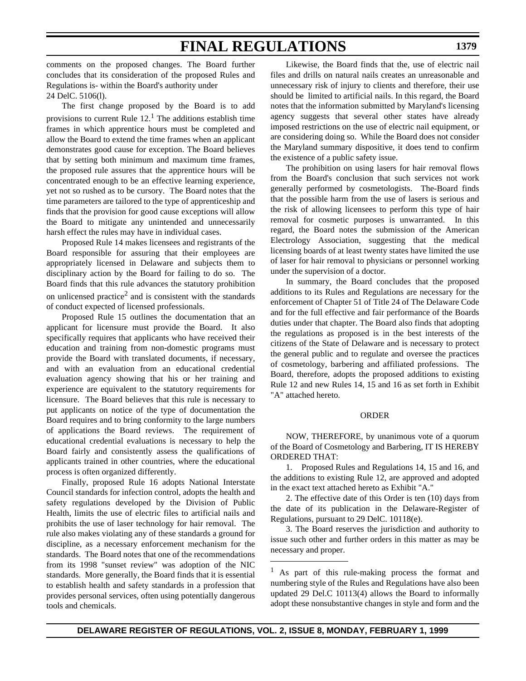comments on the proposed changes. The Board further concludes that its consideration of the proposed Rules and Regulations is- within the Board's authority under

24 DelC. 5106(l).

The first change proposed by the Board is to add provisions to current Rule  $12<sup>1</sup>$ . The additions establish time frames in which apprentice hours must be completed and allow the Board to extend the time frames when an applicant demonstrates good cause for exception. The Board believes that by setting both minimum and maximum time frames, the proposed rule assures that the apprentice hours will be concentrated enough to be an effective learning experience, yet not so rushed as to be cursory. The Board notes that the time parameters are tailored to the type of apprenticeship and finds that the provision for good cause exceptions will allow the Board to mitigate any unintended and unnecessarily harsh effect the rules may have in individual cases.

Proposed Rule 14 makes licensees and registrants of the Board responsible for assuring that their employees are appropriately licensed in Delaware and subjects them to disciplinary action by the Board for failing to do so. The Board finds that this rule advances the statutory prohibition on unlicensed practice<sup>2</sup> and is consistent with the standards of conduct expected of licensed professionals.

Proposed Rule 15 outlines the documentation that an applicant for licensure must provide the Board. It also specifically requires that applicants who have received their education and training from non-domestic programs must provide the Board with translated documents, if necessary, and with an evaluation from an educational credential evaluation agency showing that his or her training and experience are equivalent to the statutory requirements for licensure. The Board believes that this rule is necessary to put applicants on notice of the type of documentation the Board requires and to bring conformity to the large numbers of applications the Board reviews. The requirement of educational credential evaluations is necessary to help the Board fairly and consistently assess the qualifications of applicants trained in other countries, where the educational process is often organized differently.

Finally, proposed Rule 16 adopts National Interstate Council standards for infection control, adopts the health and safety regulations developed by the Division of Public Health, limits the use of electric files to artificial nails and prohibits the use of laser technology for hair removal. The rule also makes violating any of these standards a ground for discipline, as a necessary enforcement mechanism for the standards. The Board notes that one of the recommendations from its 1998 "sunset review" was adoption of the NIC standards. More generally, the Board finds that it is essential to establish health and safety standards in a profession that provides personal services, often using potentially dangerous tools and chemicals.

Likewise, the Board finds that the, use of electric nail files and drills on natural nails creates an unreasonable and unnecessary risk of injury to clients and therefore, their use should be limited to artificial nails. In this regard, the Board notes that the information submitted by Maryland's licensing agency suggests that several other states have already imposed restrictions on the use of electric nail equipment, or are considering doing so. While the Board does not consider the Maryland summary dispositive, it does tend to confirm the existence of a public safety issue.

The prohibition on using lasers for hair removal flows from the Board's conclusion that such services not work generally performed by cosmetologists. The-Board finds that the possible harm from the use of lasers is serious and the risk of allowing licensees to perform this type of hair removal for cosmetic purposes is unwarranted. In this regard, the Board notes the submission of the American Electrology Association, suggesting that the medical licensing boards of at least twenty states have limited the use of laser for hair removal to physicians or personnel working under the supervision of a doctor.

In summary, the Board concludes that the proposed additions to its Rules and Regulations are necessary for the enforcement of Chapter 51 of Title 24 of The Delaware Code and for the full effective and fair performance of the Boards duties under that chapter. The Board also finds that adopting the regulations as proposed is in the best interests of the citizens of the State of Delaware and is necessary to protect the general public and to regulate and oversee the practices of cosmetology, barbering and affiliated professions. The Board, therefore, adopts the proposed additions to existing Rule 12 and new Rules 14, 15 and 16 as set forth in Exhibit "A" attached hereto.

#### ORDER

NOW, THEREFORE, by unanimous vote of a quorum of the Board of Cosmetology and Barbering, IT IS HEREBY ORDERED THAT:

1. Proposed Rules and Regulations 14, 15 and 16, and the additions to existing Rule 12, are approved and adopted in the exact text attached hereto as Exhibit "A."

2. The effective date of this Order is ten (10) days from the date of its publication in the Delaware-Register of Regulations, pursuant to 29 DelC. 10118(e).

3. The Board reserves the jurisdiction and authority to issue such other and further orders in this matter as may be necessary and proper.

<sup>1</sup> As part of this rule-making process the format and numbering style of the Rules and Regulations have also been updated 29 Del.C 10113(4) allows the Board to informally adopt these nonsubstantive changes in style and form and the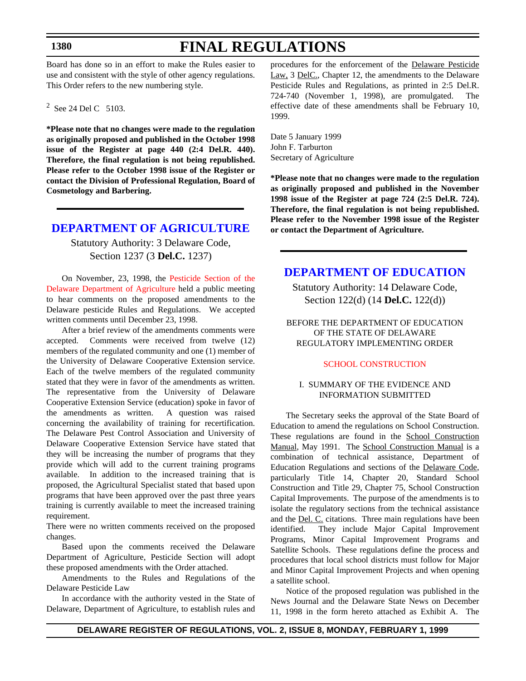# **FINAL REGULATIONS**

Board has done so in an effort to make the Rules easier to use and consistent with the style of other agency regulations. This Order refers to the new numbering style.

 $2^2$  See 24 Del C 5103.

**\*Please note that no changes were made to the regulation as originally proposed and published in the October 1998 issue of the Register at page 440 (2:4 Del.R. 440). Therefore, the final regulation is not being republished. Please refer to the October 1998 issue of the Register or contact the Division of Professional Regulation, Board of Cosmetology and Barbering.**

### **[DEPARTMENT OF AGRICULTURE](http://www.state.de.us/deptagri/index.htmhttp://www.state.de.us/deptagri/index.htm)**

Statutory Authority: 3 Delaware Code, Section 1237 (3 **Del.C.** 1237)

On November, 23, 1998, the Pesticide Section of the [Delaware Department of Agriculture held a public meeting](#page-3-2) to hear comments on the proposed amendments to the Delaware pesticide Rules and Regulations. We accepted written comments until December 23, 1998.

After a brief review of the amendments comments were accepted. Comments were received from twelve (12) members of the regulated community and one (1) member of the University of Delaware Cooperative Extension service. Each of the twelve members of the regulated community stated that they were in favor of the amendments as written. The representative from the University of Delaware Cooperative Extension Service (education) spoke in favor of the amendments as written. A question was raised concerning the availability of training for recertification. The Delaware Pest Control Association and University of Delaware Cooperative Extension Service have stated that they will be increasing the number of programs that they provide which will add to the current training programs available. In addition to the increased training that is proposed, the Agricultural Specialist stated that based upon programs that have been approved over the past three years training is currently available to meet the increased training requirement.

There were no written comments received on the proposed changes.

Based upon the comments received the Delaware Department of Agriculture, Pesticide Section will adopt these proposed amendments with the Order attached.

Amendments to the Rules and Regulations of the Delaware Pesticide Law

In accordance with the authority vested in the State of Delaware, Department of Agriculture, to establish rules and

procedures for the enforcement of the Delaware Pesticide Law, 3 DelC., Chapter 12, the amendments to the Delaware Pesticide Rules and Regulations, as printed in 2:5 Del.R. 724-740 (November 1, 1998), are promulgated. The effective date of these amendments shall be February 10, 1999.

Date 5 January 1999 John F. Tarburton Secretary of Agriculture

**\*Please note that no changes were made to the regulation as originally proposed and published in the November 1998 issue of the Register at page 724 (2:5 Del.R. 724). Therefore, the final regulation is not being republished. Please refer to the November 1998 issue of the Register or contact the Department of Agriculture.**

### **[DEPARTMENT OF EDUCATION](http://www.doe.state.de.us/index_js.htm)**

Statutory Authority: 14 Delaware Code, Section 122(d) (14 **Del.C.** 122(d))

BEFORE THE DEPARTMENT OF EDUCATION OF THE STATE OF DELAWARE REGULATORY IMPLEMENTING ORDER

#### [SCHOOL CONSTRUCTION](#page-3-2)

#### I. SUMMARY OF THE EVIDENCE AND INFORMATION SUBMITTED

The Secretary seeks the approval of the State Board of Education to amend the regulations on School Construction. These regulations are found in the School Construction Manual, May 1991. The School Construction Manual is a combination of technical assistance, Department of Education Regulations and sections of the Delaware Code, particularly Title 14, Chapter 20, Standard School Construction and Title 29, Chapter 75, School Construction Capital Improvements. The purpose of the amendments is to isolate the regulatory sections from the technical assistance and the Del. C. citations. Three main regulations have been identified. They include Major Capital Improvement Programs, Minor Capital Improvement Programs and Satellite Schools. These regulations define the process and procedures that local school districts must follow for Major and Minor Capital Improvement Projects and when opening a satellite school.

Notice of the proposed regulation was published in the News Journal and the Delaware State News on December 11, 1998 in the form hereto attached as Exhibit A. The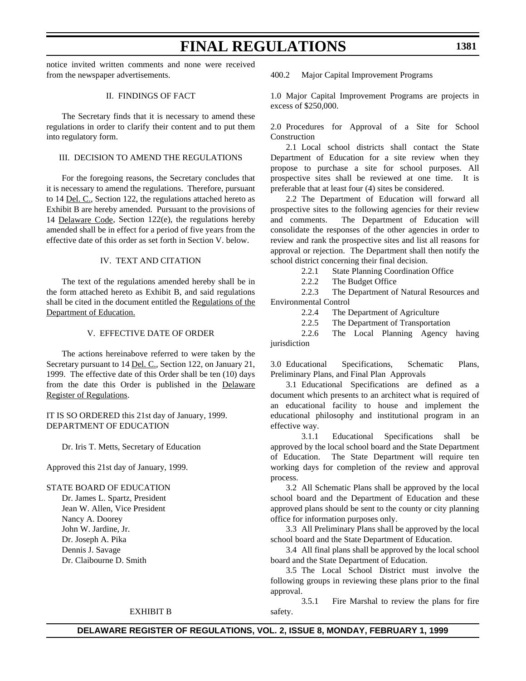notice invited written comments and none were received from the newspaper advertisements.

#### II. FINDINGS OF FACT

The Secretary finds that it is necessary to amend these regulations in order to clarify their content and to put them into regulatory form.

#### III. DECISION TO AMEND THE REGULATIONS

For the foregoing reasons, the Secretary concludes that it is necessary to amend the regulations. Therefore, pursuant to 14 Del. C., Section 122, the regulations attached hereto as Exhibit B are hereby amended. Pursuant to the provisions of 14 Delaware Code, Section 122(e), the regulations hereby amended shall be in effect for a period of five years from the effective date of this order as set forth in Section V. below.

#### IV. TEXT AND CITATION

The text of the regulations amended hereby shall be in the form attached hereto as Exhibit B, and said regulations shall be cited in the document entitled the Regulations of the Department of Education.

#### V. EFFECTIVE DATE OF ORDER

The actions hereinabove referred to were taken by the Secretary pursuant to 14 Del. C., Section 122, on January 21, 1999. The effective date of this Order shall be ten (10) days from the date this Order is published in the Delaware Register of Regulations.

IT IS SO ORDERED this 21st day of January, 1999. DEPARTMENT OF EDUCATION

Dr. Iris T. Metts, Secretary of Education

Approved this 21st day of January, 1999.

STATE BOARD OF EDUCATION

Dr. James L. Spartz, President Jean W. Allen, Vice President Nancy A. Doorey John W. Jardine, Jr. Dr. Joseph A. Pika Dennis J. Savage Dr. Claibourne D. Smith

400.2 Major Capital Improvement Programs

**FINAL REGULATIONS**

1.0 Major Capital Improvement Programs are projects in excess of \$250,000.

2.0 Procedures for Approval of a Site for School Construction

2.1 Local school districts shall contact the State Department of Education for a site review when they propose to purchase a site for school purposes. All prospective sites shall be reviewed at one time. It is preferable that at least four (4) sites be considered.

2.2 The Department of Education will forward all prospective sites to the following agencies for their review and comments. The Department of Education will consolidate the responses of the other agencies in order to review and rank the prospective sites and list all reasons for approval or rejection. The Department shall then notify the school district concerning their final decision.

2.2.1 State Planning Coordination Office

2.2.2 The Budget Office

2.2.3 The Department of Natural Resources and Environmental Control

2.2.4 The Department of Agriculture

2.2.5 The Department of Transportation

2.2.6 The Local Planning Agency having jurisdiction

3.0 Educational Specifications, Schematic Plans, Preliminary Plans, and Final Plan Approvals

3.1 Educational Specifications are defined as a document which presents to an architect what is required of an educational facility to house and implement the educational philosophy and institutional program in an effective way.

3.1.1 Educational Specifications shall be approved by the local school board and the State Department of Education. The State Department will require ten working days for completion of the review and approval process.

3.2 All Schematic Plans shall be approved by the local school board and the Department of Education and these approved plans should be sent to the county or city planning office for information purposes only.

3.3 All Preliminary Plans shall be approved by the local school board and the State Department of Education.

3.4 All final plans shall be approved by the local school board and the State Department of Education.

3.5 The Local School District must involve the following groups in reviewing these plans prior to the final approval.

3.5.1 Fire Marshal to review the plans for fire safety.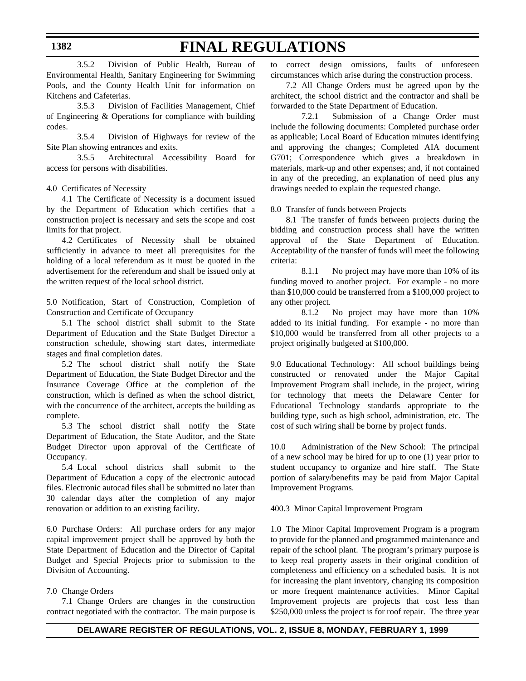3.5.2 Division of Public Health, Bureau of Environmental Health, Sanitary Engineering for Swimming Pools, and the County Health Unit for information on Kitchens and Cafeterias.

3.5.3 Division of Facilities Management, Chief of Engineering & Operations for compliance with building codes.

3.5.4 Division of Highways for review of the Site Plan showing entrances and exits.

3.5.5 Architectural Accessibility Board for access for persons with disabilities.

4.0 Certificates of Necessity

4.1 The Certificate of Necessity is a document issued by the Department of Education which certifies that a construction project is necessary and sets the scope and cost limits for that project.

4.2 Certificates of Necessity shall be obtained sufficiently in advance to meet all prerequisites for the holding of a local referendum as it must be quoted in the advertisement for the referendum and shall be issued only at the written request of the local school district.

5.0 Notification, Start of Construction, Completion of Construction and Certificate of Occupancy

5.1 The school district shall submit to the State Department of Education and the State Budget Director a construction schedule, showing start dates, intermediate stages and final completion dates.

5.2 The school district shall notify the State Department of Education, the State Budget Director and the Insurance Coverage Office at the completion of the construction, which is defined as when the school district, with the concurrence of the architect, accepts the building as complete.

5.3 The school district shall notify the State Department of Education, the State Auditor, and the State Budget Director upon approval of the Certificate of Occupancy.

5.4 Local school districts shall submit to the Department of Education a copy of the electronic autocad files. Electronic autocad files shall be submitted no later than 30 calendar days after the completion of any major renovation or addition to an existing facility.

6.0 Purchase Orders: All purchase orders for any major capital improvement project shall be approved by both the State Department of Education and the Director of Capital Budget and Special Projects prior to submission to the Division of Accounting.

#### 7.0 Change Orders

7.1 Change Orders are changes in the construction contract negotiated with the contractor. The main purpose is to correct design omissions, faults of unforeseen circumstances which arise during the construction process.

7.2 All Change Orders must be agreed upon by the architect, the school district and the contractor and shall be forwarded to the State Department of Education.

7.2.1 Submission of a Change Order must include the following documents: Completed purchase order as applicable; Local Board of Education minutes identifying and approving the changes; Completed AIA document G701; Correspondence which gives a breakdown in materials, mark-up and other expenses; and, if not contained in any of the preceding, an explanation of need plus any drawings needed to explain the requested change.

8.0 Transfer of funds between Projects

8.1 The transfer of funds between projects during the bidding and construction process shall have the written approval of the State Department of Education. Acceptability of the transfer of funds will meet the following criteria:

8.1.1 No project may have more than 10% of its funding moved to another project. For example - no more than \$10,000 could be transferred from a \$100,000 project to any other project.

8.1.2 No project may have more than 10% added to its initial funding. For example - no more than \$10,000 would be transferred from all other projects to a project originally budgeted at \$100,000.

9.0 Educational Technology: All school buildings being constructed or renovated under the Major Capital Improvement Program shall include, in the project, wiring for technology that meets the Delaware Center for Educational Technology standards appropriate to the building type, such as high school, administration, etc. The cost of such wiring shall be borne by project funds.

10.0 Administration of the New School: The principal of a new school may be hired for up to one (1) year prior to student occupancy to organize and hire staff. The State portion of salary/benefits may be paid from Major Capital Improvement Programs.

400.3 Minor Capital Improvement Program

1.0 The Minor Capital Improvement Program is a program to provide for the planned and programmed maintenance and repair of the school plant. The program's primary purpose is to keep real property assets in their original condition of completeness and efficiency on a scheduled basis. It is not for increasing the plant inventory, changing its composition or more frequent maintenance activities. Minor Capital Improvement projects are projects that cost less than \$250,000 unless the project is for roof repair. The three year

#### **1382**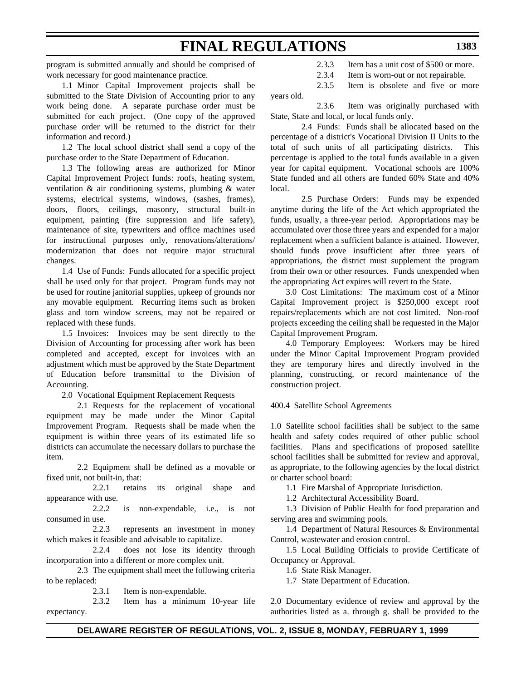program is submitted annually and should be comprised of work necessary for good maintenance practice.

1.1 Minor Capital Improvement projects shall be submitted to the State Division of Accounting prior to any work being done. A separate purchase order must be submitted for each project. (One copy of the approved purchase order will be returned to the district for their information and record.)

1.2 The local school district shall send a copy of the purchase order to the State Department of Education.

1.3 The following areas are authorized for Minor Capital Improvement Project funds: roofs, heating system, ventilation & air conditioning systems, plumbing & water systems, electrical systems, windows, (sashes, frames), doors, floors, ceilings, masonry, structural built-in equipment, painting (fire suppression and life safety), maintenance of site, typewriters and office machines used for instructional purposes only, renovations/alterations/ modernization that does not require major structural changes.

1.4 Use of Funds: Funds allocated for a specific project shall be used only for that project. Program funds may not be used for routine janitorial supplies, upkeep of grounds nor any movable equipment. Recurring items such as broken glass and torn window screens, may not be repaired or replaced with these funds.

1.5 Invoices: Invoices may be sent directly to the Division of Accounting for processing after work has been completed and accepted, except for invoices with an adjustment which must be approved by the State Department of Education before transmittal to the Division of Accounting.

2.0 Vocational Equipment Replacement Requests

2.1 Requests for the replacement of vocational equipment may be made under the Minor Capital Improvement Program. Requests shall be made when the equipment is within three years of its estimated life so districts can accumulate the necessary dollars to purchase the item.

2.2 Equipment shall be defined as a movable or fixed unit, not built-in, that:

2.2.1 retains its original shape and appearance with use.

2.2.2 is non-expendable, i.e., is not consumed in use.

2.2.3 represents an investment in money which makes it feasible and advisable to capitalize.

2.2.4 does not lose its identity through incorporation into a different or more complex unit.

2.3 The equipment shall meet the following criteria to be replaced:

2.3.1 Item is non-expendable.

2.3.2 Item has a minimum 10-year life expectancy.

- 2.3.3 Item has a unit cost of \$500 or more.
- 2.3.4 Item is worn-out or not repairable.

2.3.5 Item is obsolete and five or more years old.

2.3.6 Item was originally purchased with State, State and local, or local funds only.

2.4 Funds: Funds shall be allocated based on the percentage of a district's Vocational Division II Units to the total of such units of all participating districts. This percentage is applied to the total funds available in a given year for capital equipment. Vocational schools are 100% State funded and all others are funded 60% State and 40% local.

2.5 Purchase Orders: Funds may be expended anytime during the life of the Act which appropriated the funds, usually, a three-year period. Appropriations may be accumulated over those three years and expended for a major replacement when a sufficient balance is attained. However, should funds prove insufficient after three years of appropriations, the district must supplement the program from their own or other resources. Funds unexpended when the appropriating Act expires will revert to the State.

3.0 Cost Limitations: The maximum cost of a Minor Capital Improvement project is \$250,000 except roof repairs/replacements which are not cost limited. Non-roof projects exceeding the ceiling shall be requested in the Major Capital Improvement Program.

4.0 Temporary Employees: Workers may be hired under the Minor Capital Improvement Program provided they are temporary hires and directly involved in the planning, constructing, or record maintenance of the construction project.

400.4 Satellite School Agreements

1.0 Satellite school facilities shall be subject to the same health and safety codes required of other public school facilities. Plans and specifications of proposed satellite school facilities shall be submitted for review and approval, as appropriate, to the following agencies by the local district or charter school board:

1.1 Fire Marshal of Appropriate Jurisdiction.

1.2 Architectural Accessibility Board.

1.3 Division of Public Health for food preparation and serving area and swimming pools.

1.4 Department of Natural Resources & Environmental Control, wastewater and erosion control.

1.5 Local Building Officials to provide Certificate of Occupancy or Approval.

1.6 State Risk Manager.

1.7 State Department of Education.

2.0 Documentary evidence of review and approval by the authorities listed as a. through g. shall be provided to the

#### **DELAWARE REGISTER OF REGULATIONS, VOL. 2, ISSUE 8, MONDAY, FEBRUARY 1, 1999**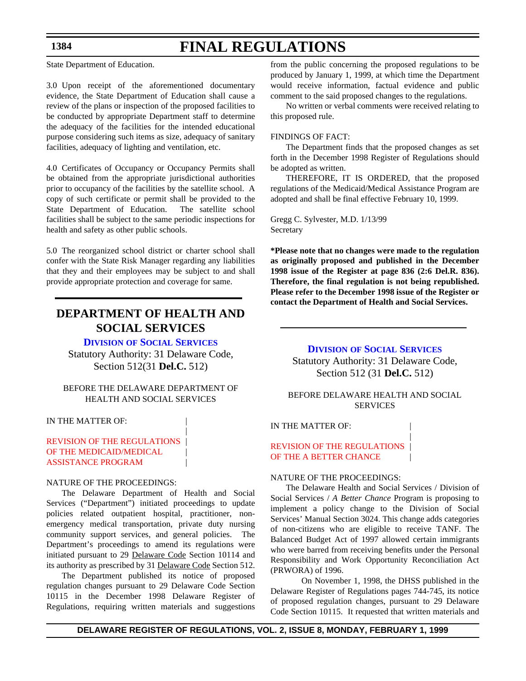State Department of Education.

3.0 Upon receipt of the aforementioned documentary evidence, the State Department of Education shall cause a review of the plans or inspection of the proposed facilities to be conducted by appropriate Department staff to determine the adequacy of the facilities for the intended educational purpose considering such items as size, adequacy of sanitary facilities, adequacy of lighting and ventilation, etc.

4.0 Certificates of Occupancy or Occupancy Permits shall be obtained from the appropriate jurisdictional authorities prior to occupancy of the facilities by the satellite school. A copy of such certificate or permit shall be provided to the State Department of Education. The satellite school facilities shall be subject to the same periodic inspections for health and safety as other public schools.

5.0 The reorganized school district or charter school shall confer with the State Risk Manager regarding any liabilities that they and their employees may be subject to and shall provide appropriate protection and coverage for same.

### **DEPARTMENT OF HEALTH AND SOCIAL SERVICES**

#### **DIVISION [OF SOCIAL SERVICES](http://www.state.de.us/govern/agencies/dhss/irm/dss/dsshome.htm)**

Statutory Authority: 31 Delaware Code, Section 512(31 **Del.C.** 512)

#### BEFORE THE DELAWARE DEPARTMENT OF HEALTH AND SOCIAL SERVICES

|

IN THE MATTER OF:

#### [REVISION OF THE REGULATIONS](#page-3-2) | OF THE MEDICAID/MEDICAL ASSISTANCE PROGRAM |

#### NATURE OF THE PROCEEDINGS:

The Delaware Department of Health and Social Services ("Department") initiated proceedings to update policies related outpatient hospital, practitioner, nonemergency medical transportation, private duty nursing community support services, and general policies. The Department's proceedings to amend its regulations were initiated pursuant to 29 Delaware Code Section 10114 and its authority as prescribed by 31 Delaware Code Section 512.

The Department published its notice of proposed regulation changes pursuant to 29 Delaware Code Section 10115 in the December 1998 Delaware Register of Regulations, requiring written materials and suggestions

from the public concerning the proposed regulations to be produced by January 1, 1999, at which time the Department would receive information, factual evidence and public comment to the said proposed changes to the regulations.

No written or verbal comments were received relating to this proposed rule.

#### FINDINGS OF FACT:

The Department finds that the proposed changes as set forth in the December 1998 Register of Regulations should be adopted as written.

THEREFORE, IT IS ORDERED, that the proposed regulations of the Medicaid/Medical Assistance Program are adopted and shall be final effective February 10, 1999.

Gregg C. Sylvester, M.D. 1/13/99 Secretary

**\*Please note that no changes were made to the regulation as originally proposed and published in the December 1998 issue of the Register at page 836 (2:6 Del.R. 836). Therefore, the final regulation is not being republished. Please refer to the December 1998 issue of the Register or contact the Department of Health and Social Services.**

> **DIVISION [OF SOCIAL SERVICES](http://www.state.de.us/govern/agencies/dhss/irm/dss/dsshome.htm)** Statutory Authority: 31 Delaware Code, Section 512 (31 **Del.C.** 512)

BEFORE DELAWARE HEALTH AND SOCIAL SERVICES

|

IN THE MATTER OF:

[REVISION OF THE REGULATIONS](#page-3-2) OF THE A BETTER CHANCE

#### NATURE OF THE PROCEEDINGS:

The Delaware Health and Social Services / Division of Social Services / *A Better Chance* Program is proposing to implement a policy change to the Division of Social Services' Manual Section 3024. This change adds categories of non-citizens who are eligible to receive TANF. The Balanced Budget Act of 1997 allowed certain immigrants who were barred from receiving benefits under the Personal Responsibility and Work Opportunity Reconciliation Act (PRWORA) of 1996.

On November 1, 1998, the DHSS published in the Delaware Register of Regulations pages 744-745, its notice of proposed regulation changes, pursuant to 29 Delaware Code Section 10115. It requested that written materials and

#### **1384**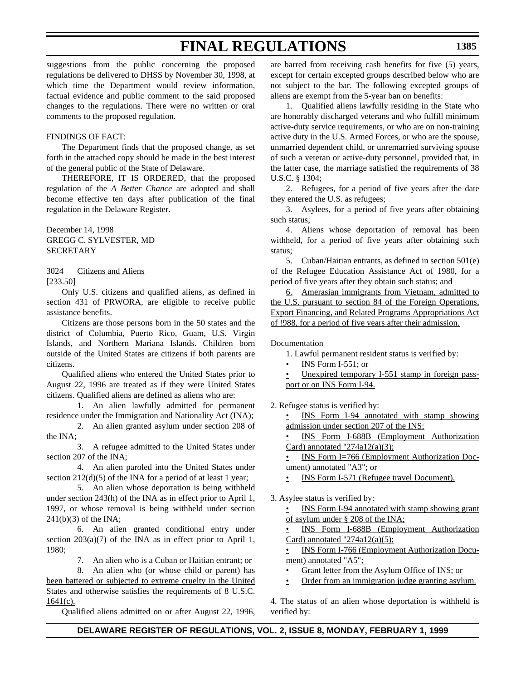suggestions from the public concerning the proposed regulations be delivered to DHSS by November 30, 1998, at which time the Department would review information, factual evidence and public comment to the said proposed changes to the regulations. There were no written or oral comments to the proposed regulation.

#### FINDINGS OF FACT:

The Department finds that the proposed change, as set forth in the attached copy should be made in the best interest of the general public of the State of Delaware.

 THEREFORE, IT IS ORDERED, that the proposed regulation of the *A Better Chance* are adopted and shall become effective ten days after publication of the final regulation in the Delaware Register.

December 14, 1998 GREGG C. SYLVESTER, MD SECRETARY

3024 Citizens and Aliens [233.50]

Only U.S. citizens and qualified aliens, as defined in section 431 of PRWORA, are eligible to receive public assistance benefits.

Citizens are those persons born in the 50 states and the district of Columbia, Puerto Rico, Guam, U.S. Virgin Islands, and Northern Mariana Islands. Children born outside of the United States are citizens if both parents are citizens.

Qualified aliens who entered the United States prior to August 22, 1996 are treated as if they were United States citizens. Qualified aliens are defined as aliens who are:

1. An alien lawfully admitted for permanent residence under the Immigration and Nationality Act (INA);

2. An alien granted asylum under section 208 of the INA;

3. A refugee admitted to the United States under section 207 of the INA;

4. An alien paroled into the United States under section 212(d)(5) of the INA for a period of at least 1 year;

5. An alien whose deportation is being withheld under section 243(h) of the INA as in effect prior to April 1, 1997, or whose removal is being withheld under section 241(b)(3) of the INA;

6. An alien granted conditional entry under section  $203(a)(7)$  of the INA as in effect prior to April 1, 1980;

7. An alien who is a Cuban or Haitian entrant; or

8. An alien who (or whose child or parent) has been battered or subjected to extreme cruelty in the United States and otherwise satisfies the requirements of 8 U.S.C.  $1641(c)$ .

Qualified aliens admitted on or after August 22, 1996,

are barred from receiving cash benefits for five (5) years, except for certain excepted groups described below who are not subject to the bar. The following excepted groups of aliens are exempt from the 5-year ban on benefits:

1. Qualified aliens lawfully residing in the State who are honorably discharged veterans and who fulfill minimum active-duty service requirements, or who are on non-training active duty in the U.S. Armed Forces, or who are the spouse, unmarried dependent child, or unremarried surviving spouse of such a veteran or active-duty personnel, provided that, in the latter case, the marriage satisfied the requirements of 38 U.S.C. § 1304;

2. Refugees, for a period of five years after the date they entered the U.S. as refugees;

3. Asylees, for a period of five years after obtaining such status;

4. Aliens whose deportation of removal has been withheld, for a period of five years after obtaining such status;

5. Cuban/Haitian entrants, as defined in section 501(e) of the Refugee Education Assistance Act of 1980, for a period of five years after they obtain such status; and

6. Amerasian immigrants from Vietnam, admitted to the U.S. pursuant to section 84 of the Foreign Operations, Export Financing, and Related Programs Appropriations Act of !988, for a period of five years after their admission.

Documentation

- 1. Lawful permanent resident status is verified by:
- INS Form I-551; or
- Unexpired temporary I-551 stamp in foreign passport or on INS Form I-94.

2. Refugee status is verified by:

INS Form I-94 annotated with stamp showing admission under section 207 of the INS;

• INS Form I-688B (Employment Authorization Card) annotated "274a12(a)(3);

• INS Form I=766 (Employment Authorization Document) annotated "A3"; or

• INS Form I-571 (Refugee travel Document).

3. Asylee status is verified by:

INS Form I-94 annotated with stamp showing grant of asylum under § 208 of the INA;

INS Form I-688B (Employment Authorization Card) annotated " $274a12(a)(5)$ ;

• INS Form I-766 (Employment Authorization Document) annotated "A5";

• Grant letter from the Asylum Office of INS; or

• Order from an immigration judge granting asylum.

4. The status of an alien whose deportation is withheld is verified by: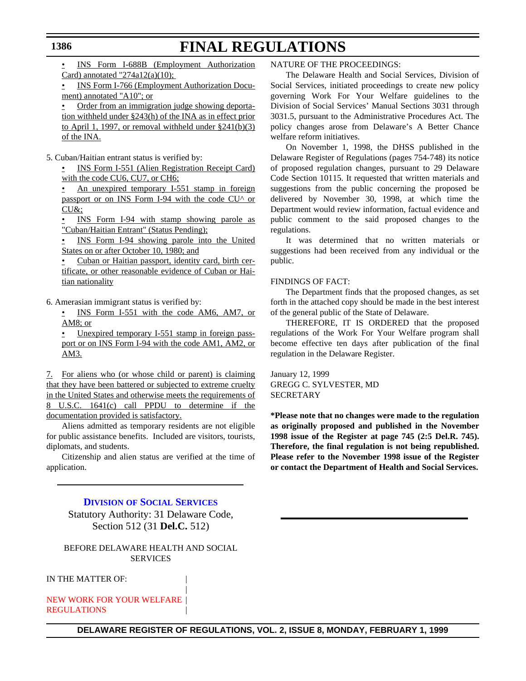INS Form I-688B (Employment Authorization Card) annotated " $274a12(a)(10)$ ;

• INS Form I-766 (Employment Authorization Document) annotated "A10"; or

• Order from an immigration judge showing deportation withheld under §243(h) of the INA as in effect prior to April 1, 1997, or removal withheld under §241(b)(3) of the INA.

5. Cuban/Haitian entrant status is verified by:

• INS Form I-551 (Alien Registration Receipt Card) with the code CU6, CU7, or CH6;

• An unexpired temporary I-551 stamp in foreign passport or on INS Form I-94 with the code CU^ or CU&;

• INS Form I-94 with stamp showing parole as "Cuban/Haitian Entrant" (Status Pending);

• INS Form I-94 showing parole into the United States on or after October 10, 1980; and

• Cuban or Haitian passport, identity card, birth certificate, or other reasonable evidence of Cuban or Haitian nationality

6. Amerasian immigrant status is verified by:

• INS Form I-551 with the code AM6, AM7, or AM8; or

• Unexpired temporary I-551 stamp in foreign passport or on INS Form I-94 with the code AM1, AM2, or AM3.

7. For aliens who (or whose child or parent) is claiming that they have been battered or subjected to extreme cruelty in the United States and otherwise meets the requirements of 8 U.S.C. 1641(c) call PPDU to determine if the documentation provided is satisfactory.

Aliens admitted as temporary residents are not eligible for public assistance benefits. Included are visitors, tourists, diplomats, and students.

Citizenship and alien status are verified at the time of application.

#### **DIVISION [OF SOCIAL SERVICES](http://www.state.de.us/govern/agencies/dhss/irm/dss/dsshome.htm)**

Statutory Authority: 31 Delaware Code, Section 512 (31 **Del.C.** 512)

#### BEFORE DELAWARE HEALTH AND SOCIAL SERVICES

|

IN THE MATTER OF:

[NEW WORK FOR YOUR WELFARE](#page-3-2) | **REGULATIONS** 

#### NATURE OF THE PROCEEDINGS:

The Delaware Health and Social Services, Division of Social Services, initiated proceedings to create new policy governing Work For Your Welfare guidelines to the Division of Social Services' Manual Sections 3031 through 3031.5, pursuant to the Administrative Procedures Act. The policy changes arose from Delaware's A Better Chance welfare reform initiatives.

On November 1, 1998, the DHSS published in the Delaware Register of Regulations (pages 754-748) its notice of proposed regulation changes, pursuant to 29 Delaware Code Section 10115. It requested that written materials and suggestions from the public concerning the proposed be delivered by November 30, 1998, at which time the Department would review information, factual evidence and public comment to the said proposed changes to the regulations.

It was determined that no written materials or suggestions had been received from any individual or the public.

#### FINDINGS OF FACT:

The Department finds that the proposed changes, as set forth in the attached copy should be made in the best interest of the general public of the State of Delaware.

THEREFORE, IT IS ORDERED that the proposed regulations of the Work For Your Welfare program shall become effective ten days after publication of the final regulation in the Delaware Register.

January 12, 1999 GREGG C. SYLVESTER, MD SECRETARY

**\*Please note that no changes were made to the regulation as originally proposed and published in the November 1998 issue of the Register at page 745 (2:5 Del.R. 745). Therefore, the final regulation is not being republished. Please refer to the November 1998 issue of the Register or contact the Department of Health and Social Services.**

#### **DELAWARE REGISTER OF REGULATIONS, VOL. 2, ISSUE 8, MONDAY, FEBRUARY 1, 1999**

#### **1386**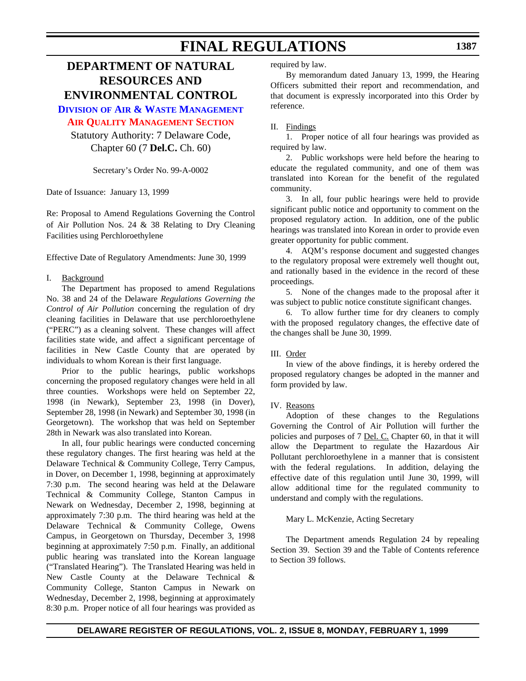### **DEPARTMENT OF NATURAL RESOURCES AND ENVIRONMENTAL CONTROL**

**DIVISION [OF AIR & WASTE MANAGEMENT](http://www.dnrec.state.de.us/aandw.htm)**

#### **[AIR QUALITY MANAGEMENT SECTION](#page-4-0)**

Statutory Authority: 7 Delaware Code, Chapter 60 (7 **Del.C.** Ch. 60)

Secretary's Order No. 99-A-0002

Date of Issuance: January 13, 1999

Re: Proposal to Amend Regulations Governing the Control of Air Pollution Nos. 24 & 38 Relating to Dry Cleaning Facilities using Perchloroethylene

Effective Date of Regulatory Amendments: June 30, 1999

#### I. Background

The Department has proposed to amend Regulations No. 38 and 24 of the Delaware *Regulations Governing the Control of Air Pollution* concerning the regulation of dry cleaning facilities in Delaware that use perchloroethylene ("PERC") as a cleaning solvent. These changes will affect facilities state wide, and affect a significant percentage of facilities in New Castle County that are operated by individuals to whom Korean is their first language.

Prior to the public hearings, public workshops concerning the proposed regulatory changes were held in all three counties. Workshops were held on September 22, 1998 (in Newark), September 23, 1998 (in Dover), September 28, 1998 (in Newark) and September 30, 1998 (in Georgetown). The workshop that was held on September 28th in Newark was also translated into Korean.

In all, four public hearings were conducted concerning these regulatory changes. The first hearing was held at the Delaware Technical & Community College, Terry Campus, in Dover, on December 1, 1998, beginning at approximately 7:30 p.m. The second hearing was held at the Delaware Technical & Community College, Stanton Campus in Newark on Wednesday, December 2, 1998, beginning at approximately 7:30 p.m. The third hearing was held at the Delaware Technical & Community College, Owens Campus, in Georgetown on Thursday, December 3, 1998 beginning at approximately 7:50 p.m. Finally, an additional public hearing was translated into the Korean language ("Translated Hearing"). The Translated Hearing was held in New Castle County at the Delaware Technical & Community College, Stanton Campus in Newark on Wednesday, December 2, 1998, beginning at approximately 8:30 p.m. Proper notice of all four hearings was provided as

required by law.

By memorandum dated January 13, 1999, the Hearing Officers submitted their report and recommendation, and that document is expressly incorporated into this Order by reference.

#### II. Findings

1. Proper notice of all four hearings was provided as required by law.

2. Public workshops were held before the hearing to educate the regulated community, and one of them was translated into Korean for the benefit of the regulated community.

3. In all, four public hearings were held to provide significant public notice and opportunity to comment on the proposed regulatory action. In addition, one of the public hearings was translated into Korean in order to provide even greater opportunity for public comment.

4. AQM's response document and suggested changes to the regulatory proposal were extremely well thought out, and rationally based in the evidence in the record of these proceedings.

5. None of the changes made to the proposal after it was subject to public notice constitute significant changes.

6. To allow further time for dry cleaners to comply with the proposed regulatory changes, the effective date of the changes shall be June 30, 1999.

#### III. Order

In view of the above findings, it is hereby ordered the proposed regulatory changes be adopted in the manner and form provided by law.

#### IV. Reasons

Adoption of these changes to the Regulations Governing the Control of Air Pollution will further the policies and purposes of 7 Del. C. Chapter 60, in that it will allow the Department to regulate the Hazardous Air Pollutant perchloroethylene in a manner that is consistent with the federal regulations. In addition, delaying the effective date of this regulation until June 30, 1999, will allow additional time for the regulated community to understand and comply with the regulations.

#### Mary L. McKenzie, Acting Secretary

The Department amends Regulation 24 by repealing Section 39. Section 39 and the Table of Contents reference to Section 39 follows.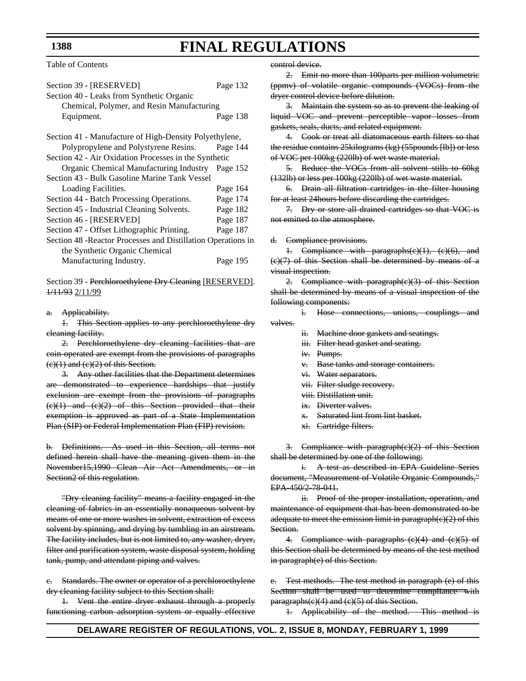Table of Contents

| Section 39 - [RESERVED]                                       | Page 132 |
|---------------------------------------------------------------|----------|
| Section 40 - Leaks from Synthetic Organic                     |          |
| Chemical, Polymer, and Resin Manufacturing                    |          |
| Equipment.                                                    | Page 138 |
| Section 41 - Manufacture of High-Density Polyethylene,        |          |
| Polypropylene and Polystyrene Resins.                         | Page 144 |
| Section 42 - Air Oxidation Processes in the Synthetic         |          |
| Organic Chemical Manufacturing Industry                       | Page 152 |
| Section 43 - Bulk Gasoline Marine Tank Vessel                 |          |
| Loading Facilities.                                           | Page 164 |
| Section 44 - Batch Processing Operations.                     | Page 174 |
| Section 45 - Industrial Cleaning Solvents.                    | Page 182 |
| Section 46 - [RESERVED]                                       | Page 187 |
| Section 47 - Offset Lithographic Printing.                    | Page 187 |
| Section 48 - Reactor Processes and Distillation Operations in |          |
| the Synthetic Organic Chemical                                |          |
| Manufacturing Industry.                                       | Page 195 |

Section 39 - Perchloroethylene Dry Cleaning [RESERVED]. 1/11/93 2/11/99

#### a. Applicability.

1. This Section applies to any perchloroethylene dry cleaning facility.

2. Perchloroethylene dry cleaning facilities that are coin-operated are exempt from the provisions of paragraphs  $(e)(1)$  and  $(e)(2)$  of this Section.

3. Any other facilities that the Department determines are demonstrated to experience hardships that justify exclusion are exempt from the provisions of paragraphs  $(e)(1)$  and  $(e)(2)$  of this Section provided that their exemption is approved as part of a State Implementation Plan (SIP) or Federal Implementation Plan (FIP) revision.

b. Definitions. As used in this Section, all terms not defined herein shall have the meaning given them in the November15,1990 Clean Air Act Amendments, or in Section<sub>2</sub> of this regulation.

"Dry cleaning facility" means a facility engaged in the cleaning of fabrics in an essentially nonaqueous solvent by means of one or more washes in solvent, extraction of excess solvent by spinning, and drying by tumbling in an airstream. The facility includes, but is not limited to, any washer, dryer, filter and purification system, waste disposal system, holding tank, pump, and attendant piping and valves.

c. Standards. The owner or operator of a perchloroethylene dry cleaning facility subject to this Section shall:

1. Vent the entire dryer exhaust through a properly functioning carbon adsorption system or equally effective control device.

2. Emit no more than 100parts per million volumetric (ppmv) of volatile organic compounds (VOCs) from the dryer control device before dilution.

3. Maintain the system so as to prevent the leaking of liquid VOC and prevent perceptible vapor losses from gaskets, seals, ducts, and related equipment.

4. Cook or treat all diatomaceous earth filters so that the residue contains 25kilograms (kg) (55pounds [lb]) or less of VOC per 100kg (220lb) of wet waste material.

5. Reduce the VOCs from all solvent stills to 60kg (132lb) or less per 100kg (220lb) of wet waste material.

6. Drain all filtration cartridges in the filter housing for at least 24hours before discarding the cartridges.

7. Dry or store all drained cartridges so that VOC is not emitted to the atmosphere.

d. Compliance provisions.

1. Compliance with paragraphs $(c)(1)$ ,  $(c)(6)$ , and (c)(7) of this Section shall be determined by means of a visual inspection.

2. Compliance with paragraph(c)(3) of this Section shall be determined by means of a visual inspection of the following components:

i. Hose connections, unions, couplings and valves.

- ii. Machine door gaskets and seatings.
- iii. Filter head gasket and seating.
- iv. Pumps.
- v. Base tanks and storage containers.
- vi. Water separators.
- vii. Filter sludge recovery.
- viii. Distillation unit.
- ix. Diverter valves.
- x. Saturated lint from lint basket.
- xi. Cartridge filters.

3. Compliance with paragraph(c)(2) of this Section shall be determined by one of the following:

i. A test as described in EPA Guideline Series document, "Measurement of Volatile Organic Compounds," EPA-450/2-78-041.

ii. Proof of the proper installation, operation, and maintenance of equipment that has been demonstrated to be adequate to meet the emission limit in paragraph(c)(2) of this Section.

4. Compliance with paragraphs  $(e)(4)$  and  $(e)(5)$  of this Section shall be determined by means of the test method in paragraph(e) of this Section.

e. Test methods. The test method in paragraph (e) of this Section shall be used to determine compliance with  $paragnbs(e)(4)$  and  $(e)(5)$  of this Section.

1. Applicability of the method. This method is

#### **1388**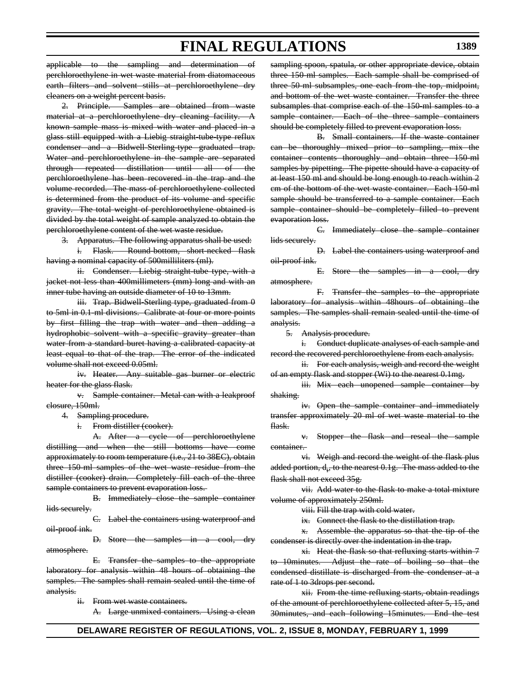applicable to the sampling and determination perchloroethylene in wet waste material from diatomaceous earth filters and solvent stills at perchloroethylene dry cleaners on a weight percent basis.

2. Principle. Samples are obtained from waste material at a perchloroethylene dry cleaning facility. A known sample mass is mixed with water and placed in a glass still equipped with a Liebig straight-tube-type reflux condenser and a Bidwell-Sterling-type graduated trap. Water and perchloroethylene in the sample are separated through repeated distillation until all of the perchloroethylene has been recovered in the trap and the volume recorded. The mass of perchloroethylene collected is determined from the product of its volume and specific gravity. The total weight of perchloroethylene obtained is divided by the total weight of sample analyzed to obtain the perchloroethylene content of the wet waste residue.

Apparatus. The following apparatus shall be used:

i. Flask. Round-bottom, short-necked flask having a nominal capacity of 500milliliters (ml).

ii. Condenser. Liebig straight-tube type, with a jacket not less than 400millimeters (mm) long and with an inner tube having an outside diameter of 10 to 13mm.

iii. Trap. Bidwell-Sterling type, graduated from 0 to 5ml in 0.1-ml divisions. Calibrate at four or more points by first filling the trap with water and then adding a hydrophobic solvent with a specific gravity greater than water from a standard buret having a calibrated capacity at least equal to that of the trap. The error of the indicated volume shall not exceed 0.05ml.

iv. Heater. Any suitable gas burner or electric heater for the glass flask.

v. Sample container. Metal can with a leakproof closure, 150ml.

4. Sampling procedure.

From distiller (cooker).

A. After a cycle of perchloroethylene distilling and when the still bottoms have come approximately to room temperature (i.e., 21 to 38EC), obtain three 150-ml samples of the wet waste residue from the distiller (cooker) drain. Completely fill each of the three sample containers to prevent evaporation loss.

B. Immediately close the sample container lids securely.

C. Label the containers using waterproof and oil-proof ink.

D. Store the samples in a cool, dry atmosphere.

E. Transfer the samples to the appropriate laboratory for analysis within 48 hours of obtaining the samples. The samples shall remain sealed until the time of analysis.

ii. From wet waste containers.

A. Large unmixed containers. Using a clean

sampling spoon, spatula, or other appropriate device, obtain three 150-ml samples. Each sample shall be comprised of three 50-ml subsamples, one each from the top, midpoint, and bottom of the wet waste container. Transfer the three subsamples that comprise each of the 150-ml samples to a sample container. Each of the three sample containers should be completely filled to prevent evaporation loss.

B. Small containers. If the waste container can be thoroughly mixed prior to sampling, mix the container contents thoroughly and obtain three 150-ml samples by pipetting. The pipette should have a capacity of at least 150 ml and should be long enough to reach within 2 cm of the bottom of the wet waste container. Each 150-ml sample should be transferred to a sample container. Each sample container should be completely filled to prevent evaporation loss.

C. Immediately close the sample container lids securely.

D. Label the containers using waterproof and oil-proof ink.

E. Store the samples in a cool, dry atmosphere.

F. Transfer the samples to the appropriate laboratory for analysis within 48hours of obtaining the samples. The samples shall remain sealed until the time of analysis.

5. Analysis procedure.

i. Conduct duplicate analyses of each sample and record the recovered perchloroethylene from each analysis.

ii. For each analysis, weigh and record the weight of an empty flask and stopper (Wi) to the nearest 0.1mg.

iii. Mix each unopened sample container by shaking.

iv. Open the sample container and immediately transfer approximately 20 ml of wet waste material to the flask.

v. Stopper the flask and reseal the sample container.

vi. Weigh and record the weight of the flask plus  $\rm{added~portion,~d_i,~to~the~nearest~0.1g.~The~mass~added~to~the}$ flask shall not exceed 35g.

vii. Add water to the flask to make a total mixture volume of approximately 250ml.

viii. Fill the trap with cold water.

ix. Connect the flask to the distillation trap.

x. Assemble the apparatus so that the tip of the condenser is directly over the indentation in the trap.

xi. Heat the flask so that refluxing starts within 7 to 10minutes. Adjust the rate of boiling so that the condensed distillate is discharged from the condenser at a rate of 1 to 3drops per second.

xii. From the time refluxing starts, obtain readings of the amount of perchloroethylene collected after 5, 15, and 30minutes, and each following 15minutes. End the test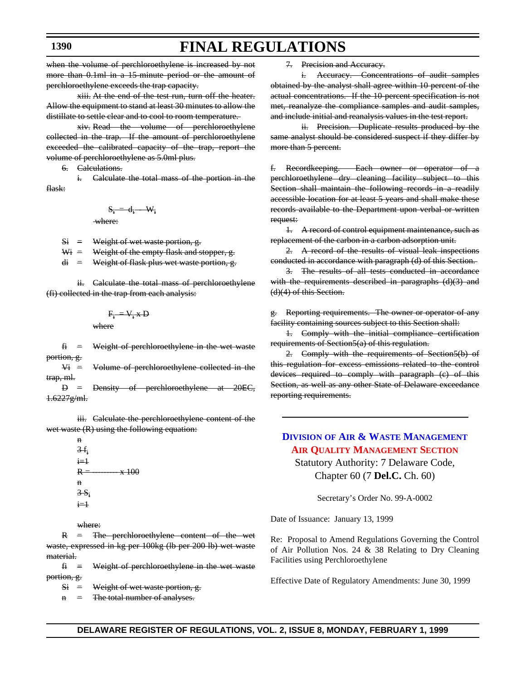# **FINAL REGULATIONS**

when the volume of perchloroethylene is increased by not more than 0.1ml in a 15-minute period or the amount of perchloroethylene exceeds the trap capacity.

xiii. At the end of the test run, turn off the heater. Allow the equipment to stand at least 30 minutes to allow the distillate to settle clear and to cool to room temperature.

xiv. Read the volume of perchloroethylene collected in the trap. If the amount of perchloroethylene exceeded the calibrated capacity of the trap, report the volume of perchloroethylene as 5.0ml plus.

6. Calculations.

 $\overline{\mathbf{w}}$ 

i. Calculate the total mass of the portion in the flask:

$$
S_i = d_i - W_i
$$

 $Si$  = Weight of wet waste portion, g.

 $W_1$  = Weight of the empty flask and stopper, g.

 $di =$  Weight of flask plus wet waste portion, g.

ii. Calculate the total mass of perchloroethylene (fi) collected in the trap from each analysis:

$$
F_{i} = V_{i} * D
$$
  
where

 $f_1$  = Weight of perchloroethylene in the wet waste portion, g.

 $V_i$  = Volume of perchloroethylene collected in the trap, ml.

 $D =$  Density of perchloroethylene at  $20E$ 1.6227g/ml.

iii. Calculate the perchloroethylene content of the wet waste (R) using the following equation:

> $3 - f_1$  $i=1$  $R = 100$ n  $3-S_i$  $i=1$

where:

n

R = The perchloroethylene content of the wet waste, expressed in kg per 100kg (lb per 200 lb) wet waste material.

- $f_1$  = Weight of perchloroethylene in the wet waste portion, g.
	- $Si = Weight of wet waste portion, g.$

n = The total number of analyses.

7. Precision and Accuracy.

i. Accuracy. Concentrations of audit samples obtained by the analyst shall agree within 10 percent of the actual concentrations. If the 10-percent specification is not met, reanalyze the compliance samples and audit samples, and include initial and reanalysis values in the test report.

ii. Precision. Duplicate results produced by the same analyst should be considered suspect if they differ by more than 5 percent.

f. Recordkeeping. Each owner or operator of a perchloroethylene dry cleaning facility subject to this Section shall maintain the following records in a readily accessible location for at least 5 years and shall make these records available to the Department upon verbal or written request:

1. A record of control equipment maintenance, such as replacement of the carbon in a carbon adsorption unit.

2. A record of the results of visual leak inspections conducted in accordance with paragraph (d) of this Section.

3. The results of all tests conducted in accordance with the requirements described in paragraphs (d)(3) and (d)(4) of this Section.

g. Reporting requirements. The owner or operator of any facility containing sources subject to this Section shall:

1. Comply with the initial compliance certification requirements of Section5(a) of this regulation.

2. Comply with the requirements of Section5(b) of this regulation for excess emissions related to the control devices required to comply with paragraph (c) of this Section, as well as any other State of Delaware exceedance reporting requirements.

### **DIVISION OF [AIR & WASTE MANAGEMENT](http://www.dnrec.state.de.us/aandw.htm) [AIR QUALITY MANAGEMENT SECTION](#page-4-0)**

Statutory Authority: 7 Delaware Code, Chapter 60 (7 **Del.C.** Ch. 60)

Secretary's Order No. 99-A-0002

Date of Issuance: January 13, 1999

Re: Proposal to Amend Regulations Governing the Control of Air Pollution Nos. 24 & 38 Relating to Dry Cleaning Facilities using Perchloroethylene

Effective Date of Regulatory Amendments: June 30, 1999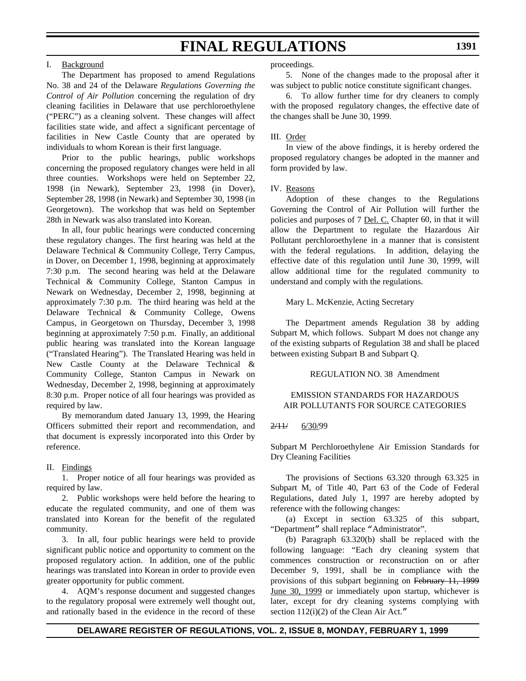#### I. Background

The Department has proposed to amend Regulations No. 38 and 24 of the Delaware *Regulations Governing the Control of Air Pollution* concerning the regulation of dry cleaning facilities in Delaware that use perchloroethylene ("PERC") as a cleaning solvent. These changes will affect facilities state wide, and affect a significant percentage of facilities in New Castle County that are operated by individuals to whom Korean is their first language.

Prior to the public hearings, public workshops concerning the proposed regulatory changes were held in all three counties. Workshops were held on September 22, 1998 (in Newark), September 23, 1998 (in Dover), September 28, 1998 (in Newark) and September 30, 1998 (in Georgetown). The workshop that was held on September 28th in Newark was also translated into Korean.

In all, four public hearings were conducted concerning these regulatory changes. The first hearing was held at the Delaware Technical & Community College, Terry Campus, in Dover, on December 1, 1998, beginning at approximately 7:30 p.m. The second hearing was held at the Delaware Technical & Community College, Stanton Campus in Newark on Wednesday, December 2, 1998, beginning at approximately 7:30 p.m. The third hearing was held at the Delaware Technical & Community College, Owens Campus, in Georgetown on Thursday, December 3, 1998 beginning at approximately 7:50 p.m. Finally, an additional public hearing was translated into the Korean language ("Translated Hearing"). The Translated Hearing was held in New Castle County at the Delaware Technical & Community College, Stanton Campus in Newark on Wednesday, December 2, 1998, beginning at approximately 8:30 p.m. Proper notice of all four hearings was provided as required by law.

By memorandum dated January 13, 1999, the Hearing Officers submitted their report and recommendation, and that document is expressly incorporated into this Order by reference.

#### II. Findings

1. Proper notice of all four hearings was provided as required by law.

2. Public workshops were held before the hearing to educate the regulated community, and one of them was translated into Korean for the benefit of the regulated community.

3. In all, four public hearings were held to provide significant public notice and opportunity to comment on the proposed regulatory action. In addition, one of the public hearings was translated into Korean in order to provide even greater opportunity for public comment.

4. AQM's response document and suggested changes to the regulatory proposal were extremely well thought out, and rationally based in the evidence in the record of these proceedings.

5. None of the changes made to the proposal after it was subject to public notice constitute significant changes.

6. To allow further time for dry cleaners to comply with the proposed regulatory changes, the effective date of the changes shall be June 30, 1999.

#### III. Order

In view of the above findings, it is hereby ordered the proposed regulatory changes be adopted in the manner and form provided by law.

#### IV. Reasons

Adoption of these changes to the Regulations Governing the Control of Air Pollution will further the policies and purposes of 7 Del. C. Chapter 60, in that it will allow the Department to regulate the Hazardous Air Pollutant perchloroethylene in a manner that is consistent with the federal regulations. In addition, delaying the effective date of this regulation until June 30, 1999, will allow additional time for the regulated community to understand and comply with the regulations.

Mary L. McKenzie, Acting Secretary

The Department amends Regulation 38 by adding Subpart M, which follows. Subpart M does not change any of the existing subparts of Regulation 38 and shall be placed between existing Subpart B and Subpart Q.

#### REGULATION NO. 38 Amendment

#### EMISSION STANDARDS FOR HAZARDOUS AIR POLLUTANTS FOR SOURCE CATEGORIES

#### 2/11/ 6/30/99

Subpart M Perchloroethylene Air Emission Standards for Dry Cleaning Facilities

The provisions of Sections 63.320 through 63.325 in Subpart M, of Title 40, Part 63 of the Code of Federal Regulations, dated July 1, 1997 are hereby adopted by reference with the following changes:

(a) Except in section 63.325 of this subpart, "Department" shall replace "Administrator".

(b) Paragraph 63.320(b) shall be replaced with the following language: "Each dry cleaning system that commences construction or reconstruction on or after December 9, 1991, shall be in compliance with the provisions of this subpart beginning on February 11, 1999 June 30, 1999 or immediately upon startup, whichever is later, except for dry cleaning systems complying with section  $112(i)(2)$  of the Clean Air Act."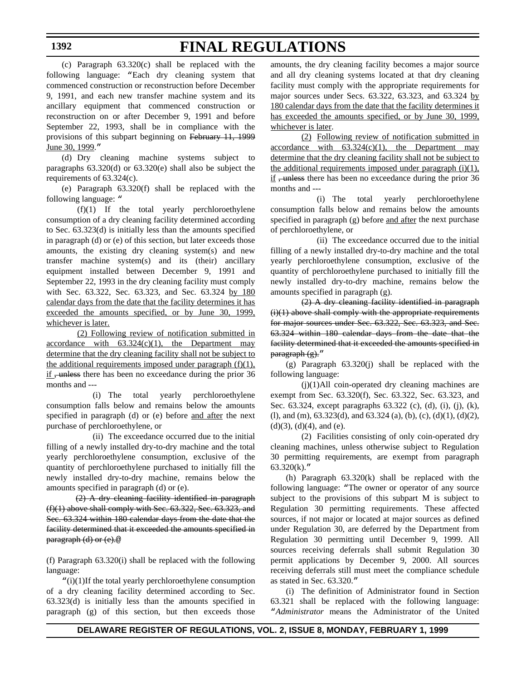# **FINAL REGULATIONS**

(c) Paragraph 63.320(c) shall be replaced with the following language: "Each dry cleaning system that commenced construction or reconstruction before December 9, 1991, and each new transfer machine system and its ancillary equipment that commenced construction or reconstruction on or after December 9, 1991 and before September 22, 1993, shall be in compliance with the provisions of this subpart beginning on February 11, 1999 June 30, 1999."

(d) Dry cleaning machine systems subject to paragraphs 63.320(d) or 63.320(e) shall also be subject the requirements of 63.324(c).

(e) Paragraph 63.320(f) shall be replaced with the following language: "

(f)(1) If the total yearly perchloroethylene consumption of a dry cleaning facility determined according to Sec. 63.323(d) is initially less than the amounts specified in paragraph (d) or (e) of this section, but later exceeds those amounts, the existing dry cleaning system(s) and new transfer machine system(s) and its (their) ancillary equipment installed between December 9, 1991 and September 22, 1993 in the dry cleaning facility must comply with Sec. 63.322, Sec. 63.323, and Sec. 63.324 by 180 calendar days from the date that the facility determines it has exceeded the amounts specified, or by June 30, 1999, whichever is later.

(2) Following review of notification submitted in accordance with  $63.324(c)(1)$ , the Department may determine that the dry cleaning facility shall not be subject to the additional requirements imposed under paragraph  $(f)(1)$ , if , unless there has been no exceedance during the prior 36 months and ---

(i) The total yearly perchloroethylene consumption falls below and remains below the amounts specified in paragraph (d) or (e) before and after the next purchase of perchloroethylene, or

(ii) The exceedance occurred due to the initial filling of a newly installed dry-to-dry machine and the total yearly perchloroethylene consumption, exclusive of the quantity of perchloroethylene purchased to initially fill the newly installed dry-to-dry machine, remains below the amounts specified in paragraph (d) or (e).

 (2) A dry cleaning facility identified in paragraph  $(f)(1)$  above shall comply with Sec. 63.322, Sec. 63.323, and Sec. 63.324 within 180 calendar days from the date that the facility determined that it exceeded the amounts specified in paragraph (d) or (e).@

(f) Paragraph 63.320(i) shall be replaced with the following language:

"(i)(1)If the total yearly perchloroethylene consumption of a dry cleaning facility determined according to Sec. 63.323(d) is initially less than the amounts specified in paragraph (g) of this section, but then exceeds those

amounts, the dry cleaning facility becomes a major source and all dry cleaning systems located at that dry cleaning facility must comply with the appropriate requirements for major sources under Secs. 63.322, 63.323, and 63.324 by 180 calendar days from the date that the facility determines it has exceeded the amounts specified, or by June 30, 1999, whichever is later.

(2) Following review of notification submitted in accordance with  $63.324(c)(1)$ , the Department may determine that the dry cleaning facility shall not be subject to the additional requirements imposed under paragraph  $(i)(1)$ ,  $\underline{\text{if}}$ , unless there has been no exceedance during the prior 36 months and ---

(i) The total yearly perchloroethylene consumption falls below and remains below the amounts specified in paragraph (g) before and after the next purchase of perchloroethylene, or

(ii) The exceedance occurred due to the initial filling of a newly installed dry-to-dry machine and the total yearly perchloroethylene consumption, exclusive of the quantity of perchloroethylene purchased to initially fill the newly installed dry-to-dry machine, remains below the amounts specified in paragraph (g).

(2) A dry cleaning facility identified in paragraph  $(i)(1)$  above shall comply with the appropriate requirements for major sources under Sec. 63.322, Sec. 63.323, and Sec. 63.324 within 180 calendar days from the date that the facility determined that it exceeded the amounts specified in paragraph (g)."

(g) Paragraph 63.320(j) shall be replaced with the following language:

(j)(1)All coin-operated dry cleaning machines are exempt from Sec. 63.320(f), Sec. 63.322, Sec. 63.323, and Sec. 63.324, except paragraphs 63.322 (c), (d), (i), (j), (k), (l), and (m), 63.323(d), and 63.324 (a), (b), (c), (d)(1), (d)(2),  $(d)(3)$ ,  $(d)(4)$ , and  $(e)$ .

(2) Facilities consisting of only coin-operated dry cleaning machines, unless otherwise subject to Regulation 30 permitting requirements, are exempt from paragraph  $63.320(k)$ ."

(h) Paragraph 63.320(k) shall be replaced with the following language: "The owner or operator of any source subject to the provisions of this subpart M is subject to Regulation 30 permitting requirements. These affected sources, if not major or located at major sources as defined under Regulation 30, are deferred by the Department from Regulation 30 permitting until December 9, 1999. All sources receiving deferrals shall submit Regulation 30 permit applications by December 9, 2000. All sources receiving deferrals still must meet the compliance schedule as stated in Sec. 63.320."

(i) The definition of Administrator found in Section 63.321 shall be replaced with the following language: "*Administrator* means the Administrator of the United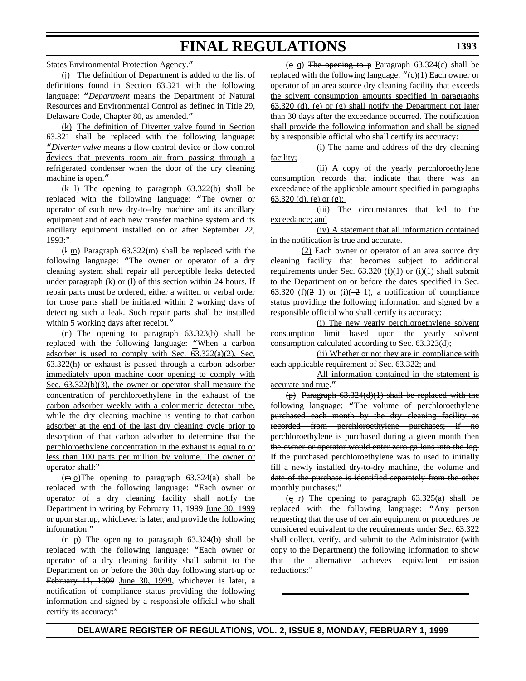States Environmental Protection Agency."

(j) The definition of Department is added to the list of definitions found in Section 63.321 with the following language: "*Department* means the Department of Natural Resources and Environmental Control as defined in Title 29, Delaware Code, Chapter 80, as amended."

(k) The definition of Diverter valve found in Section 63.321 shall be replaced with the following language: "*Diverter valve* means a flow control device or flow control devices that prevents room air from passing through a refrigerated condenser when the door of the dry cleaning machine is open."

 $(k 1)$  The opening to paragraph  $63.322(b)$  shall be replaced with the following language: "The owner or operator of each new dry-to-dry machine and its ancillary equipment and of each new transfer machine system and its ancillary equipment installed on or after September 22, 1993:"

 $(\frac{1 \text{ m}}{2})$  Paragraph 63.322(m) shall be replaced with the following language: "The owner or operator of a dry cleaning system shall repair all perceptible leaks detected under paragraph (k) or (l) of this section within 24 hours. If repair parts must be ordered, either a written or verbal order for those parts shall be initiated within 2 working days of detecting such a leak. Such repair parts shall be installed within 5 working days after receipt."

(n) The opening to paragraph 63.323(b) shall be replaced with the following language: "When a carbon adsorber is used to comply with Sec. 63.322(a)(2), Sec. 63.322(h) or exhaust is passed through a carbon adsorber immediately upon machine door opening to comply with Sec.  $63.322(b)(3)$ , the owner or operator shall measure the concentration of perchloroethylene in the exhaust of the carbon adsorber weekly with a colorimetric detector tube, while the dry cleaning machine is venting to that carbon adsorber at the end of the last dry cleaning cycle prior to desorption of that carbon adsorber to determine that the perchloroethylene concentration in the exhaust is equal to or less than 100 parts per million by volume. The owner or operator shall:"

 $(m_0)$ The opening to paragraph 63.324(a) shall be replaced with the following language: "Each owner or operator of a dry cleaning facility shall notify the Department in writing by February 11, 1999 June 30, 1999 or upon startup, whichever is later, and provide the following information:"

 $(n\text{ p})$  The opening to paragraph 63.324(b) shall be replaced with the following language: "Each owner or operator of a dry cleaning facility shall submit to the Department on or before the 30th day following start-up or February 11, 1999 June 30, 1999, whichever is later, a notification of compliance status providing the following information and signed by a responsible official who shall certify its accuracy:"

 $(e \ q)$  The opening to p Paragraph 63.324(c) shall be replaced with the following language: " $(c)(1)$  Each owner or operator of an area source dry cleaning facility that exceeds the solvent consumption amounts specified in paragraphs 63.320 (d), (e) or (g) shall notify the Department not later than 30 days after the exceedance occurred. The notification shall provide the following information and shall be signed by a responsible official who shall certify its accuracy:

(i) The name and address of the dry cleaning facility;

(ii) A copy of the yearly perchloroethylene consumption records that indicate that there was an exceedance of the applicable amount specified in paragraphs 63.320 (d), (e) or  $(g)$ ;

(iii) The circumstances that led to the exceedance; and

(iv) A statement that all information contained in the notification is true and accurate.

(2) Each owner or operator of an area source dry cleaning facility that becomes subject to additional requirements under Sec.  $63.320$  (f)(1) or (i)(1) shall submit to the Department on or before the dates specified in Sec. 63.320 (f)( $\frac{2}{2}$  1) or (i)( $\frac{2}{2}$  1), a notification of compliance status providing the following information and signed by a responsible official who shall certify its accuracy:

(i) The new yearly perchloroethylene solvent consumption limit based upon the yearly solvent consumption calculated according to Sec. 63.323(d);

(ii) Whether or not they are in compliance with each applicable requirement of Sec. 63.322; and

All information contained in the statement is accurate and true."

(p) Paragraph 63.324(d)(1) shall be replaced with the following language: "The volume of perchloroethylene purchased each month by the dry cleaning facility as recorded from perchloroethylene purchases; if no perchloroethylene is purchased during a given month then the owner or operator would enter zero gallons into the log. If the purchased perchloroethylene was to used to initially fill a newly installed dry-to-dry machine, the volume and date of the purchase is identified separately from the other monthly purchases;"

 $(q r)$  The opening to paragraph 63.325(a) shall be replaced with the following language: "Any person requesting that the use of certain equipment or procedures be considered equivalent to the requirements under Sec. 63.322 shall collect, verify, and submit to the Administrator (with copy to the Department) the following information to show that the alternative achieves equivalent emission reductions:"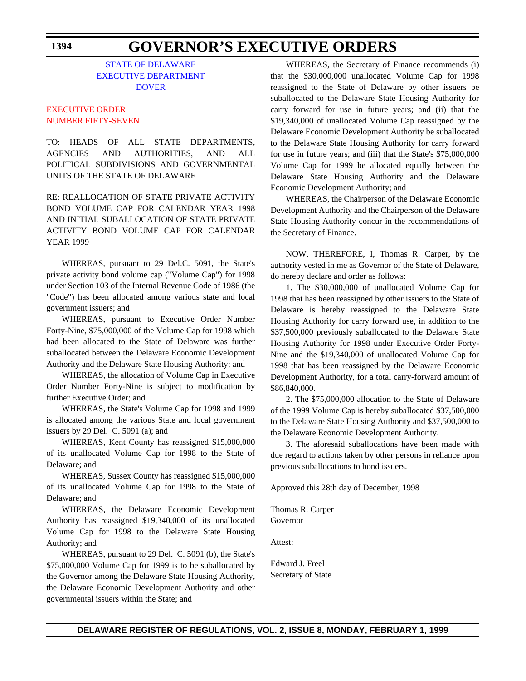### **GOVERNOR'S EXECUTIVE ORDERS**

#### STATE OF DELAWARE [EXECUTIVE DEPARTMENT](http://www.state.de.us/governor/index.htmhttp://www.state.de.us/governor/index.htm) DOVER

#### EXECUTIVE ORDER [NUMBER FIFTY-SEVEN](#page-4-0)

TO: HEADS OF ALL STATE DEPARTMENTS, AGENCIES AND AUTHORITIES, AND ALL POLITICAL SUBDIVISIONS AND GOVERNMENTAL UNITS OF THE STATE OF DELAWARE

RE: REALLOCATION OF STATE PRIVATE ACTIVITY BOND VOLUME CAP FOR CALENDAR YEAR 1998 AND INITIAL SUBALLOCATION OF STATE PRIVATE ACTIVITY BOND VOLUME CAP FOR CALENDAR YEAR 1999

WHEREAS, pursuant to 29 Del.C. 5091, the State's private activity bond volume cap ("Volume Cap") for 1998 under Section 103 of the Internal Revenue Code of 1986 (the "Code") has been allocated among various state and local government issuers; and

WHEREAS, pursuant to Executive Order Number Forty-Nine, \$75,000,000 of the Volume Cap for 1998 which had been allocated to the State of Delaware was further suballocated between the Delaware Economic Development Authority and the Delaware State Housing Authority; and

WHEREAS, the allocation of Volume Cap in Executive Order Number Forty-Nine is subject to modification by further Executive Order; and

WHEREAS, the State's Volume Cap for 1998 and 1999 is allocated among the various State and local government issuers by 29 Del. C. 5091 (a); and

WHEREAS, Kent County has reassigned \$15,000,000 of its unallocated Volume Cap for 1998 to the State of Delaware; and

WHEREAS, Sussex County has reassigned \$15,000,000 of its unallocated Volume Cap for 1998 to the State of Delaware; and

WHEREAS, the Delaware Economic Development Authority has reassigned \$19,340,000 of its unallocated Volume Cap for 1998 to the Delaware State Housing Authority; and

WHEREAS, pursuant to 29 Del. C. 5091 (b), the State's \$75,000,000 Volume Cap for 1999 is to be suballocated by the Governor among the Delaware State Housing Authority, the Delaware Economic Development Authority and other governmental issuers within the State; and

WHEREAS, the Secretary of Finance recommends (i) that the \$30,000,000 unallocated Volume Cap for 1998 reassigned to the State of Delaware by other issuers be suballocated to the Delaware State Housing Authority for carry forward for use in future years; and (ii) that the \$19,340,000 of unallocated Volume Cap reassigned by the Delaware Economic Development Authority be suballocated to the Delaware State Housing Authority for carry forward for use in future years; and (iii) that the State's \$75,000,000 Volume Cap for 1999 be allocated equally between the Delaware State Housing Authority and the Delaware Economic Development Authority; and

WHEREAS, the Chairperson of the Delaware Economic Development Authority and the Chairperson of the Delaware State Housing Authority concur in the recommendations of the Secretary of Finance.

NOW, THEREFORE, I, Thomas R. Carper, by the authority vested in me as Governor of the State of Delaware, do hereby declare and order as follows:

1. The \$30,000,000 of unallocated Volume Cap for 1998 that has been reassigned by other issuers to the State of Delaware is hereby reassigned to the Delaware State Housing Authority for carry forward use, in addition to the \$37,500,000 previously suballocated to the Delaware State Housing Authority for 1998 under Executive Order Forty-Nine and the \$19,340,000 of unallocated Volume Cap for 1998 that has been reassigned by the Delaware Economic Development Authority, for a total carry-forward amount of \$86,840,000.

2. The \$75,000,000 allocation to the State of Delaware of the 1999 Volume Cap is hereby suballocated \$37,500,000 to the Delaware State Housing Authority and \$37,500,000 to the Delaware Economic Development Authority.

3. The aforesaid suballocations have been made with due regard to actions taken by other persons in reliance upon previous suballocations to bond issuers.

Approved this 28th day of December, 1998

Thomas R. Carper Governor

Attest:

Edward J. Freel Secretary of State

**1394**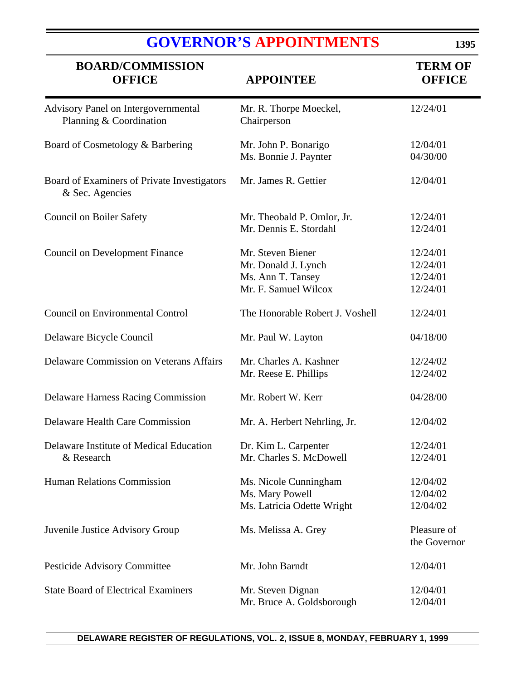|                                          | <b>GOVERNOR'S APPOINTMENTS</b> | 139.                            |
|------------------------------------------|--------------------------------|---------------------------------|
| <b>BOARD/COMMISSION</b><br><b>OFFICE</b> | <b>APPOINTEE</b>               | <b>TERM OF</b><br><b>OFFICE</b> |
|                                          |                                |                                 |

E

| Advisory Panel on Intergovernmental<br>Planning & Coordination | Mr. R. Thorpe Moeckel,<br>Chairperson                                                 | 12/24/01                                     |
|----------------------------------------------------------------|---------------------------------------------------------------------------------------|----------------------------------------------|
| Board of Cosmetology & Barbering                               | Mr. John P. Bonarigo<br>Ms. Bonnie J. Paynter                                         | 12/04/01<br>04/30/00                         |
| Board of Examiners of Private Investigators<br>& Sec. Agencies | Mr. James R. Gettier                                                                  | 12/04/01                                     |
| <b>Council on Boiler Safety</b>                                | Mr. Theobald P. Omlor, Jr.<br>Mr. Dennis E. Stordahl                                  | 12/24/01<br>12/24/01                         |
| <b>Council on Development Finance</b>                          | Mr. Steven Biener<br>Mr. Donald J. Lynch<br>Ms. Ann T. Tansey<br>Mr. F. Samuel Wilcox | 12/24/01<br>12/24/01<br>12/24/01<br>12/24/01 |
| <b>Council on Environmental Control</b>                        | The Honorable Robert J. Voshell                                                       | 12/24/01                                     |
| Delaware Bicycle Council                                       | Mr. Paul W. Layton                                                                    | 04/18/00                                     |
| <b>Delaware Commission on Veterans Affairs</b>                 | Mr. Charles A. Kashner<br>Mr. Reese E. Phillips                                       | 12/24/02<br>12/24/02                         |
| Delaware Harness Racing Commission                             | Mr. Robert W. Kerr                                                                    | 04/28/00                                     |
| <b>Delaware Health Care Commission</b>                         | Mr. A. Herbert Nehrling, Jr.                                                          | 12/04/02                                     |
| Delaware Institute of Medical Education<br>& Research          | Dr. Kim L. Carpenter<br>Mr. Charles S. McDowell                                       | 12/24/01<br>12/24/01                         |
| Human Relations Commission                                     | Ms. Nicole Cunningham<br>Ms. Mary Powell<br>Ms. Latricia Odette Wright                | 12/04/02<br>12/04/02<br>12/04/02             |
| Juvenile Justice Advisory Group                                | Ms. Melissa A. Grey                                                                   | Pleasure of<br>the Governor                  |
| Pesticide Advisory Committee                                   | Mr. John Barndt                                                                       | 12/04/01                                     |
| <b>State Board of Electrical Examiners</b>                     | Mr. Steven Dignan<br>Mr. Bruce A. Goldsborough                                        | 12/04/01<br>12/04/01                         |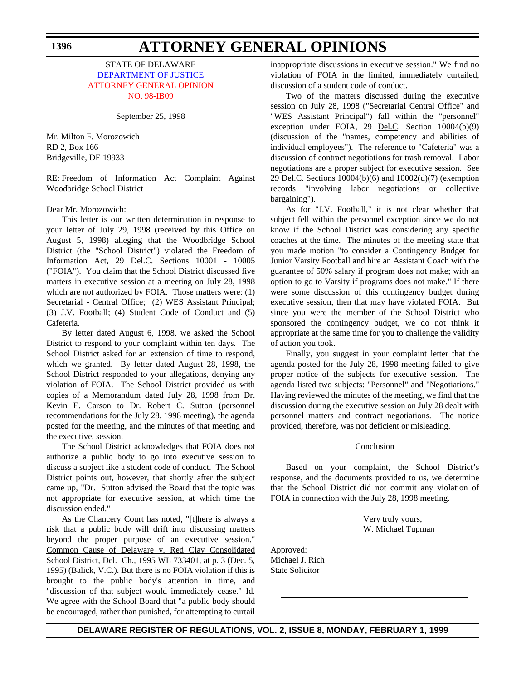#### STATE OF DELAWARE [DEPARTMENT OF JUSTICE](http://www.state.de.us/attgen/index.htm) [ATTORNEY GENERAL OPINION](#page-4-1) NO. 98-IB09

September 25, 1998

Mr. Milton F. Morozowich RD 2, Box 166 Bridgeville, DE 19933

RE: Freedom of Information Act Complaint Against Woodbridge School District

Dear Mr. Morozowich:

This letter is our written determination in response to your letter of July 29, 1998 (received by this Office on August 5, 1998) alleging that the Woodbridge School District (the "School District") violated the Freedom of Information Act, 29 Del.C. Sections 10001 - 10005 ("FOIA"). You claim that the School District discussed five matters in executive session at a meeting on July 28, 1998 which are not authorized by FOIA. Those matters were: (1) Secretarial - Central Office; (2) WES Assistant Principal; (3) J.V. Football; (4) Student Code of Conduct and (5) Cafeteria.

By letter dated August 6, 1998, we asked the School District to respond to your complaint within ten days. The School District asked for an extension of time to respond, which we granted. By letter dated August 28, 1998, the School District responded to your allegations, denying any violation of FOIA. The School District provided us with copies of a Memorandum dated July 28, 1998 from Dr. Kevin E. Carson to Dr. Robert C. Sutton (personnel recommendations for the July 28, 1998 meeting), the agenda posted for the meeting, and the minutes of that meeting and the executive, session.

The School District acknowledges that FOIA does not authorize a public body to go into executive session to discuss a subject like a student code of conduct. The School District points out, however, that shortly after the subject came up, "Dr. Sutton advised the Board that the topic was not appropriate for executive session, at which time the discussion ended."

As the Chancery Court has noted, "[t]here is always a risk that a public body will drift into discussing matters beyond the proper purpose of an executive session." Common Cause of Delaware v. Red Clay Consolidated School District, Del. Ch., 1995 WL 733401, at p. 3 (Dec. 5, 1995) (Balick, V.C.). But there is no FOIA violation if this is brought to the public body's attention in time, and "discussion of that subject would immediately cease." Id. We agree with the School Board that "a public body should be encouraged, rather than punished, for attempting to curtail

inappropriate discussions in executive session." We find no violation of FOIA in the limited, immediately curtailed, discussion of a student code of conduct.

Two of the matters discussed during the executive session on July 28, 1998 ("Secretarial Central Office" and "WES Assistant Principal") fall within the "personnel" exception under FOIA, 29 <u>Del.C</u>. Section 10004(b)(9) (discussion of the "names, competency and abilities of individual employees"). The reference to "Cafeteria" was a discussion of contract negotiations for trash removal. Labor negotiations are a proper subject for executive session. See 29 Del.C. Sections 10004(b)(6) and 10002(d)(7) (exemption records "involving labor negotiations or collective bargaining").

As for "J.V. Football," it is not clear whether that subject fell within the personnel exception since we do not know if the School District was considering any specific coaches at the time. The minutes of the meeting state that you made motion "to consider a Contingency Budget for Junior Varsity Football and hire an Assistant Coach with the guarantee of 50% salary if program does not make; with an option to go to Varsity if programs does not make." If there were some discussion of this contingency budget during executive session, then that may have violated FOIA. But since you were the member of the School District who sponsored the contingency budget, we do not think it appropriate at the same time for you to challenge the validity of action you took.

Finally, you suggest in your complaint letter that the agenda posted for the July 28, 1998 meeting failed to give proper notice of the subjects for executive session. The agenda listed two subjects: "Personnel" and "Negotiations." Having reviewed the minutes of the meeting, we find that the discussion during the executive session on July 28 dealt with personnel matters and contract negotiations. The notice provided, therefore, was not deficient or misleading.

#### Conclusion

Based on your complaint, the School District's response, and the documents provided to us, we determine that the School District did not commit any violation of FOIA in connection with the July 28, 1998 meeting.

> Very truly yours, W. Michael Tupman

Approved: Michael J. Rich State Solicitor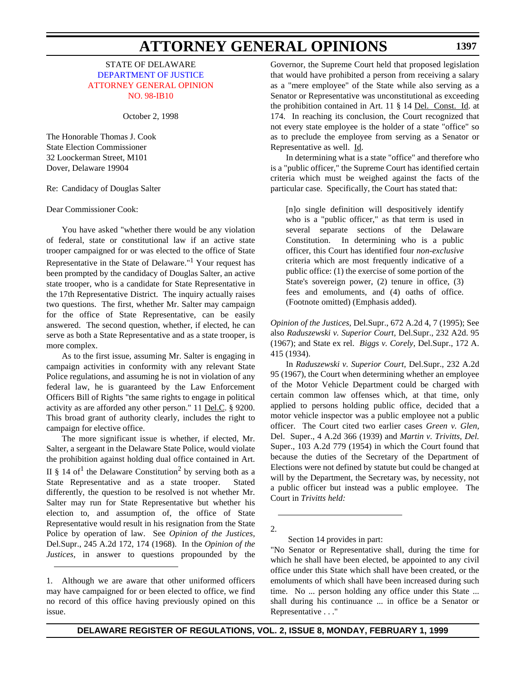STATE OF DELAWARE [DEPARTMENT OF JUSTICE](http://www.state.de.us/attgen/index.htm) [ATTORNEY GENERAL OPINION](#page-4-1) NO. 98-IB10

October 2, 1998

The Honorable Thomas J. Cook State Election Commissioner 32 Loockerman Street, M101 Dover, Delaware 19904

Re: Candidacy of Douglas Salter

Dear Commissioner Cook:

You have asked "whether there would be any violation of federal, state or constitutional law if an active state trooper campaigned for or was elected to the office of State Representative in the State of Delaware."<sup>1</sup> Your request has been prompted by the candidacy of Douglas Salter, an active state trooper, who is a candidate for State Representative in the 17th Representative District. The inquiry actually raises two questions. The first, whether Mr. Salter may campaign for the office of State Representative, can be easily answered. The second question, whether, if elected, he can serve as both a State Representative and as a state trooper, is more complex.

As to the first issue, assuming Mr. Salter is engaging in campaign activities in conformity with any relevant State Police regulations, and assuming he is not in violation of any federal law, he is guaranteed by the Law Enforcement Officers Bill of Rights "the same rights to engage in political activity as are afforded any other person." 11 Del.C. § 9200. This broad grant of authority clearly, includes the right to campaign for elective office.

The more significant issue is whether, if elected, Mr. Salter, a sergeant in the Delaware State Police, would violate the prohibition against holding dual office contained in Art. II § 14 of<sup>1</sup> the Delaware Constitution<sup>2</sup> by serving both as a State Representative and as a state trooper. Stated differently, the question to be resolved is not whether Mr. Salter may run for State Representative but whether his election to, and assumption of, the office of State Representative would result in his resignation from the State Police by operation of law. See *Opinion of the Justices,* Del.Supr., 245 A.2d 172, 174 (1968). In the *Opinion of the Justices,* in answer to questions propounded by the

1. Although we are aware that other uniformed officers may have campaigned for or been elected to office, we find no record of this office having previously opined on this issue.

Governor, the Supreme Court held that proposed legislation that would have prohibited a person from receiving a salary as a "mere employee" of the State while also serving as a Senator or Representative was unconstitutional as exceeding the prohibition contained in Art. 11 § 14 Del. Const. Id. at 174. In reaching its conclusion, the Court recognized that not every state employee is the holder of a state "office" so as to preclude the employee from serving as a Senator or Representative as well. Id.

In determining what is a state "office" and therefore who is a "public officer," the Supreme Court has identified certain criteria which must be weighed against the facts of the particular case. Specifically, the Court has stated that:

[n]o single definition will despositively identify who is a "public officer," as that term is used in several separate sections of the Delaware Constitution. In determining who is a public officer, this Court has identified four *non-exclusive* criteria which are most frequently indicative of a public office: (1) the exercise of some portion of the State's sovereign power, (2) tenure in office, (3) fees and emoluments, and (4) oaths of office. (Footnote omitted) (Emphasis added).

*Opinion of the Justices,* Del.Supr., 672 A.2d 4, 7 (1995); See also *Raduszewski v. Superior Court,* Del.Supr., 232 A2d. 95 (1967); and State ex rel. *Biggs v. Corely,* Del.Supr., 172 A. 415 (1934).

In *Raduszewski v. Superior Court,* Del.Supr., 232 A.2d 95 (1967), the Court when determining whether an employee of the Motor Vehicle Department could be charged with certain common law offenses which, at that time, only applied to persons holding public office, decided that a motor vehicle inspector was a public employee not a public officer. The Court cited two earlier cases *Green v. Glen,* Del. Super., 4 A.2d 366 (1939) and *Martin v. Trivitts, Del.* Super., 103 A.2d 779 (1954) in which the Court found that because the duties of the Secretary of the Department of Elections were not defined by statute but could be changed at will by the Department, the Secretary was, by necessity, not a public officer but instead was a public employee. The Court in *Trivitts held:*

2.

Section 14 provides in part:

"No Senator or Representative shall, during the time for which he shall have been elected, be appointed to any civil office under this State which shall have been created, or the emoluments of which shall have been increased during such time. No ... person holding any office under this State ... shall during his continuance ... in office be a Senator or Representative . . ."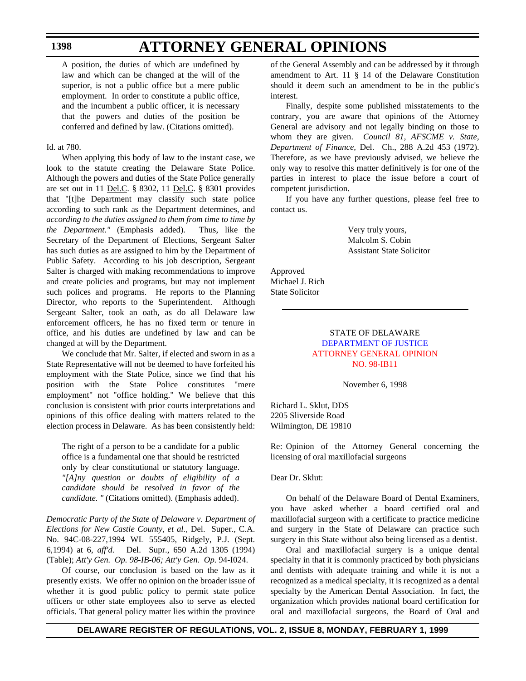### **ATTORNEY GENERAL OPINIONS**

A position, the duties of which are undefined by law and which can be changed at the will of the superior, is not a public office but a mere public employment. In order to constitute a public office, and the incumbent a public officer, it is necessary that the powers and duties of the position be conferred and defined by law. (Citations omitted).

#### Id. at 780.

When applying this body of law to the instant case, we look to the statute creating the Delaware State Police. Although the powers and duties of the State Police generally are set out in 11 Del.C. § 8302, 11 Del.C. § 8301 provides that "[t]he Department may classify such state police according to such rank as the Department determines, and *according to the duties assigned to them from time to time by the Department."* (Emphasis added). Thus, like the Secretary of the Department of Elections, Sergeant Salter has such duties as are assigned to him by the Department of Public Safety. According to his job description, Sergeant Salter is charged with making recommendations to improve and create policies and programs, but may not implement such polices and programs. He reports to the Planning Director, who reports to the Superintendent. Although Sergeant Salter, took an oath, as do all Delaware law enforcement officers, he has no fixed term or tenure in office, and his duties are undefined by law and can be changed at will by the Department.

We conclude that Mr. Salter, if elected and sworn in as a State Representative will not be deemed to have forfeited his employment with the State Police, since we find that his position with the State Police constitutes "mere employment" not "office holding." We believe that this conclusion is consistent with prior courts interpretations and opinions of this office dealing with matters related to the election process in Delaware. As has been consistently held:

The right of a person to be a candidate for a public office is a fundamental one that should be restricted only by clear constitutional or statutory language. *"[A]ny question or doubts of eligibility of a candidate should be resolved in favor of the candidate. "* (Citations omitted). (Emphasis added).

*Democratic Party of the State of Delaware v. Department of Elections for New Castle County, et al.,* Del. Super., C.A. No. 94C-08-227,1994 WL 555405, Ridgely, P.J. (Sept. 6,1994) at 6, *aff'd.* Del. Supr., 650 A.2d 1305 (1994) (Table); *Att'y Gen. Op. 98-IB-06; Att'y Gen. Op.* 94-I024.

Of course, our conclusion is based on the law as it presently exists. We offer no opinion on the broader issue of whether it is good public policy to permit state police officers or other state employees also to serve as elected officials. That general policy matter lies within the province of the General Assembly and can be addressed by it through amendment to Art. 11 § 14 of the Delaware Constitution should it deem such an amendment to be in the public's interest.

Finally, despite some published misstatements to the contrary, you are aware that opinions of the Attorney General are advisory and not legally binding on those to whom they are given. *Council 81, AFSCME v. State, Department of Finance,* Del. Ch., 288 A.2d 453 (1972). Therefore, as we have previously advised, we believe the only way to resolve this matter definitively is for one of the parties in interest to place the issue before a court of competent jurisdiction.

If you have any further questions, please feel free to contact us.

> Very truly yours, Malcolm S. Cobin Assistant State Solicitor

Approved Michael J. Rich State Solicitor

#### STATE OF DELAWARE [DEPARTMENT OF JUSTICE](http://www.state.de.us/attgen/index.htm) [ATTORNEY GENERAL OPINION](#page-4-1) NO. 98-IB11

November 6, 1998

Richard L. Sklut, DDS 2205 Sliverside Road Wilmington, DE 19810

Re: Opinion of the Attorney General concerning the licensing of oral maxillofacial surgeons

#### Dear Dr. Sklut:

On behalf of the Delaware Board of Dental Examiners, you have asked whether a board certified oral and maxillofacial surgeon with a certificate to practice medicine and surgery in the State of Delaware can practice such surgery in this State without also being licensed as a dentist.

Oral and maxillofacial surgery is a unique dental specialty in that it is commonly practiced by both physicians and dentists with adequate training and while it is not a recognized as a medical specialty, it is recognized as a dental specialty by the American Dental Association. In fact, the organization which provides national board certification for oral and maxillofacial surgeons, the Board of Oral and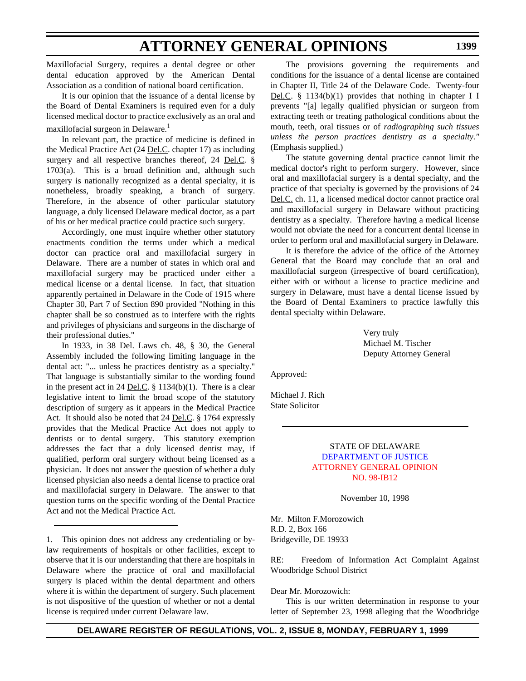Maxillofacial Surgery, requires a dental degree or other dental education approved by the American Dental Association as a condition of national board certification.

It is our opinion that the issuance of a dental license by the Board of Dental Examiners is required even for a duly licensed medical doctor to practice exclusively as an oral and maxillofacial surgeon in Delaware.<sup>1</sup>

In relevant part, the practice of medicine is defined in the Medical Practice Act (24 Del.C. chapter 17) as including surgery and all respective branches thereof, 24 Del.C. § 1703(a). This is a broad definition and, although such surgery is nationally recognized as a dental specialty, it is nonetheless, broadly speaking, a branch of surgery. Therefore, in the absence of other particular statutory language, a duly licensed Delaware medical doctor, as a part of his or her medical practice could practice such surgery.

Accordingly, one must inquire whether other statutory enactments condition the terms under which a medical doctor can practice oral and maxillofacial surgery in Delaware. There are a number of states in which oral and maxillofacial surgery may be practiced under either a medical license or a dental license. In fact, that situation apparently pertained in Delaware in the Code of 1915 where Chapter 30, Part 7 of Section 890 provided "Nothing in this chapter shall be so construed as to interfere with the rights and privileges of physicians and surgeons in the discharge of their professional duties."

In 1933, in 38 Del. Laws ch. 48, § 30, the General Assembly included the following limiting language in the dental act: "... unless he practices dentistry as a specialty." That language is substantially similar to the wording found in the present act in 24 <u>Del.C</u>.  $\S$  1134(b)(1). There is a clear legislative intent to limit the broad scope of the statutory description of surgery as it appears in the Medical Practice Act. It should also be noted that 24 Del.C. § 1764 expressly provides that the Medical Practice Act does not apply to dentists or to dental surgery. This statutory exemption addresses the fact that a duly licensed dentist may, if qualified, perform oral surgery without being licensed as a physician. It does not answer the question of whether a duly licensed physician also needs a dental license to practice oral and maxillofacial surgery in Delaware. The answer to that question turns on the specific wording of the Dental Practice Act and not the Medical Practice Act.

1. This opinion does not address any credentialing or bylaw requirements of hospitals or other facilities, except to observe that it is our understanding that there are hospitals in Delaware where the practice of oral and maxillofacial surgery is placed within the dental department and others where it is within the department of surgery. Such placement is not dispositive of the question of whether or not a dental license is required under current Delaware law.

The provisions governing the requirements and conditions for the issuance of a dental license are contained in Chapter II, Title 24 of the Delaware Code. Twenty-four Del.C. § 1134(b)(1) provides that nothing in chapter I I prevents "[a] legally qualified physician or surgeon from extracting teeth or treating pathological conditions about the mouth, teeth, oral tissues or of *radiographing such tissues unless the person practices dentistry as a specialty."* (Emphasis supplied.)

The statute governing dental practice cannot limit the medical doctor's right to perform surgery. However, since oral and maxillofacial surgery is a dental specialty, and the practice of that specialty is governed by the provisions of 24 Del.C. ch. 11, a licensed medical doctor cannot practice oral and maxillofacial surgery in Delaware without practicing dentistry as a specialty. Therefore having a medical license would not obviate the need for a concurrent dental license in order to perform oral and maxillofacial surgery in Delaware.

It is therefore the advice of the office of the Attorney General that the Board may conclude that an oral and maxillofacial surgeon (irrespective of board certification), either with or without a license to practice medicine and surgery in Delaware, must have a dental license issued by the Board of Dental Examiners to practice lawfully this dental specialty within Delaware.

> Very truly Michael M. Tischer Deputy Attorney General

Approved:

Michael J. Rich State Solicitor

#### STATE OF DELAWARE [DEPARTMENT OF JUSTICE](http://www.state.de.us/attgen/index.htm) [ATTORNEY GENERAL](#page-4-2) OPINION NO. 98-IB12

November 10, 1998

Mr. Milton F.Morozowich R.D. 2, Box 166 Bridgeville, DE 19933

RE: Freedom of Information Act Complaint Against Woodbridge School District

#### Dear Mr. Morozowich:

This is our written determination in response to your letter of September 23, 1998 alleging that the Woodbridge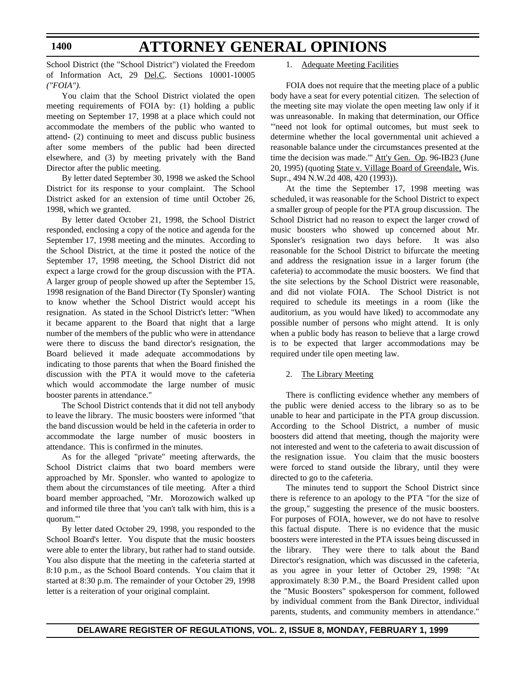School District (the "School District") violated the Freedom of Information Act, 29 Del.C. Sections 10001-10005 *("FOIA").*

You claim that the School District violated the open meeting requirements of FOIA by: (1) holding a public meeting on September 17, 1998 at a place which could not accommodate the members of the public who wanted to attend- (2) continuing to meet and discuss public business after some members of the public had been directed elsewhere, and (3) by meeting privately with the Band Director after the public meeting.

By letter dated September 30, 1998 we asked the School District for its response to your complaint. The School District asked for an extension of time until October 26, 1998, which we granted.

By letter dated October 21, 1998, the School District responded, enclosing a copy of the notice and agenda for the September 17, 1998 meeting and the minutes. According to the School District, at the time it posted the notice of the September 17, 1998 meeting, the School District did not expect a large crowd for the group discussion with the PTA. A larger group of people showed up after the September 15, 1998 resignation of the Band Director (Ty Sponsler) wanting to know whether the School District would accept his resignation. As stated in the School District's letter: "When it became apparent to the Board that night that a large number of the members of the public who were in attendance were there to discuss the band director's resignation, the Board believed it made adequate accommodations by indicating to those parents that when the Board finished the discussion with the PTA it would move to the cafeteria which would accommodate the large number of music booster parents in attendance."

The School District contends that it did not tell anybody to leave the library. The music boosters were informed "that the band discussion would be held in the cafeteria in order to accommodate the large number of music boosters in attendance. This is confirmed in the minutes.

As for the alleged "private" meeting afterwards, the School District claims that two board members were approached by Mr. Sponsler. who wanted to apologize to them about the circumstances of tile meeting. After a third board member approached, "Mr. Morozowich walked up and informed tile three that 'you can't talk with him, this is a quorum."'

By letter dated October 29, 1998, you responded to the School Board's letter. You dispute that the music boosters were able to enter the library, but rather had to stand outside. You also dispute that the meeting in the cafeteria started at 8:10 p.m., as the School Board contends. You claim that it started at 8:30 p.m. The remainder of your October 29, 1998 letter is a reiteration of your original complaint.

#### 1. Adequate Meeting Facilities

FOIA does not require that the meeting place of a public body have a seat for every potential citizen. The selection of the meeting site may violate the open meeting law only if it was unreasonable. In making that determination, our Office "'need not look for optimal outcomes, but must seek to determine whether the local governmental unit achieved a reasonable balance under the circumstances presented at the time the decision was made."' Att'y Gen. Op. 96-IB23 (June 20, 1995) (quoting State v. Village Board of Greendale, Wis. Supr., 494 N.W.2d 408, 420 (1993)).

At the time the September 17, 1998 meeting was scheduled, it was reasonable for the School District to expect a smaller group of people for the PTA group discussion. The School District had no reason to expect the larger crowd of music boosters who showed up concerned about Mr. Sponsler's resignation two days before. It was also reasonable for the School District to bifurcate the meeting and address the resignation issue in a larger forum (the cafeteria) to accommodate the music boosters. We find that the site selections by the School District were reasonable, and did not violate FOIA. The School District is not required to schedule its meetings in a room (like the auditorium, as you would have liked) to accommodate any possible number of persons who might attend. It is only when a public body has reason to believe that a large crowd is to be expected that larger accommodations may be required under tile open meeting law.

#### 2. The Library Meeting

There is conflicting evidence whether any members of the public were denied access to the library so as to be unable to hear and participate in the PTA group discussion. According to the School District, a number of music boosters did attend that meeting, though the majority were not interested and went to the cafeteria to await discussion of the resignation issue. You claim that the music boosters were forced to stand outside the library, until they were directed to go to the cafeteria.

The minutes tend to support the School District since there is reference to an apology to the PTA "for the size of the group," suggesting the presence of the music boosters. For purposes of FOIA, however, we do not have to resolve this factual dispute. There is no evidence that the music boosters were interested in the PTA issues being discussed in the library. They were there to talk about the Band Director's resignation, which was discussed in the cafeteria, as you agree in your letter of October 29, 1998: "At approximately 8:30 P.M., the Board President called upon the "Music Boosters" spokesperson for comment, followed by individual comment from the Bank Director, individual parents, students, and community members in attendance."

**1400**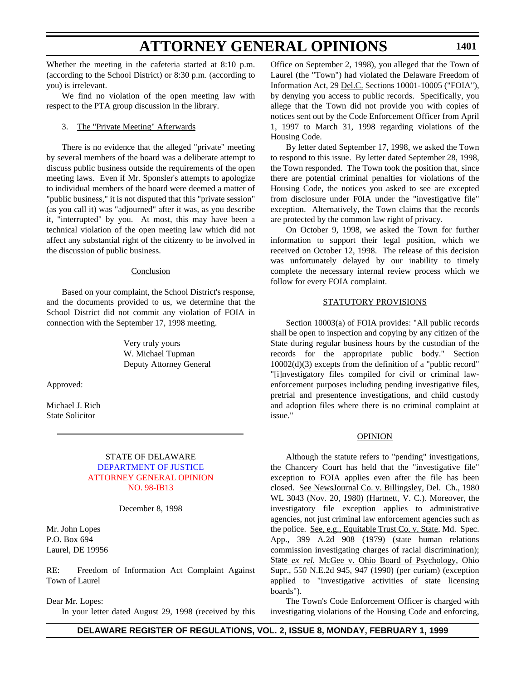Whether the meeting in the cafeteria started at 8:10 p.m. (according to the School District) or 8:30 p.m. (according to you) is irrelevant.

We find no violation of the open meeting law with respect to the PTA group discussion in the library.

#### 3. The "Private Meeting" Afterwards

There is no evidence that the alleged "private" meeting by several members of the board was a deliberate attempt to discuss public business outside the requirements of the open meeting laws. Even if Mr. Sponsler's attempts to apologize to individual members of the board were deemed a matter of "public business," it is not disputed that this "private session" (as you call it) was "adjourned" after it was, as you describe it, "interrupted" by you. At most, this may have been a technical violation of the open meeting law which did not affect any substantial right of the citizenry to be involved in the discussion of public business.

#### Conclusion

Based on your complaint, the School District's response, and the documents provided to us, we determine that the School District did not commit any violation of FOIA in connection with the September 17, 1998 meeting.

> Very truly yours W. Michael Tupman Deputy Attorney General

Approved:

Michael J. Rich State Solicitor

#### STATE OF DELAWARE [DEPARTMENT OF JUSTICE](http://www.state.de.us/attgen/index.htm) [ATTORNEY GENERAL OPINION](#page-4-1) NO. 98-IB13

#### December 8, 1998

Mr. John Lopes P.O. Box 694 Laurel, DE 19956

RE: Freedom of Information Act Complaint Against Town of Laurel

Dear Mr. Lopes:

In your letter dated August 29, 1998 (received by this

Office on September 2, 1998), you alleged that the Town of Laurel (the "Town") had violated the Delaware Freedom of Information Act, 29 Del.C. Sections 10001-10005 ("FOIA"), by denying you access to public records. Specifically, you allege that the Town did not provide you with copies of notices sent out by the Code Enforcement Officer from April 1, 1997 to March 31, 1998 regarding violations of the Housing Code.

By letter dated September 17, 1998, we asked the Town to respond to this issue. By letter dated September 28, 1998, the Town responded. The Town took the position that, since there are potential criminal penalties for violations of the Housing Code, the notices you asked to see are excepted from disclosure under F0IA under the "investigative file" exception. Alternatively, the Town claims that the records are protected by the common law right of privacy.

On October 9, 1998, we asked the Town for further information to support their legal position, which we received on October 12, 1998. The release of this decision was unfortunately delayed by our inability to timely complete the necessary internal review process which we follow for every FOIA complaint.

#### STATUTORY PROVISIONS

Section 10003(a) of FOIA provides: "All public records shall be open to inspection and copying by any citizen of the State during regular business hours by the custodian of the records for the appropriate public body." Section 10002(d)(3) excepts from the definition of a "public record" "[i]nvestigatory files compiled for civil or criminal lawenforcement purposes including pending investigative files, pretrial and presentence investigations, and child custody and adoption files where there is no criminal complaint at issue."

#### OPINION

Although the statute refers to "pending" investigations, the Chancery Court has held that the "investigative file" exception to FOIA applies even after the file has been closed. See NewsJournal Co. v. Billingsley, Del. Ch., 1980 WL 3043 (Nov. 20, 1980) (Hartnett, V. C.). Moreover, the investigatory file exception applies to administrative agencies, not just criminal law enforcement agencies such as the police. See, e.g., Equitable Trust Co. v. State, Md. Spec. App., 399 A.2d 908 (1979) (state human relations commission investigating charges of racial discrimination); State *ex rel.* McGee v. Ohio Board of Psychology, Ohio Supr., 550 N.E.2d 945, 947 (1990) (per curiam) (exception applied to "investigative activities of state licensing boards").

The Town's Code Enforcement Officer is charged with investigating violations of the Housing Code and enforcing,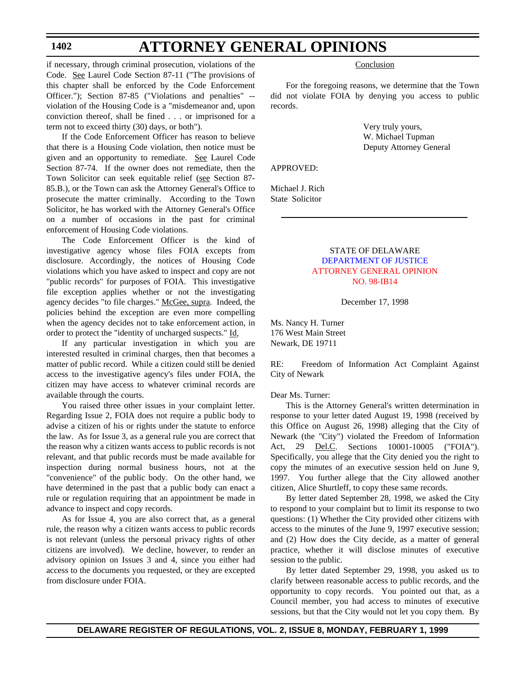### **ATTORNEY GENERAL OPINIONS**

if necessary, through criminal prosecution, violations of the Code. See Laurel Code Section 87-11 ("The provisions of this chapter shall be enforced by the Code Enforcement Officer."); Section 87-85 ("Violations and penalties" - violation of the Housing Code is a "misdemeanor and, upon conviction thereof, shall be fined . . . or imprisoned for a term not to exceed thirty (30) days, or both").

If the Code Enforcement Officer has reason to believe that there is a Housing Code violation, then notice must be given and an opportunity to remediate. See Laurel Code Section 87-74. If the owner does not remediate, then the Town Solicitor can seek equitable relief (see Section 87- 85.B.), or the Town can ask the Attorney General's Office to prosecute the matter criminally. According to the Town Solicitor, he has worked with the Attorney General's Office on a number of occasions in the past for criminal enforcement of Housing Code violations.

The Code Enforcement Officer is the kind of investigative agency whose files FOIA excepts from disclosure. Accordingly, the notices of Housing Code violations which you have asked to inspect and copy are not "public records" for purposes of FOIA. This investigative file exception applies whether or not the investigating agency decides "to file charges." McGee, supra. Indeed, the policies behind the exception are even more compelling when the agency decides not to take enforcement action, in order to protect the "identity of uncharged suspects." Id,

If any particular investigation in which you are interested resulted in criminal charges, then that becomes a matter of public record. While a citizen could still be denied access to the investigative agency's files under FOIA, the citizen may have access to whatever criminal records are available through the courts.

You raised three other issues in your complaint letter. Regarding Issue 2, FOIA does not require a public body to advise a citizen of his or rights under the statute to enforce the law. As for Issue 3, as a general rule you are correct that the reason why a citizen wants access to public records is not relevant, and that public records must be made available for inspection during normal business hours, not at the "convenience" of the public body. On the other hand, we have determined in the past that a public body can enact a rule or regulation requiring that an appointment be made in advance to inspect and copy records.

As for Issue 4, you are also correct that, as a general rule, the reason why a citizen wants access to public records is not relevant (unless the personal privacy rights of other citizens are involved). We decline, however, to render an advisory opinion on Issues 3 and 4, since you either had access to the documents you requested, or they are excepted from disclosure under FOIA.

#### **Conclusion**

For the foregoing reasons, we determine that the Town did not violate FOIA by denying you access to public records.

> Very truly yours, W. Michael Tupman Deputy Attorney General

APPROVED:

Michael J. Rich State Solicitor

#### STATE OF DELAWARE [DEPARTMENT OF JUSTICE](http://www.state.de.us/attgen/index.htm) [ATTORNEY GENERAL OPINION](#page-4-3) NO. 98-IB14

December 17, 1998

Ms. Nancy H. Turner 176 West Main Street Newark, DE 19711

RE: Freedom of Information Act Complaint Against City of Newark

#### Dear Ms. Turner:

This is the Attorney General's written determination in response to your letter dated August 19, 1998 (received by this Office on August 26, 1998) alleging that the City of Newark (the "City") violated the Freedom of Information Act, 29 Del.C. Sections 10001-10005 ("FOIA"). Specifically, you allege that the City denied you the right to copy the minutes of an executive session held on June 9, 1997. You further allege that the City allowed another citizen, Alice Shurtleff, to copy these same records.

By letter dated September 28, 1998, we asked the City to respond to your complaint but to limit its response to two questions: (1) Whether the City provided other citizens with access to the minutes of the June 9, 1997 executive session; and (2) How does the City decide, as a matter of general practice, whether it will disclose minutes of executive session to the public.

By letter dated September 29, 1998, you asked us to clarify between reasonable access to public records, and the opportunity to copy records. You pointed out that, as a Council member, you had access to minutes of executive sessions, but that the City would not let you copy them. By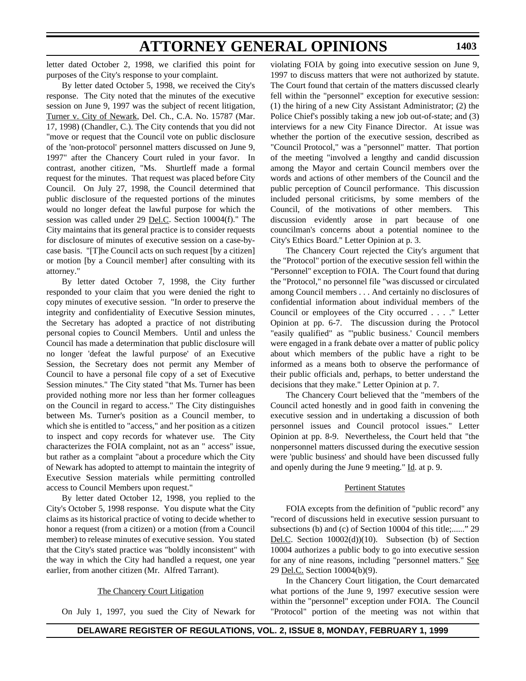letter dated October 2, 1998, we clarified this point for purposes of the City's response to your complaint.

By letter dated October 5, 1998, we received the City's response. The City noted that the minutes of the executive session on June 9, 1997 was the subject of recent litigation, Turner v. City of Newark, Del. Ch., C.A. No. 15787 (Mar. 17, 1998) (Chandler, C.). The City contends that you did not "move or request that the Council vote on public disclosure of the 'non-protocol' personnel matters discussed on June 9, 1997" after the Chancery Court ruled in your favor. In contrast, another citizen, "Ms. Shurtleff made a formal request for the minutes. That request was placed before City Council. On July 27, 1998, the Council determined that public disclosure of the requested portions of the minutes would no longer defeat the lawful purpose for which the session was called under 29 Del.C. Section 10004(f)." The City maintains that its general practice is to consider requests for disclosure of minutes of executive session on a case-bycase basis. "[T]he Council acts on such request [by a citizen] or motion [by a Council member] after consulting with its attorney."

By letter dated October 7, 1998, the City further responded to your claim that you were denied the right to copy minutes of executive session. "In order to preserve the integrity and confidentiality of Executive Session minutes, the Secretary has adopted a practice of not distributing personal copies to Council Members. Until and unless the Council has made a determination that public disclosure will no longer 'defeat the lawful purpose' of an Executive Session, the Secretary does not permit any Member of Council to have a personal file copy of a set of Executive Session minutes." The City stated "that Ms. Turner has been provided nothing more nor less than her former colleagues on the Council in regard to access." The City distinguishes between Ms. Turner's position as a Council member, to which she is entitled to "access," and her position as a citizen to inspect and copy records for whatever use. The City characterizes the FOIA complaint, not as an " access" issue, but rather as a complaint "about a procedure which the City of Newark has adopted to attempt to maintain the integrity of Executive Session materials while permitting controlled access to Council Members upon request."

By letter dated October 12, 1998, you replied to the City's October 5, 1998 response. You dispute what the City claims as its historical practice of voting to decide whether to honor a request (from a citizen) or a motion (from a Council member) to release minutes of executive session. You stated that the City's stated practice was "boldly inconsistent" with the way in which the City had handled a request, one year earlier, from another citizen (Mr. Alfred Tarrant).

#### The Chancery Court Litigation

On July 1, 1997, you sued the City of Newark for

violating FOIA by going into executive session on June 9, 1997 to discuss matters that were not authorized by statute. The Court found that certain of the matters discussed clearly fell within the "personnel" exception for executive session: (1) the hiring of a new City Assistant Administrator; (2) the Police Chief's possibly taking a new job out-of-state; and (3) interviews for a new City Finance Director. At issue was whether the portion of the executive session, described as "Council Protocol," was a "personnel" matter. That portion of the meeting "involved a lengthy and candid discussion among the Mayor and certain Council members over the words and actions of other members of the Council and the public perception of Council performance. This discussion included personal criticisms, by some members of the Council, of the motivations of other members. This discussion evidently arose in part because of one councilman's concerns about a potential nominee to the City's Ethics Board." Letter Opinion at p. 3.

**1403**

The Chancery Court rejected the City's argument that the "Protocol" portion of the executive session fell within the "Personnel" exception to FOIA. The Court found that during the "Protocol," no personnel file "was discussed or circulated among Council members . . . And certainly no disclosures of confidential information about individual members of the Council or employees of the City occurred . . . ." Letter Opinion at pp. 6-7. The discussion during the Protocol "easily qualified" as "'public business.' Council members were engaged in a frank debate over a matter of public policy about which members of the public have a right to be informed as a means both to observe the performance of their public officials and, perhaps, to better understand the decisions that they make." Letter Opinion at p. 7.

The Chancery Court believed that the "members of the Council acted honestly and in good faith in convening the executive session and in undertaking a discussion of both personnel issues and Council protocol issues." Letter Opinion at pp. 8-9. Nevertheless, the Court held that "the nonpersonnel matters discussed during the executive session were 'public business' and should have been discussed fully and openly during the June 9 meeting." Id. at p. 9.

#### Pertinent Statutes

FOIA excepts from the definition of "public record" any "record of discussions held in executive session pursuant to subsections (b) and (c) of Section 10004 of this title;......" 29 Del.C. Section 10002(d))(10). Subsection (b) of Section 10004 authorizes a public body to go into executive session for any of nine reasons, including "personnel matters." See 29 Del.C. Section 10004(b)(9).

In the Chancery Court litigation, the Court demarcated what portions of the June 9, 1997 executive session were within the "personnel" exception under FOIA. The Council "Protocol" portion of the meeting was not within that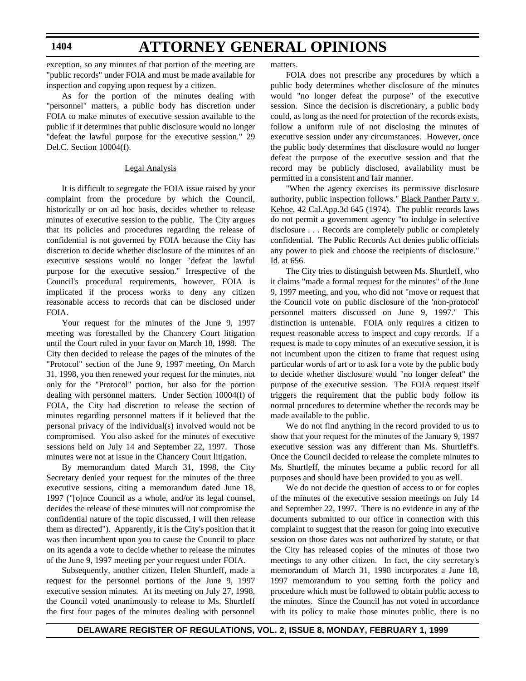### **ATTORNEY GENERAL OPINIONS**

exception, so any minutes of that portion of the meeting are "public records" under FOIA and must be made available for inspection and copying upon request by a citizen.

As for the portion of the minutes dealing with "personnel" matters, a public body has discretion under FOIA to make minutes of executive session available to the public if it determines that public disclosure would no longer "defeat the lawful purpose for the executive session." 29 Del.C. Section 10004(f).

#### Legal Analysis

It is difficult to segregate the FOIA issue raised by your complaint from the procedure by which the Council, historically or on ad hoc basis, decides whether to release minutes of executive session to the public. The City argues that its policies and procedures regarding the release of confidential is not governed by FOIA because the City has discretion to decide whether disclosure of the minutes of an executive sessions would no longer "defeat the lawful purpose for the executive session." Irrespective of the Council's procedural requirements, however, FOIA is implicated if the process works to deny any citizen reasonable access to records that can be disclosed under FOIA.

Your request for the minutes of the June 9, 1997 meeting was forestalled by the Chancery Court litigation until the Court ruled in your favor on March 18, 1998. The City then decided to release the pages of the minutes of the "Protocol" section of the June 9, 1997 meeting, On March 31, 1998, you then renewed your request for the minutes, not only for the "Protocol" portion, but also for the portion dealing with personnel matters. Under Section 10004(f) of FOIA, the City had discretion to release the section of minutes regarding personnel matters if it believed that the personal privacy of the individual(s) involved would not be compromised. You also asked for the minutes of executive sessions held on July 14 and September 22, 1997. Those minutes were not at issue in the Chancery Court litigation.

By memorandum dated March 31, 1998, the City Secretary denied your request for the minutes of the three executive sessions, citing a memorandum dated June 18, 1997 ("[o]nce Council as a whole, and/or its legal counsel, decides the release of these minutes will not compromise the confidential nature of the topic discussed, I will then release them as directed"). Apparently, it is the City's position that it was then incumbent upon you to cause the Council to place on its agenda a vote to decide whether to release the minutes of the June 9, 1997 meeting per your request under FOIA.

Subsequently, another citizen, Helen Shurtleff, made a request for the personnel portions of the June 9, 1997 executive session minutes. At its meeting on July 27, 1998, the Council voted unanimously to release to Ms. Shurtleff the first four pages of the minutes dealing with personnel matters.

FOIA does not prescribe any procedures by which a public body determines whether disclosure of the minutes would "no longer defeat the purpose" of the executive session. Since the decision is discretionary, a public body could, as long as the need for protection of the records exists, follow a uniform rule of not disclosing the minutes of executive session under any circumstances. However, once the public body determines that disclosure would no longer defeat the purpose of the executive session and that the record may be publicly disclosed, availability must be permitted in a consistent and fair manner.

"When the agency exercises its permissive disclosure authority, public inspection follows." Black Panther Party v. Kehoe, 42 Cal.App.3d 645 (1974). The public records laws do not permit a government agency "to indulge in selective disclosure . . . Records are completely public or completely confidential. The Public Records Act denies public officials any power to pick and choose the recipients of disclosure." Id. at 656.

The City tries to distinguish between Ms. Shurtleff, who it claims "made a formal request for the minutes" of the June 9, 1997 meeting, and you, who did not "move or request that the Council vote on public disclosure of the 'non-protocol' personnel matters discussed on June 9, 1997." This distinction is untenable. FOIA only requires a citizen to request reasonable access to inspect and copy records. If a request is made to copy minutes of an executive session, it is not incumbent upon the citizen to frame that request using particular words of art or to ask for a vote by the public body to decide whether disclosure would "no longer defeat" the purpose of the executive session. The FOIA request itself triggers the requirement that the public body follow its normal procedures to determine whether the records may be made available to the public.

We do not find anything in the record provided to us to show that your request for the minutes of the January 9, 1997 executive session was any different than Ms. Shurtleff's. Once the Council decided to release the complete minutes to Ms. Shurtleff, the minutes became a public record for all purposes and should have been provided to you as well.

We do not decide the question of access to or for copies of the minutes of the executive session meetings on July 14 and September 22, 1997. There is no evidence in any of the documents submitted to our office in connection with this complaint to suggest that the reason for going into executive session on those dates was not authorized by statute, or that the City has released copies of the minutes of those two meetings to any other citizen. In fact, the city secretary's memorandum of March 31, 1998 incorporates a June 18, 1997 memorandum to you setting forth the policy and procedure which must be followed to obtain public access to the minutes. Since the Council has not voted in accordance with its policy to make those minutes public, there is no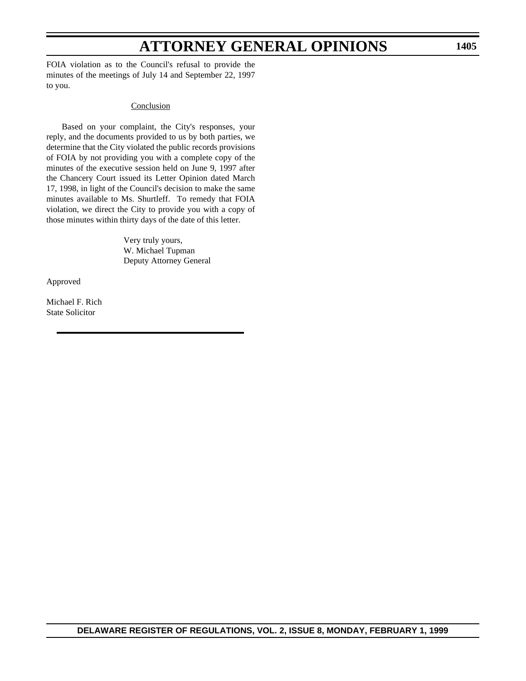FOIA violation as to the Council's refusal to provide the minutes of the meetings of July 14 and September 22, 1997 to you.

#### **Conclusion**

Based on your complaint, the City's responses, your reply, and the documents provided to us by both parties, we determine that the City violated the public records provisions of FOIA by not providing you with a complete copy of the minutes of the executive session held on June 9, 1997 after the Chancery Court issued its Letter Opinion dated March 17, 1998, in light of the Council's decision to make the same minutes available to Ms. Shurtleff. To remedy that FOIA violation, we direct the City to provide you with a copy of those minutes within thirty days of the date of this letter.

> Very truly yours, W. Michael Tupman Deputy Attorney General

Approved

Michael F. Rich State Solicitor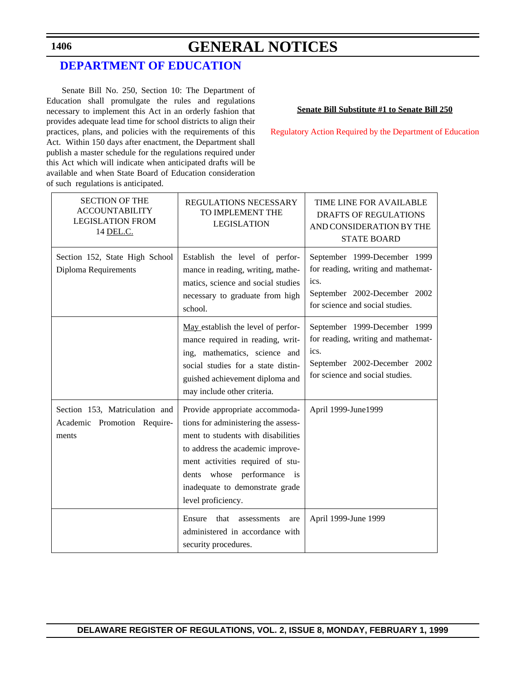# **GENERAL NOTICES**

### **[DEPARTMENT OF EDUCATION](http://www.doe.state.de.us/index_js.htm)**

Senate Bill No. 250, Section 10: The Department of Education shall promulgate the rules and regulations necessary to implement this Act in an orderly fashion that provides adequate lead time for school districts to align their practices, plans, and policies with the requirements of this Act. Within 150 days after enactment, the Department shall publish a master schedule for the regulations required under this Act which will indicate when anticipated drafts will be available and when State Board of Education consideration of such regulations is anticipated.

**Senate Bill Substitute #1 to Senate Bill 250**

[Regulatory Action Required by the Department of Education](#page-4-1)

| <b>SECTION OF THE</b><br><b>ACCOUNTABILITY</b><br><b>LEGISLATION FROM</b><br>14 DEL.C. | <b>REGULATIONS NECESSARY</b><br>TO IMPLEMENT THE<br><b>LEGISLATION</b>                                                                                                                                                                                                     | <b>TIME LINE FOR AVAILABLE</b><br><b>DRAFTS OF REGULATIONS</b><br>AND CONSIDERATION BY THE<br><b>STATE BOARD</b>                              |
|----------------------------------------------------------------------------------------|----------------------------------------------------------------------------------------------------------------------------------------------------------------------------------------------------------------------------------------------------------------------------|-----------------------------------------------------------------------------------------------------------------------------------------------|
| Section 152, State High School<br>Diploma Requirements                                 | Establish the level of perfor-<br>mance in reading, writing, mathe-<br>matics, science and social studies<br>necessary to graduate from high<br>school.                                                                                                                    | September 1999-December 1999<br>for reading, writing and mathemat-<br>ics.<br>September 2002-December 2002<br>for science and social studies. |
|                                                                                        | May establish the level of perfor-<br>mance required in reading, writ-<br>ing, mathematics, science and<br>social studies for a state distin-<br>guished achievement diploma and<br>may include other criteria.                                                            | September 1999-December 1999<br>for reading, writing and mathemat-<br>ics.<br>September 2002-December 2002<br>for science and social studies. |
| Section 153, Matriculation and<br>Academic Promotion Require-<br>ments                 | Provide appropriate accommoda-<br>tions for administering the assess-<br>ment to students with disabilities<br>to address the academic improve-<br>ment activities required of stu-<br>dents whose performance is<br>inadequate to demonstrate grade<br>level proficiency. | April 1999-June1999                                                                                                                           |
|                                                                                        | Ensure<br>that<br>assessments<br>are<br>administered in accordance with<br>security procedures.                                                                                                                                                                            | April 1999-June 1999                                                                                                                          |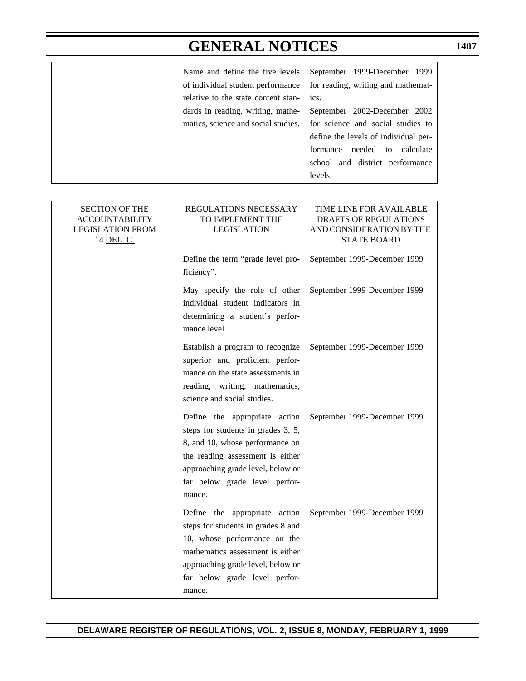# **GENERAL NOTICES**

| Name and define the five levels     | September 1999-December 1999         |
|-------------------------------------|--------------------------------------|
| of individual student performance   | for reading, writing and mathemat-   |
| relative to the state content stan- | ics.                                 |
| dards in reading, writing, mathe-   | September 2002-December 2002         |
| matics, science and social studies. | for science and social studies to    |
|                                     | define the levels of individual per- |
|                                     | needed to<br>calculate<br>formance   |
|                                     | school and district performance      |
|                                     | levels.                              |

| <b>SECTION OF THE</b><br><b>ACCOUNTABILITY</b><br><b>LEGISLATION FROM</b><br>14 DEL. C. | REGULATIONS NECESSARY<br>TO IMPLEMENT THE<br><b>LEGISLATION</b>                                                                                                                                                            | TIME LINE FOR AVAILABLE<br><b>DRAFTS OF REGULATIONS</b><br>AND CONSIDERATION BY THE<br><b>STATE BOARD</b> |
|-----------------------------------------------------------------------------------------|----------------------------------------------------------------------------------------------------------------------------------------------------------------------------------------------------------------------------|-----------------------------------------------------------------------------------------------------------|
|                                                                                         | Define the term "grade level pro-<br>ficiency".                                                                                                                                                                            | September 1999-December 1999                                                                              |
|                                                                                         | May specify the role of other<br>individual student indicators in<br>determining a student's perfor-<br>mance level.                                                                                                       | September 1999-December 1999                                                                              |
|                                                                                         | Establish a program to recognize<br>superior and proficient perfor-<br>mance on the state assessments in<br>reading, writing, mathematics,<br>science and social studies.                                                  | September 1999-December 1999                                                                              |
|                                                                                         | Define the appropriate action<br>steps for students in grades 3, 5,<br>8, and 10, whose performance on<br>the reading assessment is either<br>approaching grade level, below or<br>far below grade level perfor-<br>mance. | September 1999-December 1999                                                                              |
|                                                                                         | Define the appropriate action<br>steps for students in grades 8 and<br>10, whose performance on the<br>mathematics assessment is either<br>approaching grade level, below or<br>far below grade level perfor-<br>mance.    | September 1999-December 1999                                                                              |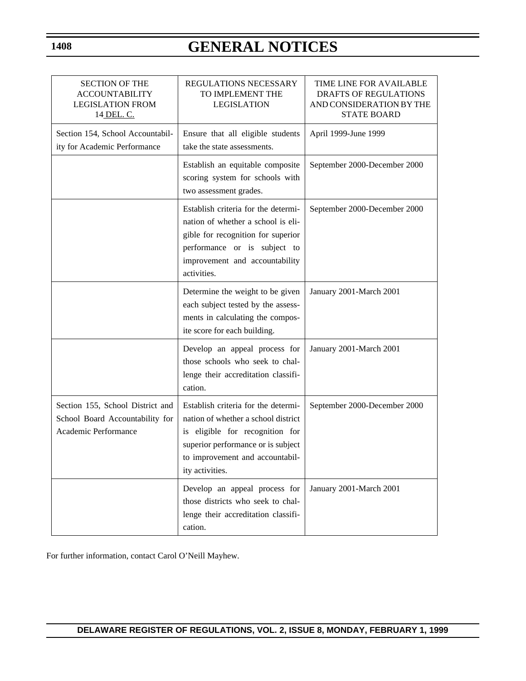# **GENERAL NOTICES**

| <b>SECTION OF THE</b><br><b>ACCOUNTABILITY</b><br><b>LEGISLATION FROM</b><br>14 DEL. C.     | REGULATIONS NECESSARY<br>TO IMPLEMENT THE<br><b>LEGISLATION</b>                                                                                                                                           | <b>TIME LINE FOR AVAILABLE</b><br><b>DRAFTS OF REGULATIONS</b><br>AND CONSIDERATION BY THE<br><b>STATE BOARD</b> |
|---------------------------------------------------------------------------------------------|-----------------------------------------------------------------------------------------------------------------------------------------------------------------------------------------------------------|------------------------------------------------------------------------------------------------------------------|
| Section 154, School Accountabil-<br>ity for Academic Performance                            | Ensure that all eligible students<br>take the state assessments.                                                                                                                                          | April 1999-June 1999                                                                                             |
|                                                                                             | Establish an equitable composite<br>scoring system for schools with<br>two assessment grades.                                                                                                             | September 2000-December 2000                                                                                     |
|                                                                                             | Establish criteria for the determi-<br>nation of whether a school is eli-<br>gible for recognition for superior<br>performance or is subject to<br>improvement and accountability<br>activities.          | September 2000-December 2000                                                                                     |
|                                                                                             | Determine the weight to be given<br>each subject tested by the assess-<br>ments in calculating the compos-<br>ite score for each building.                                                                | January 2001-March 2001                                                                                          |
|                                                                                             | Develop an appeal process for<br>those schools who seek to chal-<br>lenge their accreditation classifi-<br>cation.                                                                                        | January 2001-March 2001                                                                                          |
| Section 155, School District and<br>School Board Accountability for<br>Academic Performance | Establish criteria for the determi-<br>nation of whether a school district<br>is eligible for recognition for<br>superior performance or is subject<br>to improvement and accountabil-<br>ity activities. | September 2000-December 2000                                                                                     |
|                                                                                             | Develop an appeal process for<br>those districts who seek to chal-<br>lenge their accreditation classifi-<br>cation.                                                                                      | January 2001-March 2001                                                                                          |

For further information, contact Carol O'Neill Mayhew.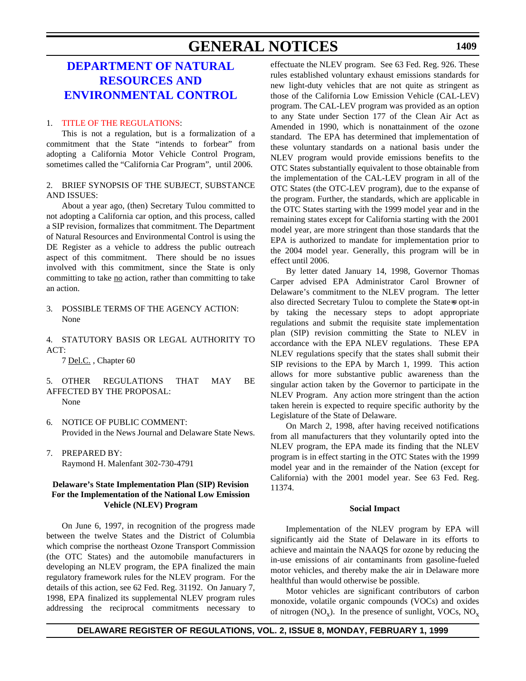### **GENERAL NOTICES**

### **DEPARTMENT OF NATURAL RESOURCES AND [ENVIRONMENTAL CONTROL](http://www.dnrec.state.de.us/)**

#### 1. [TITLE OF THE REGULATIONS:](#page-4-1)

This is not a regulation, but is a formalization of a commitment that the State "intends to forbear" from adopting a California Motor Vehicle Control Program, sometimes called the "California Car Program", until 2006.

#### 2. BRIEF SYNOPSIS OF THE SUBJECT, SUBSTANCE AND ISSUES:

About a year ago, (then) Secretary Tulou committed to not adopting a California car option, and this process, called a SIP revision, formalizes that commitment. The Department of Natural Resources and Environmental Control is using the DE Register as a vehicle to address the public outreach aspect of this commitment. There should be no issues involved with this commitment, since the State is only committing to take no action, rather than committing to take an action.

3. POSSIBLE TERMS OF THE AGENCY ACTION: None

4. STATUTORY BASIS OR LEGAL AUTHORITY TO ACT:

7 Del.C. , Chapter 60

### 5. OTHER REGULATIONS THAT MAY BE AFFECTED BY THE PROPOSAL:

None

- 6. NOTICE OF PUBLIC COMMENT: Provided in the News Journal and Delaware State News.
- 7. PREPARED BY: Raymond H. Malenfant 302-730-4791

#### **Delaware's State Implementation Plan (SIP) Revision For the Implementation of the National Low Emission Vehicle (NLEV) Program**

On June 6, 1997, in recognition of the progress made between the twelve States and the District of Columbia which comprise the northeast Ozone Transport Commission (the OTC States) and the automobile manufacturers in developing an NLEV program, the EPA finalized the main regulatory framework rules for the NLEV program. For the details of this action, see 62 Fed. Reg. 31192. On January 7, 1998, EPA finalized its supplemental NLEV program rules addressing the reciprocal commitments necessary to effectuate the NLEV program. See 63 Fed. Reg. 926. These rules established voluntary exhaust emissions standards for new light-duty vehicles that are not quite as stringent as those of the California Low Emission Vehicle (CAL-LEV) program. The CAL-LEV program was provided as an option to any State under Section 177 of the Clean Air Act as Amended in 1990, which is nonattainment of the ozone standard. The EPA has determined that implementation of these voluntary standards on a national basis under the NLEV program would provide emissions benefits to the OTC States substantially equivalent to those obtainable from the implementation of the CAL-LEV program in all of the OTC States (the OTC-LEV program), due to the expanse of the program. Further, the standards, which are applicable in the OTC States starting with the 1999 model year and in the remaining states except for California starting with the 2001 model year, are more stringent than those standards that the EPA is authorized to mandate for implementation prior to the 2004 model year. Generally, this program will be in effect until 2006.

By letter dated January 14, 1998, Governor Thomas Carper advised EPA Administrator Carol Browner of Delaware's commitment to the NLEV program. The letter also directed Secretary Tulou to complete the States opt-in by taking the necessary steps to adopt appropriate regulations and submit the requisite state implementation plan (SIP) revision committing the State to NLEV in accordance with the EPA NLEV regulations. These EPA NLEV regulations specify that the states shall submit their SIP revisions to the EPA by March 1, 1999. This action allows for more substantive public awareness than the singular action taken by the Governor to participate in the NLEV Program. Any action more stringent than the action taken herein is expected to require specific authority by the Legislature of the State of Delaware.

On March 2, 1998, after having received notifications from all manufacturers that they voluntarily opted into the NLEV program, the EPA made its finding that the NLEV program is in effect starting in the OTC States with the 1999 model year and in the remainder of the Nation (except for California) with the 2001 model year. See 63 Fed. Reg. 11374.

#### **Social Impact**

Implementation of the NLEV program by EPA will significantly aid the State of Delaware in its efforts to achieve and maintain the NAAQS for ozone by reducing the in-use emissions of air contaminants from gasoline-fueled motor vehicles, and thereby make the air in Delaware more healthful than would otherwise be possible.

Motor vehicles are significant contributors of carbon monoxide, volatile organic compounds (VOCs) and oxides of nitrogen  $(NO_x)$ . In the presence of sunlight, VOCs,  $NO_x$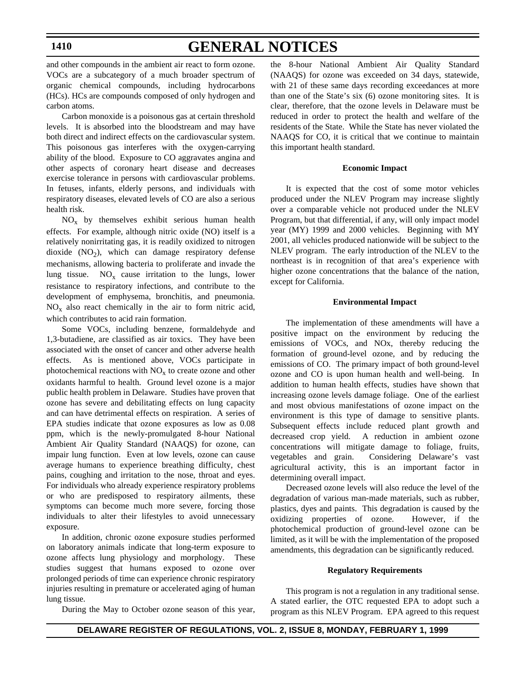# **GENERAL NOTICES**

and other compounds in the ambient air react to form ozone. VOCs are a subcategory of a much broader spectrum of organic chemical compounds, including hydrocarbons (HCs). HCs are compounds composed of only hydrogen and carbon atoms.

Carbon monoxide is a poisonous gas at certain threshold levels. It is absorbed into the bloodstream and may have both direct and indirect effects on the cardiovascular system. This poisonous gas interferes with the oxygen-carrying ability of the blood. Exposure to CO aggravates angina and other aspects of coronary heart disease and decreases exercise tolerance in persons with cardiovascular problems. In fetuses, infants, elderly persons, and individuals with respiratory diseases, elevated levels of CO are also a serious health risk.

 $NO<sub>x</sub>$  by themselves exhibit serious human health effects. For example, although nitric oxide (NO) itself is a relatively nonirritating gas, it is readily oxidized to nitrogen dioxide  $(NO<sub>2</sub>)$ , which can damage respiratory defense mechanisms, allowing bacteria to proliferate and invade the lung tissue.  $NO_x$  cause irritation to the lungs, lower resistance to respiratory infections, and contribute to the development of emphysema, bronchitis, and pneumonia.  $NO<sub>x</sub>$  also react chemically in the air to form nitric acid, which contributes to acid rain formation.

Some VOCs, including benzene, formaldehyde and 1,3-butadiene, are classified as air toxics. They have been associated with the onset of cancer and other adverse health effects. As is mentioned above, VOCs participate in photochemical reactions with  $NO<sub>x</sub>$  to create ozone and other oxidants harmful to health. Ground level ozone is a major public health problem in Delaware. Studies have proven that ozone has severe and debilitating effects on lung capacity and can have detrimental effects on respiration. A series of EPA studies indicate that ozone exposures as low as 0.08 ppm, which is the newly-promulgated 8-hour National Ambient Air Quality Standard (NAAQS) for ozone, can impair lung function. Even at low levels, ozone can cause average humans to experience breathing difficulty, chest pains, coughing and irritation to the nose, throat and eyes. For individuals who already experience respiratory problems or who are predisposed to respiratory ailments, these symptoms can become much more severe, forcing those individuals to alter their lifestyles to avoid unnecessary exposure.

In addition, chronic ozone exposure studies performed on laboratory animals indicate that long-term exposure to ozone affects lung physiology and morphology. These studies suggest that humans exposed to ozone over prolonged periods of time can experience chronic respiratory injuries resulting in premature or accelerated aging of human lung tissue.

During the May to October ozone season of this year,

the 8-hour National Ambient Air Quality Standard (NAAQS) for ozone was exceeded on 34 days, statewide, with 21 of these same days recording exceedances at more than one of the State's six (6) ozone monitoring sites. It is clear, therefore, that the ozone levels in Delaware must be reduced in order to protect the health and welfare of the residents of the State. While the State has never violated the NAAQS for CO, it is critical that we continue to maintain this important health standard.

#### **Economic Impact**

It is expected that the cost of some motor vehicles produced under the NLEV Program may increase slightly over a comparable vehicle not produced under the NLEV Program, but that differential, if any, will only impact model year (MY) 1999 and 2000 vehicles. Beginning with MY 2001, all vehicles produced nationwide will be subject to the NLEV program. The early introduction of the NLEV to the northeast is in recognition of that area's experience with higher ozone concentrations that the balance of the nation, except for California.

#### **Environmental Impact**

The implementation of these amendments will have a positive impact on the environment by reducing the emissions of VOCs, and NOx, thereby reducing the formation of ground-level ozone, and by reducing the emissions of CO. The primary impact of both ground-level ozone and CO is upon human health and well-being. In addition to human health effects, studies have shown that increasing ozone levels damage foliage. One of the earliest and most obvious manifestations of ozone impact on the environment is this type of damage to sensitive plants. Subsequent effects include reduced plant growth and decreased crop yield. A reduction in ambient ozone concentrations will mitigate damage to foliage, fruits, vegetables and grain. Considering Delaware's vast agricultural activity, this is an important factor in determining overall impact.

Decreased ozone levels will also reduce the level of the degradation of various man-made materials, such as rubber, plastics, dyes and paints. This degradation is caused by the oxidizing properties of ozone. However, if the photochemical production of ground-level ozone can be limited, as it will be with the implementation of the proposed amendments, this degradation can be significantly reduced.

#### **Regulatory Requirements**

This program is not a regulation in any traditional sense. A stated earlier, the OTC requested EPA to adopt such a program as this NLEV Program. EPA agreed to this request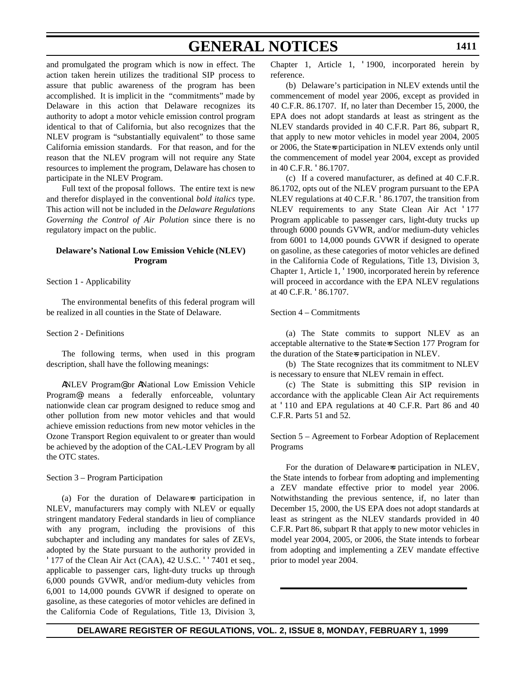# **GENERAL NOTICES**

and promulgated the program which is now in effect. The action taken herein utilizes the traditional SIP process to assure that public awareness of the program has been accomplished. It is implicit in the "commitments" made by Delaware in this action that Delaware recognizes its authority to adopt a motor vehicle emission control program identical to that of California, but also recognizes that the NLEV program is "substantially equivalent" to those same California emission standards. For that reason, and for the reason that the NLEV program will not require any State resources to implement the program, Delaware has chosen to participate in the NLEV Program.

Full text of the proposal follows. The entire text is new and therefor displayed in the conventional *bold italics* type. This action will not be included in the *Delaware Regulations Governing the Control of Air Polution* since there is no regulatory impact on the public.

### **Delaware's National Low Emission Vehicle (NLEV) Program**

### Section 1 - Applicability

The environmental benefits of this federal program will be realized in all counties in the State of Delaware.

#### Section 2 - Definitions

The following terms, when used in this program description, shall have the following meanings:

ANLEV Program@ or ANational Low Emission Vehicle Program@ means a federally enforceable, voluntary nationwide clean car program designed to reduce smog and other pollution from new motor vehicles and that would achieve emission reductions from new motor vehicles in the Ozone Transport Region equivalent to or greater than would be achieved by the adoption of the CAL-LEV Program by all the OTC states.

Section 3 – Program Participation

(a) For the duration of Delaware=s participation in NLEV, manufacturers may comply with NLEV or equally stringent mandatory Federal standards in lieu of compliance with any program, including the provisions of this subchapter and including any mandates for sales of ZEVs, adopted by the State pursuant to the authority provided in '177 of the Clean Air Act (CAA), 42 U.S.C. ''7401 et seq., applicable to passenger cars, light-duty trucks up through 6,000 pounds GVWR, and/or medium-duty vehicles from 6,001 to 14,000 pounds GVWR if designed to operate on gasoline, as these categories of motor vehicles are defined in the California Code of Regulations, Title 13, Division 3, Chapter 1, Article 1, '1900, incorporated herein by reference.

(b) Delaware's participation in NLEV extends until the commencement of model year 2006, except as provided in 40 C.F.R. 86.1707. If, no later than December 15, 2000, the EPA does not adopt standards at least as stringent as the NLEV standards provided in 40 C.F.R. Part 86, subpart R, that apply to new motor vehicles in model year 2004, 2005 or 2006, the State=s participation in NLEV extends only until the commencement of model year 2004, except as provided in 40 C.F.R. '86.1707.

(c) If a covered manufacturer, as defined at 40 C.F.R. 86.1702, opts out of the NLEV program pursuant to the EPA NLEV regulations at 40 C.F.R. '86.1707, the transition from NLEV requirements to any State Clean Air Act '177 Program applicable to passenger cars, light-duty trucks up through 6000 pounds GVWR, and/or medium-duty vehicles from 6001 to 14,000 pounds GVWR if designed to operate on gasoline, as these categories of motor vehicles are defined in the California Code of Regulations, Title 13, Division 3, Chapter 1, Article 1, '1900, incorporated herein by reference will proceed in accordance with the EPA NLEV regulations at 40 C.F.R. '86.1707.

### Section 4 – Commitments

(a) The State commits to support NLEV as an acceptable alternative to the State=s Section 177 Program for the duration of the State-s participation in NLEV.

(b) The State recognizes that its commitment to NLEV is necessary to ensure that NLEV remain in effect.

(c) The State is submitting this SIP revision in accordance with the applicable Clean Air Act requirements at '110 and EPA regulations at 40 C.F.R. Part 86 and 40 C.F.R. Parts 51 and 52.

Section 5 – Agreement to Forbear Adoption of Replacement Programs

For the duration of Delaware=s participation in NLEV, the State intends to forbear from adopting and implementing a ZEV mandate effective prior to model year 2006. Notwithstanding the previous sentence, if, no later than December 15, 2000, the US EPA does not adopt standards at least as stringent as the NLEV standards provided in 40 C.F.R. Part 86, subpart R that apply to new motor vehicles in model year 2004, 2005, or 2006, the State intends to forbear from adopting and implementing a ZEV mandate effective prior to model year 2004.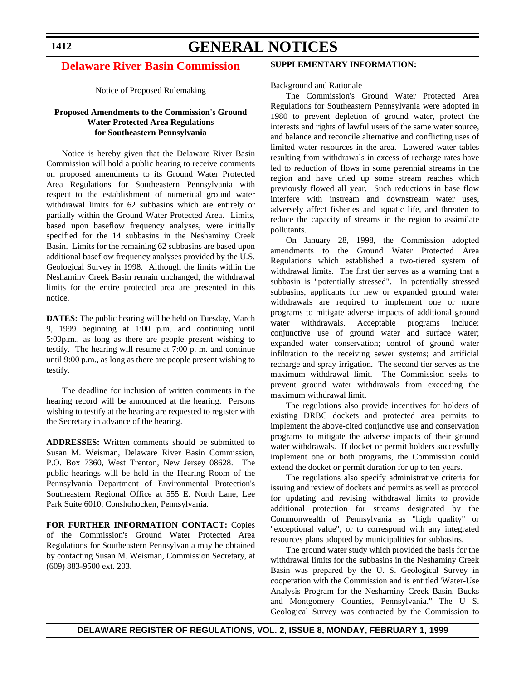# **GENERAL NOTICES**

# **[Delaware River Basin Commission](#page-4-0)**

Notice of Proposed Rulemaking

# **Proposed Amendments to the Commission's Ground Water Protected Area Regulations for Southeastern Pennsylvania**

Notice is hereby given that the Delaware River Basin Commission will hold a public hearing to receive comments on proposed amendments to its Ground Water Protected Area Regulations for Southeastern Pennsylvania with respect to the establishment of numerical ground water withdrawal limits for 62 subbasins which are entirely or partially within the Ground Water Protected Area. Limits, based upon baseflow frequency analyses, were initially specified for the 14 subbasins in the Neshaminy Creek Basin. Limits for the remaining 62 subbasins are based upon additional baseflow frequency analyses provided by the U.S. Geological Survey in 1998. Although the limits within the Neshaminy Creek Basin remain unchanged, the withdrawal limits for the entire protected area are presented in this notice.

**DATES:** The public hearing will be held on Tuesday, March 9, 1999 beginning at 1:00 p.m. and continuing until 5:00p.m., as long as there are people present wishing to testify. The hearing will resume at 7:00 p. m. and continue until 9:00 p.m., as long as there are people present wishing to testify.

The deadline for inclusion of written comments in the hearing record will be announced at the hearing. Persons wishing to testify at the hearing are requested to register with the Secretary in advance of the hearing.

**ADDRESSES:** Written comments should be submitted to Susan M. Weisman, Delaware River Basin Commission, P.O. Box 7360, West Trenton, New Jersey 08628. The public hearings will be held in the Hearing Room of the Pennsylvania Department of Environmental Protection's Southeastern Regional Office at 555 E. North Lane, Lee Park Suite 6010, Conshohocken, Pennsylvania.

**FOR FURTHER INFORMATION CONTACT:** Copies of the Commission's Ground Water Protected Area Regulations for Southeastern Pennsylvania may be obtained by contacting Susan M. Weisman, Commission Secretary, at (609) 883-9500 ext. 203.

# **SUPPLEMENTARY INFORMATION:**

Background and Rationale

The Commission's Ground Water Protected Area Regulations for Southeastern Pennsylvania were adopted in 1980 to prevent depletion of ground water, protect the interests and rights of lawful users of the same water source, and balance and reconcile alternative and conflicting uses of limited water resources in the area. Lowered water tables resulting from withdrawals in excess of recharge rates have led to reduction of flows in some perennial streams in the region and have dried up some stream reaches which previously flowed all year. Such reductions in base flow interfere with instream and downstream water uses, adversely affect fisheries and aquatic life, and threaten to reduce the capacity of streams in the region to assimilate pollutants.

On January 28, 1998, the Commission adopted amendments to the Ground Water Protected Area Regulations which established a two-tiered system of withdrawal limits. The first tier serves as a warning that a subbasin is "potentially stressed". In potentially stressed subbasins, applicants for new or expanded ground water withdrawals are required to implement one or more programs to mitigate adverse impacts of additional ground water withdrawals. Acceptable programs include: conjunctive use of ground water and surface water; expanded water conservation; control of ground water infiltration to the receiving sewer systems; and artificial recharge and spray irrigation. The second tier serves as the maximum withdrawal limit. The Commission seeks to prevent ground water withdrawals from exceeding the maximum withdrawal limit.

The regulations also provide incentives for holders of existing DRBC dockets and protected area permits to implement the above-cited conjunctive use and conservation programs to mitigate the adverse impacts of their ground water withdrawals. If docket or permit holders successfully implement one or both programs, the Commission could extend the docket or permit duration for up to ten years.

The regulations also specify administrative criteria for issuing and review of dockets and permits as well as protocol for updating and revising withdrawal limits to provide additional protection for streams designated by the Commonwealth of Pennsylvania as "high quality" or "exceptional value", or to correspond with any integrated resources plans adopted by municipalities for subbasins.

The ground water study which provided the basis for the withdrawal limits for the subbasins in the Neshaminy Creek Basin was prepared by the U. S. Geological Survey in cooperation with the Commission and is entitled 'Water-Use Analysis Program for the Nesharniny Creek Basin, Bucks and Montgomery Counties, Pennsylvania." The U S. Geological Survey was contracted by the Commission to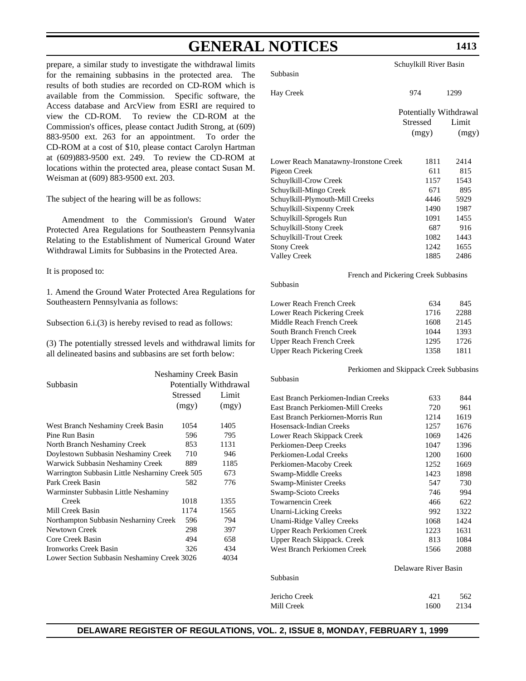# **GENERAL NOTICES**

prepare, a similar study to investigate the withdrawal limits for the remaining subbasins in the protected area. The results of both studies are recorded on CD-ROM which is available from the Commission. Specific software, the Access database and ArcView from ESRI are required to view the CD-ROM. To review the CD-ROM at the Commission's offices, please contact Judith Strong, at (609) 883-9500 ext. 263 for an appointment. To order the CD-ROM at a cost of \$10, please contact Carolyn Hartman at (609)883-9500 ext. 249. To review the CD-ROM at locations within the protected area, please contact Susan M. Weisman at (609) 883-9500 ext. 203.

The subject of the hearing will be as follows:

Amendment to the Commission's Ground Water Protected Area Regulations for Southeastern Pennsylvania Relating to the Establishment of Numerical Ground Water Withdrawal Limits for Subbasins in the Protected Area.

It is proposed to:

1. Amend the Ground Water Protected Area Regulations for Southeastern Pennsylvania as follows:

Subsection 6.i.(3) is hereby revised to read as follows:

(3) The potentially stressed levels and withdrawal limits for all delineated basins and subbasins are set forth below:

| Subbasin                                        | Neshaminy Creek Basin<br>Potentially Withdrawal |       |  |
|-------------------------------------------------|-------------------------------------------------|-------|--|
|                                                 | Stressed                                        | Limit |  |
|                                                 | (mgy)                                           | (mgy) |  |
| West Branch Neshaminy Creek Basin               | 1054                                            | 1405  |  |
| Pine Run Basin                                  | 596                                             | 795   |  |
| North Branch Neshaminy Creek                    | 853                                             | 1131  |  |
| Doylestown Subbasin Neshaminy Creek             | 710                                             | 946   |  |
| Warwick Subbasin Neshaminy Creek                | 889                                             | 1185  |  |
| Warrington Subbasin Little Nesharniny Creek 505 |                                                 | 673   |  |
| Park Creek Basin                                | 582                                             | 776   |  |
| Warminster Subbasin Little Neshaminy            |                                                 |       |  |
| Creek                                           | 1018                                            | 1355  |  |
| Mill Creek Basin                                | 1174                                            | 1565  |  |
| Northampton Subbasin Nesharniny Creek           | 596                                             | 794   |  |
| Newtown Creek                                   | 298                                             | 397   |  |
| Core Creek Basin                                | 494                                             | 658   |  |
| Ironworks Creek Basin                           | 326                                             | 434   |  |
| Lower Section Subbasin Neshaminy Creek 3026     |                                                 | 4034  |  |

Subbasin

Subbasin

| Hay Creek                             | 974                                | 1299  |
|---------------------------------------|------------------------------------|-------|
|                                       | Potentially Withdrawal<br>Stressed | Limit |
|                                       | (mgy)                              | (mgy) |
| Lower Reach Manatawny-Ironstone Creek | 1811                               | 2414  |
| Pigeon Creek                          | 611                                | 815   |
| Schuylkill-Crow Creek                 | 1157                               | 1543  |
| Schuylkill-Mingo Creek                | 671                                | 895   |
| Schuylkill-Plymouth-Mill Creeks       | 4446                               | 5929  |
| Schuylkill-Sixpenny Creek             | 1490                               | 1987  |
| Schuylkill-Sprogels Run               | 1091                               | 1455  |
| Schuylkill-Stony Creek                | 687                                | 916   |
| Schuylkill-Trout Creek                | 1082                               | 1443  |
| <b>Stony Creek</b>                    | 1242                               | 1655  |
| <b>Valley Creek</b>                   | 1885                               | 2486  |
| French and Pickering Creek Subbasins  |                                    |       |
| Subbasin                              |                                    |       |
| Lower Reach French Creek              | 634                                | 845   |
| Lower Reach Pickering Creek           | 1716                               | 2288  |
| Middle Reach French Creek             | 1608                               | 2145  |
| South Branch French Creek             | 1044                               | 1393  |
| <b>Upper Reach French Creek</b>       | 1295                               | 1726  |
| <b>Upper Reach Pickering Creek</b>    | 1358                               | 1811  |
|                                       |                                    |       |

Perkiomen and Skippack Creek Subbasins

| East Branch Perkiomen-Indian Creeks | 633                  | 844  |
|-------------------------------------|----------------------|------|
| East Branch Perkiomen-Mill Creeks   | 720                  | 961  |
| East Branch Perkiornen-Morris Run   | 1214                 | 1619 |
| Hosensack-Indian Creeks             | 1257                 | 1676 |
| Lower Reach Skippack Creek          | 1069                 | 1426 |
| Perkiomen-Deep Creeks               | 1047                 | 1396 |
| Perkiomen-Lodal Creeks              | 1200                 | 1600 |
| Perkiomen-Macoby Creek              | 1252                 | 1669 |
| Swamp-Middle Creeks                 | 1423                 | 1898 |
| <b>Swamp-Minister Creeks</b>        | 547                  | 730  |
| Swamp-Scioto Creeks                 | 746                  | 994  |
| <b>Towarnencin Creek</b>            | 466                  | 622  |
| Unarni-Licking Creeks               | 992                  | 1322 |
| Unami-Ridge Valley Creeks           | 1068                 | 1424 |
| Upper Reach Perkiomen Creek         | 1223                 | 1631 |
| Upper Reach Skippack. Creek         | 813                  | 1084 |
| West Branch Perkiomen Creek         | 1566                 | 2088 |
|                                     | Delaware River Basin |      |
| Subbasin                            |                      |      |

| Jericho Creek | 421    | 562  |
|---------------|--------|------|
| Mill Creek    | 1600 - | 2134 |

## **DELAWARE REGISTER OF REGULATIONS, VOL. 2, ISSUE 8, MONDAY, FEBRUARY 1, 1999**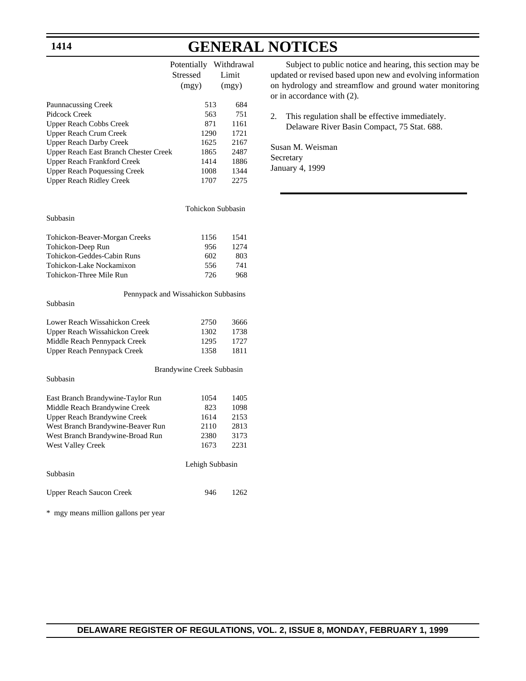## **1414**

# **GENERAL NOTICES**

|                                       | Potentially     |     | Withdrawal |
|---------------------------------------|-----------------|-----|------------|
|                                       | <b>Stressed</b> |     | Limit      |
|                                       | (mgy)           |     | (mgy)      |
| <b>Paunnacussing Creek</b>            |                 | 513 | 684        |
| Pidcock Creek                         |                 | 563 | 751        |
| <b>Upper Reach Cobbs Creek</b>        |                 | 871 | 1161       |
| Upper Reach Crum Creek                | 1290            |     | 1721       |
| <b>Upper Reach Darby Creek</b>        | 1625            |     | 2167       |
| Upper Reach East Branch Chester Creek | 1865            |     | 2487       |
| Upper Reach Frankford Creek           | 1414            |     | 1886       |
| <b>Upper Reach Poquessing Creek</b>   | 1008            |     | 1344       |
| Upper Reach Ridley Creek              | 1707            |     | 2275       |
|                                       |                 |     |            |

### Subbasin

| 1156 | 1541  |
|------|-------|
| 956  | 12.74 |
| 602  | 803   |
| 556  | 741   |
| 726  | 968   |
|      |       |

### Pennypack and Wissahickon Subbasins Subbasin

| Lower Reach Wissahickon Creek | 2750 | 3666 |
|-------------------------------|------|------|
| Upper Reach Wissahickon Creek | 1302 | 1738 |
| Middle Reach Pennypack Creek  | 1295 | 1727 |
| Upper Reach Pennypack Creek   | 1358 | 1811 |
|                               |      |      |

### Subbasin

Brandywine Creek Subbasin

Tohickon Subbasin

| East Branch Brandywine-Taylor Run | 1054            | 1405  |
|-----------------------------------|-----------------|-------|
| Middle Reach Brandywine Creek     | 823             | 1098  |
| Upper Reach Brandywine Creek      | 1614            | 2153  |
| West Branch Brandywine-Beaver Run | 2110            | 2813  |
| West Branch Brandywine-Broad Run  | 2380            | 3173  |
| <b>West Valley Creek</b>          | 1673            | 2231  |
|                                   | Lehigh Subbasin |       |
| Subbasin                          |                 |       |
| <b>Upper Reach Saucon Creek</b>   | 946             | 1262. |

\* mgy means million gallons per year

Subject to public notice and hearing, this section may be updated or revised based upon new and evolving information on hydrology and streamflow and ground water monitoring or in accordance with (2).

2. This regulation shall be effective immediately. Delaware River Basin Compact, 75 Stat. 688.

Susan M. Weisman Secretary January 4, 1999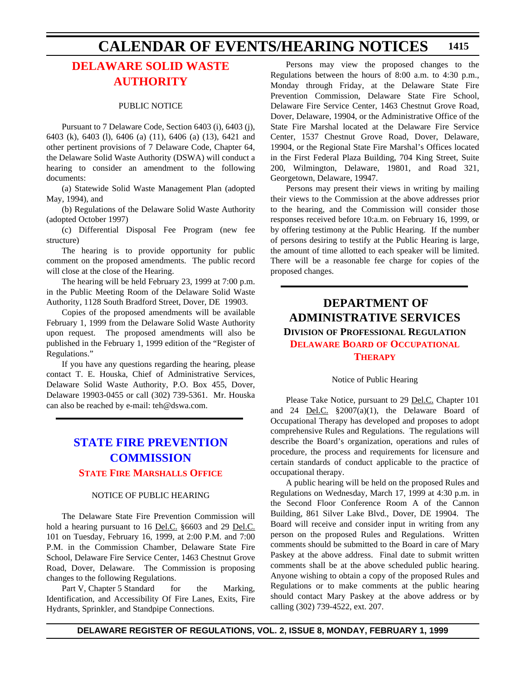# **[DELAWARE SOLID WASTE](#page-4-0) AUTHORITY**

### PUBLIC NOTICE

Pursuant to 7 Delaware Code, Section 6403 (i), 6403 (j), 6403 (k), 6403 (l), 6406 (a) (11), 6406 (a) (13), 6421 and other pertinent provisions of 7 Delaware Code, Chapter 64, the Delaware Solid Waste Authority (DSWA) will conduct a hearing to consider an amendment to the following documents:

(a) Statewide Solid Waste Management Plan (adopted May, 1994), and

(b) Regulations of the Delaware Solid Waste Authority (adopted October 1997)

(c) Differential Disposal Fee Program (new fee structure)

The hearing is to provide opportunity for public comment on the proposed amendments. The public record will close at the close of the Hearing.

The hearing will be held February 23, 1999 at 7:00 p.m. in the Public Meeting Room of the Delaware Solid Waste Authority, 1128 South Bradford Street, Dover, DE 19903.

Copies of the proposed amendments will be available February 1, 1999 from the Delaware Solid Waste Authority upon request. The proposed amendments will also be published in the February 1, 1999 edition of the "Register of Regulations."

If you have any questions regarding the hearing, please contact T. E. Houska, Chief of Administrative Services, Delaware Solid Waste Authority, P.O. Box 455, Dover, Delaware 19903-0455 or call (302) 739-5361. Mr. Houska can also be reached by e-mail: teh@dswa.com.

# **[STATE FIRE PREVENTION](http://www.state.de.us/dvfa/html/commission.html) COMMISSION [STATE FIRE MARSHALLS OFFICE](#page-4-0)**

### NOTICE OF PUBLIC HEARING

The Delaware State Fire Prevention Commission will hold a hearing pursuant to 16 Del.C. §6603 and 29 Del.C. 101 on Tuesday, February 16, 1999, at 2:00 P.M. and 7:00 P.M. in the Commission Chamber, Delaware State Fire School, Delaware Fire Service Center, 1463 Chestnut Grove Road, Dover, Delaware. The Commission is proposing changes to the following Regulations.

Part V, Chapter 5 Standard for the Marking, Identification, and Accessibility Of Fire Lanes, Exits, Fire Hydrants, Sprinkler, and Standpipe Connections.

Persons may view the proposed changes to the Regulations between the hours of 8:00 a.m. to 4:30 p.m., Monday through Friday, at the Delaware State Fire Prevention Commission, Delaware State Fire School, Delaware Fire Service Center, 1463 Chestnut Grove Road, Dover, Delaware, 19904, or the Administrative Office of the State Fire Marshal located at the Delaware Fire Service Center, 1537 Chestnut Grove Road, Dover, Delaware, 19904, or the Regional State Fire Marshal's Offices located in the First Federal Plaza Building, 704 King Street, Suite 200, Wilmington, Delaware, 19801, and Road 321, Georgetown, Delaware, 19947.

Persons may present their views in writing by mailing their views to the Commission at the above addresses prior to the hearing, and the Commission will consider those responses received before 10:a.m. on February 16, 1999, or by offering testimony at the Public Hearing. If the number of persons desiring to testify at the Public Hearing is large, the amount of time allotted to each speaker will be limited. There will be a reasonable fee charge for copies of the proposed changes.

# **DEPARTMENT OF ADMINISTRATIVE SERVICES DIVISION OF PROFESSIONAL REGULATION [DELAWARE BOARD](#page-4-0) OF OCCUPATIONAL THERAPY**

### Notice of Public Hearing

Please Take Notice, pursuant to 29 Del.C. Chapter 101 and 24 Del.C. §2007(a)(1), the Delaware Board of Occupational Therapy has developed and proposes to adopt comprehensive Rules and Regulations. The regulations will describe the Board's organization, operations and rules of procedure, the process and requirements for licensure and certain standards of conduct applicable to the practice of occupational therapy.

A public hearing will be held on the proposed Rules and Regulations on Wednesday, March 17, 1999 at 4:30 p.m. in the Second Floor Conference Room A of the Cannon Building, 861 Silver Lake Blvd., Dover, DE 19904. The Board will receive and consider input in writing from any person on the proposed Rules and Regulations. Written comments should be submitted to the Board in care of Mary Paskey at the above address. Final date to submit written comments shall be at the above scheduled public hearing. Anyone wishing to obtain a copy of the proposed Rules and Regulations or to make comments at the public hearing should contact Mary Paskey at the above address or by calling (302) 739-4522, ext. 207.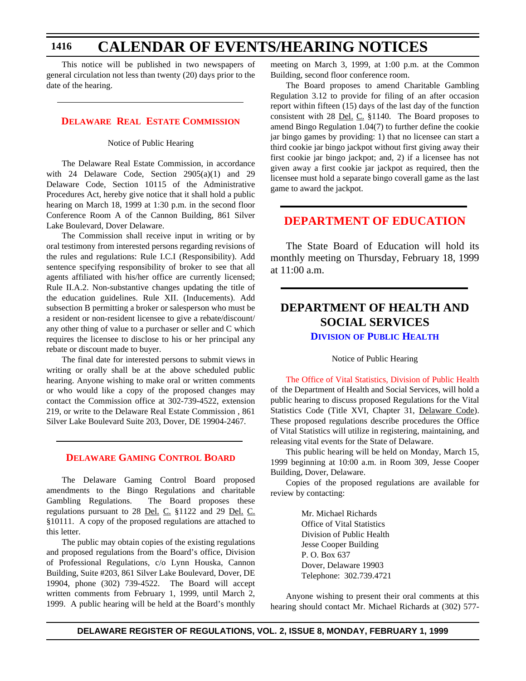This notice will be published in two newspapers of general circulation not less than twenty (20) days prior to the date of the hearing.

### **[DELAWARE REAL ESTATE COMMISSION](#page-4-0)**

Notice of Public Hearing

The Delaware Real Estate Commission, in accordance with 24 Delaware Code, Section 2905(a)(1) and 29 Delaware Code, Section 10115 of the Administrative Procedures Act, hereby give notice that it shall hold a public hearing on March 18, 1999 at 1:30 p.m. in the second floor Conference Room A of the Cannon Building, 861 Silver Lake Boulevard, Dover Delaware.

The Commission shall receive input in writing or by oral testimony from interested persons regarding revisions of the rules and regulations: Rule I.C.I (Responsibility). Add sentence specifying responsibility of broker to see that all agents affiliated with his/her office are currently licensed; Rule II.A.2. Non-substantive changes updating the title of the education guidelines. Rule XII. (Inducements). Add subsection B permitting a broker or salesperson who must be a resident or non-resident licensee to give a rebate/discount/ any other thing of value to a purchaser or seller and C which requires the licensee to disclose to his or her principal any rebate or discount made to buyer.

The final date for interested persons to submit views in writing or orally shall be at the above scheduled public hearing. Anyone wishing to make oral or written comments or who would like a copy of the proposed changes may contact the Commission office at 302-739-4522, extension 219, or write to the Delaware Real Estate Commission , 861 Silver Lake Boulevard Suite 203, Dover, DE 19904-2467.

### **[DELAWARE GAMING CONTROL BOARD](#page-4-0)**

The Delaware Gaming Control Board proposed amendments to the Bingo Regulations and charitable Gambling Regulations. The Board proposes these regulations pursuant to 28 Del. C. §1122 and 29 Del. C. §10111. A copy of the proposed regulations are attached to this letter.

The public may obtain copies of the existing regulations and proposed regulations from the Board's office, Division of Professional Regulations, c/o Lynn Houska, Cannon Building, Suite #203, 861 Silver Lake Boulevard, Dover, DE 19904, phone (302) 739-4522. The Board will accept written comments from February 1, 1999, until March 2, 1999. A public hearing will be held at the Board's monthly meeting on March 3, 1999, at 1:00 p.m. at the Common Building, second floor conference room.

The Board proposes to amend Charitable Gambling Regulation 3.12 to provide for filing of an after occasion report within fifteen (15) days of the last day of the function consistent with 28 <u>Del. C.</u> §1140. The Board proposes to amend Bingo Regulation 1.04(7) to further define the cookie jar bingo games by providing: 1) that no licensee can start a third cookie jar bingo jackpot without first giving away their first cookie jar bingo jackpot; and, 2) if a licensee has not given away a first cookie jar jackpot as required, then the licensee must hold a separate bingo coverall game as the last game to award the jackpot.

# **[DEPARTMENT OF EDUCATION](#page-4-0)**

The State Board of Education will hold its monthly meeting on Thursday, February 18, 1999 at 11:00 a.m.

# **DEPARTMENT OF HEALTH AND SOCIAL SERVICES DIVISION [OF PUBLIC HEALTH](http://www.state.de.us/govern/agencies/dhss/irm/dph/dphhome.htm)**

Notice of Public Hearing

[The Office of Vital Statistics, Division of Public Health](#page-4-0) of the Department of Health and Social Services, will hold a public hearing to discuss proposed Regulations for the Vital Statistics Code (Title XVI, Chapter 31, Delaware Code). These proposed regulations describe procedures the Office of Vital Statistics will utilize in registering, maintaining, and releasing vital events for the State of Delaware.

This public hearing will be held on Monday, March 15, 1999 beginning at 10:00 a.m. in Room 309, Jesse Cooper Building, Dover, Delaware.

Copies of the proposed regulations are available for review by contacting:

> Mr. Michael Richards Office of Vital Statistics Division of Public Health Jesse Cooper Building P. O. Box 637 Dover, Delaware 19903 Telephone: 302.739.4721

Anyone wishing to present their oral comments at this hearing should contact Mr. Michael Richards at (302) 577-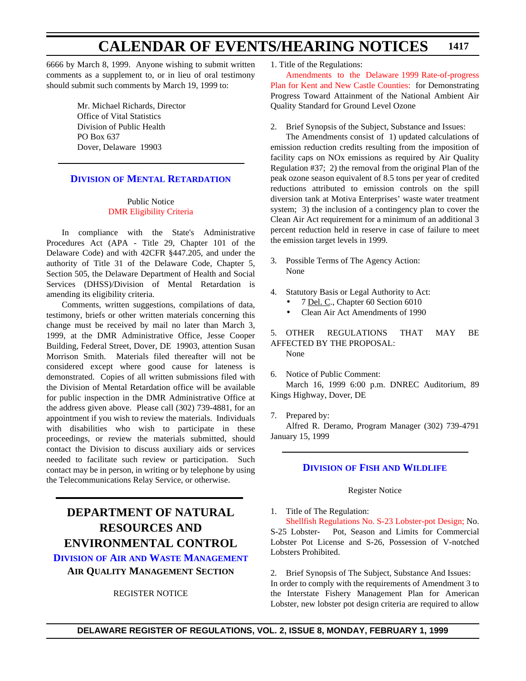6666 by March 8, 1999. Anyone wishing to submit written comments as a supplement to, or in lieu of oral testimony should submit such comments by March 19, 1999 to:

> Mr. Michael Richards, Director Office of Vital Statistics Division of Public Health PO Box 637 Dover, Delaware 19903

# **DIVISION [OF MENTAL RETARDATION](http://www.state.de.us/govern/agencies/dhss/irm/dmr/dmrhome.htm)**

### Public Notice [DMR Eligibility Criteria](#page-4-0)

In compliance with the State's Administrative Procedures Act (APA - Title 29, Chapter 101 of the Delaware Code) and with 42CFR §447.205, and under the authority of Title 31 of the Delaware Code, Chapter 5, Section 505, the Delaware Department of Health and Social Services (DHSS)/Division of Mental Retardation is amending its eligibility criteria.

Comments, written suggestions, compilations of data, testimony, briefs or other written materials concerning this change must be received by mail no later than March 3, 1999, at the DMR Administrative Office, Jesse Cooper Building, Federal Street, Dover, DE 19903, attention Susan Morrison Smith. Materials filed thereafter will not be considered except where good cause for lateness is demonstrated. Copies of all written submissions filed with the Division of Mental Retardation office will be available for public inspection in the DMR Administrative Office at the address given above. Please call (302) 739-4881, for an appointment if you wish to review the materials. Individuals with disabilities who wish to participate in these proceedings, or review the materials submitted, should contact the Division to discuss auxiliary aids or services needed to facilitate such review or participation. Such contact may be in person, in writing or by telephone by using the Telecommunications Relay Service, or otherwise.

# **DEPARTMENT OF NATURAL RESOURCES AND ENVIRONMENTAL CONTROL**

**DIVISION OF AIR AND WASTE [MANAGEMENT](http://www.dnrec.state.de.us/aandw.htm) AIR QUALITY MANAGEMENT SECTION**

## REGISTER NOTICE

1. Title of the Regulations:

Amendments to the Delaware 1999 Rate-of-progress [Plan for Kent and New Castle Counties: for Demonstrating](#page-4-0) Progress Toward Attainment of the National Ambient Air Quality Standard for Ground Level Ozone

2. Brief Synopsis of the Subject, Substance and Issues:

The Amendments consist of 1) updated calculations of emission reduction credits resulting from the imposition of facility caps on NOx emissions as required by Air Quality Regulation #37; 2) the removal from the original Plan of the peak ozone season equivalent of 8.5 tons per year of credited reductions attributed to emission controls on the spill diversion tank at Motiva Enterprises' waste water treatment system; 3) the inclusion of a contingency plan to cover the Clean Air Act requirement for a minimum of an additional 3 percent reduction held in reserve in case of failure to meet the emission target levels in 1999.

- 3. Possible Terms of The Agency Action: None
- 4. Statutory Basis or Legal Authority to Act:
	- 7 Del. C., Chapter 60 Section 6010
	- Clean Air Act Amendments of 1990

5. OTHER REGULATIONS THAT MAY BE AFFECTED BY THE PROPOSAL: None

6. Notice of Public Comment:

March 16, 1999 6:00 p.m. DNREC Auditorium, 89 Kings Highway, Dover, DE

7. Prepared by:

Alfred R. Deramo, Program Manager (302) 739-4791 January 15, 1999

# **DIVISION OF FISH [AND WILDLIFE](http://www.dnrec.state.de.us/fandw.htm)**

### Register Notice

1. Title of The Regulation:

[Shellfish Regulations No. S-23 Lobster-pot Design;](#page-4-0) No. S-25 Lobster- Pot, Season and Limits for Commercial Lobster Pot License and S-26, Possession of V-notched Lobsters Prohibited.

2. Brief Synopsis of The Subject, Substance And Issues: In order to comply with the requirements of Amendment 3 to the Interstate Fishery Management Plan for American Lobster, new lobster pot design criteria are required to allow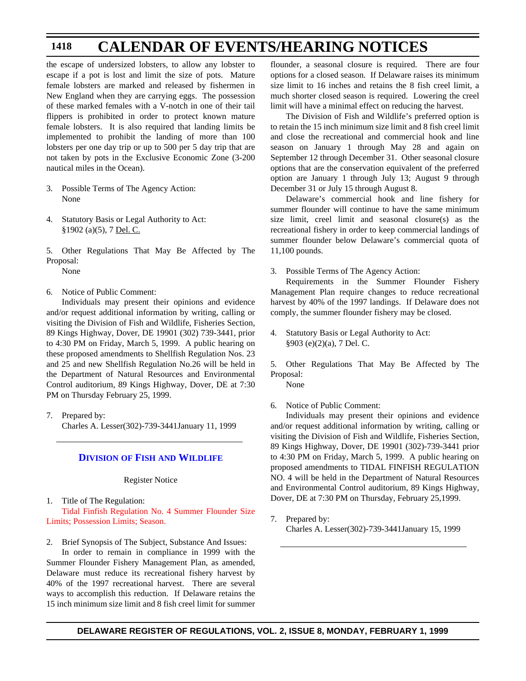the escape of undersized lobsters, to allow any lobster to escape if a pot is lost and limit the size of pots. Mature female lobsters are marked and released by fishermen in New England when they are carrying eggs. The possession of these marked females with a V-notch in one of their tail flippers is prohibited in order to protect known mature female lobsters. It is also required that landing limits be implemented to prohibit the landing of more than 100 lobsters per one day trip or up to 500 per 5 day trip that are not taken by pots in the Exclusive Economic Zone (3-200 nautical miles in the Ocean).

- 3. Possible Terms of The Agency Action: None
- 4. Statutory Basis or Legal Authority to Act: §1902 (a)(5), 7 Del. C.

5. Other Regulations That May Be Affected by The Proposal:

None

6. Notice of Public Comment:

Individuals may present their opinions and evidence and/or request additional information by writing, calling or visiting the Division of Fish and Wildlife, Fisheries Section, 89 Kings Highway, Dover, DE 19901 (302) 739-3441, prior to 4:30 PM on Friday, March 5, 1999. A public hearing on these proposed amendments to Shellfish Regulation Nos. 23 and 25 and new Shellfish Regulation No.26 will be held in the Department of Natural Resources and Environmental Control auditorium, 89 Kings Highway, Dover, DE at 7:30 PM on Thursday February 25, 1999.

7. Prepared by: Charles A. Lesser(302)-739-3441January 11, 1999

# **DIVISION OF FISH [AND WILDLIFE](http://www.dnrec.state.de.us/fandw.htm)**

Register Notice

1. Title of The Regulation: [Tidal Finfish Regulation No. 4 Summer Flounder Size](#page-4-0) Limits; Possession Limits; Season.

2. Brief Synopsis of The Subject, Substance And Issues:

In order to remain in compliance in 1999 with the Summer Flounder Fishery Management Plan, as amended, Delaware must reduce its recreational fishery harvest by 40% of the 1997 recreational harvest. There are several ways to accomplish this reduction. If Delaware retains the 15 inch minimum size limit and 8 fish creel limit for summer

flounder, a seasonal closure is required. There are four options for a closed season. If Delaware raises its minimum size limit to 16 inches and retains the 8 fish creel limit, a much shorter closed season is required. Lowering the creel limit will have a minimal effect on reducing the harvest.

The Division of Fish and Wildlife's preferred option is to retain the 15 inch minimum size limit and 8 fish creel limit and close the recreational and commercial hook and line season on January 1 through May 28 and again on September 12 through December 31. Other seasonal closure options that are the conservation equivalent of the preferred option are January 1 through July 13; August 9 through December 31 or July 15 through August 8.

Delaware's commercial hook and line fishery for summer flounder will continue to have the same minimum size limit, creel limit and seasonal closure(s) as the recreational fishery in order to keep commercial landings of summer flounder below Delaware's commercial quota of 11,100 pounds.

3. Possible Terms of The Agency Action:

Requirements in the Summer Flounder Fishery Management Plan require changes to reduce recreational harvest by 40% of the 1997 landings. If Delaware does not comply, the summer flounder fishery may be closed.

4. Statutory Basis or Legal Authority to Act: §903 (e)(2)(a), 7 Del. C.

5. Other Regulations That May Be Affected by The Proposal:

None

6. Notice of Public Comment:

Individuals may present their opinions and evidence and/or request additional information by writing, calling or visiting the Division of Fish and Wildlife, Fisheries Section, 89 Kings Highway, Dover, DE 19901 (302)-739-3441 prior to 4:30 PM on Friday, March 5, 1999. A public hearing on proposed amendments to TIDAL FINFISH REGULATION NO. 4 will be held in the Department of Natural Resources and Environmental Control auditorium, 89 Kings Highway, Dover, DE at 7:30 PM on Thursday, February 25,1999.

7. Prepared by: Charles A. Lesser(302)-739-3441January 15, 1999